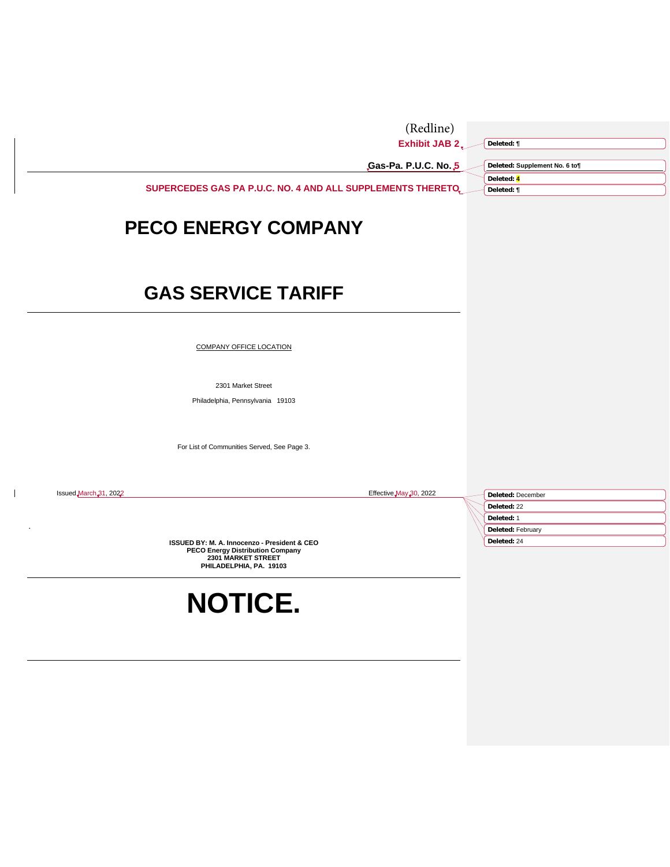| (Redline)                                                                                |                                            |
|------------------------------------------------------------------------------------------|--------------------------------------------|
| Exhibit JAB 2,                                                                           | Deleted: ¶                                 |
|                                                                                          |                                            |
| Gas-Pa. P.U.C. No. 5                                                                     | Deleted: Supplement No. 6 to<br>Deleted: 4 |
| SUPERCEDES GAS PA P.U.C. NO. 4 AND ALL SUPPLEMENTS THERETO.                              | Deleted: ¶                                 |
| <b>PECO ENERGY COMPANY</b>                                                               |                                            |
| <b>GAS SERVICE TARIFF</b>                                                                |                                            |
| <b>COMPANY OFFICE LOCATION</b>                                                           |                                            |
| 2301 Market Street                                                                       |                                            |
| Philadelphia, Pennsylvania 19103                                                         |                                            |
|                                                                                          |                                            |
| For List of Communities Served, See Page 3.                                              |                                            |
| Issued March 31, 2022<br>Effective May 30, 2022                                          | Deleted: December                          |
|                                                                                          | Deleted: 22                                |
|                                                                                          | Deleted: 1                                 |
| ISSUED BY: M. A. Innocenzo - President & CEO                                             | Deleted: February<br>Deleted: 24           |
| <b>PECO Energy Distribution Company</b><br>2301 MARKET STREET<br>PHILADELPHIA, PA. 19103 |                                            |
| NOTICE.                                                                                  |                                            |
|                                                                                          |                                            |
|                                                                                          |                                            |
|                                                                                          |                                            |
|                                                                                          |                                            |
|                                                                                          |                                            |
|                                                                                          |                                            |
|                                                                                          |                                            |
|                                                                                          |                                            |
|                                                                                          |                                            |
|                                                                                          |                                            |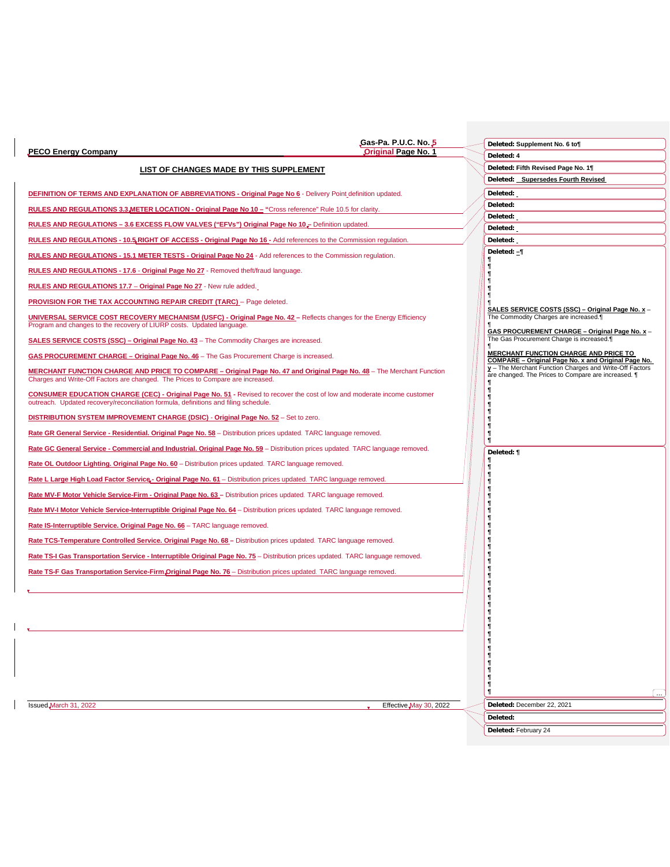|                                                                                                                                                                                                                        | Gas-Pa. P.U.C. No. 5,  | Deleted: Supplement No. 6 to                                                                                          |
|------------------------------------------------------------------------------------------------------------------------------------------------------------------------------------------------------------------------|------------------------|-----------------------------------------------------------------------------------------------------------------------|
| <b>PECO Energy Company</b>                                                                                                                                                                                             | Original Page No. 1    | Deleted: 4                                                                                                            |
| <b>LIST OF CHANGES MADE BY THIS SUPPLEMENT</b>                                                                                                                                                                         |                        | Deleted: Fifth Revised Page No. 1¶                                                                                    |
|                                                                                                                                                                                                                        |                        | Deleted: Supersedes Fourth Revised                                                                                    |
| <b>DEFINITION OF TERMS AND EXPLANATION OF ABBREVIATIONS - Original Page No 6 - Delivery Point definition updated.</b>                                                                                                  |                        | Deleted:                                                                                                              |
| RULES AND REGULATIONS 3.3 WETER LOCATION - Original Page No 10 - "Cross reference" Rule 10.5 for clarity.                                                                                                              |                        | Deleted:                                                                                                              |
| RULES AND REGULATIONS - 3.6 EXCESS FLOW VALVES ("EFVs") Original Page No 10, Definition updated.                                                                                                                       |                        | Deleted:<br>Deleted:                                                                                                  |
| RULES AND REGULATIONS - 10.5 RIGHT OF ACCESS - Original Page No. 16 - Add references to the Commission regulation.                                                                                                     |                        | Deleted:                                                                                                              |
| RULES AND REGULATIONS - 15.1 METER TESTS - Original Page No 24 - Add references to the Commission regulation.                                                                                                          |                        | Deleted: $-\P$                                                                                                        |
| RULES AND REGULATIONS - 17.6 - Original Page No 27 - Removed theft/fraud language.                                                                                                                                     |                        |                                                                                                                       |
| RULES AND REGULATIONS 17.7 - Original Page No 27 - New rule added.                                                                                                                                                     |                        |                                                                                                                       |
| <b>PROVISION FOR THE TAX ACCOUNTING REPAIR CREDIT (TARC)</b> - Page deleted.                                                                                                                                           |                        |                                                                                                                       |
| UNIVERSAL SERVICE COST RECOVERY MECHANISM (USFC) - Original Page No. 42 - Reflects changes for the Energy Efficiency<br>Program and changes to the recovery of LIURP costs. Updated language.                          |                        | SALES SERVICE COSTS (SSC) - Original Page No. x -<br>The Commodity Charges are increased.                             |
| <b>SALES SERVICE COSTS (SSC) - Original Page No. 43 - The Commodity Charges are increased.</b>                                                                                                                         |                        | GAS PROCUREMENT CHARGE - Original Page No. x -<br>The Gas Procurement Charge is increased.                            |
| GAS PROCUREMENT CHARGE - Original Page No. 46 - The Gas Procurement Charge is increased.                                                                                                                               |                        | MERCHANT FUNCTION CHARGE AND PRICE TO<br>COMPARE - Original Page No. x and Original Page No.                          |
| MERCHANT FUNCTION CHARGE AND PRICE TO COMPARE - Original Page No. 47 and Original Page No. 48 - The Merchant Function<br>Charges and Write-Off Factors are changed. The Prices to Compare are increased.               |                        | $y$ – The Merchant Function Charges and Write-Off Factors<br>are changed. The Prices to Compare are increased. ¶<br>Π |
| <b>CONSUMER EDUCATION CHARGE (CEC) - Original Page No. 51 - Revised to recover the cost of low and moderate income customer</b><br>outreach. Updated recovery/reconciliation formula, definitions and filing schedule. |                        | Π<br>Π<br>Π                                                                                                           |
| DISTRIBUTION SYSTEM IMPROVEMENT CHARGE (DSIC) - Original Page No. 52 - Set to zero.                                                                                                                                    |                        | Π<br>Π                                                                                                                |
| Rate GR General Service - Residential. Original Page No. 58 - Distribution prices updated. TARC language removed.                                                                                                      |                        | Π<br>Π                                                                                                                |
| Rate GC General Service - Commercial and Industrial. Original Page No. 59 - Distribution prices updated. TARC language removed.                                                                                        |                        | Π<br>Deleted: ¶                                                                                                       |
| Rate OL Outdoor Lighting. Original Page No. 60 - Distribution prices updated. TARC language removed.                                                                                                                   |                        | Π                                                                                                                     |
| Rate L Large High Load Factor Service - Original Page No. 61 - Distribution prices updated. TARC language removed.                                                                                                     |                        | Π                                                                                                                     |
| Rate MV-F Motor Vehicle Service-Firm - Original Page No. 63 - Distribution prices updated. TARC language removed.                                                                                                      |                        | Π<br>Π                                                                                                                |
| Rate MV-I Motor Vehicle Service-Interruptible Original Page No. 64 - Distribution prices updated. TARC language removed.                                                                                               |                        | Π<br>Π<br>Π                                                                                                           |
| Rate IS-Interruptible Service. Original Page No. 66 - TARC language removed.                                                                                                                                           |                        | Π<br>я                                                                                                                |
| Rate TCS-Temperature Controlled Service. Original Page No. 68 - Distribution prices updated. TARC language removed.                                                                                                    |                        | Π<br>Π                                                                                                                |
| Rate TS-I Gas Transportation Service - Interruptible Original Page No. 75 - Distribution prices updated. TARC language removed.                                                                                        |                        | 1<br>Π                                                                                                                |
| Rate TS-F Gas Transportation Service-Firm Original Page No. 76 - Distribution prices updated. TARC language removed.                                                                                                   |                        | Π<br>Π                                                                                                                |
|                                                                                                                                                                                                                        |                        | Π<br>Π                                                                                                                |
|                                                                                                                                                                                                                        |                        |                                                                                                                       |
|                                                                                                                                                                                                                        |                        | Я                                                                                                                     |
|                                                                                                                                                                                                                        |                        | Π                                                                                                                     |
|                                                                                                                                                                                                                        |                        |                                                                                                                       |
|                                                                                                                                                                                                                        |                        |                                                                                                                       |
|                                                                                                                                                                                                                        |                        | Я<br>Π                                                                                                                |
|                                                                                                                                                                                                                        |                        | Π                                                                                                                     |
| Issued March 31, 2022                                                                                                                                                                                                  | Effective May 30, 2022 | Deleted: December 22, 2021                                                                                            |
|                                                                                                                                                                                                                        |                        | Deleted:                                                                                                              |
|                                                                                                                                                                                                                        |                        | Deleted: February 24                                                                                                  |

 $\mathsf{l}$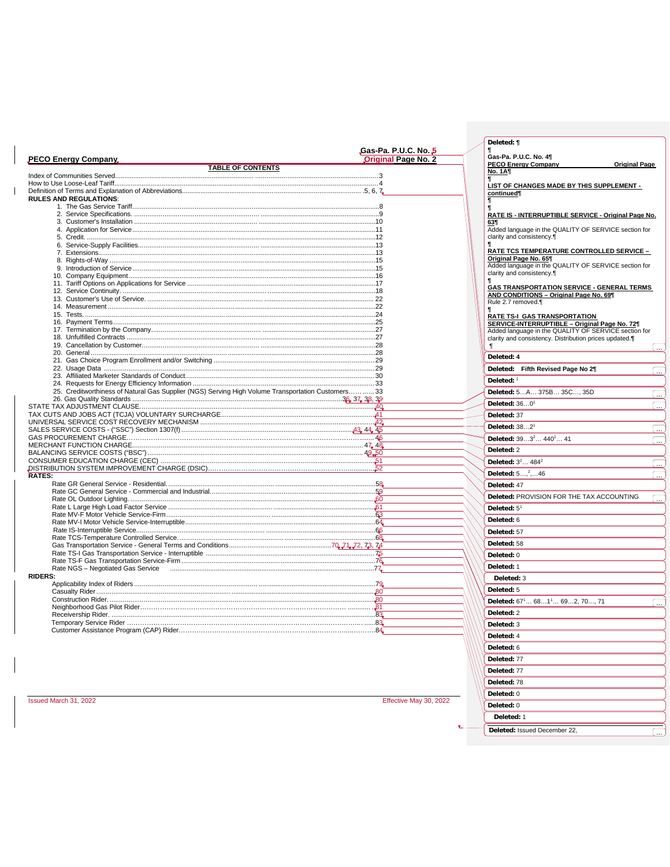|                                                                                                   |                            | Deleted: ¶                                            |           |
|---------------------------------------------------------------------------------------------------|----------------------------|-------------------------------------------------------|-----------|
|                                                                                                   | Gas-Pa. P.U.C. No. 5       |                                                       |           |
| <b>PECO Energy Company</b>                                                                        | <b>Original Page No. 2</b> | Gas-Pa. P.U.C. No. 41                                 |           |
| <b>TABLE OF CONTENTS</b>                                                                          |                            | <b>PECO Energy Company</b><br><b>Original Page</b>    |           |
|                                                                                                   |                            | <b>No. 1AT</b>                                        |           |
|                                                                                                   |                            | LIST OF CHANGES MADE BY THIS SUPPLEMENT -             |           |
| <b>RULES AND REGULATIONS:</b>                                                                     |                            | continued¶                                            |           |
|                                                                                                   |                            |                                                       |           |
|                                                                                                   |                            | RATE IS - INTERRUPTIBLE SERVICE - Original Page No.   |           |
|                                                                                                   |                            |                                                       |           |
|                                                                                                   |                            | Added language in the QUALITY OF SERVICE section for  |           |
|                                                                                                   |                            | clarity and consistency.                              |           |
|                                                                                                   |                            | <b>RATE TCS TEMPERATURE CONTROLLED SERVICE -</b>      |           |
|                                                                                                   |                            | Original Page No. 65¶                                 |           |
|                                                                                                   |                            | Added language in the QUALITY OF SERVICE section for  |           |
|                                                                                                   |                            | clarity and consistency.                              |           |
|                                                                                                   |                            | <b>GAS TRANSPORTATION SERVICE - GENERAL TERMS</b>     |           |
|                                                                                                   |                            | AND CONDITIONS - Original Page No. 69                 |           |
|                                                                                                   |                            | Rule 2.7 removed.                                     |           |
|                                                                                                   |                            | <b>RATE TS-I GAS TRANSPORTATION</b>                   |           |
|                                                                                                   |                            | SERVICE-INTERRUPTIBLE - Original Page No. 721         |           |
|                                                                                                   |                            | Added language in the QUALITY OF SERVICE section for  |           |
|                                                                                                   |                            | clarity and consistency. Distribution prices updated. |           |
|                                                                                                   |                            |                                                       |           |
|                                                                                                   |                            | Deleted: 4                                            |           |
|                                                                                                   |                            | Deleted: Fifth Revised Page No 21                     |           |
|                                                                                                   |                            | Deleted: $1$                                          |           |
|                                                                                                   |                            |                                                       |           |
| 25. Creditworthiness of Natural Gas Supplier (NGS) Serving High Volume Transportation Customers33 |                            | Deleted: 5A 375B 35C, 35D                             | $\ddotsc$ |
|                                                                                                   |                            | Deleted: 360 <sup>1</sup>                             |           |
|                                                                                                   |                            | Deleted: 37                                           |           |
|                                                                                                   |                            | Deleted: 382 <sup>1</sup>                             |           |
|                                                                                                   |                            |                                                       |           |
|                                                                                                   |                            | Deleted: 393 <sup>2</sup> 440 <sup>1</sup> 41         |           |
|                                                                                                   |                            | Deleted: 2                                            |           |
|                                                                                                   |                            | Deleted: $3^2484^2$                                   |           |
|                                                                                                   |                            | Deleted: $5^2,46$                                     |           |
| <b>RATES:</b>                                                                                     |                            |                                                       |           |
|                                                                                                   |                            | Deleted: 47                                           |           |
|                                                                                                   |                            | Deleted: PROVISION FOR THE TAX ACCOUNTING             |           |
|                                                                                                   |                            | Deleted: $51$                                         |           |
|                                                                                                   |                            |                                                       |           |
|                                                                                                   |                            | Deleted: 6                                            |           |
|                                                                                                   |                            | Deleted: 57                                           |           |
|                                                                                                   |                            | Deleted: 58                                           |           |
|                                                                                                   |                            | Deleted: 0                                            |           |
|                                                                                                   |                            |                                                       |           |
|                                                                                                   |                            | Deleted: 1                                            |           |
| <b>RIDERS:</b>                                                                                    |                            | Deleted: 3                                            |           |
|                                                                                                   |                            | Deleted: 5                                            |           |
|                                                                                                   |                            | Deleted: 671 6811 692, 70, 71                         |           |
|                                                                                                   |                            |                                                       |           |
|                                                                                                   |                            | Deleted: 2                                            |           |
|                                                                                                   |                            | Deleted: 3                                            |           |
|                                                                                                   |                            | Deleted: 4                                            |           |
|                                                                                                   |                            | Deleted: 6                                            |           |
|                                                                                                   |                            |                                                       |           |
|                                                                                                   |                            | Deleted: 77                                           |           |
|                                                                                                   |                            | Deleted: 77                                           |           |
|                                                                                                   |                            | Deleted: 78                                           |           |
|                                                                                                   |                            | Deleted: 0                                            |           |
| Issued March 31, 2022                                                                             | Effective May 30, 2022     |                                                       |           |
|                                                                                                   |                            | Deleted: 0                                            |           |
|                                                                                                   |                            | Deleted: 1                                            |           |

 $\mathbf{I}$ 

Deleted: Issued December 22,

┌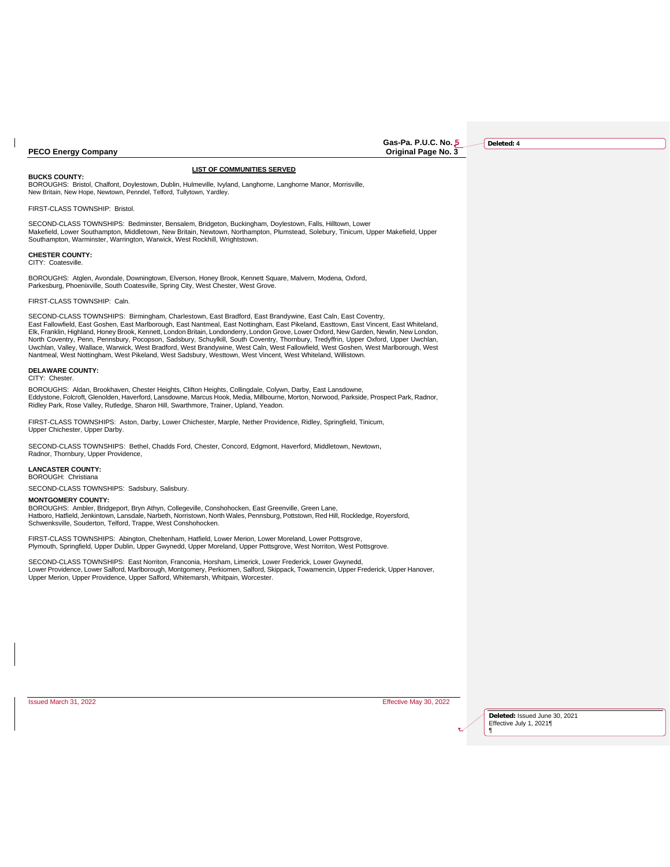**Gas-Pa. P.U.C. No. 5**

**Deleted: 4**

#### **BUCKS COUNTY:**

BOROUGHS: Bristol, Chalfont, Doylestown, Dublin, Hulmeville, Ivyland, Langhorne, Langhorne Manor, Morrisville, New Britain, New Hope, Newtown, Penndel, Telford, Tullytown, Yardley.

FIRST-CLASS TOWNSHIP: Bristol.

SECOND-CLASS TOWNSHIPS: Bedminster, Bensalem, Bridgeton, Buckingham, Doylestown, Falls, Hilltown, Lower<br>Makefield, Lower Southampton, Middletown, New Britain, Newtown, Northampton, Plumstead, Solebury, Tinicum, Upper Make Southampton, Warminster, Warrington, Warwick, West Rockhill, Wrightstown.

**LIST OF COMMUNITIES SERVED**

**CHESTER COUNTY:**  CITY: Coatesville.

BOROUGHS: Atglen, Avondale, Downingtown, Elverson, Honey Brook, Kennett Square, Malvern, Modena, Oxford, Parkesburg, Phoenixville, South Coatesville, Spring City, West Chester, West Grove.

FIRST-CLASS TOWNSHIP: Caln.

SECOND-CLASS TOWNSHIPS: Birmingham, Charlestown, East Bradford, East Brandywine, East Caln, East Coventry,<br>East Fallowfield, East Goshen, East Marlborough, East Nantmeal, East Nottingham, East Pikeland, Easttown, East Vin Elk, Franklin, Highland, Honey Brook, Kennett, London Britain, Londonderry, London Grove, Lower Oxford, New Garden, Newlin, New London, North Coventry, Penn, Pennsbury, Pocopson, Sadsbury, Schuylkill, South Coventry, Thornbury, Tredyffrin, Upper Oxford, Upper Uwchlan,<br>Uwchlan, Valley, Wallace, Warwick, West Bradford, West Brandywine, West Caln, West Fallow Nantmeal, West Nottingham, West Pikeland, West Sadsbury, Westtown, West Vincent, West Whiteland, Willistown.

#### **DELAWARE COUNTY:**

CITY: Chester.

BOROUGHS: Aldan, Brookhaven, Chester Heights, Clifton Heights, Collingdale, Colywn, Darby, East Lansdowne, Eddystone, Folcroft, Glenolden, Haverford, Lansdowne, Marcus Hook, Media, Millbourne, Morton, Norwood, Parkside, Prospect Park, Radnor, Ridley Park, Rose Valley, Rutledge, Sharon Hill, Swarthmore, Trainer, Upland, Yeadon.

FIRST-CLASS TOWNSHIPS: Aston, Darby, Lower Chichester, Marple, Nether Providence, Ridley, Springfield, Tinicum, Upper Chichester, Upper Darby.

SECOND-CLASS TOWNSHIPS: Bethel, Chadds Ford, Chester, Concord, Edgmont, Haverford, Middletown, Newtown, Radnor, Thornbury, Upper Providence,

**LANCASTER COUNTY:** BOROUGH: Christiana

SECOND-CLASS TOWNSHIPS: Sadsbury, Salisbury.

### **MONTGOMERY COUNTY:**

BOROUGHS: Ambler, Bridgeport, Bryn Athyn, Collegeville, Conshohocken, East Greenville, Green Lane, Hatboro, Hatfield, Jenkintown, Lansdale, Narbeth, Norristown, North Wales, Pennsburg, Pottstown, Red Hill, Rockledge, Royersford, Schwenksville, Souderton, Telford, Trappe, West Conshohocken.

FIRST-CLASS TOWNSHIPS: Abington, Cheltenham, Hatfield, Lower Merion, Lower Moreland, Lower Pottsgrove, Plymouth, Springfield, Upper Dublin, Upper Gwynedd, Upper Moreland, Upper Pottsgrove, West Norriton, West Pottsgrove.

SECOND-CLASS TOWNSHIPS: East Norriton, Franconia, Horsham, Limerick, Lower Frederick, Lower Gwynedd, Lower Providence, Lower Salford, Marlborough, Montgomery, Perkiomen, Salford, Skippack, Towamencin, Upper Frederick, Upper Hanover, Upper Merion, Upper Providence, Upper Salford, Whitemarsh, Whitpain, Worcester.

Issued March 31, 2022 Effective May 30, 2022

¶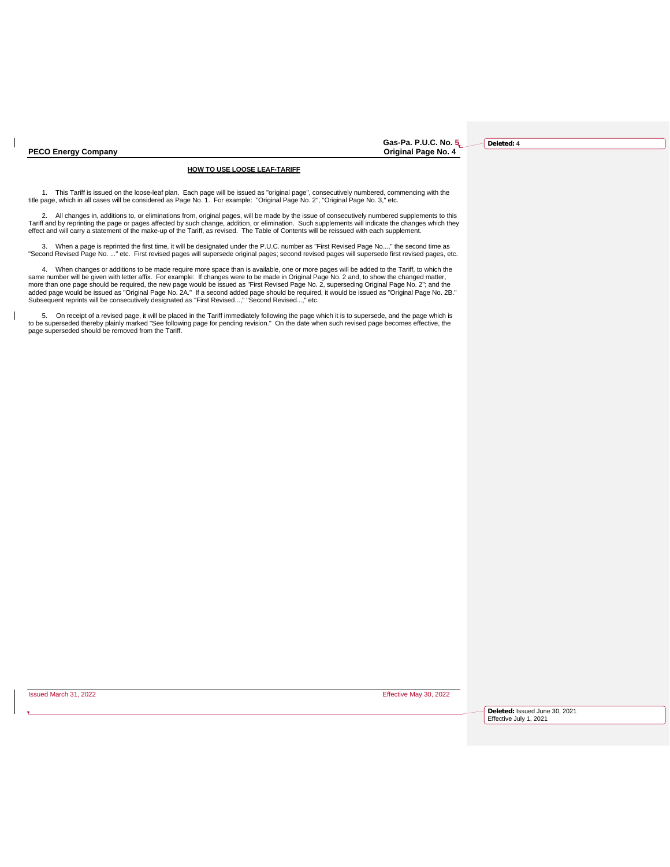$\mathsf{l}$ 

 $\mathsf{I}$ 

**Gas-Pa. P.U.C. No. 5**

**Deleted: 4**

### **HOW TO USE LOOSE LEAF-TARIFF**

1. This Tariff is issued on the loose-leaf plan. Each page will be issued as "original page", consecutively numbered, commencing with the<br>title page, which in all cases will be considered as Page No. 1. For example: "Origi

2. All changes in, additions to, or eliminations from, original pages, will be made by the issue of consecutively numbered supplements to this<br>Tariff and by reprinting the page or pages affected by such change, addition, o

3. When a page is reprinted the first time, it will be designated under the P.U.C. number as "First Revised Page No...," the second time as<br>"Second Revised Page No. ..." etc. First revised pages will supersede original pag

4. When changes or additions to be made require more space than is available, one or more pages will be added to the Tariff, to which the same number will be given with letter affix. For example: If changes were to be made in Original Page No. 2 and, to show the changed matter, more than one page should be required, the new page would be issued as "First Revised Page No. 2, superseding Original Page No. 2"; and the<br>added page would be issued as "Original Page No. 2A." If a second added page shoul Subsequent reprints will be consecutively designated as "First Revised...," "Second Revised...," etc.

5. On receipt of a revised page, it will be placed in the Tariff immediately following the page which it is to supersede, and the page which is to be superseded thereby plainly marked "See following page for pending revision." On the date when such revised page becomes effective, the page superseded should be removed from the Tariff.

Issued March 31, 2022 Effective May 30, 2022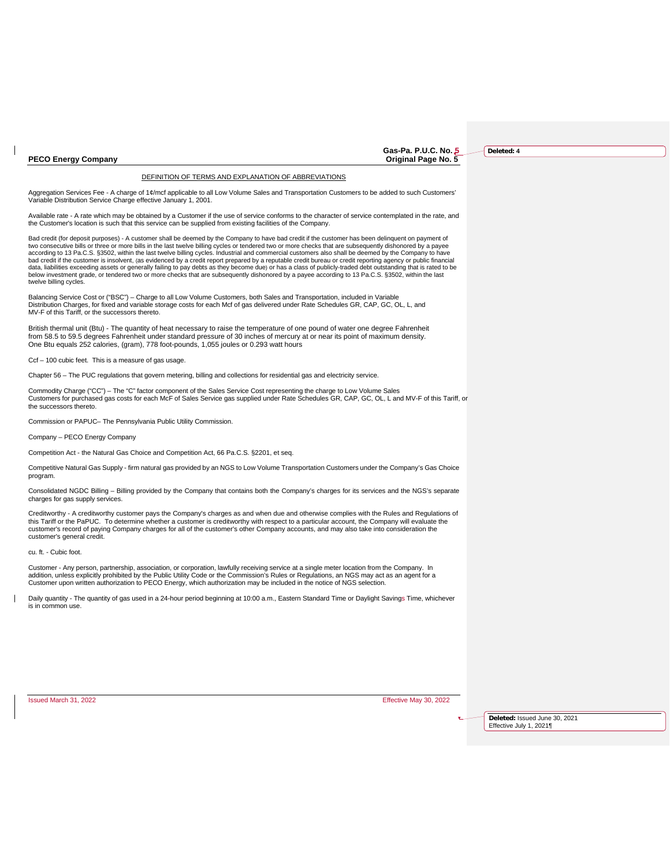**Gas-Pa. P.U.C. No. 5**

**Deleted: 4**

#### DEFINITION OF TERMS AND EXPLANATION OF ABBREVIATIONS

Aggregation Services Fee - A charge of 1¢/mcf applicable to all Low Volume Sales and Transportation Customers to be added to such Customers' Variable Distribution Service Charge effective January 1, 2001.

Available rate - A rate which may be obtained by a Customer if the use of service conforms to the character of service contemplated in the rate, and the Customer's location is such that this service can be supplied from existing facilities of the Company.

Bad credit (for deposit purposes) - A customer shall be deemed by the Company to have bad credit if the customer has been delinquent on payment of two consecutive bills or three or more bills in the last twelve billing cycles or tendered two or more checks that are subsequently dishonored by a payee according to 13 Pa.C.S. §3502, within the last twelve billing cycles. Industrial and commercial customers also shall be deemed by the Company to have bad credit if the customer is insolvent, (as evidenced by a credit report prepared by a reputable credit bureau or credit reporting agency or public financial data, liabilities exceeding assets or generally failing to pay debts as they become due) or has a class of publicly-traded debt outstanding that is rated to be<br>below investment grade, or tendered two or more checks that ar twelve billing cycles.

Balancing Service Cost or ("BSC") – Charge to all Low Volume Customers, both Sales and Transportation, included in Variable Distribution Charges, for fixed and variable storage costs for each Mcf of gas delivered under Rate Schedules GR, CAP, GC, OL, L, and MV-F of this Tariff, or the successors thereto.

British thermal unit (Btu) - The quantity of heat necessary to raise the temperature of one pound of water one degree Fahrenheit from 58.5 to 59.5 degrees Fahrenheit under standard pressure of 30 inches of mercury at or near its point of maximum density. One Btu equals 252 calories, (gram), 778 foot-pounds, 1,055 joules or 0.293 watt hours

Ccf – 100 cubic feet. This is a measure of gas usage.

Chapter 56 – The PUC regulations that govern metering, billing and collections for residential gas and electricity service.

Commodity Charge ("CC") – The "C" factor component of the Sales Service Cost representing the charge to Low Volume Sales Customers for purchased gas costs for each McF of Sales Service gas supplied under Rate Schedules GR, CAP, GC, OL, L and MV-F of this Tariff, or the successors thereto.

Commission or PAPUC– The Pennsylvania Public Utility Commission.

Company – PECO Energy Company

Competition Act - the Natural Gas Choice and Competition Act, 66 Pa.C.S. §2201, et seq.

Competitive Natural Gas Supply - firm natural gas provided by an NGS to Low Volume Transportation Customers under the Company's Gas Choice program.

Consolidated NGDC Billing – Billing provided by the Company that contains both the Company's charges for its services and the NGS's separate charges for gas supply services.

Creditworthy - A creditworthy customer pays the Company's charges as and when due and otherwise complies with the Rules and Regulations of this Tariff or the PaPUC. To determine whether a customer is creditworthy with respect to a particular account, the Company will evaluate the<br>customer's record of paying Company charges for all of the customer's other Comp customer's general credit.

cu. ft. - Cubic foot.

Customer - Any person, partnership, association, or corporation, lawfully receiving service at a single meter location from the Company. In addition, unless explicitly prohibited by the Public Utility Code or the Commission's Rules or Regulations, an NGS may act as an agent for a Customer upon written authorization to PECO Energy, which authorization may be included in the notice of NGS selection.

Daily quantity - The quantity of gas used in a 24-hour period beginning at 10:00 a.m., Eastern Standard Time or Daylight Savings Time, whichever is in common use.

Issued March 31, 2022 Effective May 30, 2022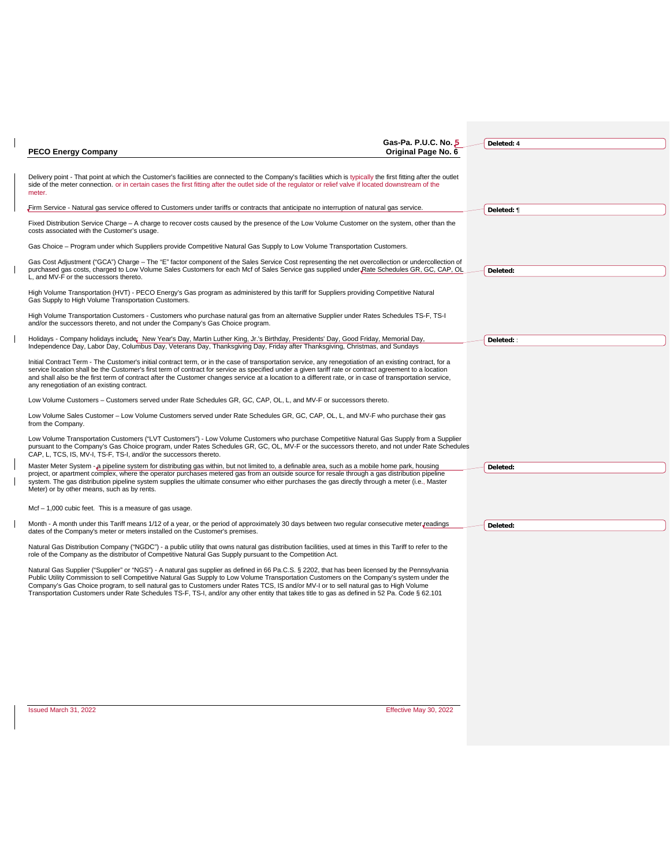| Original Page No. 6<br><b>PECO Energy Company</b><br>Delivery point - That point at which the Customer's facilities are connected to the Company's facilities which is typically the first fitting after the outlet<br>side of the meter connection. or in certain cases the first fitting after the outlet side of the regulator or relief valve if located downstream of the<br>meter.<br>Firm Service - Natural gas service offered to Customers under tariffs or contracts that anticipate no interruption of natural gas service.<br>Deleted: ¶<br>Fixed Distribution Service Charge - A charge to recover costs caused by the presence of the Low Volume Customer on the system, other than the<br>costs associated with the Customer's usage.<br>Gas Choice – Program under which Suppliers provide Competitive Natural Gas Supply to Low Volume Transportation Customers.<br>Gas Cost Adjustment ("GCA") Charge - The "E" factor component of the Sales Service Cost representing the net overcollection or undercollection of<br>purchased gas costs, charged to Low Volume Sales Customers for each Mcf of Sales Service gas supplied under Rate Schedules GR, GC, CAP, OL<br>Deleted:<br>L, and MV-F or the successors thereto.<br>High Volume Transportation (HVT) - PECO Energy's Gas program as administered by this tariff for Suppliers providing Competitive Natural<br>Gas Supply to High Volume Transportation Customers.<br>High Volume Transportation Customers - Customers who purchase natural gas from an alternative Supplier under Rates Schedules TS-F, TS-I<br>and/or the successors thereto, and not under the Company's Gas Choice program.<br>Holidays - Company holidays include: New Year's Day, Martin Luther King, Jr.'s Birthday, Presidents' Day, Good Friday, Memorial Day,<br>Deleted: :<br>Independence Day, Labor Day, Columbus Day, Veterans Day, Thanksgiving Day, Friday after Thanksgiving, Christmas, and Sundays<br>Initial Contract Term - The Customer's initial contract term, or in the case of transportation service, any renegotiation of an existing contract, for a<br>service location shall be the Customer's first term of contract for service as specified under a given tariff rate or contract agreement to a location<br>and shall also be the first term of contract after the Customer changes service at a location to a different rate, or in case of transportation service,<br>any renegotiation of an existing contract.<br>Low Volume Customers - Customers served under Rate Schedules GR, GC, CAP, OL, L, and MV-F or successors thereto.<br>Low Volume Sales Customer - Low Volume Customers served under Rate Schedules GR, GC, CAP, OL, L, and MV-F who purchase their gas<br>from the Company.<br>Low Volume Transportation Customers ("LVT Customers") - Low Volume Customers who purchase Competitive Natural Gas Supply from a Supplier<br>pursuant to the Company's Gas Choice program, under Rates Schedules GR, GC, OL, MV-F or the successors thereto, and not under Rate Schedules |
|--------------------------------------------------------------------------------------------------------------------------------------------------------------------------------------------------------------------------------------------------------------------------------------------------------------------------------------------------------------------------------------------------------------------------------------------------------------------------------------------------------------------------------------------------------------------------------------------------------------------------------------------------------------------------------------------------------------------------------------------------------------------------------------------------------------------------------------------------------------------------------------------------------------------------------------------------------------------------------------------------------------------------------------------------------------------------------------------------------------------------------------------------------------------------------------------------------------------------------------------------------------------------------------------------------------------------------------------------------------------------------------------------------------------------------------------------------------------------------------------------------------------------------------------------------------------------------------------------------------------------------------------------------------------------------------------------------------------------------------------------------------------------------------------------------------------------------------------------------------------------------------------------------------------------------------------------------------------------------------------------------------------------------------------------------------------------------------------------------------------------------------------------------------------------------------------------------------------------------------------------------------------------------------------------------------------------------------------------------------------------------------------------------------------------------------------------------------------------------------------------------------------------------------------------------------------------------------------------------------------------------------------------------------------------------------------------------------------------------------------------------------------------------------------------------------------------------------------------------------------------------------------------------------------------------------------------------------------------------------------------------------------------------------------------------------------------|
|                                                                                                                                                                                                                                                                                                                                                                                                                                                                                                                                                                                                                                                                                                                                                                                                                                                                                                                                                                                                                                                                                                                                                                                                                                                                                                                                                                                                                                                                                                                                                                                                                                                                                                                                                                                                                                                                                                                                                                                                                                                                                                                                                                                                                                                                                                                                                                                                                                                                                                                                                                                                                                                                                                                                                                                                                                                                                                                                                                                                                                                                          |
|                                                                                                                                                                                                                                                                                                                                                                                                                                                                                                                                                                                                                                                                                                                                                                                                                                                                                                                                                                                                                                                                                                                                                                                                                                                                                                                                                                                                                                                                                                                                                                                                                                                                                                                                                                                                                                                                                                                                                                                                                                                                                                                                                                                                                                                                                                                                                                                                                                                                                                                                                                                                                                                                                                                                                                                                                                                                                                                                                                                                                                                                          |
|                                                                                                                                                                                                                                                                                                                                                                                                                                                                                                                                                                                                                                                                                                                                                                                                                                                                                                                                                                                                                                                                                                                                                                                                                                                                                                                                                                                                                                                                                                                                                                                                                                                                                                                                                                                                                                                                                                                                                                                                                                                                                                                                                                                                                                                                                                                                                                                                                                                                                                                                                                                                                                                                                                                                                                                                                                                                                                                                                                                                                                                                          |
|                                                                                                                                                                                                                                                                                                                                                                                                                                                                                                                                                                                                                                                                                                                                                                                                                                                                                                                                                                                                                                                                                                                                                                                                                                                                                                                                                                                                                                                                                                                                                                                                                                                                                                                                                                                                                                                                                                                                                                                                                                                                                                                                                                                                                                                                                                                                                                                                                                                                                                                                                                                                                                                                                                                                                                                                                                                                                                                                                                                                                                                                          |
|                                                                                                                                                                                                                                                                                                                                                                                                                                                                                                                                                                                                                                                                                                                                                                                                                                                                                                                                                                                                                                                                                                                                                                                                                                                                                                                                                                                                                                                                                                                                                                                                                                                                                                                                                                                                                                                                                                                                                                                                                                                                                                                                                                                                                                                                                                                                                                                                                                                                                                                                                                                                                                                                                                                                                                                                                                                                                                                                                                                                                                                                          |
|                                                                                                                                                                                                                                                                                                                                                                                                                                                                                                                                                                                                                                                                                                                                                                                                                                                                                                                                                                                                                                                                                                                                                                                                                                                                                                                                                                                                                                                                                                                                                                                                                                                                                                                                                                                                                                                                                                                                                                                                                                                                                                                                                                                                                                                                                                                                                                                                                                                                                                                                                                                                                                                                                                                                                                                                                                                                                                                                                                                                                                                                          |
|                                                                                                                                                                                                                                                                                                                                                                                                                                                                                                                                                                                                                                                                                                                                                                                                                                                                                                                                                                                                                                                                                                                                                                                                                                                                                                                                                                                                                                                                                                                                                                                                                                                                                                                                                                                                                                                                                                                                                                                                                                                                                                                                                                                                                                                                                                                                                                                                                                                                                                                                                                                                                                                                                                                                                                                                                                                                                                                                                                                                                                                                          |
|                                                                                                                                                                                                                                                                                                                                                                                                                                                                                                                                                                                                                                                                                                                                                                                                                                                                                                                                                                                                                                                                                                                                                                                                                                                                                                                                                                                                                                                                                                                                                                                                                                                                                                                                                                                                                                                                                                                                                                                                                                                                                                                                                                                                                                                                                                                                                                                                                                                                                                                                                                                                                                                                                                                                                                                                                                                                                                                                                                                                                                                                          |
|                                                                                                                                                                                                                                                                                                                                                                                                                                                                                                                                                                                                                                                                                                                                                                                                                                                                                                                                                                                                                                                                                                                                                                                                                                                                                                                                                                                                                                                                                                                                                                                                                                                                                                                                                                                                                                                                                                                                                                                                                                                                                                                                                                                                                                                                                                                                                                                                                                                                                                                                                                                                                                                                                                                                                                                                                                                                                                                                                                                                                                                                          |
|                                                                                                                                                                                                                                                                                                                                                                                                                                                                                                                                                                                                                                                                                                                                                                                                                                                                                                                                                                                                                                                                                                                                                                                                                                                                                                                                                                                                                                                                                                                                                                                                                                                                                                                                                                                                                                                                                                                                                                                                                                                                                                                                                                                                                                                                                                                                                                                                                                                                                                                                                                                                                                                                                                                                                                                                                                                                                                                                                                                                                                                                          |
|                                                                                                                                                                                                                                                                                                                                                                                                                                                                                                                                                                                                                                                                                                                                                                                                                                                                                                                                                                                                                                                                                                                                                                                                                                                                                                                                                                                                                                                                                                                                                                                                                                                                                                                                                                                                                                                                                                                                                                                                                                                                                                                                                                                                                                                                                                                                                                                                                                                                                                                                                                                                                                                                                                                                                                                                                                                                                                                                                                                                                                                                          |
|                                                                                                                                                                                                                                                                                                                                                                                                                                                                                                                                                                                                                                                                                                                                                                                                                                                                                                                                                                                                                                                                                                                                                                                                                                                                                                                                                                                                                                                                                                                                                                                                                                                                                                                                                                                                                                                                                                                                                                                                                                                                                                                                                                                                                                                                                                                                                                                                                                                                                                                                                                                                                                                                                                                                                                                                                                                                                                                                                                                                                                                                          |
| CAP, L, TCS, IS, MV-I, TS-F, TS-I, and/or the successors thereto.                                                                                                                                                                                                                                                                                                                                                                                                                                                                                                                                                                                                                                                                                                                                                                                                                                                                                                                                                                                                                                                                                                                                                                                                                                                                                                                                                                                                                                                                                                                                                                                                                                                                                                                                                                                                                                                                                                                                                                                                                                                                                                                                                                                                                                                                                                                                                                                                                                                                                                                                                                                                                                                                                                                                                                                                                                                                                                                                                                                                        |
| Master Meter System - a pipeline system for distributing gas within, but not limited to, a definable area, such as a mobile home park, housing<br>Deleted:                                                                                                                                                                                                                                                                                                                                                                                                                                                                                                                                                                                                                                                                                                                                                                                                                                                                                                                                                                                                                                                                                                                                                                                                                                                                                                                                                                                                                                                                                                                                                                                                                                                                                                                                                                                                                                                                                                                                                                                                                                                                                                                                                                                                                                                                                                                                                                                                                                                                                                                                                                                                                                                                                                                                                                                                                                                                                                               |
| project, or apartment complex, where the operator purchases metered gas from an outside source for resale through a gas distribution pipeline<br>system. The gas distribution pipeline system supplies the ultimate consumer who either purchases the gas directly through a meter (i.e., Master<br>Meter) or by other means, such as by rents.                                                                                                                                                                                                                                                                                                                                                                                                                                                                                                                                                                                                                                                                                                                                                                                                                                                                                                                                                                                                                                                                                                                                                                                                                                                                                                                                                                                                                                                                                                                                                                                                                                                                                                                                                                                                                                                                                                                                                                                                                                                                                                                                                                                                                                                                                                                                                                                                                                                                                                                                                                                                                                                                                                                          |
| Mcf $-1,000$ cubic feet. This is a measure of gas usage.                                                                                                                                                                                                                                                                                                                                                                                                                                                                                                                                                                                                                                                                                                                                                                                                                                                                                                                                                                                                                                                                                                                                                                                                                                                                                                                                                                                                                                                                                                                                                                                                                                                                                                                                                                                                                                                                                                                                                                                                                                                                                                                                                                                                                                                                                                                                                                                                                                                                                                                                                                                                                                                                                                                                                                                                                                                                                                                                                                                                                 |
| Month - A month under this Tariff means 1/12 of a year, or the period of approximately 30 days between two regular consecutive meter readings<br>Deleted:<br>dates of the Company's meter or meters installed on the Customer's premises.                                                                                                                                                                                                                                                                                                                                                                                                                                                                                                                                                                                                                                                                                                                                                                                                                                                                                                                                                                                                                                                                                                                                                                                                                                                                                                                                                                                                                                                                                                                                                                                                                                                                                                                                                                                                                                                                                                                                                                                                                                                                                                                                                                                                                                                                                                                                                                                                                                                                                                                                                                                                                                                                                                                                                                                                                                |
| Natural Gas Distribution Company ("NGDC") - a public utility that owns natural gas distribution facilities, used at times in this Tariff to refer to the<br>role of the Company as the distributor of Competitive Natural Gas Supply pursuant to the Competition Act.                                                                                                                                                                                                                                                                                                                                                                                                                                                                                                                                                                                                                                                                                                                                                                                                                                                                                                                                                                                                                                                                                                                                                                                                                                                                                                                                                                                                                                                                                                                                                                                                                                                                                                                                                                                                                                                                                                                                                                                                                                                                                                                                                                                                                                                                                                                                                                                                                                                                                                                                                                                                                                                                                                                                                                                                    |
| Natural Gas Supplier ("Supplier" or "NGS") - A natural gas supplier as defined in 66 Pa.C.S. § 2202, that has been licensed by the Pennsylvania<br>Public Utility Commission to sell Competitive Natural Gas Supply to Low Volume Transportation Customers on the Company's system under the<br>Company's Gas Choice program, to sell natural gas to Customers under Rates TCS, IS and/or MV-I or to sell natural gas to High Volume<br>Transportation Customers under Rate Schedules TS-F, TS-I, and/or any other entity that takes title to gas as defined in 52 Pa. Code § 62.101                                                                                                                                                                                                                                                                                                                                                                                                                                                                                                                                                                                                                                                                                                                                                                                                                                                                                                                                                                                                                                                                                                                                                                                                                                                                                                                                                                                                                                                                                                                                                                                                                                                                                                                                                                                                                                                                                                                                                                                                                                                                                                                                                                                                                                                                                                                                                                                                                                                                                     |
|                                                                                                                                                                                                                                                                                                                                                                                                                                                                                                                                                                                                                                                                                                                                                                                                                                                                                                                                                                                                                                                                                                                                                                                                                                                                                                                                                                                                                                                                                                                                                                                                                                                                                                                                                                                                                                                                                                                                                                                                                                                                                                                                                                                                                                                                                                                                                                                                                                                                                                                                                                                                                                                                                                                                                                                                                                                                                                                                                                                                                                                                          |
|                                                                                                                                                                                                                                                                                                                                                                                                                                                                                                                                                                                                                                                                                                                                                                                                                                                                                                                                                                                                                                                                                                                                                                                                                                                                                                                                                                                                                                                                                                                                                                                                                                                                                                                                                                                                                                                                                                                                                                                                                                                                                                                                                                                                                                                                                                                                                                                                                                                                                                                                                                                                                                                                                                                                                                                                                                                                                                                                                                                                                                                                          |
|                                                                                                                                                                                                                                                                                                                                                                                                                                                                                                                                                                                                                                                                                                                                                                                                                                                                                                                                                                                                                                                                                                                                                                                                                                                                                                                                                                                                                                                                                                                                                                                                                                                                                                                                                                                                                                                                                                                                                                                                                                                                                                                                                                                                                                                                                                                                                                                                                                                                                                                                                                                                                                                                                                                                                                                                                                                                                                                                                                                                                                                                          |
|                                                                                                                                                                                                                                                                                                                                                                                                                                                                                                                                                                                                                                                                                                                                                                                                                                                                                                                                                                                                                                                                                                                                                                                                                                                                                                                                                                                                                                                                                                                                                                                                                                                                                                                                                                                                                                                                                                                                                                                                                                                                                                                                                                                                                                                                                                                                                                                                                                                                                                                                                                                                                                                                                                                                                                                                                                                                                                                                                                                                                                                                          |
|                                                                                                                                                                                                                                                                                                                                                                                                                                                                                                                                                                                                                                                                                                                                                                                                                                                                                                                                                                                                                                                                                                                                                                                                                                                                                                                                                                                                                                                                                                                                                                                                                                                                                                                                                                                                                                                                                                                                                                                                                                                                                                                                                                                                                                                                                                                                                                                                                                                                                                                                                                                                                                                                                                                                                                                                                                                                                                                                                                                                                                                                          |
|                                                                                                                                                                                                                                                                                                                                                                                                                                                                                                                                                                                                                                                                                                                                                                                                                                                                                                                                                                                                                                                                                                                                                                                                                                                                                                                                                                                                                                                                                                                                                                                                                                                                                                                                                                                                                                                                                                                                                                                                                                                                                                                                                                                                                                                                                                                                                                                                                                                                                                                                                                                                                                                                                                                                                                                                                                                                                                                                                                                                                                                                          |
| Issued March 31, 2022<br>Effective May 30, 2022                                                                                                                                                                                                                                                                                                                                                                                                                                                                                                                                                                                                                                                                                                                                                                                                                                                                                                                                                                                                                                                                                                                                                                                                                                                                                                                                                                                                                                                                                                                                                                                                                                                                                                                                                                                                                                                                                                                                                                                                                                                                                                                                                                                                                                                                                                                                                                                                                                                                                                                                                                                                                                                                                                                                                                                                                                                                                                                                                                                                                          |
|                                                                                                                                                                                                                                                                                                                                                                                                                                                                                                                                                                                                                                                                                                                                                                                                                                                                                                                                                                                                                                                                                                                                                                                                                                                                                                                                                                                                                                                                                                                                                                                                                                                                                                                                                                                                                                                                                                                                                                                                                                                                                                                                                                                                                                                                                                                                                                                                                                                                                                                                                                                                                                                                                                                                                                                                                                                                                                                                                                                                                                                                          |

 $\mathbf{I}$ 

 $\mathbf{l}$ 

 $\mathbf{I}$ 

 $\overline{\phantom{a}}$ 

 $\overline{\mathbf{I}}$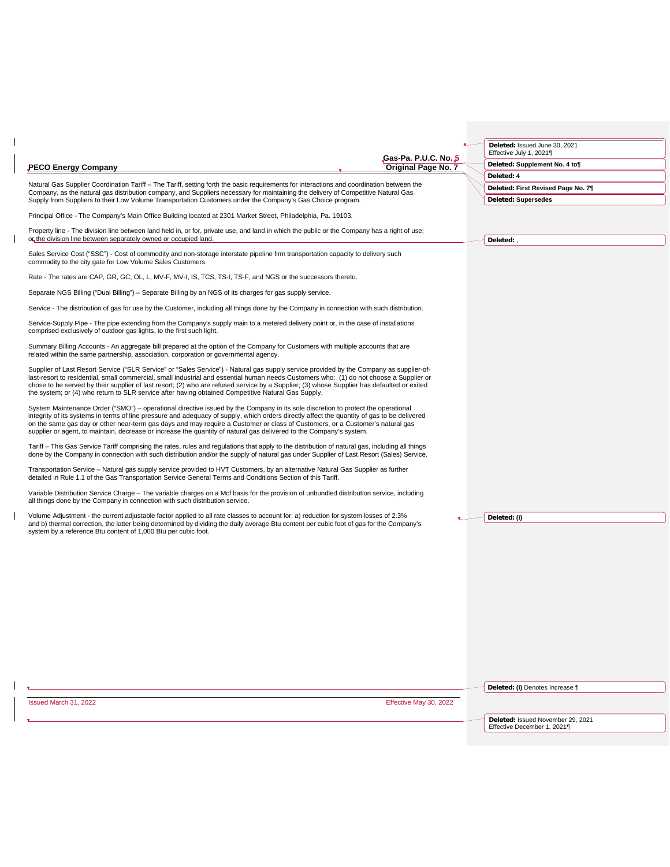|                                                                                                                                                                                                                                                                                                                                                                                                                                                                                                                                         | Deleted: Issued June 30, 2021                                    |  |
|-----------------------------------------------------------------------------------------------------------------------------------------------------------------------------------------------------------------------------------------------------------------------------------------------------------------------------------------------------------------------------------------------------------------------------------------------------------------------------------------------------------------------------------------|------------------------------------------------------------------|--|
| Gas-Pa. P.U.C. No. 5                                                                                                                                                                                                                                                                                                                                                                                                                                                                                                                    | Effective July 1, 2021¶                                          |  |
| <b>PECO Energy Company</b><br><b>Original Page No. 7</b>                                                                                                                                                                                                                                                                                                                                                                                                                                                                                | Deleted: Supplement No. 4 to                                     |  |
| Natural Gas Supplier Coordination Tariff – The Tariff, setting forth the basic requirements for interactions and coordination between the                                                                                                                                                                                                                                                                                                                                                                                               | Deleted: 4                                                       |  |
| Company, as the natural gas distribution company, and Suppliers necessary for maintaining the delivery of Competitive Natural Gas                                                                                                                                                                                                                                                                                                                                                                                                       | Deleted: First Revised Page No. 71                               |  |
| Supply from Suppliers to their Low Volume Transportation Customers under the Company's Gas Choice program.                                                                                                                                                                                                                                                                                                                                                                                                                              | <b>Deleted: Supersedes</b>                                       |  |
| Principal Office - The Company's Main Office Building located at 2301 Market Street, Philadelphia, Pa. 19103.                                                                                                                                                                                                                                                                                                                                                                                                                           |                                                                  |  |
| Property line - The division line between land held in, or for, private use, and land in which the public or the Company has a right of use;<br>or the division line between separately owned or occupied land.                                                                                                                                                                                                                                                                                                                         | Deleted:                                                         |  |
| Sales Service Cost ("SSC") - Cost of commodity and non-storage interstate pipeline firm transportation capacity to delivery such<br>commodity to the city gate for Low Volume Sales Customers.                                                                                                                                                                                                                                                                                                                                          |                                                                  |  |
| Rate - The rates are CAP, GR, GC, OL, L, MV-F, MV-I, IS, TCS, TS-I, TS-F, and NGS or the successors thereto.                                                                                                                                                                                                                                                                                                                                                                                                                            |                                                                  |  |
| Separate NGS Billing ("Dual Billing") – Separate Billing by an NGS of its charges for gas supply service.                                                                                                                                                                                                                                                                                                                                                                                                                               |                                                                  |  |
| Service - The distribution of gas for use by the Customer, including all things done by the Company in connection with such distribution.                                                                                                                                                                                                                                                                                                                                                                                               |                                                                  |  |
| Service-Supply Pipe - The pipe extending from the Company's supply main to a metered delivery point or, in the case of installations<br>comprised exclusively of outdoor gas lights, to the first such light.                                                                                                                                                                                                                                                                                                                           |                                                                  |  |
| Summary Billing Accounts - An aggregate bill prepared at the option of the Company for Customers with multiple accounts that are<br>related within the same partnership, association, corporation or governmental agency.                                                                                                                                                                                                                                                                                                               |                                                                  |  |
| Supplier of Last Resort Service ("SLR Service" or "Sales Service") - Natural gas supply service provided by the Company as supplier-of-<br>last-resort to residential, small commercial, small industrial and essential human needs Customers who: (1) do not choose a Supplier or<br>chose to be served by their supplier of last resort; (2) who are refused service by a Supplier; (3) whose Supplier has defaulted or exited<br>the system; or (4) who return to SLR service after having obtained Competitive Natural Gas Supply.  |                                                                  |  |
| System Maintenance Order ("SMO") – operational directive issued by the Company in its sole discretion to protect the operational<br>integrity of its systems in terms of line pressure and adequacy of supply, which orders directly affect the quantity of gas to be delivered<br>on the same gas day or other near-term gas days and may require a Customer or class of Customers, or a Customer's natural gas<br>supplier or agent, to maintain, decrease or increase the quantity of natural gas delivered to the Company's system. |                                                                  |  |
| Tariff – This Gas Service Tariff comprising the rates, rules and regulations that apply to the distribution of natural gas, including all things<br>done by the Company in connection with such distribution and/or the supply of natural gas under Supplier of Last Resort (Sales) Service.                                                                                                                                                                                                                                            |                                                                  |  |
| Transportation Service – Natural gas supply service provided to HVT Customers, by an alternative Natural Gas Supplier as further<br>detailed in Rule 1.1 of the Gas Transportation Service General Terms and Conditions Section of this Tariff.                                                                                                                                                                                                                                                                                         |                                                                  |  |
| Variable Distribution Service Charge – The variable charges on a Mcf basis for the provision of unbundled distribution service, including<br>all things done by the Company in connection with such distribution service.                                                                                                                                                                                                                                                                                                               |                                                                  |  |
| Volume Adjustment - the current adjustable factor applied to all rate classes to account for: a) reduction for system losses of 2.3%<br>and b) thermal correction, the latter being determined by dividing the daily average Btu content per cubic foot of gas for the Company's<br>system by a reference Btu content of 1,000 Btu per cubic foot.                                                                                                                                                                                      | Deleted: (I)                                                     |  |
|                                                                                                                                                                                                                                                                                                                                                                                                                                                                                                                                         |                                                                  |  |
|                                                                                                                                                                                                                                                                                                                                                                                                                                                                                                                                         |                                                                  |  |
|                                                                                                                                                                                                                                                                                                                                                                                                                                                                                                                                         |                                                                  |  |
|                                                                                                                                                                                                                                                                                                                                                                                                                                                                                                                                         |                                                                  |  |
|                                                                                                                                                                                                                                                                                                                                                                                                                                                                                                                                         |                                                                  |  |
|                                                                                                                                                                                                                                                                                                                                                                                                                                                                                                                                         |                                                                  |  |
|                                                                                                                                                                                                                                                                                                                                                                                                                                                                                                                                         |                                                                  |  |
|                                                                                                                                                                                                                                                                                                                                                                                                                                                                                                                                         |                                                                  |  |
|                                                                                                                                                                                                                                                                                                                                                                                                                                                                                                                                         |                                                                  |  |
|                                                                                                                                                                                                                                                                                                                                                                                                                                                                                                                                         |                                                                  |  |
|                                                                                                                                                                                                                                                                                                                                                                                                                                                                                                                                         | Deleted: (I) Denotes Increase ¶                                  |  |
| Effective May 30, 2022<br>Issued March 31, 2022                                                                                                                                                                                                                                                                                                                                                                                                                                                                                         |                                                                  |  |
|                                                                                                                                                                                                                                                                                                                                                                                                                                                                                                                                         |                                                                  |  |
|                                                                                                                                                                                                                                                                                                                                                                                                                                                                                                                                         | Deleted: Issued November 29, 2021<br>Effective December 1, 2021¶ |  |
|                                                                                                                                                                                                                                                                                                                                                                                                                                                                                                                                         |                                                                  |  |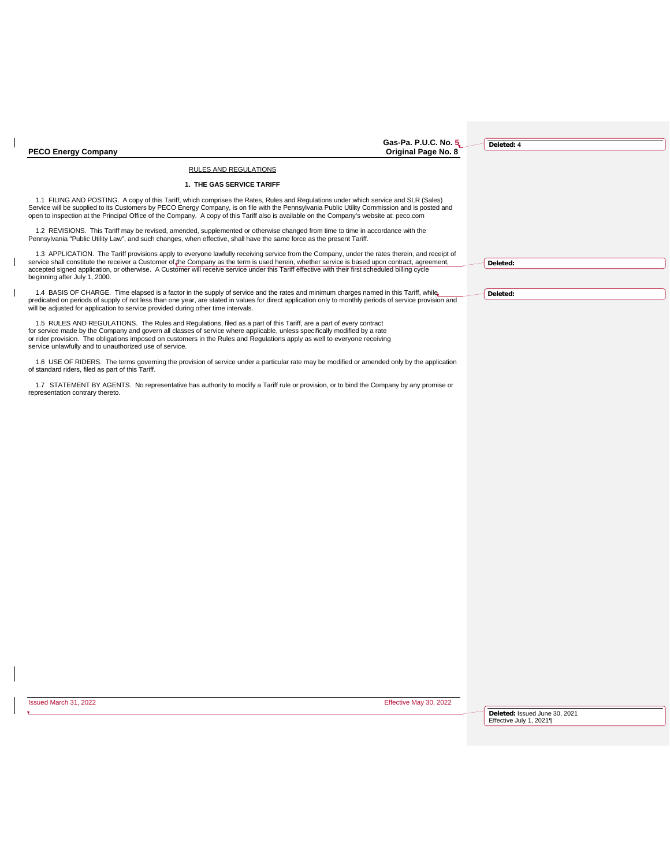|              | Gas-Pa. P.U.C. No. 5<br>Original Page No. 8<br><b>PECO Energy Company</b>                                                                                                                                                                                                                                                                                                                                                                                                           | Deleted: 4                                               |
|--------------|-------------------------------------------------------------------------------------------------------------------------------------------------------------------------------------------------------------------------------------------------------------------------------------------------------------------------------------------------------------------------------------------------------------------------------------------------------------------------------------|----------------------------------------------------------|
|              | RULES AND REGULATIONS                                                                                                                                                                                                                                                                                                                                                                                                                                                               |                                                          |
|              | 1. THE GAS SERVICE TARIFF                                                                                                                                                                                                                                                                                                                                                                                                                                                           |                                                          |
|              | 1.1 FILING AND POSTING. A copy of this Tariff, which comprises the Rates, Rules and Regulations under which service and SLR (Sales)<br>Service will be supplied to its Customers by PECO Energy Company, is on file with the Pennsylvania Public Utility Commission and is posted and<br>open to inspection at the Principal Office of the Company. A copy of this Tariff also is available on the Company's website at: peco.com                                                   |                                                          |
|              | 1.2 REVISIONS. This Tariff may be revised, amended, supplemented or otherwise changed from time to time in accordance with the<br>Pennsylvania "Public Utility Law", and such changes, when effective, shall have the same force as the present Tariff.                                                                                                                                                                                                                             |                                                          |
|              | 1.3 APPLICATION. The Tariff provisions apply to everyone lawfully receiving service from the Company, under the rates therein, and receipt of<br>service shall constitute the receiver a Customer of the Company as the term is used herein, whether service is based upon contract, agreement,<br>accepted signed application, or otherwise. A Customer will receive service under this Tariff effective with their first scheduled billing cycle<br>beginning after July 1, 2000. | Deleted:                                                 |
| $\mathsf{l}$ | 1.4 BASIS OF CHARGE. Time elapsed is a factor in the supply of service and the rates and minimum charges named in this Tariff, while<br>predicated on periods of supply of not less than one year, are stated in values for direct application only to monthly periods of service provision and<br>will be adjusted for application to service provided during other time intervals.                                                                                                | Deleted:                                                 |
|              | 1.5 RULES AND REGULATIONS. The Rules and Regulations, filed as a part of this Tariff, are a part of every contract<br>for service made by the Company and govern all classes of service where applicable, unless specifically modified by a rate<br>or rider provision. The obligations imposed on customers in the Rules and Regulations apply as well to everyone receiving<br>service unlawfully and to unauthorized use of service.                                             |                                                          |
|              | 1.6 USE OF RIDERS. The terms governing the provision of service under a particular rate may be modified or amended only by the application<br>of standard riders, filed as part of this Tariff.                                                                                                                                                                                                                                                                                     |                                                          |
|              | 1.7 STATEMENT BY AGENTS. No representative has authority to modify a Tariff rule or provision, or to bind the Company by any promise or<br>representation contrary thereto.                                                                                                                                                                                                                                                                                                         |                                                          |
|              |                                                                                                                                                                                                                                                                                                                                                                                                                                                                                     |                                                          |
|              |                                                                                                                                                                                                                                                                                                                                                                                                                                                                                     |                                                          |
|              |                                                                                                                                                                                                                                                                                                                                                                                                                                                                                     |                                                          |
|              |                                                                                                                                                                                                                                                                                                                                                                                                                                                                                     |                                                          |
|              |                                                                                                                                                                                                                                                                                                                                                                                                                                                                                     |                                                          |
|              |                                                                                                                                                                                                                                                                                                                                                                                                                                                                                     |                                                          |
|              |                                                                                                                                                                                                                                                                                                                                                                                                                                                                                     |                                                          |
|              |                                                                                                                                                                                                                                                                                                                                                                                                                                                                                     |                                                          |
|              |                                                                                                                                                                                                                                                                                                                                                                                                                                                                                     |                                                          |
|              |                                                                                                                                                                                                                                                                                                                                                                                                                                                                                     |                                                          |
|              |                                                                                                                                                                                                                                                                                                                                                                                                                                                                                     |                                                          |
|              |                                                                                                                                                                                                                                                                                                                                                                                                                                                                                     |                                                          |
|              | Issued March 31, 2022<br>Effective May 30, 2022                                                                                                                                                                                                                                                                                                                                                                                                                                     |                                                          |
|              |                                                                                                                                                                                                                                                                                                                                                                                                                                                                                     | Deleted: Issued June 30, 2021<br>Effective July 1, 2021¶ |
|              |                                                                                                                                                                                                                                                                                                                                                                                                                                                                                     |                                                          |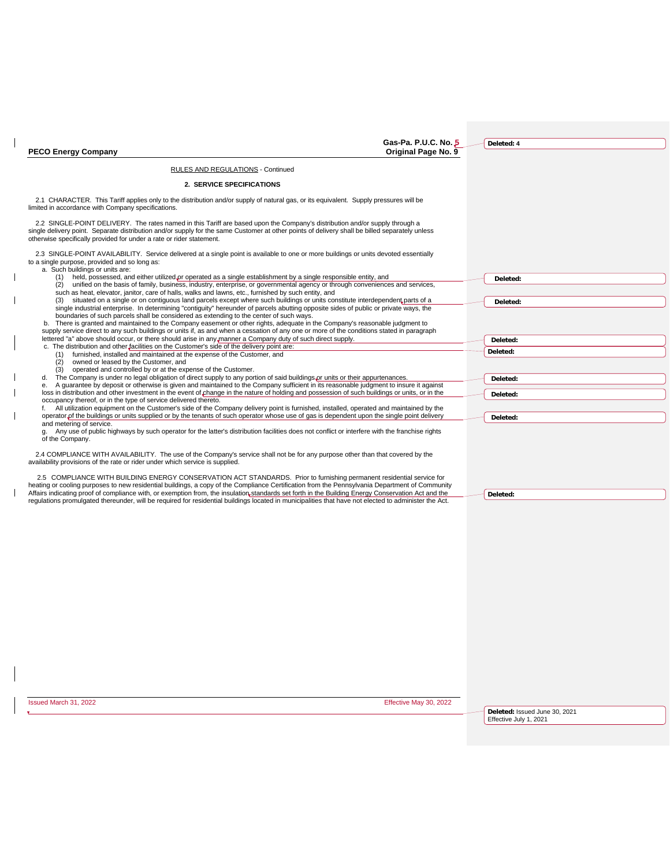|                                                                                                                                                                                                                                                                                                                                                                   | Gas-Pa. P.U.C. No. 5   |                               |
|-------------------------------------------------------------------------------------------------------------------------------------------------------------------------------------------------------------------------------------------------------------------------------------------------------------------------------------------------------------------|------------------------|-------------------------------|
| <b>PECO Energy Company</b>                                                                                                                                                                                                                                                                                                                                        | Original Page No. 9    | Deleted: 4                    |
|                                                                                                                                                                                                                                                                                                                                                                   |                        |                               |
| RULES AND REGULATIONS - Continued                                                                                                                                                                                                                                                                                                                                 |                        |                               |
| 2. SERVICE SPECIFICATIONS                                                                                                                                                                                                                                                                                                                                         |                        |                               |
| 2.1 CHARACTER. This Tariff applies only to the distribution and/or supply of natural gas, or its equivalent. Supply pressures will be<br>limited in accordance with Company specifications.                                                                                                                                                                       |                        |                               |
| 2.2 SINGLE-POINT DELIVERY. The rates named in this Tariff are based upon the Company's distribution and/or supply through a<br>single delivery point. Separate distribution and/or supply for the same Customer at other points of delivery shall be billed separately unless<br>otherwise specifically provided for under a rate or rider statement.             |                        |                               |
| 2.3 SINGLE-POINT AVAILABILITY. Service delivered at a single point is available to one or more buildings or units devoted essentially<br>to a single purpose, provided and so long as:<br>a. Such buildings or units are:                                                                                                                                         |                        |                               |
| (1) held, possessed, and either utilized or operated as a single establishment by a single responsible entity, and<br>(2)<br>unified on the basis of family, business, industry, enterprise, or governmental agency or through conveniences and services,<br>such as heat, elevator, janitor, care of halls, walks and lawns, etc., furnished by such entity, and |                        | Deleted:                      |
| (3) situated on a single or on contiguous land parcels except where such buildings or units constitute interdependent parts of a                                                                                                                                                                                                                                  |                        | Deleted:                      |
| single industrial enterprise. In determining "contiguity" hereunder of parcels abutting opposite sides of public or private ways, the<br>boundaries of such parcels shall be considered as extending to the center of such ways.                                                                                                                                  |                        |                               |
| b. There is granted and maintained to the Company easement or other rights, adequate in the Company's reasonable judgment to<br>supply service direct to any such buildings or units if, as and when a cessation of any one or more of the conditions stated in paragraph                                                                                         |                        |                               |
| lettered "a" above should occur, or there should arise in any manner a Company duty of such direct supply.<br>c. The distribution and other facilities on the Customer's side of the delivery point are:                                                                                                                                                          |                        | Deleted:                      |
| furnished, installed and maintained at the expense of the Customer, and<br>(1)                                                                                                                                                                                                                                                                                    |                        | Deleted:                      |
| owned or leased by the Customer, and<br>(2)<br>(3)<br>operated and controlled by or at the expense of the Customer.                                                                                                                                                                                                                                               |                        |                               |
| d. The Company is under no legal obligation of direct supply to any portion of said buildings or units or their appurtenances.<br>e. A quarantee by deposit or otherwise is given and maintained to the Company sufficient in its reasonable judgment to insure it against                                                                                        |                        | Deleted:                      |
| loss in distribution and other investment in the event of change in the nature of holding and possession of such buildings or units, or in the                                                                                                                                                                                                                    |                        | Deleted:                      |
| occupancy thereof, or in the type of service delivered thereto.<br>f. All utilization equipment on the Customer's side of the Company delivery point is furnished, installed, operated and maintained by the                                                                                                                                                      |                        |                               |
| operator of the buildings or units supplied or by the tenants of such operator whose use of gas is dependent upon the single point delivery                                                                                                                                                                                                                       |                        | Deleted:                      |
| and metering of service.<br>Any use of public highways by such operator for the latter's distribution facilities does not conflict or interfere with the franchise rights<br>g.                                                                                                                                                                                   |                        |                               |
| of the Company.                                                                                                                                                                                                                                                                                                                                                   |                        |                               |
| 2.4 COMPLIANCE WITH AVAILABILITY. The use of the Company's service shall not be for any purpose other than that covered by the<br>availability provisions of the rate or rider under which service is supplied.                                                                                                                                                   |                        |                               |
| 2.5 COMPLIANCE WITH BUILDING ENERGY CONSERVATION ACT STANDARDS. Prior to furnishing permanent residential service for<br>heating or cooling purposes to new residential buildings, a copy of the Compliance Certification from the Pennsylvania Department of Community                                                                                           |                        |                               |
| Affairs indicating proof of compliance with, or exemption from, the insulation standards set forth in the Building Energy Conservation Act and the                                                                                                                                                                                                                |                        | Deleted:                      |
| regulations promulgated thereunder, will be required for residential buildings located in municipalities that have not elected to administer the Act.                                                                                                                                                                                                             |                        |                               |
|                                                                                                                                                                                                                                                                                                                                                                   |                        |                               |
|                                                                                                                                                                                                                                                                                                                                                                   |                        |                               |
|                                                                                                                                                                                                                                                                                                                                                                   |                        |                               |
|                                                                                                                                                                                                                                                                                                                                                                   |                        |                               |
|                                                                                                                                                                                                                                                                                                                                                                   |                        |                               |
|                                                                                                                                                                                                                                                                                                                                                                   |                        |                               |
|                                                                                                                                                                                                                                                                                                                                                                   |                        |                               |
|                                                                                                                                                                                                                                                                                                                                                                   |                        |                               |
|                                                                                                                                                                                                                                                                                                                                                                   |                        |                               |
|                                                                                                                                                                                                                                                                                                                                                                   |                        |                               |
|                                                                                                                                                                                                                                                                                                                                                                   |                        |                               |
|                                                                                                                                                                                                                                                                                                                                                                   |                        |                               |
|                                                                                                                                                                                                                                                                                                                                                                   |                        |                               |
|                                                                                                                                                                                                                                                                                                                                                                   |                        |                               |
|                                                                                                                                                                                                                                                                                                                                                                   |                        |                               |
| Issued March 31, 2022                                                                                                                                                                                                                                                                                                                                             | Effective May 30, 2022 |                               |
|                                                                                                                                                                                                                                                                                                                                                                   |                        | Deleted: Issued June 30, 2021 |
|                                                                                                                                                                                                                                                                                                                                                                   |                        | Effective July 1, 2021        |
|                                                                                                                                                                                                                                                                                                                                                                   |                        |                               |

 $\mathbf{I}$ 

 $\begin{array}{c} \rule{0pt}{2ex} \rule{0pt}{2ex} \rule{0pt}{2ex} \rule{0pt}{2ex} \rule{0pt}{2ex} \rule{0pt}{2ex} \rule{0pt}{2ex} \rule{0pt}{2ex} \rule{0pt}{2ex} \rule{0pt}{2ex} \rule{0pt}{2ex} \rule{0pt}{2ex} \rule{0pt}{2ex} \rule{0pt}{2ex} \rule{0pt}{2ex} \rule{0pt}{2ex} \rule{0pt}{2ex} \rule{0pt}{2ex} \rule{0pt}{2ex} \rule{0pt}{2ex} \rule{0pt}{2ex} \rule{0pt}{2ex} \rule{0pt}{2ex} \rule{0pt}{$ 

 $\begin{array}{c} \rule{0pt}{2ex} \rule{0pt}{2ex} \rule{0pt}{2ex} \rule{0pt}{2ex} \rule{0pt}{2ex} \rule{0pt}{2ex} \rule{0pt}{2ex} \rule{0pt}{2ex} \rule{0pt}{2ex} \rule{0pt}{2ex} \rule{0pt}{2ex} \rule{0pt}{2ex} \rule{0pt}{2ex} \rule{0pt}{2ex} \rule{0pt}{2ex} \rule{0pt}{2ex} \rule{0pt}{2ex} \rule{0pt}{2ex} \rule{0pt}{2ex} \rule{0pt}{2ex} \rule{0pt}{2ex} \rule{0pt}{2ex} \rule{0pt}{2ex} \rule{0pt}{$ 

 $\mathsf{I}$ 

 $\mathbf{l}$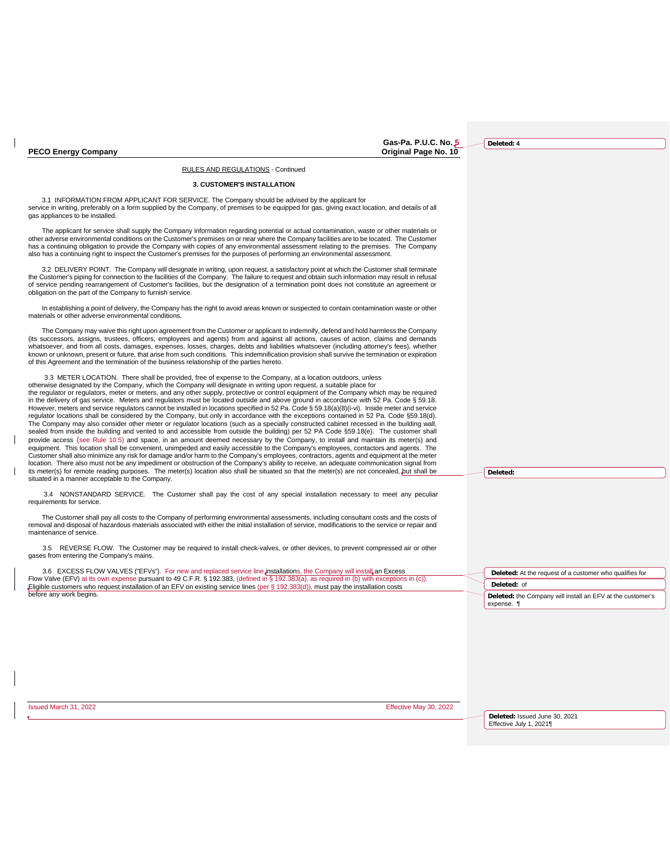Gas-Pa. P.U.C. No. 5<br>Original Page No. 10

**Deleted: 4**

**Deleted:** 

RULES AND REGULATIONS - Continued

#### **3. CUSTOMER'S INSTALLATION**

3.1 INFORMATION FROM APPLICANT FOR SERVICE. The Company should be advised by the applicant for service in writing, preferably on a form supplied by the Company, of premises to be equipped for gas, giving exact location, and details of all gas appliances to be installed.

The applicant for service shall supply the Company information regarding potential or actual contamination, waste or other materials or other adverse environmental conditions on the Customer's premises on or near where the Company facilities are to be located. The Customer<br>has a continuing obligation to provide the Company with copies of any environmental also has a continuing right to inspect the Customer's premises for the purposes of performing an environmental assessment.

3.2 DELIVERY POINT. The Company will designate in writing, upon request, a satisfactory point at which the Customer shall terminate the Customer's piping for connection to the facilities of the Company. The failure to request and obtain such information may result in refusal<br>of service pending rearrangement of Customer's facilities, but the designation

In establishing a point of delivery, the Company has the right to avoid areas known or suspected to contain contamination waste or other materials or other adverse environmental conditions.

The Company may waive this right upon agreement from the Customer or applicant to indemnify, defend and hold harmless the Company (its successors, assigns, trustees, officers, employees and agents) from and against all actions, causes of action, claims and demands whatsoever, and from all costs, damages, expenses, losses, charges, debts and liabilities whatsoever (including attorney's fees), whether<br>known or unknown, present or future, that arise from such conditions. This indemnifi of this Agreement and the termination of the business relationship of the parties hereto.

3.3 METER LOCATION. There shall be provided, free of expense to the Company, at a location outdoors, unless otherwise designated by the Company, which the Company will designate in writing upon request, a suitable place for the regulator or regulators, meter or meters, and any other supply, protective or control equipment of the Company which may be required in the delivery of gas service. Meters and regulators must be located outside and above ground in accordance with 52 Pa. Code § 59.18.<br>However, meters and service regulators cannot be installed in locations specified in 52 regulator locations shall be considered by the Company, but only in accordance with the exceptions contained in 52 Pa. Code §59.18(d). The Company may also consider other meter or regulator locations (such as a specially constructed cabinet recessed in the building wall,<br>sealed from inside the building and vented to and accessible from outside the buildin provide access (see Rule 10.5) and space, in an amount deemed necessary by the Company, to install and maintain its meter(s) and equipment. This location shall be convenient, unimpeded and easily accessible to the Company's employees, contactors and agents. The Customer shall also minimize any risk for damage and/or harm to the Company's employees, contractors, agents and equipment at the meter<br>location. There also must not be any impediment or obstruction of the Company's abil its meter(s) for remote reading purposes. The meter(s) location also shall be situated so that the meter(s) are not concealed, but shall be situated in a manner acceptable to the Company.

3.4 NONSTANDARD SERVICE. The Customer shall pay the cost of any special installation necessary to meet any peculiar requirements for service.

The Customer shall pay all costs to the Company of performing environmental assessments, including consultant costs and the costs of removal and disposal of hazardous materials associated with either the initial installation of service, modifications to the service or repair and maintenance of service.

3.5 REVERSE FLOW. The Customer may be required to install check-valves, or other devices, to prevent compressed air or other gases from entering the Company's mains.

3.6 EXCESS FLOW VALVES ("EFVs"). For new and replaced service line installations, the Company will install an Excess

| 3.6 EXCESS FLOW VALVES ("EFVS"). For new and replaced service line installations, the Company will install an Excess                                                                                                                                                                 | <b>Deleted:</b> At the request of a customer who qualifies for         |
|--------------------------------------------------------------------------------------------------------------------------------------------------------------------------------------------------------------------------------------------------------------------------------------|------------------------------------------------------------------------|
| Flow Valve (EFV) at its own expense pursuant to 49 C.F.R. § 192.383, (defined in § 192.383(a), as required in (b) with exceptions in (c)).<br>Eligible customers who request installation of an EFV on existing service lines (per $\S$ 192.383(d)), must pay the installation costs | Deleted: of                                                            |
| before any work begins.                                                                                                                                                                                                                                                              | Deleted: the Company will install an EFV at the customer's<br>expense. |
|                                                                                                                                                                                                                                                                                      |                                                                        |
|                                                                                                                                                                                                                                                                                      |                                                                        |
|                                                                                                                                                                                                                                                                                      |                                                                        |

Issued March 31, 2022 Effective May 30, 2022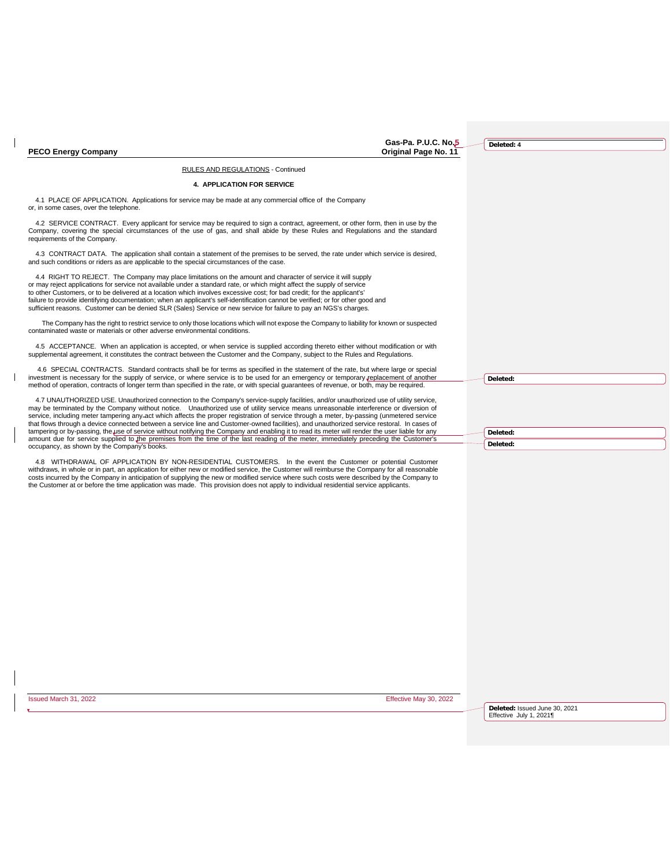| <b>PECO Energy Company</b>                                                                                                                                                                                                                                                                                                                                                                                                                                                                                                                                                                                                   | Gas-Pa. P.U.C. No.5<br><b>Original Page No. 11</b> | Deleted: 4           |
|------------------------------------------------------------------------------------------------------------------------------------------------------------------------------------------------------------------------------------------------------------------------------------------------------------------------------------------------------------------------------------------------------------------------------------------------------------------------------------------------------------------------------------------------------------------------------------------------------------------------------|----------------------------------------------------|----------------------|
| RULES AND REGULATIONS - Continued                                                                                                                                                                                                                                                                                                                                                                                                                                                                                                                                                                                            |                                                    |                      |
| <b>4. APPLICATION FOR SERVICE</b>                                                                                                                                                                                                                                                                                                                                                                                                                                                                                                                                                                                            |                                                    |                      |
| 4.1 PLACE OF APPLICATION. Applications for service may be made at any commercial office of the Company<br>or, in some cases, over the telephone.                                                                                                                                                                                                                                                                                                                                                                                                                                                                             |                                                    |                      |
| 4.2 SERVICE CONTRACT. Every applicant for service may be required to sign a contract, agreement, or other form, then in use by the<br>Company, covering the special circumstances of the use of gas, and shall abide by these Rules and Regulations and the standard<br>requirements of the Company.                                                                                                                                                                                                                                                                                                                         |                                                    |                      |
| 4.3 CONTRACT DATA. The application shall contain a statement of the premises to be served, the rate under which service is desired,<br>and such conditions or riders as are applicable to the special circumstances of the case.                                                                                                                                                                                                                                                                                                                                                                                             |                                                    |                      |
| 4.4 RIGHT TO REJECT. The Company may place limitations on the amount and character of service it will supply<br>or may reject applications for service not available under a standard rate, or which might affect the supply of service<br>to other Customers, or to be delivered at a location which involves excessive cost; for bad credit; for the applicant's'<br>failure to provide identifying documentation; when an applicant's self-identification cannot be verified; or for other good and<br>sufficient reasons. Customer can be denied SLR (Sales) Service or new service for failure to pay an NGS's charges. |                                                    |                      |
| The Company has the right to restrict service to only those locations which will not expose the Company to liability for known or suspected<br>contaminated waste or materials or other adverse environmental conditions.                                                                                                                                                                                                                                                                                                                                                                                                    |                                                    |                      |
| 4.5 ACCEPTANCE. When an application is accepted, or when service is supplied according thereto either without modification or with<br>supplemental agreement, it constitutes the contract between the Customer and the Company, subject to the Rules and Regulations.                                                                                                                                                                                                                                                                                                                                                        |                                                    |                      |
| 4.6 SPECIAL CONTRACTS. Standard contracts shall be for terms as specified in the statement of the rate, but where large or special<br>investment is necessary for the supply of service, or where service is to be used for an emergency or temporary replacement of another<br>method of operation, contracts of longer term than specified in the rate, or with special quarantees of revenue, or both, may be required.                                                                                                                                                                                                   |                                                    | Deleted:             |
| 4.7 UNAUTHORIZED USE. Unauthorized connection to the Company's service-supply facilities, and/or unauthorized use of utility service,<br>may be terminated by the Company without notice. Unauthorized use of utility service means unreasonable interference or diversion of<br>service, including meter tampering any-act which affects the proper registration of service through a meter, by-passing (unmetered service<br>that flows through a device connected between a service line and Customer-owned facilities), and unauthorized service restoral. In cases of                                                   |                                                    |                      |
| tampering or by-passing, the use of service without notifying the Company and enabling it to read its meter will render the user liable for any<br>amount due for service supplied to the premises from the time of the last reading of the meter, immediately preceding the Customer's<br>occupancy, as shown by the Company's books.                                                                                                                                                                                                                                                                                       |                                                    | Deleted:<br>Deleted: |
|                                                                                                                                                                                                                                                                                                                                                                                                                                                                                                                                                                                                                              |                                                    |                      |

4.8 WITHDRAWAL OF APPLICATION BY NON-RESIDENTIAL CUSTOMERS. In the event the Customer or potential Customer<br>withdraws, in whole or in part, an application for either new or modified service, the Customer will reimburse the

 $\mathbf{I}$ 

 $\mathbf{l}$ 

Issued March 31, 2022 Effective May 30, 2022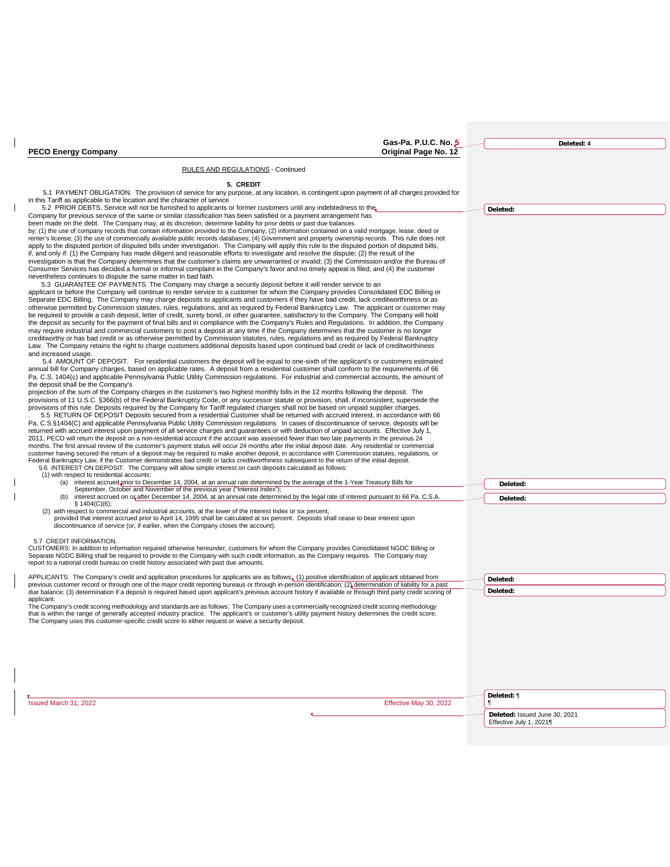| Gas-Pa. P.U.C. No. 5                                                                                                                                                                                                                                                                                              |                               | Deleted: 4 |
|-------------------------------------------------------------------------------------------------------------------------------------------------------------------------------------------------------------------------------------------------------------------------------------------------------------------|-------------------------------|------------|
| <b>Original Page No. 12</b><br><b>PECO Energy Company</b>                                                                                                                                                                                                                                                         |                               |            |
| RULES AND REGULATIONS - Continued                                                                                                                                                                                                                                                                                 |                               |            |
|                                                                                                                                                                                                                                                                                                                   |                               |            |
| 5. CREDIT<br>5.1 PAYMENT OBLIGATION. The provision of service for any purpose, at any location, is contingent upon payment of all charges provided for                                                                                                                                                            |                               |            |
| in this Tariff as applicable to the location and the character of service.                                                                                                                                                                                                                                        |                               |            |
| 5.2 PRIOR DEBTS. Service will not be furnished to applicants or former customers until any indebtedness to the<br>Company for previous service of the same or similar classification has been satisfied or a payment arrangement has                                                                              | Deleted:                      |            |
| been made on the debt. The Company may, at its discretion, determine liability for prior debts or past due balances                                                                                                                                                                                               |                               |            |
| by: (1) the use of company records that contain information provided to the Company; (2) information contained on a valid mortgage, lease, deed or<br>renter's license; (3) the use of commercially available public records databases; (4) Government and property ownership records. This rule does not         |                               |            |
| apply to the disputed portion of disputed bills under investigation. The Company will apply this rule to the disputed portion of disputed bills,<br>if, and only if: (1) the Company has made diligent and reasonable efforts to investigate and resolve the dispute; (2) the result of the                       |                               |            |
| investigation is that the Company determines that the customer's claims are unwarranted or invalid; (3) the Commission and/or the Bureau of                                                                                                                                                                       |                               |            |
| Consumer Services has decided a formal or informal complaint in the Company's favor and no timely appeal is filed; and (4) the customer<br>nevertheless continues to dispute the same matter in bad faith.                                                                                                        |                               |            |
| 5.3 GUARANTEE OF PAYMENTS. The Company may charge a security deposit before it will render service to an                                                                                                                                                                                                          |                               |            |
| applicant or before the Company will continue to render service to a customer for whom the Company provides Consolidated EDC Billing or<br>Separate EDC Billing. The Company may charge deposits to applicants and customers if they have bad credit, lack creditworthiness or as                                 |                               |            |
| otherwise permitted by Commission statutes, rules, regulations, and as required by Federal Bankruptcy Law. The applicant or customer may                                                                                                                                                                          |                               |            |
| be required to provide a cash deposit, letter of credit, surety bond, or other guarantee, satisfactory to the Company. The Company will hold<br>the deposit as security for the payment of final bills and in compliance with the Company's Rules and Regulations. In addition, the Company                       |                               |            |
| may require industrial and commercial customers to post a deposit at any time if the Company determines that the customer is no longer                                                                                                                                                                            |                               |            |
| creditworthy or has bad credit or as otherwise permitted by Commission statutes, rules, regulations and as required by Federal Bankruptcy<br>Law. The Company retains the right to charge customers additional deposits based upon continued bad credit or lack of creditworthiness                               |                               |            |
| and increased usage.                                                                                                                                                                                                                                                                                              |                               |            |
| 5.4 AMOUNT OF DEPOSIT. For residential customers the deposit will be equal to one-sixth of the applicant's or customers estimated<br>annual bill for Company charges, based on applicable rates. A deposit from a residential customer shall conform to the requirements of 66                                    |                               |            |
| Pa. C.S. 1404(c) and applicable Pennsylvania Public Utility Commission regulations. For industrial and commercial accounts, the amount of                                                                                                                                                                         |                               |            |
| the deposit shall be the Company's<br>projection of the sum of the Company charges in the customer's two highest monthly bills in the 12 months following the deposit. The                                                                                                                                        |                               |            |
| provisions of 11 U.S.C. §366(b) of the Federal Bankruptcy Code, or any successor statute or provision, shall, if inconsistent, supersede the<br>provisions of this rule. Deposits required by the Company for Tariff requlated charges shall not be based on unpaid supplier charges.                             |                               |            |
| 5.5 RETURN OF DEPOSIT Deposits secured from a residential Customer shall be returned with accrued interest, in accordance with 66                                                                                                                                                                                 |                               |            |
| Pa. C.S.§1404(C) and applicable Pennsylvania Public Utility Commission regulations In cases of discontinuance of service, deposits will be<br>returned with accrued interest upon payment of all service charges and guarantees or with deduction of unpaid accounts. Effective July 1,                           |                               |            |
| 2011, PECO will return the deposit on a non-residential account if the account was assessed fewer than two late payments in the previous 24                                                                                                                                                                       |                               |            |
| months. The first annual review of the customer's payment status will occur 24 months after the initial deposit date. Any residential or commercial<br>customer having secured the return of a deposit may be required to make another deposit, in accordance with Commission statutes, regulations, or           |                               |            |
| Federal Bankruptcy Law, if the Customer demonstrates bad credit or lacks creditworthiness subsequent to the return of the initial deposit.                                                                                                                                                                        |                               |            |
| 5.6 INTEREST ON DEPOSIT. The Company will allow simple interest on cash deposits calculated as follows:<br>(1) with respect to residential accounts:                                                                                                                                                              |                               |            |
| (a) interest accrued prior to December 14, 2004, at an annual rate determined by the average of the 1-Year Treasury Bills for<br>September, October and November of the previous year ("Interest Index");                                                                                                         | Deleted:                      |            |
| interest accrued on or after December 14, 2004, at an annual rate determined by the legal rate of interest pursuant to 66 Pa. C.S.A<br>(b)                                                                                                                                                                        | Deleted:                      |            |
| § 1404(C)(6);<br>(2) with respect to commercial and industrial accounts, at the lower of the Interest Index or six percent;                                                                                                                                                                                       |                               |            |
| provided that interest accrued prior to April 14, 1995 shall be calculated at six percent. Deposits shall cease to bear interest upon<br>discontinuance of service (or, if earlier, when the Company closes the account).                                                                                         |                               |            |
|                                                                                                                                                                                                                                                                                                                   |                               |            |
| 5.7 CREDIT INFORMATION.<br>CUSTOMERS: In addition to information required otherwise hereunder, customers for whom the Company provides Consolidated NGDC Billing or                                                                                                                                               |                               |            |
| Separate NGDC Billing shall be required to provide to the Company with such credit information, as the Company requires. The Company may<br>report to a national credit bureau on credit history associated with past due amounts.                                                                                |                               |            |
|                                                                                                                                                                                                                                                                                                                   |                               |            |
| APPLICANTS: The Company's credit and application procedures for applicants are as follows: (1) positive identification of applicant obtained from<br>previous customer record or through one of the major credit reporting bureaus or through in-person identification; (2) determination of liability for a past | Deleted:                      |            |
| due balance; (3) determination if a deposit is required based upon applicant's previous account history if available or through third party credit scoring of<br>applicant.                                                                                                                                       | Deleted:                      |            |
| The Company's credit scoring methodology and standards are as follows: The Company uses a commercially recognized credit scoring methodology                                                                                                                                                                      |                               |            |
| that is within the range of generally accepted industry practice. The applicant's or customer's utility payment history determines the credit score.<br>The Company uses this customer-specific credit score to either request or waive a security deposit.                                                       |                               |            |
|                                                                                                                                                                                                                                                                                                                   |                               |            |
|                                                                                                                                                                                                                                                                                                                   |                               |            |
|                                                                                                                                                                                                                                                                                                                   |                               |            |
|                                                                                                                                                                                                                                                                                                                   |                               |            |
|                                                                                                                                                                                                                                                                                                                   |                               |            |
|                                                                                                                                                                                                                                                                                                                   | Deleted: ¶                    |            |
| Issued March 31, 2022<br>Effective May 30, 2022                                                                                                                                                                                                                                                                   | $\mathbf{I}$                  |            |
|                                                                                                                                                                                                                                                                                                                   | Deleted: Issued June 30, 2021 |            |
|                                                                                                                                                                                                                                                                                                                   | Effective July 1, 2021¶       |            |
|                                                                                                                                                                                                                                                                                                                   |                               |            |

 $\mathbf{l}$ 

 $\begin{array}{c} \begin{array}{c} \hline \end{array} \end{array}$ 

 $\mathbf{l}$  $\overline{\mathbf{I}}$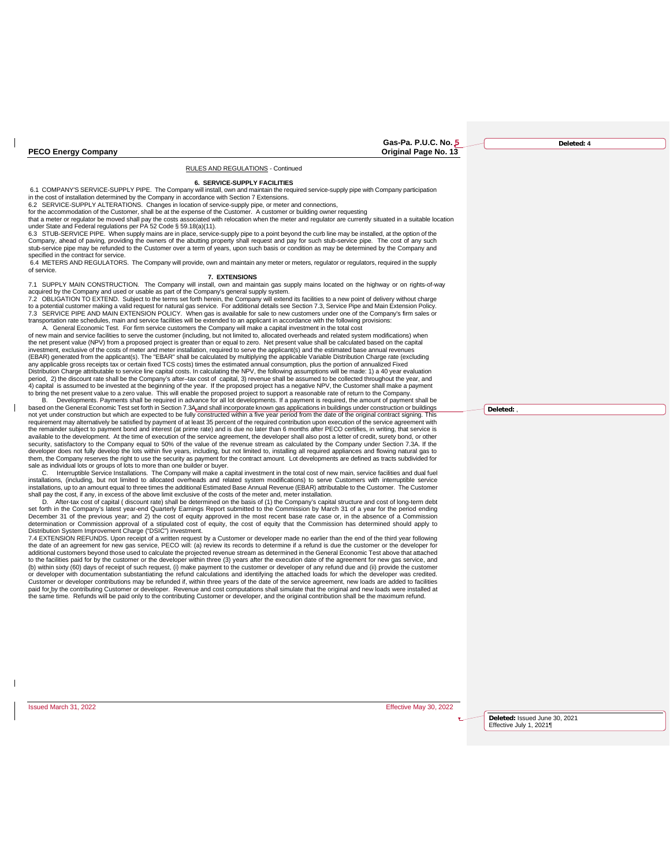# Gas-Pa. P.U.C. No. 5<br>Original Page No. 13

RULES AND REGULATIONS - Continued

#### **6. SERVICE-SUPPLY FACILITIES**

6.1 COMPANY'S SERVICE-SUPPLY PIPE. The Company will install, own and maintain the required service-supply pipe with Company participation<br>in the cost of installation determined by the Company in accordance with Section 7 E

6.2 SERVICE-SUPPLY ALTERATIONS. Changes in location of service-supply pipe, or meter and connections,

for the accommodation of the Customer, shall be at the expense of the Customer. A customer or building owner requesting

that a meter or regulator be moved shall pay the costs associated with relocation when the meter and regulator are currently situated with relocation when the meter and regulator are currently situated with relocation

under State and Federal regulations per PA 52 Code § 59.18(a)(11).<br>6.3 STUB-SERVICE PIPE. When supply mains are in place, service-supply pipe to a point beyond the curb line may be installed, at the option of the<br>Compan stub-service pipe may be refunded to the Customer over a term of years, upon such basis or condition as may be determined by the Company and specified in the contract for service.

6.4 METERS AND REGULATORS. The Company will provide, own and maintain any meter or meters, regulator or regulators, required in the supply of service.

#### **7. EXTENSIONS**

7.1 SUPPLY MAIN CONSTRUCTION. The Company will install, own and maintain gas supply mains located on the highway or on rights-of-way acquired by the Company and used or usable as part of the Company's general supply system. 7.2 OBLIGATION TO EXTEND. Subject to the terms set forth herein, the Company will extend its facilities to a new point of delivery without charge

to a potential customer making a valid request for natural gas service. For additional details see Section 7.3, Service Pipe and Main Extension Policy. 7.3 SERVICE PIPE AND MAIN EXTENSION POLICY. When gas is available for sale to new customers under one of the Company's firm sales or<br>transportation rate schedules, main and service facilities will be extended to an applica A. General Economic Test. For firm service customers the Company will make a capital investment in the total cost

of new main and service facilities to serve the customer (including, but not limited to, allocated overheads and related system modifications) when the net present value (NPV) from a proposed project is greater than or equal to zero. Net present value shall be calculated based on the capital<br>investment, exclusive of the costs of meter and meter installation, required (EBAR) generated from the applicant(s). The "EBAR" shall be calculated by multiplying the applicable Variable Distribution Charge rate (excluding<br>any applicable gross receipts tax or certain fixed TCS costs) times the esti Distribution Charge attributable to service line capital costs. In calculating the NPV, the following assumptions will be made: 1) a 40 year evaluation period, 2) the discount rate shall be the Company's after–tax cost of capital, 3) revenue shall be assumed to be collected throughout the year, and 4) capital is assumed to be invested at the beginning of the year. If the proposed project has a negative NPV, the Customer shall make a payment to bring the net present value to a zero value. This will enable the proposed project to support a reasonable rate of return to the Company.

B. Developments. Payments shall be required in advance for all lot developments. If a payment is required, the amount of payment shall be<br>based on the General Economic Test set forth in Section 7.3Aand shall incorporate kn not yet under construction but which are expected to be fully constructed within a five year period from the date of the original contract signing. This requirement may alternatively be satisfied by payment of at least 35 percent of the required contribution upon execution of the service agreement with the remainder subject to payment bond and interest (at prime rate) and is due no later than 6 months after PECO certifies, in writing, that service is<br>available to the development. At the time of execution of the service a security, satisfactory to the Company equal to 50% of the value of the revenue stream as calculated by the Company under Section 7.3A. If the<br>developer does not fully develop the lots within five years, including, but not them, the Company reserves the right to use the security as payment for the contract amount. Lot developments are defined as tracts subdivided for sale as individual lots or groups of lots to more than one builder or buyer.

C. Interruptible Service Installations. The Company will make a capital investment in the total cost of new main, service facilities and dual fuel installations, (including, but not limited to allocated overheads and related system modifications) to serve Customers with interruptible service installations, up to an amount equal to three times the additional Estimated Base Annual Revenue (EBAR) attributable to the Customer. The Customer<br>shall pay the cost, if any, in excess of the above limit exclusive of the c

 D. After-tax cost of capital ( discount rate) shall be determined on the basis of (1) the Company's capital structure and cost of long-term debt set forth in the Company's latest year-end Quarterly Earnings Report submitted to the Commission by March 31 of a year for the period ending December 31 of the previous year; and 2) the cost of equity approved in the most recent base rate case or, in the absence of a Commission<br>determination or Commission approval of a stipulated cost of equity, the cost of equ

7.4 EXTENSION REFUNDS. Upon receipt of a written request by a Customer or developer made no earlier than the end of the third year following the date of an agreement for new gas service, PECO will: (a) review its records to determine if a refund is due the customer or the developer for additional customers beyond those used to calculate the projected revenue stream as determined in the General Economic Test above that attached to the facilities paid for by the customer or the developer within three (3) years after the execution date of the agreement for new gas service, and (b) within sixty (60) days of receipt of such request, (i) make payment to the customer or developer of any refund due and (ii) provide the customer<br>or developer with documentation substantiating the refund calculations an paid for by the contributing Customer or developer. Revenue and cost computations shall simulate that the original and new loads were installed at the same time. Refunds will be paid only to the contributing Customer or developer, and the original contribution shall be the maximum refund.

**Deleted:** ,

**Deleted: 4**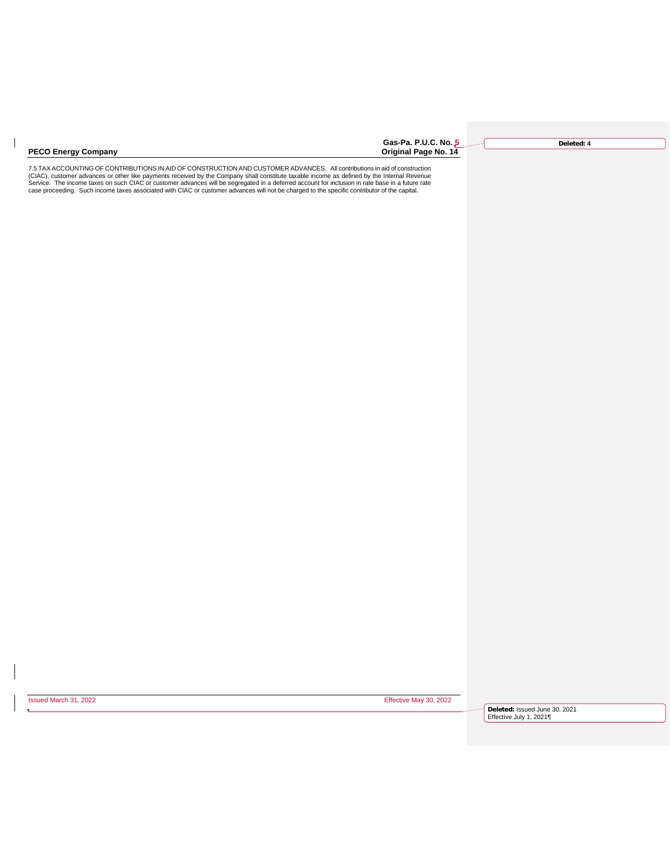| <b>PECO Energy Company</b> | Original Page No. 14 |
|----------------------------|----------------------|
|----------------------------|----------------------|

 $\mathbf{I}$ 

**Gas-Pa. P.U.C. No. 5**

**Deleted: 4**

7.5 TAX ACCOUNTING OF CONTRIBUTIONS IN AID OF CONSTRUCTION AND CUSTOMER ADVANCES. All contributions in aid of construction<br>(CIAC), customer advances or other like payments received by the Company shall constitute taxable i

Issued March 31, 2022 Effective May 30, 2022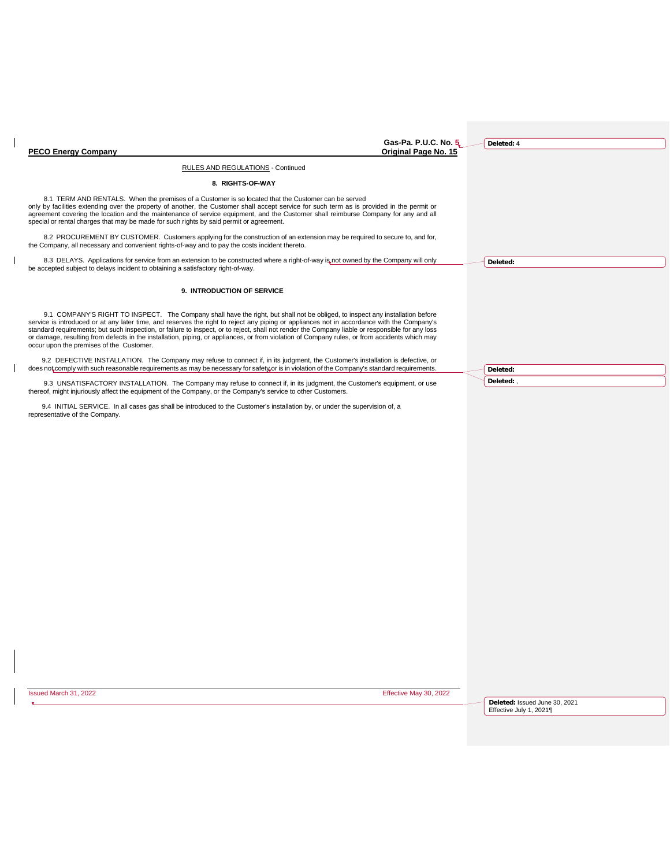|                                                                                                                                                                                                                                                                                                                                                                                                                                                                                                                                                                                                                               | Gas-Pa. P.U.C. No. 5.  | Deleted: 4                                               |
|-------------------------------------------------------------------------------------------------------------------------------------------------------------------------------------------------------------------------------------------------------------------------------------------------------------------------------------------------------------------------------------------------------------------------------------------------------------------------------------------------------------------------------------------------------------------------------------------------------------------------------|------------------------|----------------------------------------------------------|
| <b>PECO Energy Company</b>                                                                                                                                                                                                                                                                                                                                                                                                                                                                                                                                                                                                    | Original Page No. 15   |                                                          |
| <b>RULES AND REGULATIONS - Continued</b>                                                                                                                                                                                                                                                                                                                                                                                                                                                                                                                                                                                      |                        |                                                          |
| 8. RIGHTS-OF-WAY                                                                                                                                                                                                                                                                                                                                                                                                                                                                                                                                                                                                              |                        |                                                          |
| 8.1 TERM AND RENTALS. When the premises of a Customer is so located that the Customer can be served<br>only by facilities extending over the property of another, the Customer shall accept service for such term as is provided in the permit or<br>agreement covering the location and the maintenance of service equipment, and the Customer shall reimburse Company for any and all<br>special or rental charges that may be made for such rights by said permit or agreement.                                                                                                                                            |                        |                                                          |
| 8.2 PROCUREMENT BY CUSTOMER. Customers applying for the construction of an extension may be required to secure to, and for,<br>the Company, all necessary and convenient rights-of-way and to pay the costs incident thereto.                                                                                                                                                                                                                                                                                                                                                                                                 |                        |                                                          |
| 8.3 DELAYS. Applications for service from an extension to be constructed where a right-of-way is not owned by the Company will only<br>be accepted subject to delays incident to obtaining a satisfactory right-of-way.                                                                                                                                                                                                                                                                                                                                                                                                       |                        | Deleted:                                                 |
| 9. INTRODUCTION OF SERVICE                                                                                                                                                                                                                                                                                                                                                                                                                                                                                                                                                                                                    |                        |                                                          |
| 9.1 COMPANY'S RIGHT TO INSPECT. The Company shall have the right, but shall not be obliged, to inspect any installation before<br>service is introduced or at any later time, and reserves the right to reject any piping or appliances not in accordance with the Company's<br>standard requirements; but such inspection, or failure to inspect, or to reject, shall not render the Company liable or responsible for any loss<br>or damage, resulting from defects in the installation, piping, or appliances, or from violation of Company rules, or from accidents which may<br>occur upon the premises of the Customer. |                        |                                                          |
| 9.2 DEFECTIVE INSTALLATION. The Company may refuse to connect if, in its judgment, the Customer's installation is defective, or<br>does not comply with such reasonable requirements as may be necessary for safety or is in violation of the Company's standard requirements.                                                                                                                                                                                                                                                                                                                                                |                        | Deleted:                                                 |
| 9.3 UNSATISFACTORY INSTALLATION. The Company may refuse to connect if, in its judgment, the Customer's equipment, or use<br>thereof, might injuriously affect the equipment of the Company, or the Company's service to other Customers.                                                                                                                                                                                                                                                                                                                                                                                      |                        | Deleted:                                                 |
| 9.4 INITIAL SERVICE. In all cases gas shall be introduced to the Customer's installation by, or under the supervision of, a<br>representative of the Company.                                                                                                                                                                                                                                                                                                                                                                                                                                                                 |                        |                                                          |
|                                                                                                                                                                                                                                                                                                                                                                                                                                                                                                                                                                                                                               |                        |                                                          |
|                                                                                                                                                                                                                                                                                                                                                                                                                                                                                                                                                                                                                               |                        |                                                          |
|                                                                                                                                                                                                                                                                                                                                                                                                                                                                                                                                                                                                                               |                        |                                                          |
|                                                                                                                                                                                                                                                                                                                                                                                                                                                                                                                                                                                                                               |                        |                                                          |
|                                                                                                                                                                                                                                                                                                                                                                                                                                                                                                                                                                                                                               |                        |                                                          |
|                                                                                                                                                                                                                                                                                                                                                                                                                                                                                                                                                                                                                               |                        |                                                          |
|                                                                                                                                                                                                                                                                                                                                                                                                                                                                                                                                                                                                                               |                        |                                                          |
|                                                                                                                                                                                                                                                                                                                                                                                                                                                                                                                                                                                                                               |                        |                                                          |
|                                                                                                                                                                                                                                                                                                                                                                                                                                                                                                                                                                                                                               |                        |                                                          |
|                                                                                                                                                                                                                                                                                                                                                                                                                                                                                                                                                                                                                               |                        |                                                          |
|                                                                                                                                                                                                                                                                                                                                                                                                                                                                                                                                                                                                                               |                        |                                                          |
|                                                                                                                                                                                                                                                                                                                                                                                                                                                                                                                                                                                                                               |                        |                                                          |
|                                                                                                                                                                                                                                                                                                                                                                                                                                                                                                                                                                                                                               |                        |                                                          |
|                                                                                                                                                                                                                                                                                                                                                                                                                                                                                                                                                                                                                               |                        |                                                          |
|                                                                                                                                                                                                                                                                                                                                                                                                                                                                                                                                                                                                                               |                        |                                                          |
|                                                                                                                                                                                                                                                                                                                                                                                                                                                                                                                                                                                                                               |                        |                                                          |
|                                                                                                                                                                                                                                                                                                                                                                                                                                                                                                                                                                                                                               |                        |                                                          |
|                                                                                                                                                                                                                                                                                                                                                                                                                                                                                                                                                                                                                               |                        |                                                          |
|                                                                                                                                                                                                                                                                                                                                                                                                                                                                                                                                                                                                                               |                        |                                                          |
| Issued March 31, 2022                                                                                                                                                                                                                                                                                                                                                                                                                                                                                                                                                                                                         | Effective May 30, 2022 |                                                          |
|                                                                                                                                                                                                                                                                                                                                                                                                                                                                                                                                                                                                                               |                        | Deleted: Issued June 30, 2021<br>Effective July 1, 2021¶ |
|                                                                                                                                                                                                                                                                                                                                                                                                                                                                                                                                                                                                                               |                        |                                                          |
|                                                                                                                                                                                                                                                                                                                                                                                                                                                                                                                                                                                                                               |                        |                                                          |
|                                                                                                                                                                                                                                                                                                                                                                                                                                                                                                                                                                                                                               |                        |                                                          |
|                                                                                                                                                                                                                                                                                                                                                                                                                                                                                                                                                                                                                               |                        |                                                          |

 $\mathbf{l}$ 

 $\begin{array}{c} \hline \end{array}$ 

 $\mathbf{I}$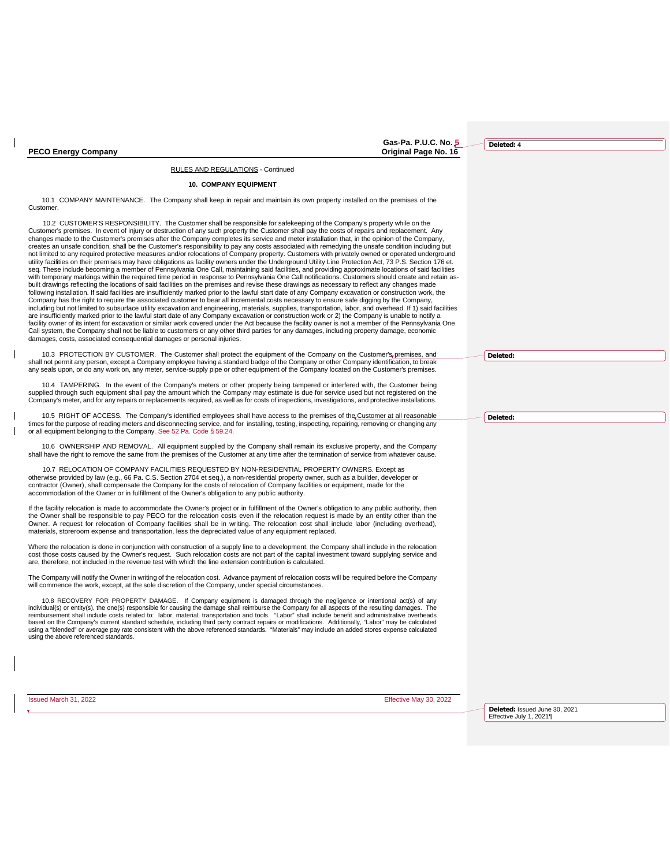$\mathbf{I}$ 

Gas-Pa. P.U.C. No. 5<br>Original Page No. 16

**Deleted: 4**

RULES AND REGULATIONS - Continued

#### **10. COMPANY EQUIPMENT**

10.1 COMPANY MAINTENANCE. The Company shall keep in repair and maintain its own property installed on the premises of the Custome

 10.2 CUSTOMER'S RESPONSIBILITY. The Customer shall be responsible for safekeeping of the Company's property while on the Customer's premises. In event of injury or destruction of any such property the Customer shall pay the costs of repairs and replacement. Any changes made to the Customer's premises after the Company completes its service and meter installation that, in the opinion of the Company, creates an unsafe condition, shall be the Customer's responsibility to pay any costs associated with remedying the unsafe condition including but not limited to any required protective measures and/or relocations of Company property. Customers with privately owned or operated underground utility facilities on their premises may have obligations as facility owners under the Underground Utility Line Protection Act, 73 P.S. Section 176 et.<br>seq. These include becoming a member of Pennsylvania One Call, maintai with temporary markings within the required time period in response to Pennsylvania One Call notifications. Customers should create and retain asbuilt drawings reflecting the locations of said facilities on the premises and revise these drawings as necessary to reflect any changes made<br>following installation. If said facilities are insufficiently marked prior to th Company has the right to require the associated customer to bear all incremental costs necessary to ensure safe digging by the Company, including but not limited to subsurface utility excavation and engineering, materials, supplies, transportation, labor, and overhead. If 1) said facilities<br>are insufficiently marked prior to the lawful start date of any Co facility owner of its intent for excavation or similar work covered under the Act because the facility owner is not a member of the Pennsylvania One Call system, the Company shall not be liable to customers or any other third parties for any damages, including property damage, economic damages, costs, associated consequential damages or personal injuries.

10.3 PROTECTION BY CUSTOMER. The Customer shall protect the equipment of the Company on the Customer's premises, and shall not permit any person, except a Company employee having a standard badge of the Company or other Company identification, to break any seals upon, or do any work on, any meter, service-supply pipe or other equipment of the Company located on the Customer's premises.

10.4 TAMPERING. In the event of the Company's meters or other property being tampered or interfered with, the Customer being<br>supplied through such equipment shall pay the amount which the Company may estimate is due for se Company's meter, and for any repairs or replacements required, as well as for costs of inspections, investigations, and protective installations.

10.5 RIGHT OF ACCESS. The Company's identified employees shall have access to the premises of the Customer at all reasonable times for the purpose of reading meters and disconnecting service, and for installing, testing, inspecting, repairing, removing or changing any or all equipment belonging to the Company. See 52 Pa. Code § 59.24.

10.6 OWNERSHIP AND REMOVAL. All equipment supplied by the Company shall remain its exclusive property, and the Company<br>shall have the right to remove the same from the premises of the Customer at any time after the termina

10.7 RELOCATION OF COMPANY FACILITIES REQUESTED BY NON-RESIDENTIAL PROPERTY OWNERS. Except as otherwise provided by law (e.g., 66 Pa. C.S. Section 2704 et seq.), a non-residential property owner, such as a builder, developer or<br>contractor (Owner), shall compensate the Company for the costs of relocation of Company accommodation of the Owner or in fulfillment of the Owner's obligation to any public authority.

If the facility relocation is made to accommodate the Owner's project or in fulfillment of the Owner's obligation to any public authority, then the Owner shall be responsible to pay PECO for the relocation costs even if the relocation request is made by an entity other than the<br>Owner. A request for relocation of Company facilities shall be in writing. The relocati materials, storeroom expense and transportation, less the depreciated value of any equipment replaced.

Where the relocation is done in conjunction with construction of a supply line to a development, the Company shall include in the relocation cost those costs caused by the Owner's request. Such relocation costs are not part of the capital investment toward supplying service and are, therefore, not included in the revenue test with which the line extension contribution is calculated.

The Company will notify the Owner in writing of the relocation cost. Advance payment of relocation costs will be required before the Company will commence the work, except, at the sole discretion of the Company, under special circumstances.

10.8 RECOVERY FOR PROPERTY DAMAGE. If Company equipment is damaged through the negligence or intentional act(s) of any individual(s) or entity(s), the one(s) responsible for causing the damage shall reimburse the Company for all aspects of the resulting damages. The reimbursement shall include costs related to: labor, material, transportation and tools. "Labor" shall include benefit and administrative overheads based on the Company's current standard schedule, including third party contract repairs or modifications. Additionally, "Labor" may be calculated using a "blended" or average pay rate consistent with the above referenced standards. "Materials" may include an added stores expense calculated using the above referenced standards.

**Deleted:** 

**Deleted:** 

Issued March 31, 2022 Effective May 30, 2022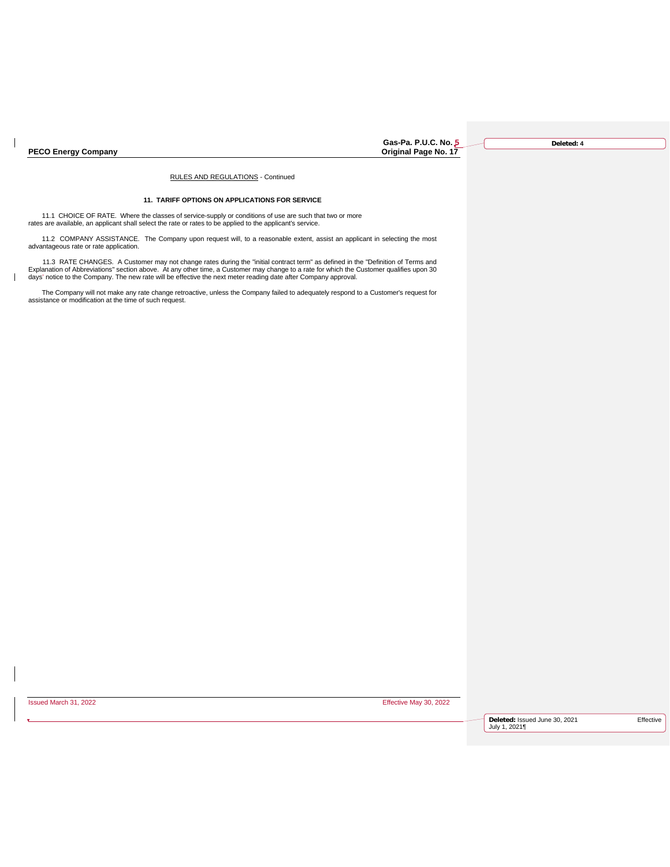$\overline{\phantom{a}}$ 

 $\mathbf{I}$ 

**Gas-Pa. P.U.C. No. 5**

**Deleted: 4**

RULES AND REGULATIONS - Continued

### **11. TARIFF OPTIONS ON APPLICATIONS FOR SERVICE**

11.1 CHOICE OF RATE. Where the classes of service-supply or conditions of use are such that two or more rates are available, an applicant shall select the rate or rates to be applied to the applicant's service.

11.2 COMPANY ASSISTANCE. The Company upon request will, to a reasonable extent, assist an applicant in selecting the most advantageous rate or rate application.

11.3 RATE CHANGES. A Customer may not change rates during the "initial contract term" as defined in the "Definition of Terms and<br>Explanation of Abbreviations" section above. At any other time, a Customer may change to a ra days' notice to the Company. The new rate will be effective the next meter reading date after Company approval.

The Company will not make any rate change retroactive, unless the Company failed to adequately respond to a Customer's request for assistance or modification at the time of such request.

Issued March 31, 2022 Effective May 30, 2022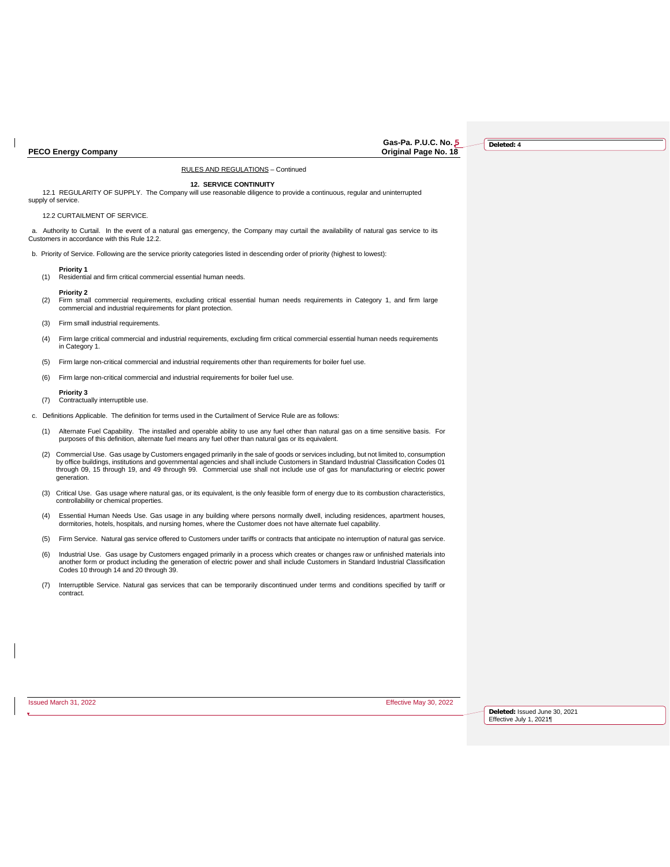Gas-Pa. P.U.C. No. 5<br>Original Page No. 18

**Deleted: 4**

RULES AND REGULATIONS – Continued

**12. SERVICE CONTINUITY**

12.1 REGULARITY OF SUPPLY. The Company will use reasonable diligence to provide a continuous, regular and uninterrupted

supply of service.

12.2 CURTAILMENT OF SERVICE.

 a. Authority to Curtail. In the event of a natural gas emergency, the Company may curtail the availability of natural gas service to its Customers in accordance with this Rule 12.2.

b. Priority of Service. Following are the service priority categories listed in descending order of priority (highest to lowest):

- **Priority 1**
- (1) Residential and firm critical commercial essential human needs.

**Priority 2** 

(2) Firm small commercial requirements, excluding critical essential human needs requirements in Category 1, and firm large commercial and industrial requirements for plant protection.

(3) Firm small industrial requirements.

- (4) Firm large critical commercial and industrial requirements, excluding firm critical commercial essential human needs requirements in Category 1.
- (5) Firm large non-critical commercial and industrial requirements other than requirements for boiler fuel use.
- (6) Firm large non-critical commercial and industrial requirements for boiler fuel use.

**Priority 3**

(7) Contractually interruptible use.

c. Definitions Applicable. The definition for terms used in the Curtailment of Service Rule are as follows:

- (1) Alternate Fuel Capability. The installed and operable ability to use any fuel other than natural gas on a time sensitive basis. For purposes of this definition, alternate fuel means any fuel other than natural gas or its equivalent.
- (2) Commercial Use. Gas usage by Customers engaged primarily in the sale of goods or services including, but not limited to, consumption by office buildings, institutions and governmental agencies and shall include Customers in Standard Industrial Classification Codes 01 through 09, 15 through 19, and 49 through 99. Commercial use shall not include use of gas for manufacturing or electric power generation.
- (3) Critical Use. Gas usage where natural gas, or its equivalent, is the only feasible form of energy due to its combustion characteristics, controllability or chemical properties.
- (4) Essential Human Needs Use. Gas usage in any building where persons normally dwell, including residences, apartment houses, dormitories, hotels, hospitals, and nursing homes, where the Customer does not have alternate fuel capability.
- (5) Firm Service. Natural gas service offered to Customers under tariffs or contracts that anticipate no interruption of natural gas service.
- (6) Industrial Use. Gas usage by Customers engaged primarily in a process which creates or changes raw or unfinished materials into another form or product including the generation of electric power and shall include Customers in Standard Industrial Classification Codes 10 through 14 and 20 through 39.
- (7) Interruptible Service. Natural gas services that can be temporarily discontinued under terms and conditions specified by tariff or contract.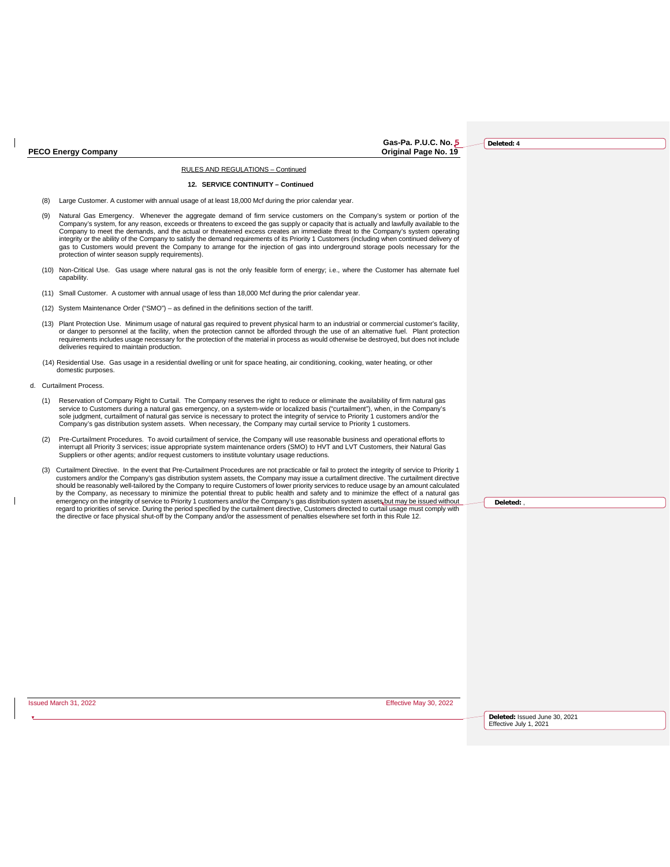**Gas-Pa. P.U.C. No. 5**

**Deleted: 4**

RULES AND REGULATIONS – Continued

#### **12. SERVICE CONTINUITY – Continued**

- (8) Large Customer. A customer with annual usage of at least 18,000 Mcf during the prior calendar year.
- (9) Natural Gas Emergency. Whenever the aggregate demand of firm service customers on the Company's system or portion of the Company's system, for any reason, exceeds or threatens to exceed the gas supply or capacity that is actually and lawfully available to the Company to meet the demands, and the actual or threatened excess creates an immediate threat to the Company's system operating integrity or the ability of the Company to satisfy the demand requirements of its Priority 1 Customers (including when continued delivery of gas to Customers would prevent the Company to arrange for the injection of gas into underground storage pools necessary for the protection of winter season supply requirements).
- (10) Non-Critical Use. Gas usage where natural gas is not the only feasible form of energy; i.e., where the Customer has alternate fuel capability.
- (11) Small Customer. A customer with annual usage of less than 18,000 Mcf during the prior calendar year.
- (12) System Maintenance Order ("SMO") as defined in the definitions section of the tariff.
- (13) Plant Protection Use. Minimum usage of natural gas required to prevent physical harm to an industrial or commercial customer's facility, or danger to personnel at the facility, when the protection cannot be afforded through the use of an alternative fuel. Plant protection requirements includes usage necessary for the protection of the material in process as would otherwise be destroyed, but does not include deliveries required to maintain production.
- (14) Residential Use. Gas usage in a residential dwelling or unit for space heating, air conditioning, cooking, water heating, or other domestic purposes.
- d. Curtailment Process.
	- (1) Reservation of Company Right to Curtail. The Company reserves the right to reduce or eliminate the availability of firm natural gas service to Customers during a natural gas emergency, on a system-wide or localized basis ("curtailment"), when, in the Company's<br>sole judgment, curtailment of natural gas service is necessary to protect the integrity of se Company's gas distribution system assets. When necessary, the Company may curtail service to Priority 1 customers.
	- (2) Pre-Curtailment Procedures. To avoid curtailment of service, the Company will use reasonable business and operational efforts to interrupt all Priority 3 services; issue appropriate system maintenance orders (SMO) to HVT and LVT Customers, their Natural Gas Suppliers or other agents; and/or request customers to institute voluntary usage reductions.
	- (3) Curtailment Directive. In the event that Pre-Curtailment Procedures are not practicable or fail to protect the integrity of service to Priority 1 customers and/or the Company's gas distribution system assets, the Company may issue a curtailment directive. The curtailment directive<br>should be reasonably well-tailored by the Company to require Customers of lower priori by the Company, as necessary to minimize the potential threat to public health and safety and to minimize the effect of a natural gas<br>emergency on the integrity of service to Priority 1 customers and/or the Company's gas d regard to priorities of service. During the period specified by the curtailment directive, Customers directed to curtail usage must comply with the directive or face physical shut-off by the Company and/or the assessment of penalties elsewhere set forth in this Rule 12.

**Deleted:** ,

Issued March 31, 2022 Effective May 30, 2022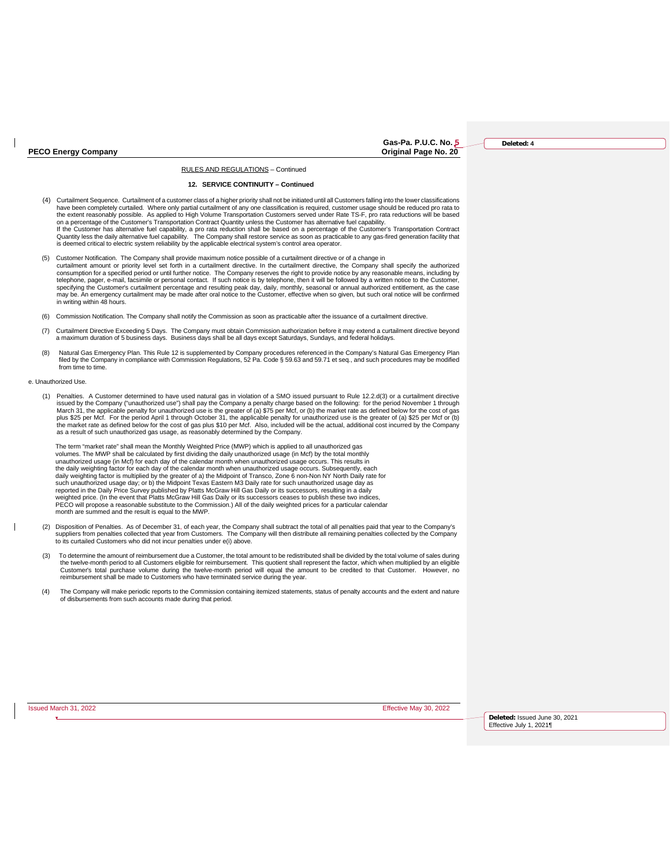**Gas-Pa. P.U.C. No. 5**

**Deleted: 4**

RULES AND REGULATIONS – Continued

#### **12. SERVICE CONTINUITY – Continued**

- (4) Curtailment Sequence. Curtailment of a customer class of a higher priority shall not be initiated until all Customers falling into the lower classifications have been completely curtailed. Where only partial curtailment of any one classification is required, customer usage should be reduced pro rata to<br>the extent reasonably possible. As applied to High Volume Transportation C on a percentage of the Customer's Transportation Contract Quantity unless the Customer has alternative fuel capability. If the Customer has alternative fuel capability, a pro rata reduction shall be based on a percentage of the Customer's Transportation Contract Quantity less the daily alternative fuel capability. The Company shall restore service as soon as practicable to any gas-fired generation facility that<br>is deemed critical to electric system reliability by the applicable
- (5) Customer Notification. The Company shall provide maximum notice possible of a curtailment directive or of a change in curtailment amount or priority level set forth in a curtailment directive. In the curtailment directive, the Company shall specify the authorized consumption for a specified period or until further notice. The Company reserves the right to provide notice by any reasonable means, including by<br>telephone, pager, e-mail, facsimile or personal contact. If such notice is specifying the Customer's curtailment percentage and resulting peak day, daily, monthly, seasonal or annual authorized entitlement, as the case<br>may be. An emergency curtailment may be made after oral notice to the Customer
- (6) Commission Notification. The Company shall notify the Commission as soon as practicable after the issuance of a curtailment directive.
- 7) Curtailment Directive Exceeding 5 Days. The Company must obtain Commission authorization before it may extend a curtailment directive beyond<br>The all days except Saturdays, Sundays, and federal holidays. And directive be
- Natural Gas Emergency Plan. This Rule 12 is supplemented by Company procedures referenced in the Company's Natural Gas Emergency Plan filed by the Company in compliance with Commission Regulations, 52 Pa. Code § 59.63 and 59.71 et seq., and such procedures may be modified from time to time.
- e. Unauthorized Use.
	- (1) Penalties. A Customer determined to have used natural gas in violation of a SMO issued pursuant to Rule 12.2.d(3) or a curtailment directive issued by the Company ("unauthorized use") shall pay the Company a penalty charge based on the following: for the period November 1 through<br>March 31, the applicable penalty for unauthorized use is the greater of (a) \$75 pe plus \$25 per Mcf. For the period April 1 through October 31, the applicable penalty for unauthorized use is the greater of (a) \$25 per Mcf or (b)<br>the market rate as defined below for the cost of gas plus \$10 per Mcf. Also, as a result of such unauthorized gas usage, as reasonably determined by the Company.

The term "market rate" shall mean the Monthly Weighted Price (MWP) which is applied to all unauthorized gas volumes. The MWP shall be calculated by first dividing the daily unauthorized usage (in Mcf) by the total monthly unauthorized usage (in Mcf) for each day of the calendar month when unauthorized usage occurs. This results in the daily weighting factor for each day of the calendar month when unauthorized usage occurs. Subsequently, each daily weighting factor is multiplied by the greater of a) the Midpoint of Transco, Zone 6 non-Non NY North Daily rate for<br>such unauthorized usage day; or b) the Midpoint Texas Eastern M3 Daily rate for such unauthorized us reported in the Daily Price Survey published by Platts McGraw Hill Gas Daily or its successors, resulting in a daily<br>weighted price. (In the event that Platts McGraw Hill Gas Daily or its successors ceases to publish these PECO will propose a reasonable substitute to the Commission.) All of the daily weighted prices for a particular calendar month are summed and the result is equal to the MWP.

- (2) Disposition of Penalties. As of December 31, of each year, the Company shall subtract the total of all penalties paid that year to the Company's suppliers from penalties collected that year from Customers. The Company will then distribute all remaining penalties collected by the Company to its curtailed Customers who did not incur penalties under e(i) above.
- (3) To determine the amount of reimbursement due a Customer, the total amount to be redistributed shall be divided by the total volume of sales during the twelve-month period to all Customers eligible for reimbursement. This quotient shall represent the factor, which when multiplied by an eligible<br>Customer's total purchase volume during the twelve-month period will equal reimbursement shall be made to Customers who have terminated service during the year.
- (4) The Company will make periodic reports to the Commission containing itemized statements, status of penalty accounts and the extent and nature of disbursements from such accounts made during that period.

Issued March 31, 2022 Effective May 30, 2022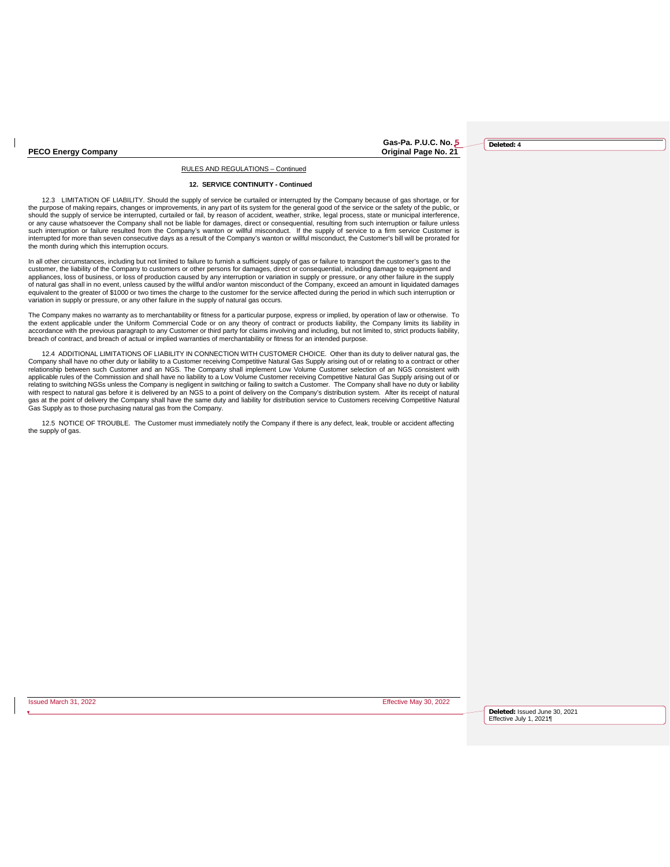Gas-Pa. P.U.C. No. 5<br>Original Page No. 21

**Deleted: 4**

RULES AND REGULATIONS – Continued

#### **12. SERVICE CONTINUITY - Continued**

12.3 LIMITATION OF LIABILITY. Should the supply of service be curtailed or interrupted by the Company because of gas shortage, or for the purpose of making repairs, changes or improvements, in any part of its system for the general good of the service or the safety of the public, or should the supply of service be interrupted, curtailed or fail, by reason of accident, weather, strike, legal process, state or municipal interference, or any cause whatsoever the Company shall not be liable for damages, direct or consequential, resulting from such interruption or failure unless<br>such interruption or failure resulted from the Company's wanton or willful mi the month during which this interruption occurs.

In all other circumstances, including but not limited to failure to furnish a sufficient supply of gas or failure to transport the customer's gas to the<br>customer, the liability of the Company to customers or other persons appliances, loss of business, or loss of production caused by any interruption or variation in supply or pressure, or any other failure in the supply of natural gas shall in no event, unless caused by the willful and/or wanton misconduct of the Company, exceed an amount in liquidated damages<br>equivalent to the greater of \$1000 or two times the charge to the customer for variation in supply or pressure, or any other failure in the supply of natural gas occurs.

The Company makes no warranty as to merchantability or fitness for a particular purpose, express or implied, by operation of law or otherwise. To the extent applicable under the Uniform Commercial Code or on any theory of contract or products liability, the Company limits its liability in accordance with the previous paragraph to any Customer or third party for claims involving and including, but not limited to, strict products liability,<br>breach of contract, and breach of actual or implied warranties of mer

12.4 ADDITIONAL LIMITATIONS OF LIABILITY IN CONNECTION WITH CUSTOMER CHOICE. Other than its duty to deliver natural gas, the Company shall have no other duty or liability to a Customer receiving Competitive Natural Gas Supply arising out of or relating to a contract or other relationship between such Customer and an NGS. The Company shall implement Low Volume Customer selection of an NGS consistent with applicable rules of the Commission and shall have no liability to a Low Volume Customer receiving Competitive Natural Gas Supply arising out of or relating to switching NGSs unless the Company is negligent in switching or failing to switch a Customer. The Company shall have no duty or liability with respect to natural gas before it is delivered by an NGS to a point of delivery on the Company's distribution system. After its receipt of natural<br>gas at the point of delivery the Company shall have the same duty and l Gas Supply as to those purchasing natural gas from the Company.

12.5 NOTICE OF TROUBLE. The Customer must immediately notify the Company if there is any defect, leak, trouble or accident affecting the supply of gas.

Issued March 31, 2022 Effective May 30, 2022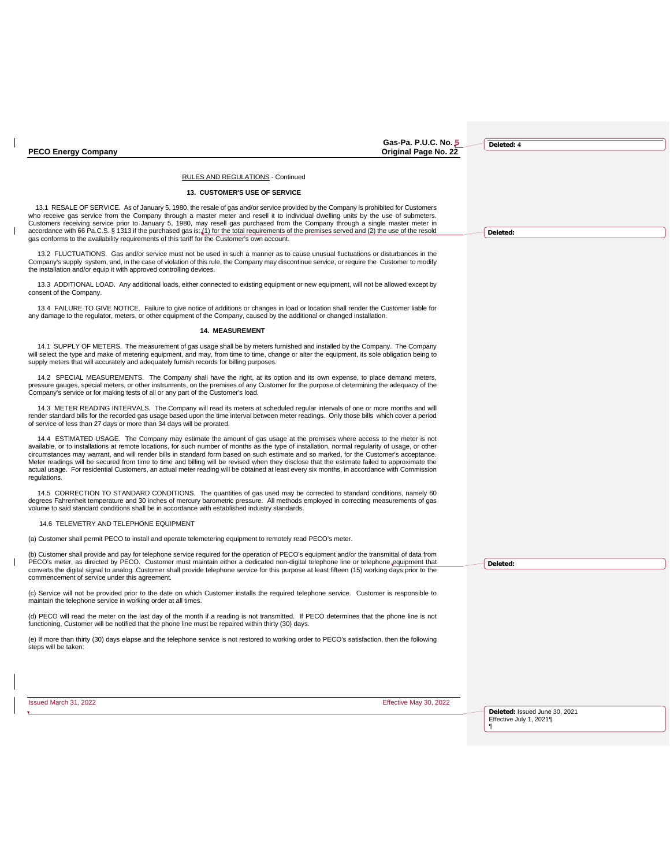# RULES AND REGULATIONS - Continued

# **13. CUSTOMER'S USE OF SERVICE**

13.1 RESALE OF SERVICE. As of January 5, 1980, the resale of gas and/or service provided by the Company is prohibited for Customers who receive gas service from the Company through a master meter and resell it to individual dwelling units by the use of submeters.<br>Customers receiving service prior to January 5, 1980, may resell gas purchased from the Co accordance with 66 Pa.C.S. § 1313 if the purchased gas is: (1) for the total requirements of the premises served and (2) the use of the resold gas conforms to the availability requirements of this tariff for the Customer's own account.

 13.2 FLUCTUATIONS. Gas and/or service must not be used in such a manner as to cause unusual fluctuations or disturbances in the Company's supply system, and, in the case of violation of this rule, the Company may discontinue service, or require the Customer to modify the installation and/or equip it with approved controlling devices.

 13.3 ADDITIONAL LOAD. Any additional loads, either connected to existing equipment or new equipment, will not be allowed except by consent of the Company.

13.4 FAILURE TO GIVE NOTICE. Failure to give notice of additions or changes in load or location shall render the Customer liable for<br>any damage to the regulator, meters, or other equipment of the Company, caused by the add

#### **14. MEASUREMENT**

 14.1 SUPPLY OF METERS. The measurement of gas usage shall be by meters furnished and installed by the Company. The Company will select the type and make of metering equipment, and may, from time to time, change or alter the equipment, its sole obligation being to supply meters that will accurately and adequately furnish records for billing purposes.

14.2 SPECIAL MEASUREMENTS. The Company shall have the right, at its option and its own expense, to place demand meters,<br>pressure gauges, special meters, or other instruments, on the premises of any Customer for the purpose Company's service or for making tests of all or any part of the Customer's load.

 14.3 METER READING INTERVALS. The Company will read its meters at scheduled regular intervals of one or more months and will render standard bills for the recorded gas usage based upon the time interval between meter readings. Only those bills which cover a period of service of less than 27 days or more than 34 days will be prorated.

 14.4 ESTIMATED USAGE. The Company may estimate the amount of gas usage at the premises where access to the meter is not available, or to installations at remote locations, for such number of months as the type of installation, normal regularity of usage, or other<br>circumstances may warrant, and will render bills in standard form based on suc Meter readings will be secured from time to time and billing will be revised when they disclose that the estimate failed to approximate the actual usage. For residential Customers, an actual meter reading will be obtained at least every six months, in accordance with Commission regulations.

 14.5 CORRECTION TO STANDARD CONDITIONS. The quantities of gas used may be corrected to standard conditions, namely 60 degrees Fahrenheit temperature and 30 inches of mercury barometric pressure. All methods employed in correcting measurements of gas volume to said standard conditions shall be in accordance with established industry standards.

14.6 TELEMETRY AND TELEPHONE EQUIPMENT

(a) Customer shall permit PECO to install and operate telemetering equipment to remotely read PECO's meter.

(b) Customer shall provide and pay for telephone service required for the operation of PECO's equipment and/or the transmittal of data from PECO's meter, as directed by PECO. Customer must maintain either a dedicated non-digital telephone line or telephone equipment that<br>converts the digital signal to analog. Customer shall provide telephone service for this p commencement of service under this agreement.

(c) Service will not be provided prior to the date on which Customer installs the required telephone service. Customer is responsible to maintain the telephone service in working order at all times

(d) PECO will read the meter on the last day of the month if a reading is not transmitted. If PECO determines that the phone line is not functioning, Customer will be notified that the phone line must be repaired within thirty (30) days.

(e) If more than thirty (30) days elapse and the telephone service is not restored to working order to PECO's satisfaction, then the following steps will be taken:

Issued March 31, 2022 Effective May 30, 2022

**Deleted:** Issued June 30, 2021 Effective July 1, 2021¶

¶

**Deleted:** 

**Deleted: 4**

Gas-Pa. P.U.C. No. 5<br>Original Page No. 22

**Deleted:**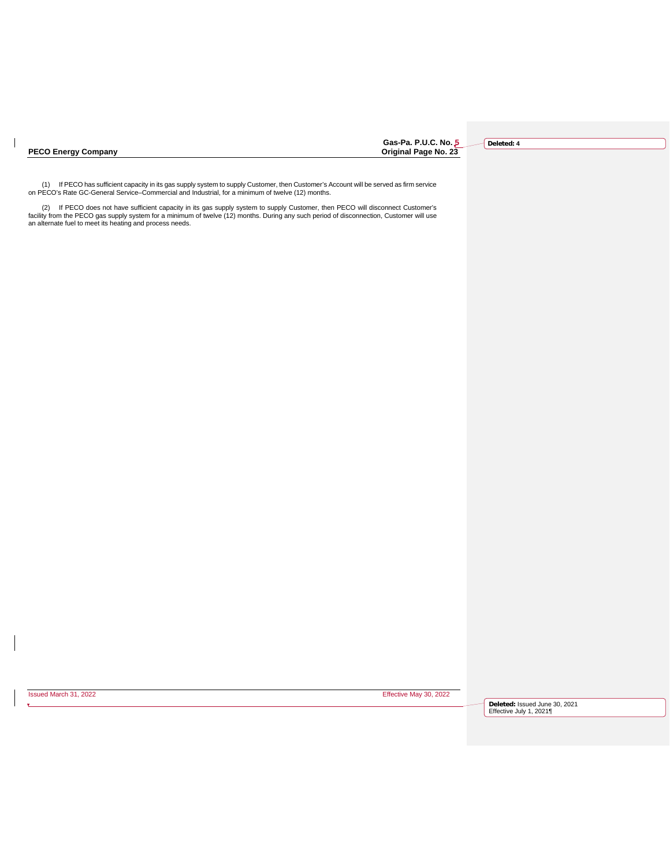$\vert$ 

**Gas-Pa. P.U.C. No. 5**

**Deleted: 4**

1) If PECO has sufficient capacity in its gas supply system to supply Customer, then Customer's Account will be served as firm service<br>On PECO's Rate GC-General Service–Commercial and Industrial, for a minimum of twelve (1

(2) If PECO does not have sufficient capacity in its gas supply system to supply Customer, then PECO will disconnect Customer's<br>facility from the PECO gas supply system for a minimum of twelve (12) months. During any such

Issued March 31, 2022 Effective May 30, 2022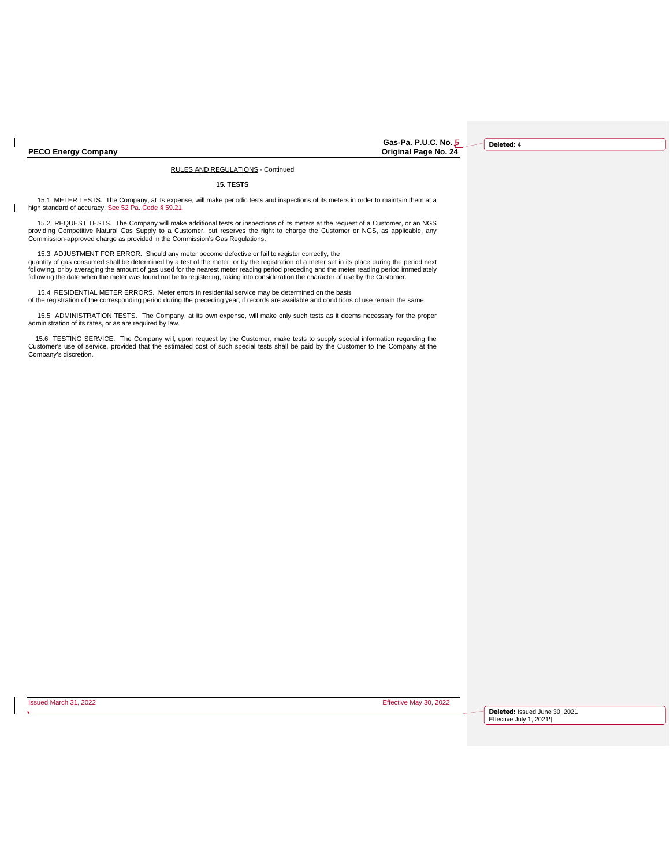$\mathsf{l}$ 

 $\mathbf{I}$ 

Gas-Pa. P.U.C. No. 5<br>Original Page No. 24

**Deleted: 4**

RULES AND REGULATIONS - Continued

**15. TESTS**

15.1 METER TESTS. The Company, at its expense, will make periodic tests and inspections of its meters in order to maintain them at a high standard of accuracy. See 52 Pa. Code § 59.21.

15.2 REQUEST TESTS. The Company will make additional tests or inspections of its meters at the request of a Customer, or an NGS<br>providing Competitive Natural Gas Supply to a Customer, but reserves the right to charge the C Commission-approved charge as provided in the Commission's Gas Regulations.

 15.3 ADJUSTMENT FOR ERROR. Should any meter become defective or fail to register correctly, the quantity of gas consumed shall be determined by a test of the meter, or by the registration of a meter set in its place during the period next<br>following, or by averaging the amount of gas used for the nearest meter reading following the date when the meter was found not be to registering, taking into consideration the character of use by the Customer.

 15.4 RESIDENTIAL METER ERRORS. Meter errors in residential service may be determined on the basis of the registration of the corresponding period during the preceding year, if records are available and conditions of use remain the same.

 15.5 ADMINISTRATION TESTS. The Company, at its own expense, will make only such tests as it deems necessary for the proper administration of its rates, or as are required by law.

15.6 TESTING SERVICE. The Company will, upon request by the Customer, make tests to supply special information regarding the<br>Customer's use of service, provided that the estimated cost of such special tests shall be paid b Company's discretion.

Issued March 31, 2022 Effective May 30, 2022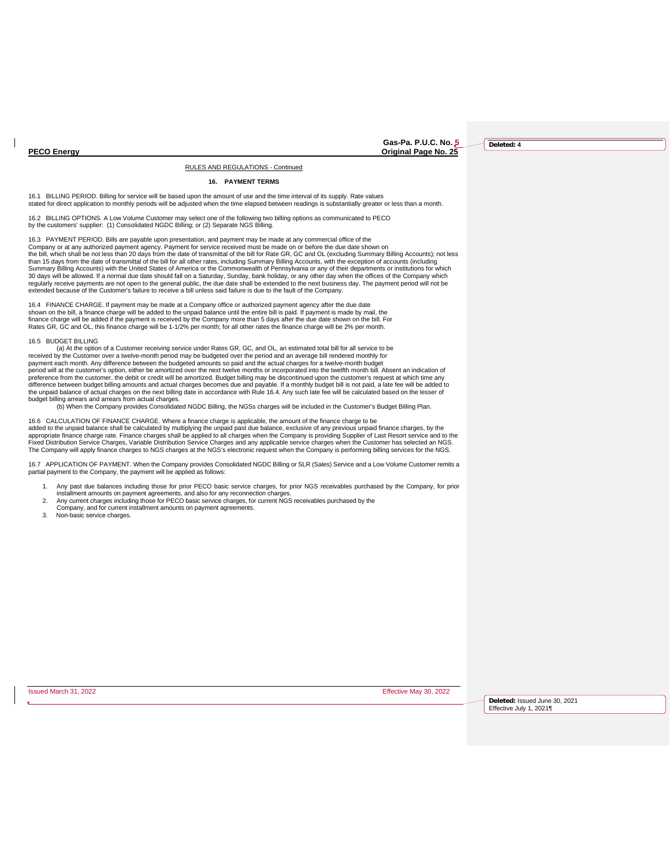**Gas-Pa. P.U.C. No. 5 PECO Energy Original Page No. 25**

**Deleted: 4**

#### RULES AND REGULATIONS - Continued

#### **16. PAYMENT TERMS**

16.1 BILLING PERIOD. Billing for service will be based upon the amount of use and the time interval of its supply. Rate values stated for direct application to monthly periods will be adjusted when the time elapsed between readings is substantially greater or less than a month.

16.2 BILLING OPTIONS. A Low Volume Customer may select one of the following two billing options as communicated to PECO by the customers' supplier: (1) Consolidated NGDC Billing; or (2) Separate NGS Billing.

16.3 PAYMENT PERIOD. Bills are payable upon presentation, and payment may be made at any commercial office of the Company or at any authorized payment agency. Payment for service received must be made on or before the due date shown on<br>the bill, which shall be not less than 20 days from the date of transmittal of the bill for Rate GR, than 15 days from the date of transmittal of the bill for all other rates, including Summary Billing Accounts, with the exception of accounts (including<br>Summary Billing Accounts) with the United States of America or the Co 30 days will be allowed. If a normal due date should fall on a Saturday, Sunday, bank holiday, or any other day when the offices of the Company which regularly receive payments are not open to the general public, the due date shall be extended to the next business day. The payment period will not be extended because of the Customer's failure to receive a bill unless said failure is due to the fault of the Company.

16.4 FINANCE CHARGE. If payment may be made at a Company office or authorized payment agency after the due date shown on the bill, a finance charge will be added to the unpaid balance until the entire bill is paid. If payment is made by mail, the finance charge will be added if the payment is received by the Company more than 5 days after the due date shown on the bill. For<br>Rates GR, GC and OL, this finance charge will be 1-1/2% per month; for all other rates the f

#### 16.5 BUDGET BILLING

a) At the option of a Customer receiving service under Rates GR, GC, and OL, an estimated total bill for all service to be)<br>received by the Customer over a twelve-month period may be budgeted over the period and an average payment each month. Any difference between the budgeted amounts so paid and the actual charges for a twelve-month budget period will at the customer's option, either be amortized over the next twelve months or incorporated into the twelfth month bill. Absent an indication of preference from the customer, the debit or credit will be amortized. Budget billing may be discontinued upon the customer's request at which time any<br>difference between budget billing amounts and actual charges becomes due the unpaid balance of actual charges on the next billing date in accordance with Rule 16.4. Any such late fee will be calculated based on the lesser of budget billing arrears and arrears from actual charges.

(b) When the Company provides Consolidated NGDC Billing, the NGSs charges will be included in the Customer's Budget Billing Plan.

16.6 CALCULATION OF FINANCE CHARGE. Where a finance charge is applicable, the amount of the finance charge to be<br>added to the unpaid balance shall be calculated by multiplying the unpaid past due balance, exclusive of any appropriate finance charge rate. Finance charges shall be applied to all charges when the Company is providing Supplier of Last Resort service and to the<br>Fixed Distribution Service Charges, Variable Distribution Service Ch The Company will apply finance charges to NGS charges at the NGS's electronic request when the Company is performing billing services for the NGS.

16.7 APPLICATION OF PAYMENT. When the Company provides Consolidated NGDC Billing or SLR (Sales) Service and a Low Volume Customer remits a<br>partial payment to the Company, the payment will be applied as follows:

- 1. Any past due balances including those for prior PECO basic service charges, for prior NGS receivables purchased by the Company, for prior
- installment amounts on payment agreements, and also for any reconnection charges. 2. Any current charges including those for PECO basic service charges, for current NGS receivables purchased by the
- Company, and for current installment amounts on payment agreements.
- 3. Non-basic service charges.

Issued March 31, 2022 Effective May 30, 2022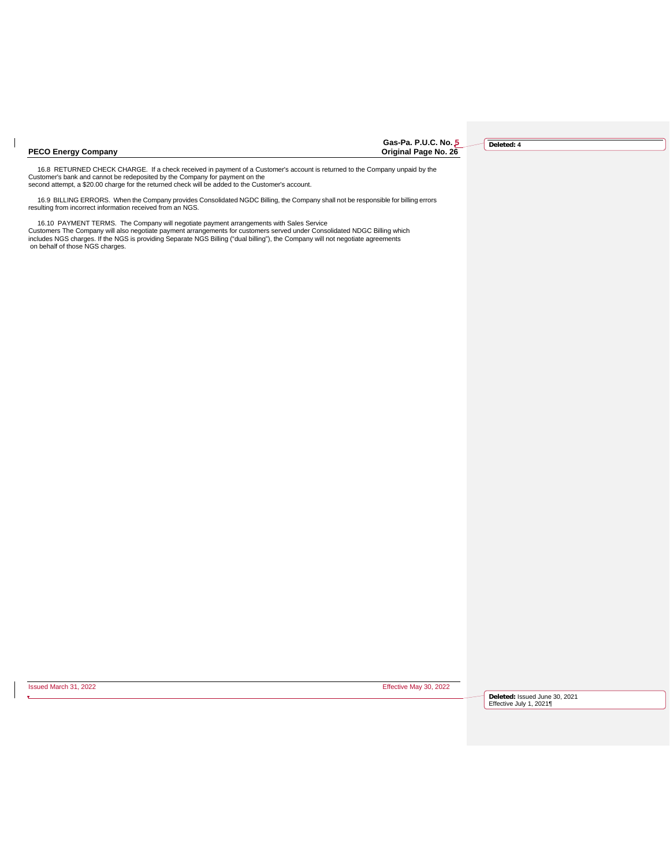$\mathbf{I}$ 

**Gas-Pa. P.U.C. No. 5**

16.8 RETURNED CHECK CHARGE. If a check received in payment of a Customer's account is returned to the Company unpaid by the<br>Customer's bank and cannot be redeposited by the Company for payment on the<br>second attempt, a \$20.

16.9 BILLING ERRORS. When the Company provides Consolidated NGDC Billing, the Company shall not be responsible for billing errors resulting from incorrect information received from an NGS.

16.10 PAYMENT TERMS. The Company will negotiate payment arrangements with Sales Service<br>Customers The Company will also negotiate payment arrangements for customers served under Consolidated NDGC Billing which<br>includes NGS

Issued March 31, 2022 Effective May 30, 2022

**Deleted:** Issued June 30, 2021 Effective July 1, 2021¶

**Deleted: 4**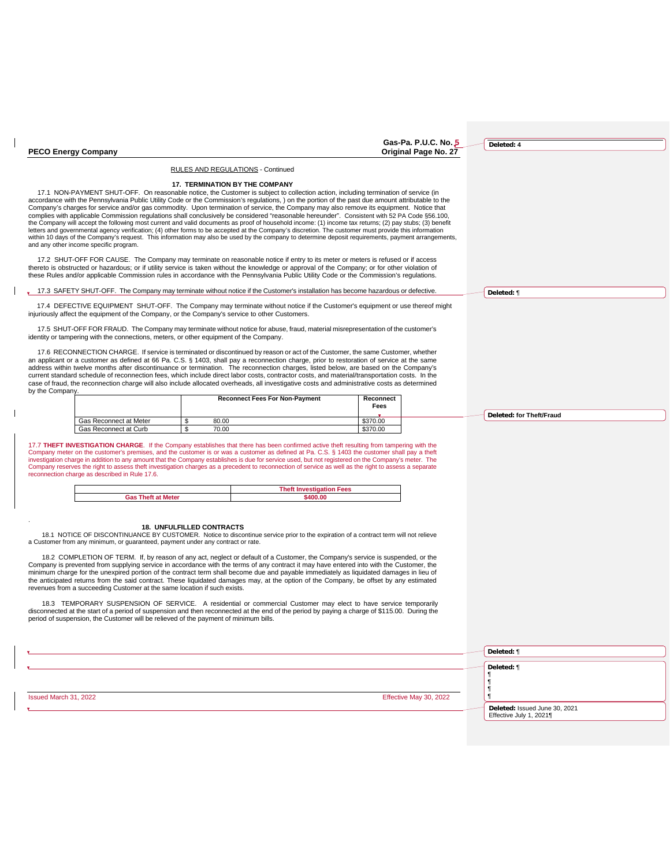| <b>PECO Energy Company</b> |  |  |  |  |  |
|----------------------------|--|--|--|--|--|
|----------------------------|--|--|--|--|--|

.

T

**Gas-Pa. P.U.C. No. 5 Page No. 27** 

**Deleted: 4**

**Deleted:** ¶

RULES AND REGULATIONS - Continued

#### **17. TERMINATION BY THE COMPANY**

 17.1 NON-PAYMENT SHUT-OFF. On reasonable notice, the Customer is subject to collection action, including termination of service (in accordance with the Pennsylvania Public Utility Code or the Commission's regulations, ) on the portion of the past due amount attributable to the Company's charges for service and/or gas commodity. Upon termination of service, the Company may also remove its equipment. Notice that<br>complies with applicable Commission regulations shall conclusively be considered "reas the Company will accept the following most current and valid documents as proof of household income: (1) income tax returns; (2) pay stubs; (3) benefit<br>letters and governmental agency verification; (4) other forms to be ac and any other income specific program.

 17.2 SHUT-OFF FOR CAUSE. The Company may terminate on reasonable notice if entry to its meter or meters is refused or if access thereto is obstructed or hazardous; or if utility service is taken without the knowledge or approval of the Company; or for other violation of<br>these Rules and/or applicable Commission rules in accordance with the Pennsylva

#### 17.3 SAFETY SHUT-OFF. The Company may terminate without notice if the Customer's installation has become hazardous or defective.

 17.4 DEFECTIVE EQUIPMENT SHUT-OFF. The Company may terminate without notice if the Customer's equipment or use thereof might injuriously affect the equipment of the Company, or the Company's service to other Customers.

 17.5 SHUT-OFF FOR FRAUD. The Company may terminate without notice for abuse, fraud, material misrepresentation of the customer's identity or tampering with the connections, meters, or other equipment of the Company.

 17.6 RECONNECTION CHARGE. If service is terminated or discontinued by reason or act of the Customer, the same Customer, whether an applicant or a customer as defined at 66 Pa. C.S. § 1403, shall pay a reconnection charge, prior to restoration of service at the same<br>address within twelve months after discontinuance or termination. The reconnection c current standard schedule of reconnection fees, which include direct labor costs, contractor costs, and material/transportation costs. In the case of fraud, the reconnection charge will also include allocated overheads, all investigative costs and administrative costs as determined by the Company.

|                        | <b>Reconnect Fees For Non-Payment</b> | Reconnect<br>Fees |  |
|------------------------|---------------------------------------|-------------------|--|
| Gas Reconnect at Meter | 80.00                                 | \$370.00          |  |
| Gas Reconnect at Curb  | 70.00                                 | \$370.00          |  |

17.7 **THEFT INVESTIGATION CHARGE**. If the Company establishes that there has been confirmed active theft resulting from tampering with the Company meter on the customer's premises, and the customer is or was a customer as defined at Pa. C.S. § 1403 the customer shall pay a theft<br>investigation charge in addition to any amount that the Company establishes is du Company reserves the right to assess theft investigation charges as a precedent to reconnection of service as well as the right to assess a separate reconnection charge as described in Rule 17.6.

|                           | <b>Theft Investigation Fees</b> |
|---------------------------|---------------------------------|
| <b>Gas Theft at Meter</b> | \$400.00                        |

#### **18. UNFULFILLED CONTRACTS**

18.1 NOTICE OF DISCONTINUANCE BY CUSTOMER. Notice to discontinue service prior to the expiration of a contract term will not relieve a Customer from any minimum, or guaranteed, payment under any contract or rate.

18.2 COMPLETION OF TERM. If, by reason of any act, neglect or default of a Customer, the Company's service is suspended, or the<br>Company is prevented from supplying service in accordance with the terms of any contract it ma the anticipated returns from the said contract. These liquidated damages may, at the option of the Company, be offset by any estimated revenues from a succeeding Customer at the same location if such exists.

18.3 TEMPORARY SUSPENSION OF SERVICE. A residential or commercial Customer may elect to have service temporarily<br>disconnected at the start of a period of suspension and then reconnected at the end of the period by paying a period of suspension, the Customer will be relieved of the payment of minimum bills.

|                       |                        | Deleted: ¶                                               |
|-----------------------|------------------------|----------------------------------------------------------|
|                       |                        | Deleted: ¶                                               |
| Issued March 31, 2022 | Effective May 30, 2022 |                                                          |
|                       |                        | Deleted: Issued June 30, 2021<br>Effective July 1, 2021¶ |
|                       |                        |                                                          |

**Deleted: for Theft/Fraud**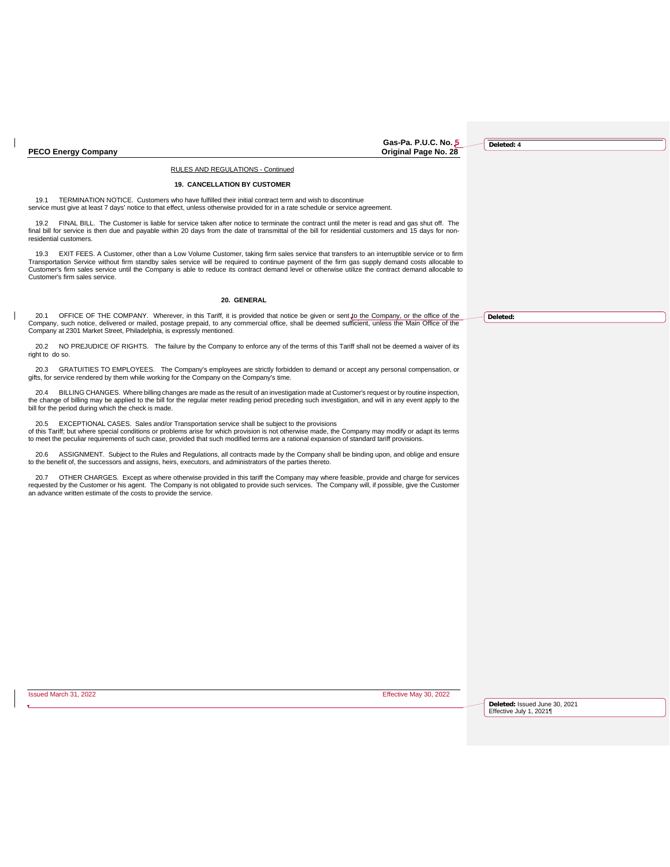$\mathbf{I}$ 

RULES AND REGULATIONS - Continued

#### **19. CANCELLATION BY CUSTOMER**

19.1 TERMINATION NOTICE. Customers who have fulfilled their initial contract term and wish to discontinue service must give at least 7 days' notice to that effect, unless otherwise provided for in a rate schedule or service agreement.

19.2 FINAL BILL. The Customer is liable for service taken after notice to terminate the contract until the meter is read and gas shut off. The final bill for service is then due and payable within 20 days from the date of transmittal of the bill for residential customers and 15 days for nonresidential customers.

19.3 EXIT FEES. A Customer, other than a Low Volume Customer, taking firm sales service that transfers to an interruptible service or to firm Transportation Service without firm standby sales service will be required to continue payment of the firm gas supply demand costs allocable to<br>Customer's firm sales service until the Company is able to reduce its contract Customer's firm sales service.

#### **20. GENERAL**

20.1 OFFICE OF THE COMPANY. Wherever, in this Tariff, it is provided that notice be given or sent to the Company, or the office of the Company, such notice, delivered or mailed, postage prepaid, to any commercial office, shall be deemed sufficient, unless the Main Office of the Company at 2301 Market Street, Philadelphia, is expressly mentioned.

20.2 NO PREJUDICE OF RIGHTS. The failure by the Company to enforce any of the terms of this Tariff shall not be deemed a waiver of its right to do so.

20.3 GRATUITIES TO EMPLOYEES. The Company's employees are strictly forbidden to demand or accept any personal compensation, or gifts, for service rendered by them while working for the Company on the Company's time.

20.4 BILLING CHANGES. Where billing changes are made as the result of an investigation made at Customer's request or by routine inspection, the change of billing may be applied to the bill for the regular meter reading period preceding such investigation, and will in any event apply to the bill for the period during which the check is made.

20.5 EXCEPTIONAL CASES. Sales and/or Transportation service shall be subject to the provisions<br>of this Tariff; but where special conditions or problems arise for which provision is not otherwise made, the Company may modif to meet the peculiar requirements of such case, provided that such modified terms are a rational expansion of standard tariff provisions.

20.6 ASSIGNMENT. Subject to the Rules and Regulations, all contracts made by the Company shall be binding upon, and oblige and ensure to the benefit of, the successors and assigns, heirs, executors, and administrators of the parties thereto.

20.7 OTHER CHARGES. Except as where otherwise provided in this tariff the Company may where feasible, provide and charge for services<br>requested by the Customer or his agent. The Company is not obligated to provide such ser an advance written estimate of the costs to provide the service.

Issued March 31, 2022 Effective May 30, 2022

Gas-Pa. P.U.C. No. 5<br>Original Page No. 28

**Deleted: 4**

**Deleted:**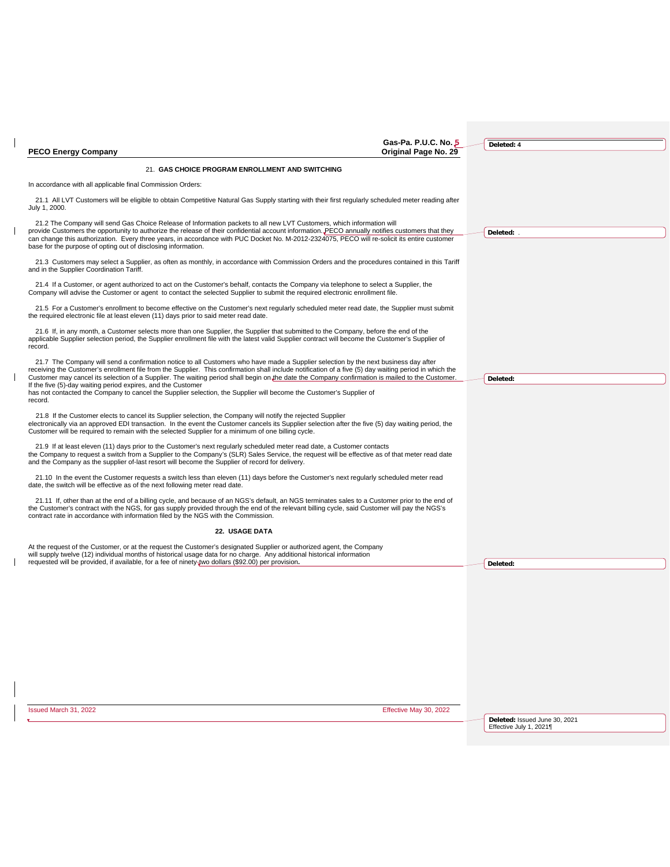|                                                                                                                                                                                                                                                                                                                                                                                                                                                                                            | Gas-Pa. P.U.C. No. 5   | Deleted: 4                                               |
|--------------------------------------------------------------------------------------------------------------------------------------------------------------------------------------------------------------------------------------------------------------------------------------------------------------------------------------------------------------------------------------------------------------------------------------------------------------------------------------------|------------------------|----------------------------------------------------------|
| <b>PECO Energy Company</b>                                                                                                                                                                                                                                                                                                                                                                                                                                                                 | Original Page No. 29   |                                                          |
| 21. GAS CHOICE PROGRAM ENROLLMENT AND SWITCHING                                                                                                                                                                                                                                                                                                                                                                                                                                            |                        |                                                          |
| In accordance with all applicable final Commission Orders:                                                                                                                                                                                                                                                                                                                                                                                                                                 |                        |                                                          |
| 21.1 All LVT Customers will be eligible to obtain Competitive Natural Gas Supply starting with their first regularly scheduled meter reading after<br>July 1, 2000.                                                                                                                                                                                                                                                                                                                        |                        |                                                          |
| 21.2 The Company will send Gas Choice Release of Information packets to all new LVT Customers, which information will<br>provide Customers the opportunity to authorize the release of their confidential account information. PECO annually notifies customers that they<br>can change this authorization. Every three years, in accordance with PUC Docket No. M-2012-2324075, PECO will re-solicit its entire customer<br>base for the purpose of opting out of disclosing information. |                        | Deleted:                                                 |
| 21.3 Customers may select a Supplier, as often as monthly, in accordance with Commission Orders and the procedures contained in this Tariff<br>and in the Supplier Coordination Tariff.                                                                                                                                                                                                                                                                                                    |                        |                                                          |
| 21.4 If a Customer, or agent authorized to act on the Customer's behalf, contacts the Company via telephone to select a Supplier, the<br>Company will advise the Customer or agent to contact the selected Supplier to submit the required electronic enrollment file.                                                                                                                                                                                                                     |                        |                                                          |
| 21.5 For a Customer's enrollment to become effective on the Customer's next regularly scheduled meter read date, the Supplier must submit<br>the required electronic file at least eleven (11) days prior to said meter read date.                                                                                                                                                                                                                                                         |                        |                                                          |
| 21.6 If, in any month, a Customer selects more than one Supplier, the Supplier that submitted to the Company, before the end of the<br>applicable Supplier selection period, the Supplier enrollment file with the latest valid Supplier contract will become the Customer's Supplier of<br>record.                                                                                                                                                                                        |                        |                                                          |
| 21.7 The Company will send a confirmation notice to all Customers who have made a Supplier selection by the next business day after<br>receiving the Customer's enrollment file from the Supplier. This confirmation shall include notification of a five (5) day waiting period in which the<br>Customer may cancel its selection of a Supplier. The waiting period shall begin on the date the Company confirmation is mailed to the Customer.                                           |                        | Deleted:                                                 |
| If the five (5)-day waiting period expires, and the Customer<br>has not contacted the Company to cancel the Supplier selection, the Supplier will become the Customer's Supplier of<br>record.                                                                                                                                                                                                                                                                                             |                        |                                                          |
| 21.8 If the Customer elects to cancel its Supplier selection, the Company will notify the rejected Supplier<br>electronically via an approved EDI transaction. In the event the Customer cancels its Supplier selection after the five (5) day waiting period, the<br>Customer will be required to remain with the selected Supplier for a minimum of one billing cycle.                                                                                                                   |                        |                                                          |
| 21.9 If at least eleven (11) days prior to the Customer's next regularly scheduled meter read date, a Customer contacts<br>the Company to request a switch from a Supplier to the Company's (SLR) Sales Service, the request will be effective as of that meter read date<br>and the Company as the supplier of-last resort will become the Supplier of record for delivery.                                                                                                               |                        |                                                          |
| 21.10 In the event the Customer requests a switch less than eleven (11) days before the Customer's next regularly scheduled meter read<br>date, the switch will be effective as of the next following meter read date.                                                                                                                                                                                                                                                                     |                        |                                                          |
| 21.11 If, other than at the end of a billing cycle, and because of an NGS's default, an NGS terminates sales to a Customer prior to the end of<br>the Customer's contract with the NGS, for gas supply provided through the end of the relevant billing cycle, said Customer will pay the NGS's<br>contract rate in accordance with information filed by the NGS with the Commission.                                                                                                      |                        |                                                          |
| 22. USAGE DATA                                                                                                                                                                                                                                                                                                                                                                                                                                                                             |                        |                                                          |
| At the request of the Customer, or at the request the Customer's designated Supplier or authorized agent, the Company<br>will supply twelve (12) individual months of historical usage data for no charge. Any additional historical information<br>requested will be provided, if available, for a fee of ninety two dollars (\$92.00) per provision.                                                                                                                                     |                        |                                                          |
|                                                                                                                                                                                                                                                                                                                                                                                                                                                                                            |                        | Deleted:                                                 |
|                                                                                                                                                                                                                                                                                                                                                                                                                                                                                            |                        |                                                          |
|                                                                                                                                                                                                                                                                                                                                                                                                                                                                                            |                        |                                                          |
|                                                                                                                                                                                                                                                                                                                                                                                                                                                                                            |                        |                                                          |
|                                                                                                                                                                                                                                                                                                                                                                                                                                                                                            |                        |                                                          |
|                                                                                                                                                                                                                                                                                                                                                                                                                                                                                            |                        |                                                          |
|                                                                                                                                                                                                                                                                                                                                                                                                                                                                                            |                        |                                                          |
|                                                                                                                                                                                                                                                                                                                                                                                                                                                                                            |                        |                                                          |
| Issued March 31, 2022                                                                                                                                                                                                                                                                                                                                                                                                                                                                      | Effective May 30, 2022 |                                                          |
|                                                                                                                                                                                                                                                                                                                                                                                                                                                                                            |                        | Deleted: Issued June 30, 2021<br>Effective July 1, 2021¶ |
|                                                                                                                                                                                                                                                                                                                                                                                                                                                                                            |                        |                                                          |

 $\mathbf{l}$ 

 $\bar{\mathbf{I}}$ 

 $\mathbf{l}$ 

 $\mathbf{l}$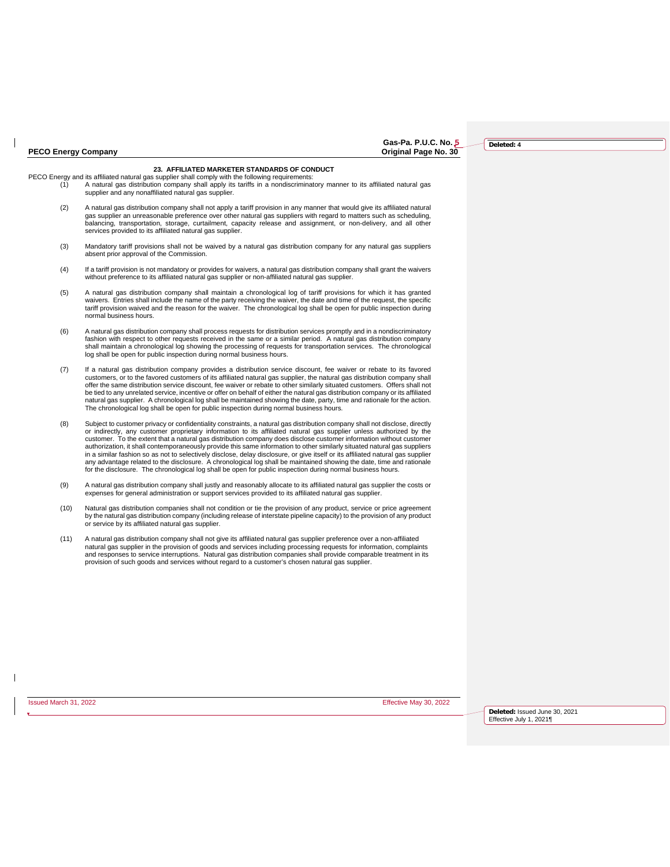| <b>PECO Energy Company</b> |
|----------------------------|
|----------------------------|

#### **23. AFFILIATED MARKETER STANDARDS OF CONDUCT**

- PECO Energy and its affiliated natural gas supplier shall comply with the following requirements:<br>(1) A natural gas distribution company shall apply its tariffs in a nondiscriminatory manner to its affiliated natural gas supplier and any nonaffiliated natural gas supplier.
	- (2) A natural gas distribution company shall not apply a tariff provision in any manner that would give its affiliated natural gas supplier an unreasonable preference over other natural gas suppliers with regard to matters such as scheduling, balancing, transportation, storage, curtailment, capacity release and assignment, or non-delivery, and all other services provided to its affiliated natural gas supplier.
	- (3) Mandatory tariff provisions shall not be waived by a natural gas distribution company for any natural gas suppliers absent prior approval of the Commission.
	- (4) If a tariff provision is not mandatory or provides for waivers, a natural gas distribution company shall grant the waivers without preference to its affiliated natural gas supplier or non-affiliated natural gas supplier.
	- (5) A natural gas distribution company shall maintain a chronological log of tariff provisions for which it has granted waivers. Entries shall include the name of the party receiving the waiver, the date and time of the request, the specific tariff provision waived and the reason for the waiver. The chronological log shall be open for public inspection during normal business hours.
	- (6) A natural gas distribution company shall process requests for distribution services promptly and in a nondiscriminatory fashion with respect to other requests received in the same or a similar period. A natural gas distribution company shall maintain a chronological log showing the processing of requests for transportation services. The chronological log shall be open for public inspection during normal business hours.
	- (7) If a natural gas distribution company provides a distribution service discount, fee waiver or rebate to its favored customers, or to the favored customers of its affiliated natural gas supplier, the natural gas distribution company shall<br>offer the same distribution service discount, fee waiver or rebate to other similarly situated custo be tied to any unrelated service, incentive or offer on behalf of either the natural gas distribution company or its affiliated natural gas supplier. A chronological log shall be maintained showing the date, party, time and rationale for the action.<br>The chronological log shall be open for public inspection during normal business hours.
	- (8) Subject to customer privacy or confidentiality constraints, a natural gas distribution company shall not disclose, directly<br>or indirectly, any customer proprietary information to its affiliated natural gas supplier unl customer. To the extent that a natural gas distribution company does disclose customer information without customer authorization, it shall contemporaneously provide this same information to other similarly situated natural gas suppliers<br>in a similar fashion so as not to selectively disclose, delay disclosure, or give itself or its affi any advantage related to the disclosure. A chronological log shall be maintained showing the date, time and rationale for the disclosure. The chronological log shall be open for public inspection during normal business hours.
	- (9) A natural gas distribution company shall justly and reasonably allocate to its affiliated natural gas supplier the costs or expenses for general administration or support services provided to its affiliated natural gas supplier.
	- (10) Natural gas distribution companies shall not condition or tie the provision of any product, service or price agreement by the natural gas distribution company (including release of interstate pipeline capacity) to the provision of any product or service by its affiliated natural gas supplier.
	- A natural gas distribution company shall not give its affiliated natural gas supplier preference over a non-affiliated (11)<br>natural gas supplier in the provision of goods and services including processing requests for info provision of such goods and services without regard to a customer's chosen natural gas supplier.

Issued March 31, 2022 Effective May 30, 2022

**Deleted:** Issued June 30, 2021 Effective July 1, 2021¶

**Gas-Pa. P.U.C. No. 5 Priginal Page No. 30**  **Deleted: 4**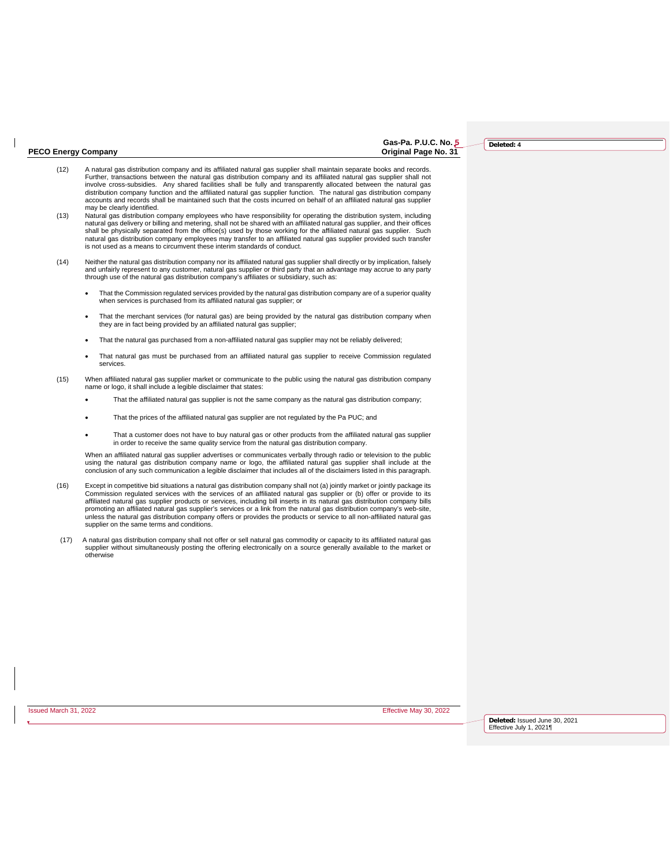# Gas-Pa. P.U.C. No. 5<br>Original Page No. 31

**Deleted: 4**

- (12) A natural gas distribution company and its affiliated natural gas supplier shall maintain separate books and records. Further, transactions between the natural gas distribution company and its affiliated natural gas supplier shall not involve cross-subsidies. Any shared facilities shall be fully and transparently allocated between the natural gas distribution company function and the affiliated natural gas supplier function. The natural gas distribution company accounts and records shall be maintained such that the costs incurred on behalf of an affiliated natural gas supplier may be clearly identified.
- (13) Natural gas distribution company employees who have responsibility for operating the distribution system, including natural gas delivery or billing and metering, shall not be shared with an affiliated natural gas supplier, and their offices shall be physically separated from the office(s) used by those working for the affiliated natural gas supplier. Such natural gas distribution company employees may transfer to an affiliated natural gas supplier provided such transfer is not used as a means to circumvent these interim standards of conduct.
- Neither the natural gas distribution company nor its affiliated natural gas supplier shall directly or by implication, falsely)<br>and unfairly represent to any customer, natural gas supplier or third party that an advantage through use of the natural gas distribution company's affiliates or subsidiary, such as:
	- That the Commission regulated services provided by the natural gas distribution company are of a superior quality when services is purchased from its affiliated natural gas supplier; or
	- That the merchant services (for natural gas) are being provided by the natural gas distribution company when they are in fact being provided by an affiliated natural gas supplier;
	- That the natural gas purchased from a non-affiliated natural gas supplier may not be reliably delivered;
	- That natural gas must be purchased from an affiliated natural gas supplier to receive Commission regulated services.
- (15) When affiliated natural gas supplier market or communicate to the public using the natural gas distribution company name or logo, it shall include a legible disclaimer that states:
	- That the affiliated natural gas supplier is not the same company as the natural gas distribution company;
	- That the prices of the affiliated natural gas supplier are not regulated by the Pa PUC; and
	- That a customer does not have to buy natural gas or other products from the affiliated natural gas supplier in order to receive the same quality service from the natural gas distribution company.

When an affiliated natural gas supplier advertises or communicates verbally through radio or television to the public using the natural gas distribution company name or logo, the affiliated natural gas supplier shall include at the conclusion of any such communication a legible disclaimer that includes all of the disclaimers listed in this paragraph.

- (16) Except in competitive bid situations a natural gas distribution company shall not (a) jointly market or jointly package its Commission regulated services with the services of an affiliated natural gas supplier or (b) offer or provide to its affiliated natural gas supplier products or services, including bill inserts in its natural gas distribution company bills promoting an affiliated natural gas supplier's services or a link from the natural gas distribution company's web-site, unless the natural gas distribution company offers or provides the products or service to all non-affiliated natural gas supplier on the same terms and conditions.
- (17) A natural gas distribution company shall not offer or sell natural gas commodity or capacity to its affiliated natural gas supplier without simultaneously posting the offering electronically on a source generally available to the market or otherwise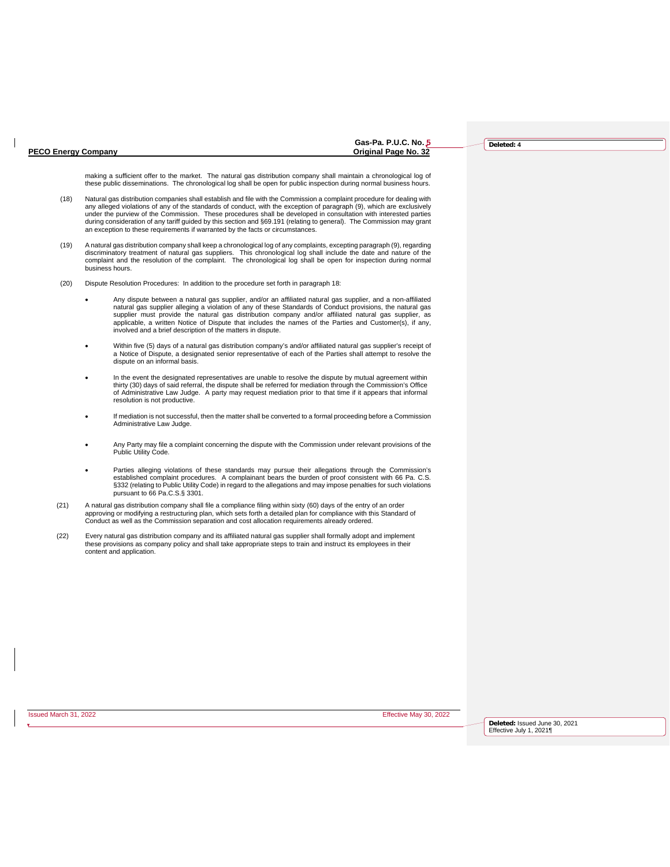|  | <b>PECO Enerav Companv</b> |  |
|--|----------------------------|--|
|  |                            |  |

**Gas-Pa. P.U.C. No. 5 PECO ENERGY COMPANY CONTROL** 

**Deleted: 4**

making a sufficient offer to the market. The natural gas distribution company shall maintain a chronological log of these public disseminations. The chronological log shall be open for public inspection during normal business hours.

- (18) Natural gas distribution companies shall establish and file with the Commission a complaint procedure for dealing with any alleged violations of any of the standards of conduct, with the exception of paragraph (9), which are exclusively under the purview of the Commission. These procedures shall be developed in consultation with interested parties during consideration of any tariff guided by this section and §69.191 (relating to general). The Commission may grant an exception to these requirements if warranted by the facts or circumstances.
- (19) A natural gas distribution company shall keep a chronological log of any complaints, excepting paragraph (9), regarding discriminatory treatment of natural gas suppliers. This chronological log shall include the date and nature of the<br>complaint and the resolution of the complaint. The chronological log shall be open for inspection during no business hours.
- (20) Dispute Resolution Procedures: In addition to the procedure set forth in paragraph 18:
	- Any dispute between a natural gas supplier, and/or an affiliated natural gas supplier, and a non-affiliated<br>natural gas supplier alleging a violation of any of these Standards of Conduct provisions, the natural gas<br>supplie applicable, a written Notice of Dispute that includes the names of the Parties and Customer(s), if any, involved and a brief description of the matters in dispute.
	- Within five (5) days of a natural gas distribution company's and/or affiliated natural gas supplier's receipt of a Notice of Dispute, a designated senior representative of each of the Parties shall attempt to resolve the dispute on an informal basis.
	- In the event the designated representatives are unable to resolve the dispute by mutual agreement within thirty (30) days of said referral, the dispute shall be referred for mediation through the Commission's Office of Administrative Law Judge. A party may request mediation prior to that time if it appears that informal resolution is not productive.
	- If mediation is not successful, then the matter shall be converted to a formal proceeding before a Commission Administrative Law Judge.
	- Any Party may file a complaint concerning the dispute with the Commission under relevant provisions of the Public Utility Code.
	- Parties alleging violations of these standards may pursue their allegations through the Commission's established complaint procedures. A complainant bears the burden of proof consistent with 66 Pa. C.S. §332 (relating to Public Utility Code) in regard to the allegations and may impose penalties for such violations pursuant to 66 Pa.C.S.§ 3301.
- (21) A natural gas distribution company shall file a compliance filing within sixty (60) days of the entry of an order approving or modifying a restructuring plan, which sets forth a detailed plan for compliance with this Standard of<br>Conduct as well as the Commission separation and cost allocation requirements already ordered.
- (22) Every natural gas distribution company and its affiliated natural gas supplier shall formally adopt and implement these provisions as company policy and shall take appropriate steps to train and instruct its employees in their content and application.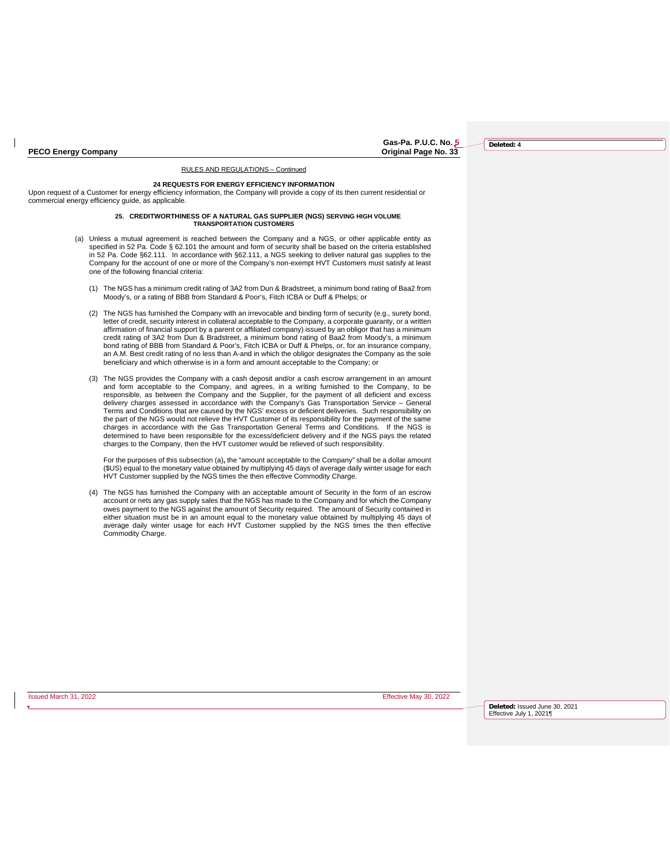# **Gas-Pa. P.U.C. No. 5**

**Deleted: 4**

#### RULES AND REGULATIONS – Continued

#### **24 REQUESTS FOR ENERGY EFFICIENCY INFORMATION**

Upon request of a Customer for energy efficiency information, the Company will provide a copy of its then current residential or commercial energy efficiency guide, as applicable.

#### **25. CREDITWORTHINESS OF A NATURAL GAS SUPPLIER (NGS) SERVING HIGH VOLUME TRANSPORTATION CUSTOMERS**

- (a) Unless a mutual agreement is reached between the Company and a NGS, or other applicable entity as specified in 52 Pa. Code § 62.101 the amount and form of security shall be based on the criteria established in 52 Pa. Code §62.111. In accordance with §62.111, a NGS seeking to deliver natural gas supplies to the Company for the account of one or more of the Company's non-exempt HVT Customers must satisfy at least one of the following financial criteria:
	- (1) The NGS has a minimum credit rating of 3A2 from Dun & Bradstreet, a minimum bond rating of Baa2 from Moody's, or a rating of BBB from Standard & Poor's, Fitch ICBA or Duff & Phelps; or
	- (2) The NGS has furnished the Company with an irrevocable and binding form of security (e.g., surety bond, letter of credit, security interest in collateral acceptable to the Company, a corporate guaranty, or a written affirmation of financial support by a parent or affiliated company) issued by an obligor that has a minimum credit rating of 3A2 from Dun & Bradstreet, a minimum bond rating of Baa2 from Moody's, a minimum bond rating of BBB from Standard & Poor's, Fitch ICBA or Duff & Phelps, or, for an insurance company, an A.M. Best credit rating of no less than A-and in which the obligor designates the Company as the sole beneficiary and which otherwise is in a form and amount acceptable to the Company; or
	- (3) The NGS provides the Company with a cash deposit and/or a cash escrow arrangement in an amount and form acceptable to the Company, and agrees, in a writing furnished to the Company, to be responsible, as between the Company and the Supplier, for the payment of all deficient and excess delivery charges assessed in accordance with the Company's Gas Transportation Service – General Terms and Conditions that are caused by the NGS' excess or deficient deliveries. Such responsibility on the part of the NGS would not relieve the HVT Customer of its responsibility for the payment of the same charges in accordance with the Gas Transportation General Terms and Conditions. If the NGS is determined to have been responsible for the excess/deficient delivery and if the NGS pays the related charges to the Company, then the HVT customer would be relieved of such responsibility.

For the purposes of this subsection (a)**,** the "amount acceptable to the Company" shall be a dollar amount (\$US) equal to the monetary value obtained by multiplying 45 days of average daily winter usage for each HVT Customer supplied by the NGS times the then effective Commodity Charge.

(4) The NGS has furnished the Company with an acceptable amount of Security in the form of an escrow account or nets any gas supply sales that the NGS has made to the Company and for which the Company owes payment to the NGS against the amount of Security required. The amount of Security contained in either situation must be in an amount equal to the monetary value obtained by multiplying 45 days of average daily winter usage for each HVT Customer supplied by the NGS times the then effective Commodity Charge.

Issued March 31, 2022 Effective May 30, 2022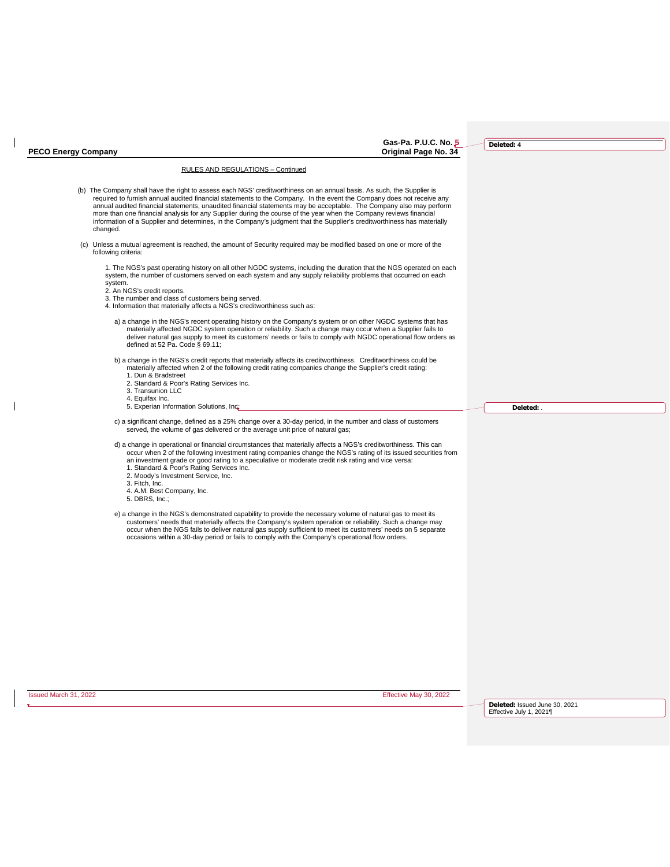**Gas-Pa. P.U.C. No. 5**

**Deleted: 4**

### RULES AND REGULATIONS – Continued

- (b) The Company shall have the right to assess each NGS' creditworthiness on an annual basis. As such, the Supplier is required to furnish annual audited financial statements to the Company. In the event the Company does not receive any annual audited financial statements, unaudited financial statements may be acceptable. The Company also may perform more than one financial analysis for any Supplier during the course of the year when the Company reviews financial information of a Supplier and determines, in the Company's judgment that the Supplier's creditworthiness has materially changed.
- (c) Unless a mutual agreement is reached, the amount of Security required may be modified based on one or more of the following criteria:

1. The NGS's past operating history on all other NGDC systems, including the duration that the NGS operated on each<br>system, the number of customers served on each system and any supply reliability problems that occurred on system.

- 
- 2. An NGS's credit reports. 3. The number and class of customers being served.
- 4. Information that materially affects a NGS's creditworthiness such as:
	- a) a change in the NGS's recent operating history on the Company's system or on other NGDC systems that has materially affected NGDC system operation or reliability. Such a change may occur when a Supplier fails to deliver natural gas supply to meet its customers' needs or fails to comply with NGDC operational flow orders as defined at 52 Pa. Code § 69.11;
	- b) a change in the NGS's credit reports that materially affects its creditworthiness. Creditworthiness could be materially affected when 2 of the following credit rating companies change the Supplier's credit rating: 1. Dun & Bradstreet
	- 2. Standard & Poor's Rating Services Inc.
	- 3. Transunion LLC
	- 4. Equifax Inc.
	- 5. Experian Information Solutions, Inc;
	- c) a significant change, defined as a 25% change over a 30-day period, in the number and class of customers served, the volume of gas delivered or the average unit price of natural gas;
	- d) a change in operational or financial circumstances that materially affects a NGS's creditworthiness. This can occur when 2 of the following investment rating companies change the NGS's rating of its issued securities from an investment grade or good rating to a speculative or moderate credit risk rating and vice versa:
		- 1. Standard & Poor's Rating Services Inc. 2. Moody's Investment Service, Inc.
		-
		- 3. Fitch, Inc.
		- 4. A.M. Best Company, Inc. 5. DBRS, Inc.;
	- e) a change in the NGS's demonstrated capability to provide the necessary volume of natural gas to meet its customers' needs that materially affects the Company's system operation or reliability. Such a change may occur when the NGS fails to deliver natural gas supply sufficient to meet its customers' needs on 5 separate occasions within a 30-day period or fails to comply with the Company's operational flow orders.

Issued March 31, 2022 Effective May 30, 2022

 $\mathsf{l}$ 

**Deleted:** Issued June 30, 2021 Effective July 1, 2021¶

**Deleted:** .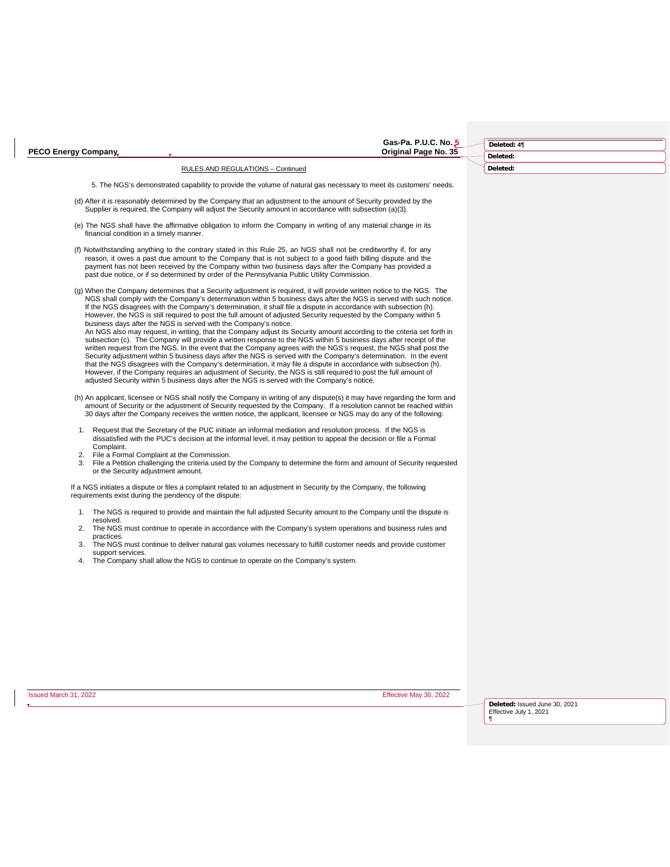# **Gas-Pa. P.U.C. No. 5**

| Deleted: 41 |  |
|-------------|--|
| Deleted:    |  |
| Deleted:    |  |

#### RULES AND REGULATIONS – Continued

5. The NGS's demonstrated capability to provide the volume of natural gas necessary to meet its customers' needs.

- (d) After it is reasonably determined by the Company that an adjustment to the amount of Security provided by the Supplier is required, the Company will adjust the Security amount in accordance with subsection (a)(3).
- (e) The NGS shall have the affirmative obligation to inform the Company in writing of any material change in its financial condition in a timely manner.
- (f) Notwithstanding anything to the contrary stated in this Rule 25, an NGS shall not be creditworthy if, for any reason, it owes a past due amount to the Company that is not subject to a good faith billing dispute and the payment has not been received by the Company within two business days after the Company has provided a<br>past due notice, or if so determined by order of the Pennsylvania Public Utility Commission.
- (g) When the Company determines that a Security adjustment is required, it will provide written notice to the NGS. The NGS shall comply with the Company's determination within 5 business days after the NGS is served with such notice. If the NGS disagrees with the Company's determination, it shall file a dispute in accordance with subsection (h). However, the NGS is still required to post the full amount of adjusted Security requested by the Company within 5 business days after the NGS is served with the Company's notice. An NGS also may request, in writing, that the Company adjust its Security amount according to the criteria set forth in subsection (c). The Company will provide a written response to the NGS within 5 business days after receipt of the written request from the NGS. In the event that the Company agrees with the NGS's request, the NGS shall post the<br>Security adjustment within 5 business days after the NGS is served with the Company's determination. In the that the NGS disagrees with the Company's determination, it may file a dispute in accordance with subsection (h). However, if the Company requires an adjustment of Security, the NGS is still required to post the full amount of adjusted Security within 5 business days after the NGS is served with the Company's notice.
- (h) An applicant, licensee or NGS shall notify the Company in writing of any dispute(s) it may have regarding the form and amount of Security or the adjustment of Security requested by the Company. If a resolution cannot be reached within<br>30 days after the Company receives the written notice, the applicant, licensee or NGS may do any of the fo
- 1. Request that the Secretary of the PUC initiate an informal mediation and resolution process. If the NGS is dissatisfied with the PUC's decision at the informal level, it may petition to appeal the decision or file a Formal Complaint.
- 2. File a Formal Complaint at the Commission.<br>3. File a Petition challenging the criteria used b
- File a Petition challenging the criteria used by the Company to determine the form and amount of Security requested or the Security adjustment amount.

If a NGS initiates a dispute or files a complaint related to an adjustment in Security by the Company, the following requirements exist during the pendency of the dispute:

- 1. The NGS is required to provide and maintain the full adjusted Security amount to the Company until the dispute is resolved.
- 2. The NGS must continue to operate in accordance with the Company's system operations and business rules and practices. 3. The NGS must continue to deliver natural gas volumes necessary to fulfill customer needs and provide customer
- support services.
- 4. The Company shall allow the NGS to continue to operate on the Company's system.

Issued March 31, 2022 Effective May 30, 2022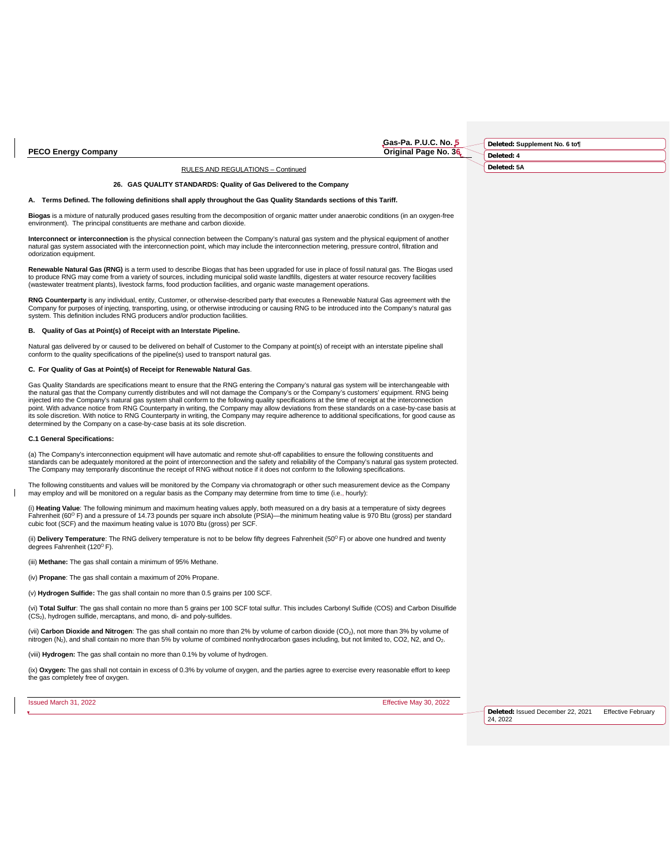**Gas-Pa. P.U.C. No. 5**

# **Deleted: Supplement No. 6 to¶**

RULES AND REGULATIONS – Continued

### **26. GAS QUALITY STANDARDS: Quality of Gas Delivered to the Company**

### **A. Terms Defined. The following definitions shall apply throughout the Gas Quality Standards sections of this Tariff.**

**Biogas** is a mixture of naturally produced gases resulting from the decomposition of organic matter under anaerobic conditions (in an oxygen-free environment). The principal constituents are methane and carbon dioxide.

**Interconnect or interconnection** is the physical connection between the Company's natural gas system and the physical equipment of another<br>natural gas system associated with the interconnection point, which may include th odorization equipment.

Renewable Natural Gas (RNG) is a term used to describe Biogas that has been upgraded for use in place of fossil natural gas. The Biogas used to produce RNG may come from a variety of sources, including municipal solid waste landfills, digesters at water resource recovery facilities (wastewater treatment plants), livestock farms, food production facilities, and organic waste management operations.

**RNG Counterparty** is any individual, entity, Customer, or otherwise-described party that executes a Renewable Natural Gas agreement with the Company for purposes of injecting, transporting, using, or otherwise introducing or causing RNG to be introduced into the Company's natural gas<br>system. This definition includes RNG producers and/or production facilities.

### **B. Quality of Gas at Point(s) of Receipt with an Interstate Pipeline.**

Natural gas delivered by or caused to be delivered on behalf of Customer to the Company at point(s) of receipt with an interstate pipeline shall conform to the quality specifications of the pipeline(s) used to transport natural gas.

## **C. For Quality of Gas at Point(s) of Receipt for Renewable Natural Gas**.

Gas Quality Standards are specifications meant to ensure that the RNG entering the Company's natural gas system will be interchangeable with the natural gas that the Company currently distributes and will not damage the Company's or the Company's customers' equipment. RNG being injected into the Company's natural gas system shall conform to the following quality specifications at the time of receipt at the interconnection<br>point. With advance notice from RNG Counterparty in writing, the Company ma its sole discretion. With notice to RNG Counterparty in writing, the Company may require adherence to additional specifications, for good cause as determined by the Company on a case-by-case basis at its sole discretion.

# **C.1 General Specifications:**

 $\mathbf{I}$ 

(a) The Company's interconnection equipment will have automatic and remote shut-off capabilities to ensure the following constituents and standards can be adequately monitored at the point of interconnection and the safety and reliability of the Company's natural gas system protected. The Company may temporarily discontinue the receipt of RNG without notice if it does not conform to the following specifications.

The following constituents and values will be monitored by the Company via chromatograph or other such measurement device as the Company may employ and will be monitored on a regular basis as the Company may determine from time to time (i.e., hourly):

(i) **Heating Value**: The following minimum and maximum heating values apply, both measured on a dry basis at a temperature of sixty degrees<br>Fahrenheit (60º F) and a pressure of 14.73 pounds per square inch absolute (PSIA)—

(ii) **Delivery Temperature**: The RNG delivery temperature is not to be below fifty degrees Fahrenheit (50<sup>o</sup> F) or above one hundred and twenty<br>degrees Fahrenheit (120<sup>o</sup> F).

(iii) **Methane:** The gas shall contain a minimum of 95% Methane.

(iv) **Propane**: The gas shall contain a maximum of 20% Propane.

(v) **Hydrogen Sulfide:** The gas shall contain no more than 0.5 grains per 100 SCF.

(vi) **Total Sulfur**: The gas shall contain no more than 5 grains per 100 SCF total sulfur. This includes Carbonyl Sulfide (COS) and Carbon Disulfide<br>(CS<sub>2</sub>), hydrogen sulfide, mercaptans, and mono, di- and poly-sulfides.

(vii) **Carbon Dioxide and Nitrogen**: The gas shall contain no more than 2% by volume of carbon dioxide (CO2), not more than 3% by volume of nitrogen (N2), and shall contain no more than 5% by volume of combined nonhydrocarbon gases including, but not limited to, CO2, N2, and O2.

(viii) **Hydrogen:** The gas shall contain no more than 0.1% by volume of hydrogen.

(ix) **Oxygen:** The gas shall not contain in excess of 0.3% by volume of oxygen, and the parties agree to exercise every reasonable effort to keep the gas completely free of oxygen.

Issued March 31, 2022 Effective May 30, 2022

**Deleted:** Issued December 22, 2021 Effective February 24, 2022

**Deleted: 4 Deleted: 5A**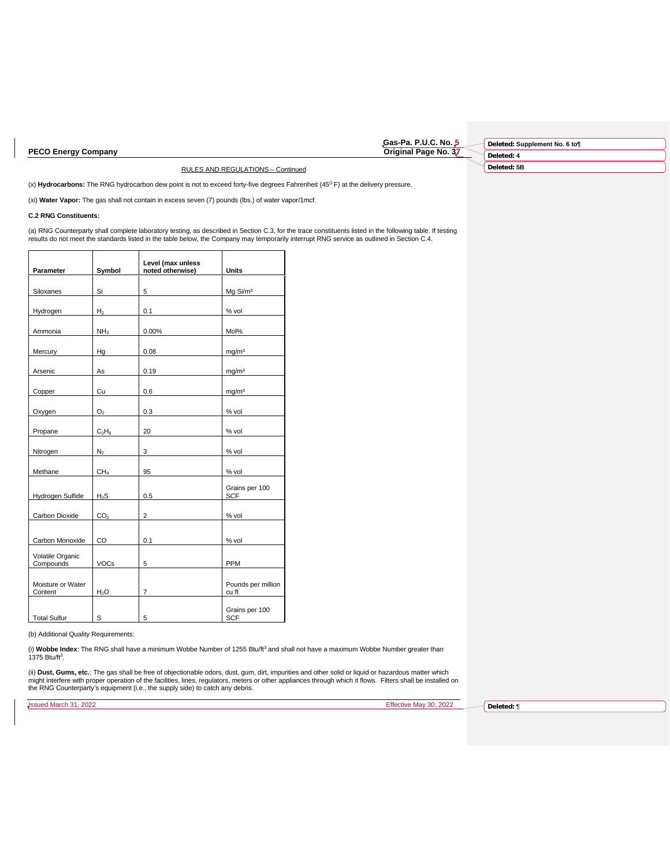# **Gas-Pa. P.U.C. No. 5**

**Deleted: Supplement No. 6 to¶**

**Deleted: 4 Deleted: 5B**

RULES AND REGULATIONS – Continued

(x) Hydrocarbons: The RNG hydrocarbon dew point is not to exceed forty-five degrees Fahrenheit (45<sup>o</sup>F) at the delivery pressure.

(xi) **Water Vapor:** The gas shall not contain in excess seven (7) pounds (lbs.) of water vapor/1mcf.

# **C.2 RNG Constituents:**

(a) RNG Counterparty shall complete laboratory testing, as described in Section C.3, for the trace constituents listed in the following table. If testing results do not meet the standards listed in the table below, the Company may temporarily interrupt RNG service as outlined in Section C.4.

| Parameter                     | Symbol           | Level (max unless<br>noted otherwise) | Units                        |
|-------------------------------|------------------|---------------------------------------|------------------------------|
|                               |                  |                                       |                              |
| Siloxanes                     | Si               | 5                                     | Mg Si/m <sup>3</sup>         |
| Hydrogen                      | H <sub>2</sub>   | 0.1                                   | % vol                        |
| Ammonia                       | NH <sub>3</sub>  | 0.00%                                 | Mol%                         |
| Mercury                       | Hq               | 0.08                                  | mg/m <sup>3</sup>            |
| Arsenic                       | As               | 0.19                                  | mg/m <sup>3</sup>            |
| Copper                        | Cu               | 0.6                                   | mg/m <sup>3</sup>            |
| Oxygen                        | $\mathsf{O}_2$   | 0.3                                   | % vol                        |
|                               |                  |                                       |                              |
| Propane                       | $C_3H_8$         | 20                                    | % vol                        |
| Nitrogen                      | $N_2$            | 3                                     | % vol                        |
| Methane                       | CH <sub>4</sub>  | 95                                    | % vol                        |
| Hydrogen Sulfide              | $H_2S$           | 0.5                                   | Grains per 100<br>SCF        |
| Carbon Dioxide                | CO <sub>2</sub>  | $\overline{a}$                        | % vol                        |
|                               |                  |                                       |                              |
| Carbon Monoxide               | CO               | 0.1                                   | % vol                        |
| Volatile Organic<br>Compounds | <b>VOCs</b>      | 5                                     | PPM                          |
| Moisture or Water<br>Content  | H <sub>2</sub> O | $\overline{7}$                        | Pounds per million<br>cu ft  |
| <b>Total Sulfur</b>           | S                | 5                                     | Grains per 100<br><b>SCF</b> |

(b) Additional Quality Requirements:

(i) **Wobbe Index**: The RNG shall have a minimum Wobbe Number of 1255 Btu/ft<sup>3</sup> and shall not have a maximum Wobbe Number greater than<br>1375 Btu/ft<sup>3</sup>.

(ii) **Dust, Gums, etc.**: The gas shall be free of objectionable odors, dust, gum, dirt, impurities and other solid or liquid or hazardous matter which might interfere with proper operation of the facilities, lines, regulators, meters or other appliances through which it flows. Filters shall be installed on<br>the RNG Counterparty's equipment (i.e., the supply side) to catch

Issued March 31, 2022 Effective May 30, 2022

**Deleted:** ¶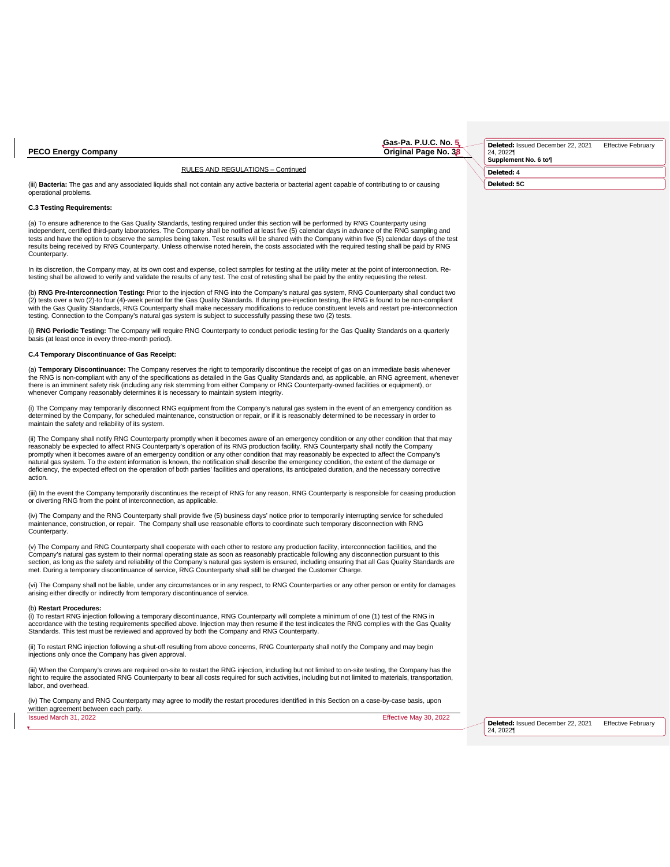**Gas-Pa. P.U.C. No. 5**

RULES AND REGULATIONS – Continued

(iii) **Bacteria:** The gas and any associated liquids shall not contain any active bacteria or bacterial agent capable of contributing to or causing operational problems.

# **C.3 Testing Requirements:**

(a) To ensure adherence to the Gas Quality Standards, testing required under this section will be performed by RNG Counterparty using independent, certified third-party laboratories. The Company shall be notified at least five (5) calendar days in advance of the RNG sampling and tests and have the option to observe the samples being taken. Test results will be shared with the Company within five (5) calendar days of the test<br>results being received by RNG Counterparty. Unless otherwise noted herein Counterparty.

In its discretion, the Company may, at its own cost and expense, collect samples for testing at the utility meter at the point of interconnection. Retesting shall be allowed to verify and validate the results of any test. The cost of retesting shall be paid by the entity requesting the retest.

(b) **RNG Pre-Interconnection Testing:** Prior to the injection of RNG into the Company's natural gas system, RNG Counterparty shall conduct two (2) tests over a two (2)-to four (4)-week period for the Gas Quality Standards. If during pre-injection testing, the RNG is found to be non-compliant with the Gas Quality Standards, RNG Counterparty shall make necessary modifications to reduce constituent levels and restart pre-interconnection<br>testing. Connection to the Company's natural gas system is subject to success

(i) **RNG Periodic Testing:** The Company will require RNG Counterparty to conduct periodic testing for the Gas Quality Standards on a quarterly basis (at least once in every three-month period).

## **C.4 Temporary Discontinuance of Gas Receipt:**

(a) **Temporary Discontinuance:** The Company reserves the right to temporarily discontinue the receipt of gas on an immediate basis whenever the RNG is non-compliant with any of the specifications as detailed in the Gas Quality Standards and, as applicable, an RNG agreement, whenever<br>there is an imminent safety risk (including any risk stemming from either Comp whenever Company reasonably determines it is necessary to maintain system integrity.

(i) The Company may temporarily disconnect RNG equipment from the Company's natural gas system in the event of an emergency condition as determined by the Company, for scheduled maintenance, construction or repair, or if it is reasonably determined to be necessary in order to maintain the safety and reliability of its system.

(ii) The Company shall notify RNG Counterparty promptly when it becomes aware of an emergency condition or any other condition that that may reasonably be expected to affect RNG Counterparty's operation of its RNG production facility. RNG Counterparty shall notify the Company<br>promptly when it becomes aware of an emergency condition or any other condition that m natural gas system. To the extent information is known, the notification shall describe the emergency condition, the extent of the damage or deficiency, the expected effect on the operation of both parties' facilities and operations, its anticipated duration, and the necessary corrective action.

(iii) In the event the Company temporarily discontinues the receipt of RNG for any reason, RNG Counterparty is responsible for ceasing production or diverting RNG from the point of interconnection, as applicable.

(iv) The Company and the RNG Counterparty shall provide five (5) business days' notice prior to temporarily interrupting service for scheduled maintenance, construction, or repair. The Company shall use reasonable efforts to coordinate such temporary disconnection with RNG Counterparty.

(v) The Company and RNG Counterparty shall cooperate with each other to restore any production facility, interconnection facilities, and the Company's natural gas system to their normal operating state as soon as reasonably practicable following any disconnection pursuant to this section, as long as the safety and reliability of the Company's natural gas system is ensured, including ensuring that all Gas Quality Standards are<br>met. During a temporary discontinuance of service, RNG Counterparty shall

(vi) The Company shall not be liable, under any circumstances or in any respect, to RNG Counterparties or any other person or entity for damages<br>arising either directly or indirectly from temporary discontinuance of servic

### (b) **Restart Procedures:**

(i) To restart RNG injection following a temporary discontinuance, RNG Counterparty will complete a minimum of one (1) test of the RNG in accordance with the testing requirements specified above. Injection may then resume if the test indicates the RNG complies with the Gas Quality<br>Standards. This test must be reviewed and approved by both the Company and RNG

(ii) To restart RNG injection following a shut-off resulting from above concerns, RNG Counterparty shall notify the Company and may begin injections only once the Company has given approval.

(iii) When the Company's crews are required on-site to restart the RNG injection, including but not limited to on-site testing, the Company has the<br>right to require the associated RNG Counterparty to bear all costs require labor, and overhead.

(iv) The Company and RNG Counterparty may agree to modify the restart procedures identified in this Section on a case-by-case basis, upon written agreement between each party.

Issued March 31, 2022 Effective May 30, 2022

| Deleted: Issued December 22, 2021 | <b>Effective February</b> |
|-----------------------------------|---------------------------|
| 24. 2022¶                         |                           |
| Supplement No. 6 to¶              |                           |
| Deleted: 4                        |                           |
| Deleted: 5C                       |                           |

**Deleted:** Issued December 22, 2021 Effective February 24, 2022¶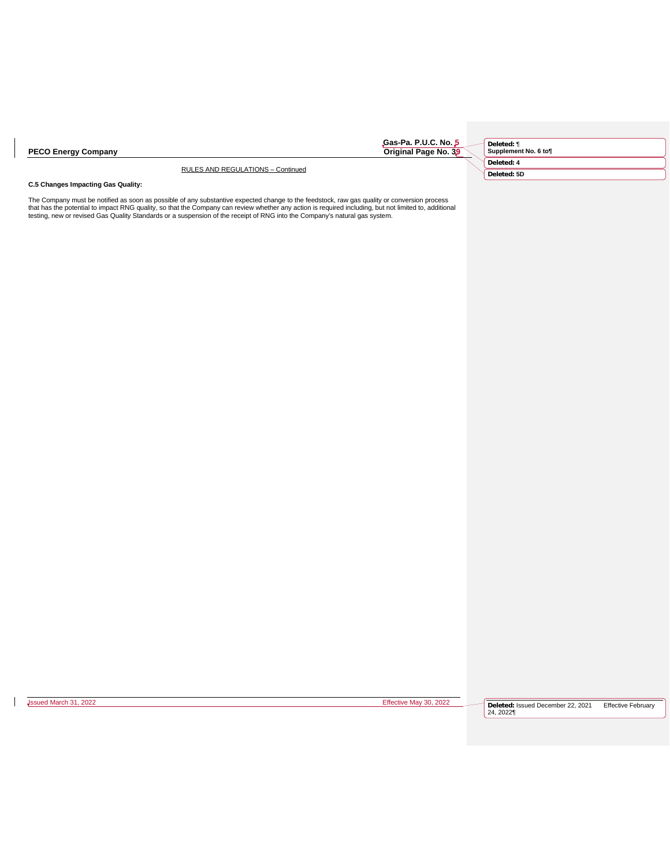**Gas-Pa. P.U.C. No. 5**

| Deleted: 4<br>Deleted: 5D | Deleted: ¶<br>Supplement No. 6 to¶ |
|---------------------------|------------------------------------|
|                           |                                    |
|                           |                                    |

RULES AND REGULATIONS – Continued

# **C.5 Changes Impacting Gas Quality:**

The Company must be notified as soon as possible of any substantive expected change to the feedstock, raw gas quality or conversion process<br>that has the potential to impact RNG quality, so that the Company can review wheth

| <b>Jssued March 31, 2022</b> |  |
|------------------------------|--|

**Deleted:** Issued December 22, 2021 Effective February 24, 2022¶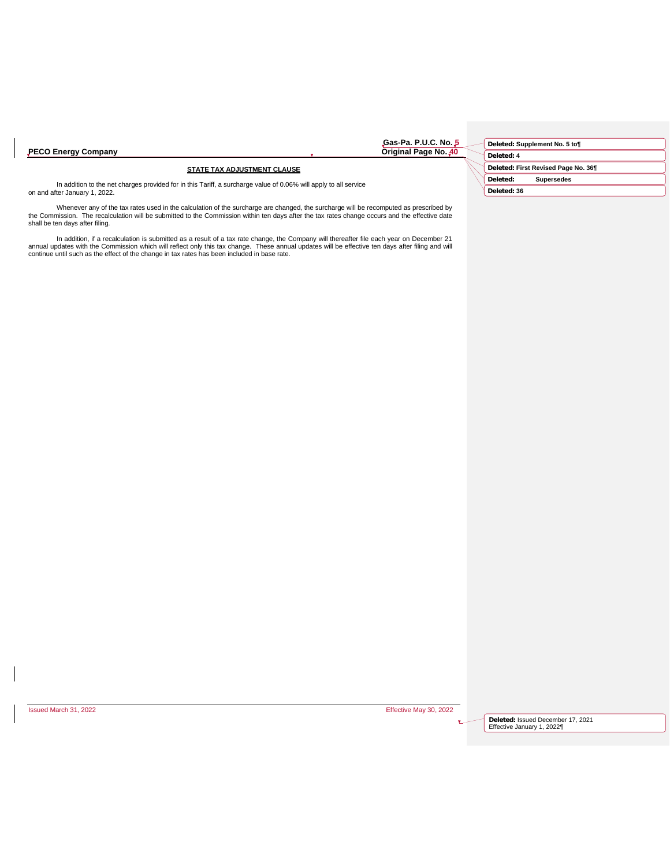| <b>PECO Energy Company</b> | Original Page No. 40 |
|----------------------------|----------------------|
|                            |                      |

# **Gas-Pa. P.U.C. No. 5**

# **STATE TAX ADJUSTMENT CLAUSE**

In addition to the net charges provided for in this Tariff, a surcharge value of 0.06% will apply to all service on and after January 1, 2022.

Whenever any of the tax rates used in the calculation of the surcharge are changed, the surcharge will be recomputed as prescribed by<br>the Commission The recalculation will be submitted to the Commission within ten days aft

In addition, if a recalculation is submitted as a result of a tax rate change, the Company will thereafter file each year on December 21<br>annual updates with the Commission which will reflect only this tax change. These ann

|             | Deleted: Supplement No. 5 to¶       |  |
|-------------|-------------------------------------|--|
| Deleted: 4  |                                     |  |
|             | Deleted: First Revised Page No. 36] |  |
| Deleted:    | <b>Supersedes</b>                   |  |
| Deleted: 36 |                                     |  |

Issued March 31, 2022 Effective May 30, 2022

**Deleted:** Issued December 17, 2021 Effective January 1, 2022¶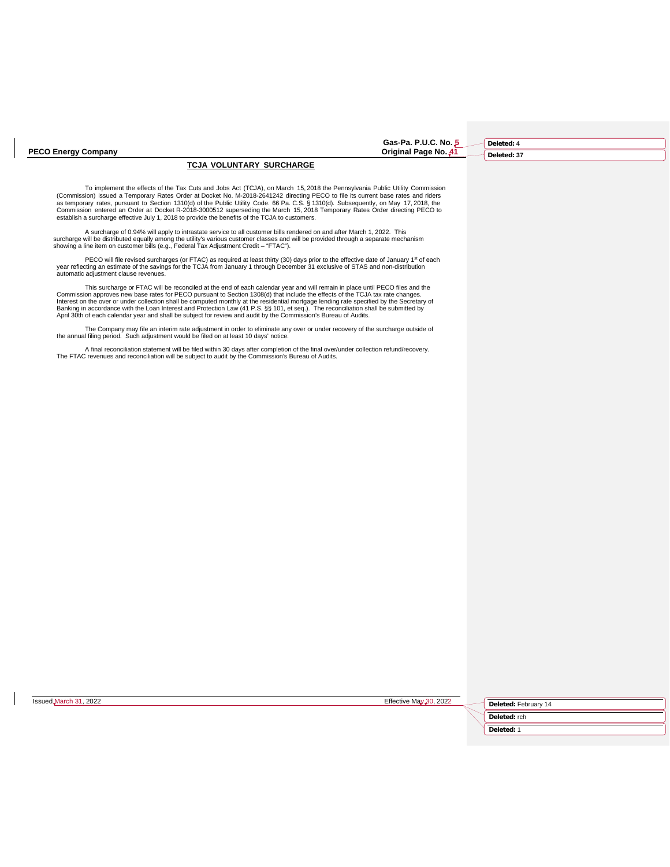Gas-Pa. P.U.C. No. 5<br>Original Page No. 41

**Deleted: 4**

**Deleted: 37**

# **TCJA VOLUNTARY SURCHARGE**

To implement the effects of the Tax Cuts and Jobs Act (TCJA), on March 15, 2018 the Pennsylvania Public Utility Commission (Commission) issued a Temporary Rates Order at Docket No. M-2018-2641242 directing PECO to file its current base rates and riders<br>as temporary rates, pursuant to Section 1310(d) of the Public Utility Code. 66 Pa. C.S. § 13 Commission entered an Order at Docket R-2018-3000512 superseding the March 15, 2018 Temporary Rates Order directing PECO to<br>establish a surcharge effective July 1, 2018 to provide the benefits of the TCJA to customers.

A surcharge of 0.94% will apply to intrastate service to all customer bills rendered on and after March 1, 2022. This<br>surcharge will be distributed equally among the utility's various customer classes and will be provided

PECO will file revised surcharges (or FTAC) as required at least thirty (30) days prior to the effective date of January 1≌ of each<br>year reflecting an estimate of the savings for the TCJA from January 1 through December 3

This surcharge or FTAC will be reconciled at the end of each calendar year and will remain in place until PECO files and the Commission approves new base rates for PECO pursuant to Section 1308(d) that include the effects of the TCJA tax rate changes.<br>Interest on the over or under collection shall be computed monthly at the residential mortgage

The Company may file an interim rate adjustment in order to eliminate any over or under recovery of the surcharge outside of the annual filing period. Such adjustment would be filed on at least 10 days' notice.

. A final reconciliation statement will be filed within 30 days after completion of the final over/under collection refund/recovery.<br>The FTAC revenues and reconciliation will be subject to audit by the Commission's Bureau

Issued March 31, 2022 Effective May 30, 2022

**Deleted:** February 14 **Deleted:** rch **Deleted:** 1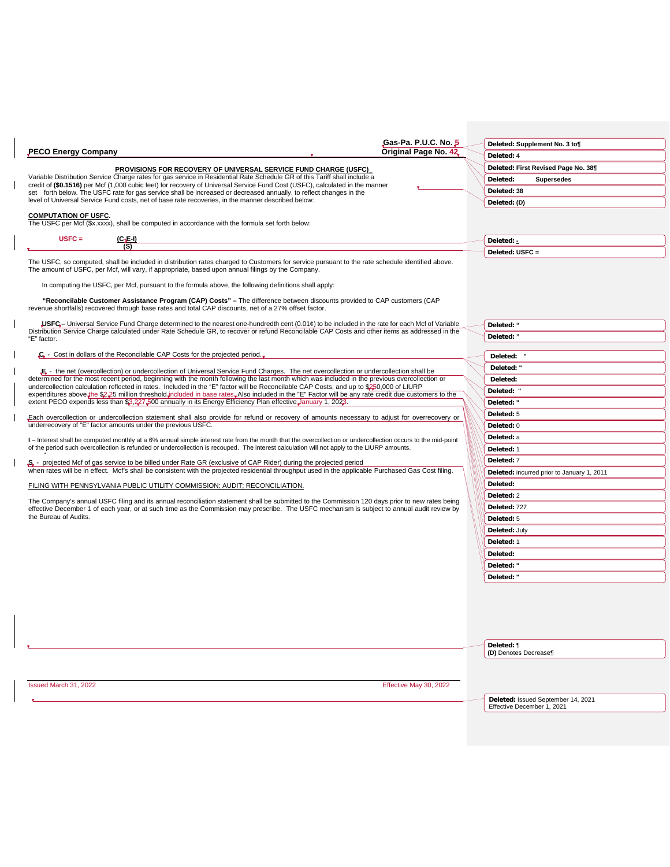|                                                                                                                                                                                                                                                                                                 | Gas-Pa. P.U.C. No. 5   | Deleted: Supplement No. 3 to¶                                    |
|-------------------------------------------------------------------------------------------------------------------------------------------------------------------------------------------------------------------------------------------------------------------------------------------------|------------------------|------------------------------------------------------------------|
| <b>PECO Energy Company</b>                                                                                                                                                                                                                                                                      | Original Page No. 42   | Deleted: 4                                                       |
| PROVISIONS FOR RECOVERY OF UNIVERSAL SERVICE FUND CHARGE (USFC)                                                                                                                                                                                                                                 |                        | Deleted: First Revised Page No. 38                               |
| Variable Distribution Service Charge rates for gas service in Residential Rate Schedule GR of this Tariff shall include a<br>credit of (\$0.1516) per Mcf (1,000 cubic feet) for recovery of Universal Service Fund Cost (USFC), calculated in the manner                                       |                        | <b>Supersedes</b><br>Deleted:                                    |
| set forth below. The USFC rate for gas service shall be increased or decreased annually, to reflect changes in the                                                                                                                                                                              |                        | Deleted: 38                                                      |
| level of Universal Service Fund costs, net of base rate recoveries, in the manner described below:                                                                                                                                                                                              |                        | Deleted: (D)                                                     |
| <b>COMPUTATION OF USFC.</b><br>The USFC per Mcf (\$x.xxxx), shall be computed in accordance with the formula set forth below:                                                                                                                                                                   |                        |                                                                  |
| $USFC =$<br>$(C_3 - 1)$                                                                                                                                                                                                                                                                         |                        | Deleted: -                                                       |
| (S)                                                                                                                                                                                                                                                                                             |                        | Deleted: USFC =                                                  |
| The USFC, so computed, shall be included in distribution rates charged to Customers for service pursuant to the rate schedule identified above.<br>The amount of USFC, per Mcf, will vary, if appropriate, based upon annual filings by the Company.                                            |                        |                                                                  |
| In computing the USFC, per Mcf, pursuant to the formula above, the following definitions shall apply:                                                                                                                                                                                           |                        |                                                                  |
| "Reconcilable Customer Assistance Program (CAP) Costs" - The difference between discounts provided to CAP customers (CAP<br>revenue shortfalls) recovered through base rates and total CAP discounts, net of a 27% offset factor.                                                               |                        |                                                                  |
| USFC- Universal Service Fund Charge determined to the nearest one-hundredth cent (0.01¢) to be included in the rate for each Mcf of Variable                                                                                                                                                    |                        | Deleted: "                                                       |
| Distribution Service Charge calculated under Rate Schedule GR, to recover or refund Reconcilable CAP Costs and other items as addressed in the<br>"E" factor.                                                                                                                                   |                        | Deleted: "                                                       |
|                                                                                                                                                                                                                                                                                                 |                        |                                                                  |
| $Cr$ - Cost in dollars of the Reconcilable CAP Costs for the projected period.                                                                                                                                                                                                                  |                        | Deleted:                                                         |
| E <sub>s</sub> - the net (overcollection) or undercollection of Universal Service Fund Charges. The net overcollection or undercollection shall be                                                                                                                                              |                        | Deleted: "                                                       |
| determined for the most recent period, beginning with the month following the last month which was included in the previous overcollection or                                                                                                                                                   |                        | Deleted:                                                         |
| undercollection calculation reflected in rates. Included in the "E" factor will be Reconcilable CAP Costs, and up to \$250,000 of LIURP<br>expenditures above the \$2.25 million threshold included in base rates. Also included in the "E" Factor will be any rate credit due customers to the |                        | Deleted: "                                                       |
| extent PECO expends less than \$3,227,500 annually in its Energy Efficiency Plan effective January 1, 2023.                                                                                                                                                                                     |                        | Deleted: "                                                       |
| Each overcollection or undercollection statement shall also provide for refund or recovery of amounts necessary to adjust for overrecovery or                                                                                                                                                   |                        | Deleted: 5                                                       |
| underrecovery of "E" factor amounts under the previous USFC.                                                                                                                                                                                                                                    |                        | Deleted: 0                                                       |
| I - Interest shall be computed monthly at a 6% annual simple interest rate from the month that the overcollection or undercollection occurs to the mid-point                                                                                                                                    |                        | Deleted: a                                                       |
| of the period such overcollection is refunded or undercollection is recouped. The interest calculation will not apply to the LIURP amounts.                                                                                                                                                     |                        | Deleted: 1                                                       |
| S - projected Mcf of gas service to be billed under Rate GR (exclusive of CAP Rider) during the projected period                                                                                                                                                                                |                        | Deleted: 7                                                       |
| when rates will be in effect. Mcf's shall be consistent with the projected residential throughput used in the applicable Purchased Gas Cost filing.                                                                                                                                             |                        | Deleted: incurred prior to January 1, 2011                       |
| FILING WITH PENNSYLVANIA PUBLIC UTILITY COMMISSION; AUDIT; RECONCILIATION.                                                                                                                                                                                                                      |                        | Deleted:                                                         |
| The Company's annual USFC filing and its annual reconciliation statement shall be submitted to the Commission 120 days prior to new rates being                                                                                                                                                 |                        | Deleted: 2                                                       |
| effective December 1 of each year, or at such time as the Commission may prescribe. The USFC mechanism is subject to annual audit review by                                                                                                                                                     |                        | Deleted: 727                                                     |
| the Bureau of Audits.                                                                                                                                                                                                                                                                           |                        | Deleted: 5                                                       |
|                                                                                                                                                                                                                                                                                                 |                        | Deleted: July                                                    |
|                                                                                                                                                                                                                                                                                                 |                        | Deleted: 1                                                       |
|                                                                                                                                                                                                                                                                                                 |                        | Deleted:                                                         |
|                                                                                                                                                                                                                                                                                                 |                        | Deleted: "                                                       |
|                                                                                                                                                                                                                                                                                                 |                        | Deleted: "                                                       |
|                                                                                                                                                                                                                                                                                                 |                        |                                                                  |
|                                                                                                                                                                                                                                                                                                 |                        | Deleted: ¶<br>(D) Denotes Decrease¶                              |
|                                                                                                                                                                                                                                                                                                 |                        |                                                                  |
| Issued March 31, 2022                                                                                                                                                                                                                                                                           | Effective May 30, 2022 |                                                                  |
|                                                                                                                                                                                                                                                                                                 |                        | Deleted: Issued September 14, 2021<br>Effective December 1, 2021 |

 $\mathbf{I}$ 

 $\overline{\phantom{a}}$ 

 $\mathbf l$ 

 $\mathbf{l}$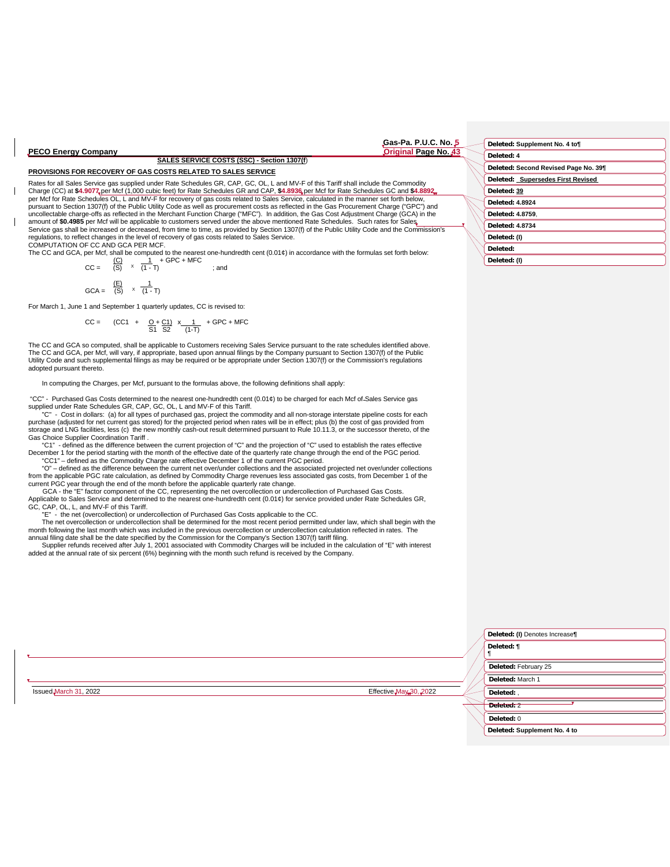# **Gas-Pa. P.U.C. No. 5**

# **SALES SERVICE COSTS (SSC) - Section 1307(f**)

**PECO Energy Company** 

# **PROVISIONS FOR RECOVERY OF GAS COSTS RELATED TO SALES SERVICE**

Rates for all Sales Service gas supplied under Rate Schedules GR, CAP, GC, OL, L and MV-F of this Tariff shall include the Commodity Charge (CC) at **\$4.9077<sub>t</sub>per Mcf (1,**000 cubic feet) for Rate Schedules GR and CAP, **\$4.8936<sub>t</sub>per Mcf for Rate Schedules GC and \$4.8892**<br>per Mcf for Rate Schedules OL, L and MV-F for recovery of gas costs related to Sale pursuant to Section 1307(f) of the Public Utility Code as well as procurement costs as reflected in the Gas Procurement Charge ("GPC") and uncollectable charge-offs as reflected in the Merchant Function Charge ("MFC"). In addition, the Gas Cost Adjustment Charge (GCA) in the amount of \$0.4985 per Mcf will be applicable to customers served under the above mentioned Rate Schedules. Such rates for Sales Service gas shall be increased or decreased, from time to time, as provided by Section 1307(f) of the Public Utility Code and the Commission's<br>regulations, to reflect changes in the level of recovery of gas costs related t COMPUTATION OF CC AND GCA PER MCF.

The CC and GCA, per Mcf, shall be computed to the nearest one-hundredth cent  $(0.01¢)$  in accordance with the formulas set forth below:<br>  $\underline{(C)}$   $\underline{1}$  + GPC + MFC  $\frac{1}{1}$  + GPC + MFC

$$
CC = (S) \times (1 - T)
$$
 ; and  
\n
$$
GCA = (S) \times \frac{1}{(1 - T)}
$$

For March 1, June 1 and September 1 quarterly updates, CC is revised to:

$$
CC = (CC1 + \frac{O + C1}{S1} \times \frac{1}{S2} + GPC + MFC)
$$

The CC and GCA so computed, shall be applicable to Customers receiving Sales Service pursuant to the rate schedules identified above. The CC and GCA, per Mcf, will vary, if appropriate, based upon annual filings by the Company pursuant to Section 1307(f) of the Public Utility Code and such supplemental filings as may be required or be appropriate under Section 1307(f) or the Commission's regulations adopted pursuant thereto.

In computing the Charges, per Mcf, pursuant to the formulas above, the following definitions shall apply:

"CC" - Purchased Gas Costs determined to the nearest one-hundredth cent (0.01¢) to be charged for each Mcf of Sales Service gas supplied under Rate Schedules GR, CAP, GC, OL, L and MV-F of this Tariff.

"C" - Cost in dollars: (a) for all types of purchased gas, project the commodity and all non-storage interstate pipeline costs for each<br>purchase (adjusted for net current gas stored) for the projected period when rates wil storage and LNG facilities, less (c) the new monthly cash-out result determined pursuant to Rule 10.11.3, or the successor thereto, of the Gas Choice Supplier Coordination Tariff .<br>"C1" - defined as the difference betwo

- defined as the difference between the current projection of "C" and the projection of "C" used to establish the rates effective December 1 for the period starting with the month of the effective date of the quarterly rate change through the end of the PGC period. "CC1" – defined as the Commodity Charge rate effective December 1 of the current PGC period.

"O" – defined as the difference between the current net over/under collections and the associated projected net over/under collections from the applicable PGC rate calculation, as defined by Commodity Charge revenues less associated gas costs, from December 1 of the current PGC year through the end of the month before the applicable quarterly rate change.

GCA - the "E" factor component of the CC, representing the net overcollection or undercollection of Purchased Gas Costs. Applicable to Sales Service and determined to the nearest one-hundredth cent (0.01¢) for service provided under Rate Schedules GR,<br>GC, CAP, OL, L, and MV-F of this Tariff.

"E" - the net (overcollection) or undercollection of Purchased Gas Costs applicable to the CC.

The net overcollection or undercollection shall be determined for the most recent period permitted under law, which shall begin with the<br>month following the last month which was included in the previous overcollection or u annual filing date shall be the date specified by the Commission for the Company's Section 1307(f) tariff filing.

Supplier refunds received after July 1, 2001 associated with Commodity Charges will be included in the calculation of "E" with interest added at the annual rate of six percent (6%) beginning with the month such refund is received by the Company.

|                       |                        | Deleted: (I) Denotes Increase¶ |
|-----------------------|------------------------|--------------------------------|
|                       |                        | Deleted: ¶                     |
|                       |                        | Deleted: February 25           |
|                       |                        | Deleted: March 1               |
| Issued March 31, 2022 | Effective May 30, 2022 | Deleted:,                      |
|                       |                        | Deleted: 2                     |
|                       |                        | Deleted: 0                     |
|                       |                        | Deleted: Supplement No. 4 to   |

| Deleted: Supplement No. 4 to         |
|--------------------------------------|
| Deleted: 4                           |
| Deleted: Second Revised Page No. 391 |
| Deleted: Supersedes First Revised    |
| Deleted: 39                          |
| <b>Deleted: 4.8924</b>               |
| Deleted: 4.8759.                     |
| <b>Deleted: 4.8734</b>               |
| Deleted: (I)                         |
| Deleted:                             |
| Deleted: (I)                         |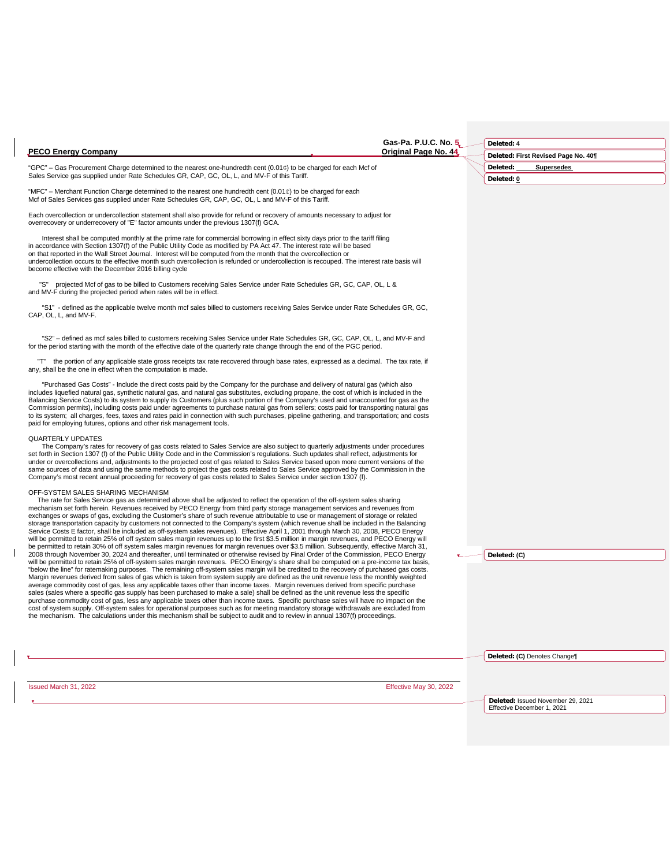|                                                                                                                                                                                                                                                                                                                                                                                                                                                                                                                                                                                                                                                                                                                                                                                                                                                                                                                                                                                                                                                                                                                                                         | Gas-Pa. P.U.C. No. 5.  | Deleted: 4                                                      |
|---------------------------------------------------------------------------------------------------------------------------------------------------------------------------------------------------------------------------------------------------------------------------------------------------------------------------------------------------------------------------------------------------------------------------------------------------------------------------------------------------------------------------------------------------------------------------------------------------------------------------------------------------------------------------------------------------------------------------------------------------------------------------------------------------------------------------------------------------------------------------------------------------------------------------------------------------------------------------------------------------------------------------------------------------------------------------------------------------------------------------------------------------------|------------------------|-----------------------------------------------------------------|
| <b>PECO Energy Company</b>                                                                                                                                                                                                                                                                                                                                                                                                                                                                                                                                                                                                                                                                                                                                                                                                                                                                                                                                                                                                                                                                                                                              | Original Page No. 44   | Deleted: First Revised Page No. 40¶                             |
| "GPC" – Gas Procurement Charge determined to the nearest one-hundredth cent (0.01¢) to be charged for each Mcf of                                                                                                                                                                                                                                                                                                                                                                                                                                                                                                                                                                                                                                                                                                                                                                                                                                                                                                                                                                                                                                       |                        | Deleted:<br><b>Supersedes</b>                                   |
| Sales Service gas supplied under Rate Schedules GR, CAP, GC, OL, L, and MV-F of this Tariff.                                                                                                                                                                                                                                                                                                                                                                                                                                                                                                                                                                                                                                                                                                                                                                                                                                                                                                                                                                                                                                                            |                        | Deleted: 0                                                      |
| "MFC" – Merchant Function Charge determined to the nearest one hundredth cent $(0.01\text{\textdegreeled{1}})$ to be charged for each<br>Mcf of Sales Services gas supplied under Rate Schedules GR, CAP, GC, OL, L and MV-F of this Tariff.                                                                                                                                                                                                                                                                                                                                                                                                                                                                                                                                                                                                                                                                                                                                                                                                                                                                                                            |                        |                                                                 |
| Each overcollection or undercollection statement shall also provide for refund or recovery of amounts necessary to adjust for<br>overrecovery or underrecovery of "E" factor amounts under the previous 1307(f) GCA.                                                                                                                                                                                                                                                                                                                                                                                                                                                                                                                                                                                                                                                                                                                                                                                                                                                                                                                                    |                        |                                                                 |
| Interest shall be computed monthly at the prime rate for commercial borrowing in effect sixty days prior to the tariff filing<br>in accordance with Section 1307(f) of the Public Utility Code as modified by PA Act 47. The interest rate will be based<br>on that reported in the Wall Street Journal. Interest will be computed from the month that the overcollection or<br>undercollection occurs to the effective month such overcollection is refunded or undercollection is recouped. The interest rate basis will<br>become effective with the December 2016 billing cycle                                                                                                                                                                                                                                                                                                                                                                                                                                                                                                                                                                     |                        |                                                                 |
| "S"<br>projected Mcf of gas to be billed to Customers receiving Sales Service under Rate Schedules GR, GC, CAP, OL, L &<br>and MV-F during the projected period when rates will be in effect.                                                                                                                                                                                                                                                                                                                                                                                                                                                                                                                                                                                                                                                                                                                                                                                                                                                                                                                                                           |                        |                                                                 |
| "S1" - defined as the applicable twelve month mcf sales billed to customers receiving Sales Service under Rate Schedules GR, GC,<br>CAP, OL, L, and MV-F.                                                                                                                                                                                                                                                                                                                                                                                                                                                                                                                                                                                                                                                                                                                                                                                                                                                                                                                                                                                               |                        |                                                                 |
| "S2" - defined as mcf sales billed to customers receiving Sales Service under Rate Schedules GR, GC, CAP, OL, L, and MV-F and<br>for the period starting with the month of the effective date of the quarterly rate change through the end of the PGC period.                                                                                                                                                                                                                                                                                                                                                                                                                                                                                                                                                                                                                                                                                                                                                                                                                                                                                           |                        |                                                                 |
| "T"<br>the portion of any applicable state gross receipts tax rate recovered through base rates, expressed as a decimal. The tax rate, if<br>any, shall be the one in effect when the computation is made.                                                                                                                                                                                                                                                                                                                                                                                                                                                                                                                                                                                                                                                                                                                                                                                                                                                                                                                                              |                        |                                                                 |
| "Purchased Gas Costs" - Include the direct costs paid by the Company for the purchase and delivery of natural gas (which also<br>includes liquefied natural gas, synthetic natural gas, and natural gas substitutes, excluding propane, the cost of which is included in the<br>Balancing Service Costs) to its system to supply its Customers (plus such portion of the Company's used and unaccounted for gas as the<br>Commission permits), including costs paid under agreements to purchase natural gas from sellers; costs paid for transporting natural gas<br>to its system; all charges, fees, taxes and rates paid in connection with such purchases, pipeline gathering, and transportation; and costs<br>paid for employing futures, options and other risk management tools.                                                                                                                                                                                                                                                                                                                                                               |                        |                                                                 |
| <b>QUARTERLY UPDATES</b><br>The Company's rates for recovery of gas costs related to Sales Service are also subject to quarterly adjustments under procedures<br>set forth in Section 1307 (f) of the Public Utility Code and in the Commission's regulations. Such updates shall reflect, adjustments for<br>under or overcollections and, adjustments to the projected cost of gas related to Sales Service based upon more current versions of the<br>same sources of data and using the same methods to project the gas costs related to Sales Service approved by the Commission in the<br>Company's most recent annual proceeding for recovery of gas costs related to Sales Service under section 1307 (f).                                                                                                                                                                                                                                                                                                                                                                                                                                      |                        |                                                                 |
| OFF-SYSTEM SALES SHARING MECHANISM<br>The rate for Sales Service gas as determined above shall be adjusted to reflect the operation of the off-system sales sharing<br>mechanism set forth herein. Revenues received by PECO Energy from third party storage management services and revenues from<br>exchanges or swaps of gas, excluding the Customer's share of such revenue attributable to use or management of storage or related<br>storage transportation capacity by customers not connected to the Company's system (which revenue shall be included in the Balancing<br>Service Costs E factor, shall be included as off-system sales revenues). Effective April 1, 2001 through March 30, 2008, PECO Energy<br>will be permitted to retain 25% of off system sales margin revenues up to the first \$3.5 million in margin revenues, and PECO Energy will<br>be permitted to retain 30% of off system sales margin revenues for margin revenues over \$3.5 million. Subsequently, effective March 31,<br>2008 through November 30, 2024 and thereafter, until terminated or otherwise revised by Final Order of the Commission, PECO Energy |                        |                                                                 |
| will be permitted to retain 25% of off-system sales margin revenues. PECO Energy's share shall be computed on a pre-income tax basis,<br>"below the line" for ratemaking purposes. The remaining off-system sales margin will be credited to the recovery of purchased gas costs.<br>Margin revenues derived from sales of gas which is taken from system supply are defined as the unit revenue less the monthly weighted<br>average commodity cost of gas, less any applicable taxes other than income taxes. Margin revenues derived from specific purchase<br>sales (sales where a specific gas supply has been purchased to make a sale) shall be defined as the unit revenue less the specific<br>purchase commodity cost of gas, less any applicable taxes other than income taxes. Specific purchase sales will have no impact on the<br>cost of system supply. Off-system sales for operational purposes such as for meeting mandatory storage withdrawals are excluded from<br>the mechanism. The calculations under this mechanism shall be subject to audit and to review in annual 1307(f) proceedings.                                    |                        | Deleted: (C)                                                    |
|                                                                                                                                                                                                                                                                                                                                                                                                                                                                                                                                                                                                                                                                                                                                                                                                                                                                                                                                                                                                                                                                                                                                                         |                        |                                                                 |
|                                                                                                                                                                                                                                                                                                                                                                                                                                                                                                                                                                                                                                                                                                                                                                                                                                                                                                                                                                                                                                                                                                                                                         |                        | Deleted: (C) Denotes Change                                     |
| Issued March 31, 2022                                                                                                                                                                                                                                                                                                                                                                                                                                                                                                                                                                                                                                                                                                                                                                                                                                                                                                                                                                                                                                                                                                                                   | Effective May 30, 2022 |                                                                 |
|                                                                                                                                                                                                                                                                                                                                                                                                                                                                                                                                                                                                                                                                                                                                                                                                                                                                                                                                                                                                                                                                                                                                                         |                        | Deleted: Issued November 29, 2021<br>Effective December 1, 2021 |
|                                                                                                                                                                                                                                                                                                                                                                                                                                                                                                                                                                                                                                                                                                                                                                                                                                                                                                                                                                                                                                                                                                                                                         |                        |                                                                 |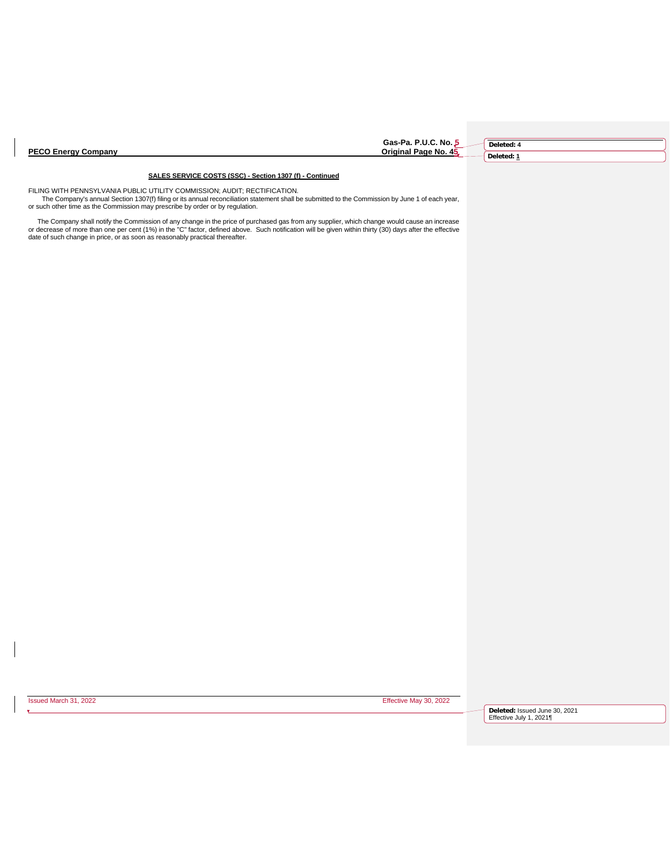| <b>PECO Energy Company</b><br><b>Original Page No. 45</b> |
|-----------------------------------------------------------|
|-----------------------------------------------------------|

**Gas-Pa. P.U.C. No. 5**

**Deleted: 4 Deleted: 1**

# **SALES SERVICE COSTS (SSC) - Section 1307 (f) - Continued**

FILING WITH PENNSYLVANIA PUBLIC UTILITY COMMISSION; AUDIT; RECTIFICATION.

The Company's annual Section 1307(f) filing or its annual reconciliation statement shall be submitted to the Commission by June 1 of each year, or such other time as the Commission may prescribe by order or by regulation.

The Company shall notify the Commission of any change in the price of purchased gas from any supplier, which change would cause an increase<br>or decrease of more than one per cent (1%) in the "C" factor, defined above. Such

Issued March 31, 2022 Effective May 30, 2022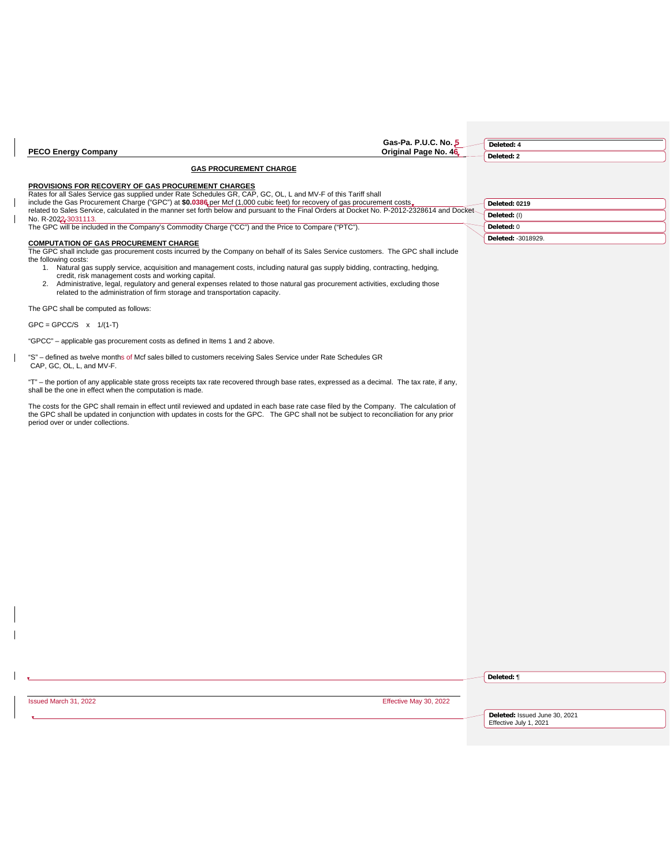| Gas-Pa. P.U.C. No. 5                                                                                                                                                                                                                                                                                                    | Deleted: 4                    |
|-------------------------------------------------------------------------------------------------------------------------------------------------------------------------------------------------------------------------------------------------------------------------------------------------------------------------|-------------------------------|
| <b>PECO Energy Company</b><br>Original Page No. 46                                                                                                                                                                                                                                                                      | Deleted: 2                    |
| <b>GAS PROCUREMENT CHARGE</b>                                                                                                                                                                                                                                                                                           |                               |
| PROVISIONS FOR RECOVERY OF GAS PROCUREMENT CHARGES<br>Rates for all Sales Service gas supplied under Rate Schedules GR, CAP, GC, OL, L and MV-F of this Tariff shall                                                                                                                                                    |                               |
| include the Gas Procurement Charge ("GPC") at \$0.0386 per Mcf (1,000 cubic feet) for recovery of gas procurement costs.                                                                                                                                                                                                | Deleted: 0219                 |
| related to Sales Service, calculated in the manner set forth below and pursuant to the Final Orders at Docket No. P-2012-2328614 and Docket-<br>No. R-2022-3031113.                                                                                                                                                     | Deleted: (I)                  |
| The GPC will be included in the Company's Commodity Charge ("CC") and the Price to Compare ("PTC").                                                                                                                                                                                                                     | Deleted: 0                    |
| <b>COMPUTATION OF GAS PROCUREMENT CHARGE</b>                                                                                                                                                                                                                                                                            | Deleted: - 3018929.           |
| The GPC shall include gas procurement costs incurred by the Company on behalf of its Sales Service customers. The GPC shall include<br>the following costs:                                                                                                                                                             |                               |
| 1. Natural gas supply service, acquisition and management costs, including natural gas supply bidding, contracting, hedging,<br>credit, risk management costs and working capital.                                                                                                                                      |                               |
| 2. Administrative, legal, regulatory and general expenses related to those natural gas procurement activities, excluding those<br>related to the administration of firm storage and transportation capacity.                                                                                                            |                               |
|                                                                                                                                                                                                                                                                                                                         |                               |
| The GPC shall be computed as follows:                                                                                                                                                                                                                                                                                   |                               |
| $GPC = GPCC/S$ x $1/(1-T)$                                                                                                                                                                                                                                                                                              |                               |
| "GPCC" – applicable gas procurement costs as defined in Items 1 and 2 above.                                                                                                                                                                                                                                            |                               |
| "S" - defined as twelve months of Mcf sales billed to customers receiving Sales Service under Rate Schedules GR<br>CAP, GC, OL, L, and MV-F.                                                                                                                                                                            |                               |
| "T" – the portion of any applicable state gross receipts tax rate recovered through base rates, expressed as a decimal. The tax rate, if any,<br>shall be the one in effect when the computation is made.                                                                                                               |                               |
| The costs for the GPC shall remain in effect until reviewed and updated in each base rate case filed by the Company. The calculation of<br>the GPC shall be updated in conjunction with updates in costs for the GPC. The GPC shall not be subject to reconciliation for any prior<br>period over or under collections. |                               |
|                                                                                                                                                                                                                                                                                                                         |                               |
|                                                                                                                                                                                                                                                                                                                         |                               |
|                                                                                                                                                                                                                                                                                                                         |                               |
|                                                                                                                                                                                                                                                                                                                         |                               |
|                                                                                                                                                                                                                                                                                                                         |                               |
|                                                                                                                                                                                                                                                                                                                         |                               |
|                                                                                                                                                                                                                                                                                                                         |                               |
|                                                                                                                                                                                                                                                                                                                         |                               |
|                                                                                                                                                                                                                                                                                                                         |                               |
|                                                                                                                                                                                                                                                                                                                         |                               |
|                                                                                                                                                                                                                                                                                                                         |                               |
|                                                                                                                                                                                                                                                                                                                         |                               |
|                                                                                                                                                                                                                                                                                                                         |                               |
|                                                                                                                                                                                                                                                                                                                         |                               |
|                                                                                                                                                                                                                                                                                                                         |                               |
|                                                                                                                                                                                                                                                                                                                         |                               |
|                                                                                                                                                                                                                                                                                                                         |                               |
|                                                                                                                                                                                                                                                                                                                         | Deleted: ¶                    |
| Effective May 30, 2022<br>Issued March 31, 2022                                                                                                                                                                                                                                                                         |                               |
|                                                                                                                                                                                                                                                                                                                         | Deleted: Issued June 30, 2021 |
|                                                                                                                                                                                                                                                                                                                         | Effective July 1, 2021        |
|                                                                                                                                                                                                                                                                                                                         |                               |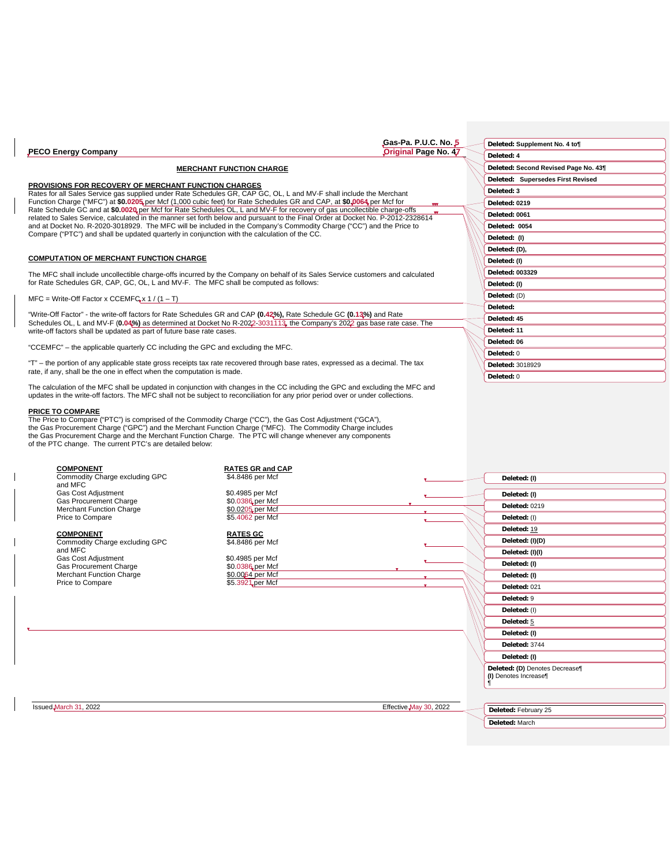|                                                                                                                                                                                                                                                                                                                                                                                                                                         |                                 | Gas-Pa. P.U.C. No. 5 |              | Deleted: Supplement No. 4 to         |  |
|-----------------------------------------------------------------------------------------------------------------------------------------------------------------------------------------------------------------------------------------------------------------------------------------------------------------------------------------------------------------------------------------------------------------------------------------|---------------------------------|----------------------|--------------|--------------------------------------|--|
| <b>PECO Energy Company</b>                                                                                                                                                                                                                                                                                                                                                                                                              |                                 | Original Page No. 47 |              | Deleted: 4                           |  |
|                                                                                                                                                                                                                                                                                                                                                                                                                                         | <b>MERCHANT FUNCTION CHARGE</b> |                      |              | Deleted: Second Revised Page No. 43¶ |  |
|                                                                                                                                                                                                                                                                                                                                                                                                                                         |                                 |                      |              | Deleted: Supersedes First Revised    |  |
| PROVISIONS FOR RECOVERY OF MERCHANT FUNCTION CHARGES<br>Rates for all Sales Service gas supplied under Rate Schedules GR, CAP GC, OL, L and MV-F shall include the Merchant                                                                                                                                                                                                                                                             |                                 |                      |              | Deleted: 3                           |  |
| Function Charge ("MFC") at \$0.0205 per Mcf (1,000 cubic feet) for Rate Schedules GR and CAP, at \$0,0064 per Mcf for                                                                                                                                                                                                                                                                                                                   |                                 |                      |              | Deleted: 0219                        |  |
| Rate Schedule GC and at \$0.0020 per Mcf for Rate Schedules OL, L and MV-F for recovery of gas uncollectible charge-offs                                                                                                                                                                                                                                                                                                                |                                 |                      |              | Deleted: 0061                        |  |
| related to Sales Service, calculated in the manner set forth below and pursuant to the Final Order at Docket No. P-2012-2328614<br>and at Docket No. R-2020-3018929. The MFC will be included in the Company's Commodity Charge ("CC") and the Price to                                                                                                                                                                                 |                                 |                      |              | Deleted: 0054                        |  |
| Compare ("PTC") and shall be updated quarterly in conjunction with the calculation of the CC.                                                                                                                                                                                                                                                                                                                                           |                                 |                      |              | Deleted: (I)                         |  |
|                                                                                                                                                                                                                                                                                                                                                                                                                                         |                                 |                      |              | Deleted: (D),                        |  |
| <b>COMPUTATION OF MERCHANT FUNCTION CHARGE</b>                                                                                                                                                                                                                                                                                                                                                                                          |                                 |                      |              |                                      |  |
|                                                                                                                                                                                                                                                                                                                                                                                                                                         |                                 |                      |              | Deleted: (I)                         |  |
| The MFC shall include uncollectible charge-offs incurred by the Company on behalf of its Sales Service customers and calculated                                                                                                                                                                                                                                                                                                         |                                 |                      |              | Deleted: 003329                      |  |
| for Rate Schedules GR, CAP, GC, OL, L and MV-F. The MFC shall be computed as follows:                                                                                                                                                                                                                                                                                                                                                   |                                 |                      |              | Deleted: (I)                         |  |
| $MFC = Write-Off Factor x CCEMFC_x x 1 / (1 - T)$                                                                                                                                                                                                                                                                                                                                                                                       |                                 |                      |              | Deleted: (D)                         |  |
|                                                                                                                                                                                                                                                                                                                                                                                                                                         |                                 |                      |              | Deleted:                             |  |
| "Write-Off Factor" - the write-off factors for Rate Schedules GR and CAP (0.42%), Rate Schedule GC (0.13%) and Rate<br>Schedules OL, L and MV-F (0.04%) as determined at Docket No R-2022-3031113, the Company's 2022 gas base rate case. The                                                                                                                                                                                           |                                 |                      |              | Deleted: 45                          |  |
| write-off factors shall be updated as part of future base rate cases.                                                                                                                                                                                                                                                                                                                                                                   |                                 |                      |              | Deleted: 11                          |  |
|                                                                                                                                                                                                                                                                                                                                                                                                                                         |                                 |                      |              | Deleted: 06                          |  |
| "CCEMFC" – the applicable quarterly CC including the GPC and excluding the MFC.                                                                                                                                                                                                                                                                                                                                                         |                                 |                      |              | Deleted: 0                           |  |
| "T" – the portion of any applicable state gross receipts tax rate recovered through base rates, expressed as a decimal. The tax                                                                                                                                                                                                                                                                                                         |                                 |                      |              | Deleted: 3018929                     |  |
| rate, if any, shall be the one in effect when the computation is made.                                                                                                                                                                                                                                                                                                                                                                  |                                 |                      |              | Deleted: 0                           |  |
| The calculation of the MFC shall be updated in conjunction with changes in the CC including the GPC and excluding the MFC and<br>updates in the write-off factors. The MFC shall not be subject to reconciliation for any prior period over or under collections.                                                                                                                                                                       |                                 |                      |              |                                      |  |
| PRICE TO COMPARE<br>The Price to Compare ("PTC") is comprised of the Commodity Charge ("CC"), the Gas Cost Adjustment ("GCA"),<br>the Gas Procurement Charge ("GPC") and the Merchant Function Charge ("MFC). The Commodity Charge includes<br>the Gas Procurement Charge and the Merchant Function Charge. The PTC will change whenever any components<br>of the PTC change. The current PTC's are detailed below:<br><b>COMPONENT</b> | <b>RATES GR and CAP</b>         |                      |              |                                      |  |
| Commodity Charge excluding GPC                                                                                                                                                                                                                                                                                                                                                                                                          | \$4.8486 per Mcf                |                      |              | Deleted: (I)                         |  |
| and MFC<br><b>Gas Cost Adjustment</b>                                                                                                                                                                                                                                                                                                                                                                                                   | \$0.4985 per Mcf                |                      |              |                                      |  |
| <b>Gas Procurement Charge</b>                                                                                                                                                                                                                                                                                                                                                                                                           | \$0.0386 per Mcf                |                      |              | Deleted: (I)                         |  |
| <b>Merchant Function Charge</b>                                                                                                                                                                                                                                                                                                                                                                                                         | \$0.0205 per Mcf                |                      |              | Deleted: 0219                        |  |
| Price to Compare                                                                                                                                                                                                                                                                                                                                                                                                                        | \$5.4062 per Mcf                |                      |              | Deleted: (I)                         |  |
| <b>COMPONENT</b>                                                                                                                                                                                                                                                                                                                                                                                                                        | RATES GC                        |                      |              | Deleted: 19                          |  |
| Commodity Charge excluding GPC                                                                                                                                                                                                                                                                                                                                                                                                          | \$4.8486 per Mcf                |                      |              | Deleted: (I)(D)                      |  |
| and MFC<br>Gas Cost Adjustment                                                                                                                                                                                                                                                                                                                                                                                                          | \$0.4985 per Mcf                |                      |              | Deleted: (I)(I)                      |  |
| <b>Gas Procurement Charge</b>                                                                                                                                                                                                                                                                                                                                                                                                           | \$0.0386 per Mcf                |                      |              | Deleted: (I)                         |  |
| <b>Merchant Function Charge</b>                                                                                                                                                                                                                                                                                                                                                                                                         | \$0.0064 per Mcf                |                      |              | Deleted: (I)                         |  |
| Price to Compare                                                                                                                                                                                                                                                                                                                                                                                                                        | \$5.3921,per Mcf                |                      |              | Deleted: 021                         |  |
|                                                                                                                                                                                                                                                                                                                                                                                                                                         |                                 |                      | Deleted: 9   |                                      |  |
|                                                                                                                                                                                                                                                                                                                                                                                                                                         |                                 |                      | Deleted: (I) |                                      |  |
|                                                                                                                                                                                                                                                                                                                                                                                                                                         |                                 |                      |              | Deleted: 5                           |  |
|                                                                                                                                                                                                                                                                                                                                                                                                                                         |                                 |                      |              | Deleted: (I)                         |  |
|                                                                                                                                                                                                                                                                                                                                                                                                                                         |                                 |                      |              | Deleted: 3744                        |  |
|                                                                                                                                                                                                                                                                                                                                                                                                                                         |                                 |                      |              | Deleted: (I)                         |  |

 $\mathbf{I}$ 

Issued March 31, 2022 Effective May 30, 2022

**Deleted:** February 25

**Deleted: (D)** Denotes Decrease¶ **(I)** Denotes Increase¶ ¶

**Deleted:** March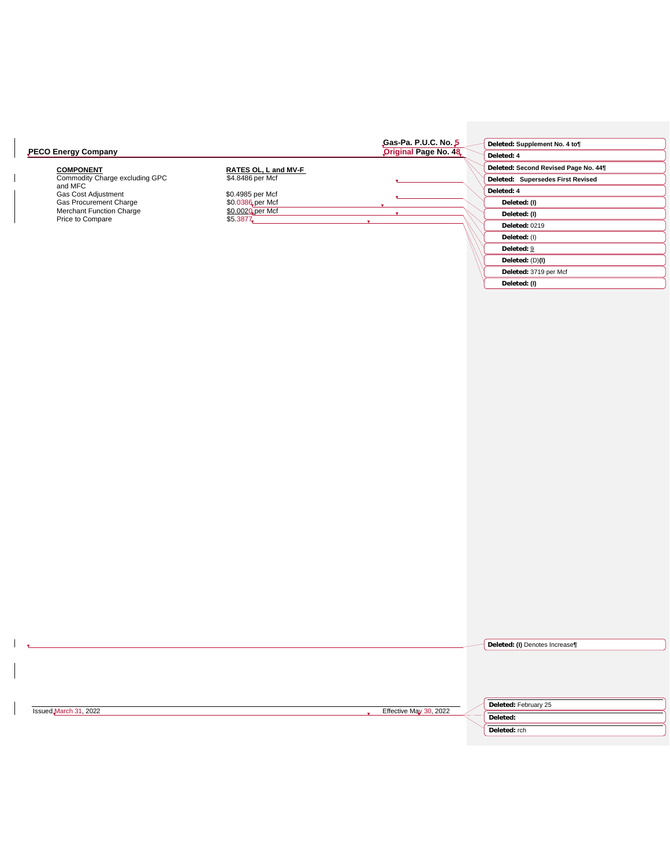|                                |                      | Gas-Pa. P.U.C. No. 5   | Deleted: Supplement No. 4 to¶        |
|--------------------------------|----------------------|------------------------|--------------------------------------|
| <b>PECO Energy Company</b>     |                      | Original Page No. 48   | Deleted: 4                           |
| <b>COMPONENT</b>               | RATES OL, L and MV-F |                        | Deleted: Second Revised Page No. 44¶ |
| Commodity Charge excluding GPC | \$4.8486 per Mcf     |                        | Deleted: Supersedes First Revised    |
| and MFC<br>Gas Cost Adjustment | \$0.4985 per Mcf     |                        | Deleted: 4                           |
| Gas Procurement Charge         | \$0.0386 per Mcf     |                        | Deleted: (I)                         |
| Merchant Function Charge       | \$0.0020 per Mcf     |                        | Deleted: (I)                         |
| Price to Compare               | \$5.3877             |                        | Deleted: 0219                        |
|                                |                      |                        | Deleted: (I)                         |
|                                |                      |                        | Deleted: 9                           |
|                                |                      |                        | Deleted: (D)(I)                      |
|                                |                      |                        | Deleted: 3719 per Mcf                |
|                                |                      |                        | Deleted: (I)                         |
|                                |                      |                        |                                      |
|                                |                      |                        |                                      |
|                                |                      |                        |                                      |
|                                |                      |                        |                                      |
|                                |                      |                        |                                      |
|                                |                      |                        |                                      |
|                                |                      |                        |                                      |
|                                |                      |                        |                                      |
|                                |                      |                        |                                      |
|                                |                      |                        |                                      |
|                                |                      |                        |                                      |
|                                |                      |                        |                                      |
|                                |                      |                        |                                      |
|                                |                      |                        |                                      |
|                                |                      |                        |                                      |
|                                |                      |                        |                                      |
|                                |                      |                        |                                      |
|                                |                      |                        |                                      |
|                                |                      |                        |                                      |
|                                |                      |                        |                                      |
|                                |                      |                        |                                      |
|                                |                      |                        |                                      |
|                                |                      |                        |                                      |
|                                |                      |                        |                                      |
|                                |                      |                        |                                      |
|                                |                      |                        |                                      |
|                                |                      |                        |                                      |
|                                |                      |                        |                                      |
|                                |                      |                        |                                      |
|                                |                      |                        |                                      |
|                                |                      |                        |                                      |
|                                |                      |                        | Deleted: (I) Denotes Increase¶       |
|                                |                      |                        |                                      |
|                                |                      |                        |                                      |
|                                |                      |                        |                                      |
|                                |                      |                        |                                      |
|                                |                      |                        |                                      |
| Issued March 31, 2022          |                      | Effective May 30, 2022 | Deleted: February 25                 |
|                                |                      |                        | Deleted:                             |
|                                |                      |                        | Deleted: rch                         |
|                                |                      |                        |                                      |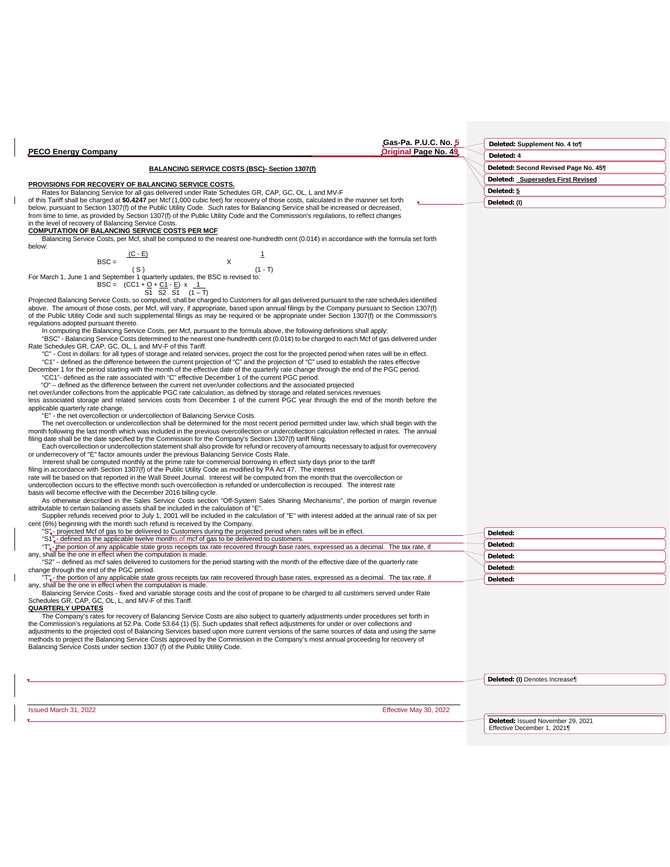| Gas-Pa. P.U.C. No. 5                                                                                                                                                                                                                                                                       | Deleted: Supplement No. 4 to¶        |
|--------------------------------------------------------------------------------------------------------------------------------------------------------------------------------------------------------------------------------------------------------------------------------------------|--------------------------------------|
| Original Page No. 49<br><b>PECO Energy Company</b>                                                                                                                                                                                                                                         | Deleted: 4                           |
| BALANCING SERVICE COSTS (BSC)- Section 1307(f)                                                                                                                                                                                                                                             | Deleted: Second Revised Page No. 45¶ |
|                                                                                                                                                                                                                                                                                            | Deleted: Supersedes First Revised    |
| PROVISIONS FOR RECOVERY OF BALANCING SERVICE COSTS.<br>Rates for Balancing Service for all gas delivered under Rate Schedules GR, CAP, GC, OL, L and MV-F                                                                                                                                  | Deleted: 5                           |
| of this Tariff shall be charged at \$0.4247 per Mcf (1,000 cubic feet) for recovery of those costs, calculated in the manner set forth                                                                                                                                                     | Deleted: (I)                         |
| below, pursuant to Section 1307(f) of the Public Utility Code. Such rates for Balancing Service shall be increased or decreased,<br>from time to time, as provided by Section 1307(f) of the Public Utility Code and the Commission's regulations, to reflect changes                      |                                      |
| in the level of recovery of Balancing Service Costs.                                                                                                                                                                                                                                       |                                      |
| <b>COMPUTATION OF BALANCING SERVICE COSTS PER MCF</b><br>Balancing Service Costs, per Mcf, shall be computed to the nearest one-hundredth cent (0.01¢) in accordance with the formula set forth                                                                                            |                                      |
| below:                                                                                                                                                                                                                                                                                     |                                      |
| $(C - E)$<br>$\mathbf{1}$<br>$BSC =$<br>Χ                                                                                                                                                                                                                                                  |                                      |
| (S)<br>$(1 - T)$                                                                                                                                                                                                                                                                           |                                      |
| For March 1, June 1 and September 1 quarterly updates, the BSC is revised to:<br>BSC = $(CC1 + Q + C1 - E)$ x 1                                                                                                                                                                            |                                      |
| $S1$ S2 S1 $(1-T)$                                                                                                                                                                                                                                                                         |                                      |
| Projected Balancing Service Costs, so computed, shall be charged to Customers for all gas delivered pursuant to the rate schedules identified                                                                                                                                              |                                      |
| above. The amount of those costs, per Mcf, will vary, if appropriate, based upon annual filings by the Company pursuant to Section 1307(f)<br>of the Public Utility Code and such supplemental filings as may be required or be appropriate under Section 1307(f) or the Commission's      |                                      |
| regulations adopted pursuant thereto.                                                                                                                                                                                                                                                      |                                      |
| In computing the Balancing Service Costs, per Mcf, pursuant to the formula above, the following definitions shall apply:<br>"BSC" - Balancing Service Costs determined to the nearest one-hundredth cent (0.01¢) to be charged to each Mcf of gas delivered under                          |                                      |
| Rate Schedules GR, CAP, GC, OL, L and MV-F of this Tariff.                                                                                                                                                                                                                                 |                                      |
| "C" - Cost in dollars: for all types of storage and related services, project the cost for the projected period when rates will be in effect.<br>"C1" - defined as the difference between the current projection of "C" and the projection of "C" used to establish the rates effective    |                                      |
| December 1 for the period starting with the month of the effective date of the quarterly rate change through the end of the PGC period.                                                                                                                                                    |                                      |
| "CC1"- defined as the rate associated with "C" effective December 1 of the current PGC period.<br>"O" – defined as the difference between the current net over/under collections and the associated projected                                                                              |                                      |
| net over/under collections from the applicable PGC rate calculation, as defined by storage and related services revenues                                                                                                                                                                   |                                      |
| less associated storage and related services costs from December 1 of the current PGC year through the end of the month before the<br>applicable quarterly rate change.                                                                                                                    |                                      |
| "E" - the net overcollection or undercollection of Balancing Service Costs.                                                                                                                                                                                                                |                                      |
| The net overcollection or undercollection shall be determined for the most recent period permitted under law, which shall begin with the<br>month following the last month which was included in the previous overcollection or undercollection calculation reflected in rates. The annual |                                      |
| filing date shall be the date specified by the Commission for the Company's Section 1307(f) tariff filing.                                                                                                                                                                                 |                                      |
| Each overcollection or undercollection statement shall also provide for refund or recovery of amounts necessary to adjust for overrecovery                                                                                                                                                 |                                      |
| or underrecovery of "E" factor amounts under the previous Balancing Service Costs Rate.<br>Interest shall be computed monthly at the prime rate for commercial borrowing in effect sixty days prior to the tariff                                                                          |                                      |
| filing in accordance with Section 1307(f) of the Public Utility Code as modified by PA Act 47. The interest                                                                                                                                                                                |                                      |
| rate will be based on that reported in the Wall Street Journal. Interest will be computed from the month that the overcollection or<br>undercollection occurs to the effective month such overcollection is refunded or undercollection is recouped. The interest rate                     |                                      |
| basis will become effective with the December 2016 billing cycle.                                                                                                                                                                                                                          |                                      |
| As otherwise described in the Sales Service Costs section "Off-System Sales Sharing Mechanisms", the portion of margin revenue<br>attributable to certain balancing assets shall be included in the calculation of "E".                                                                    |                                      |
| Supplier refunds received prior to July 1, 2001 will be included in the calculation of "E" with interest added at the annual rate of six per                                                                                                                                               |                                      |
| cent (6%) beginning with the month such refund is received by the Company.<br>"S", projected Mcf of gas to be delivered to Customers during the projected period when rates will be in effect.                                                                                             | Deleted:                             |
| "S1" <sub>y</sub> - defined as the applicable twelve months of mcf of gas to be delivered to customers.                                                                                                                                                                                    | Deleted:                             |
| "T",-the portion of any applicable state gross receipts tax rate recovered through base rates, expressed as a decimal. The tax rate, if<br>any, shall be the one in effect when the computation is made.                                                                                   | Deleted:                             |
| "S2" – defined as mcf sales delivered to customers for the period starting with the month of the effective date of the quarterly rate                                                                                                                                                      | Deleted:                             |
| change through the end of the PGC period.<br>"T" <sub>v</sub> -the portion of any applicable state gross receipts tax rate recovered through base rates, expressed as a decimal. The tax rate, if                                                                                          | Deleted:                             |
| any, shall be the one in effect when the computation is made.                                                                                                                                                                                                                              |                                      |
| Balancing Service Costs - fixed and variable storage costs and the cost of propane to be charged to all customers served under Rate<br>Schedules GR, CAP, GC, OL, L, and MV-F of this Tariff.                                                                                              |                                      |
| <b>QUARTERLY UPDATES</b>                                                                                                                                                                                                                                                                   |                                      |
| The Company's rates for recovery of Balancing Service Costs are also subject to quarterly adjustments under procedures set forth in<br>the Commission's regulations at 52.Pa. Code 53.64 (1) (5). Such updates shall reflect adjustments for under or over collections and                 |                                      |
| adjustments to the projected cost of Balancing Services based upon more current versions of the same sources of data and using the same                                                                                                                                                    |                                      |
| methods to project the Balancing Service Costs approved by the Commission in the Company's most annual proceeding for recovery of<br>Balancing Service Costs under section 1307 (f) of the Public Utility Code.                                                                            |                                      |
|                                                                                                                                                                                                                                                                                            |                                      |
|                                                                                                                                                                                                                                                                                            |                                      |
|                                                                                                                                                                                                                                                                                            | Deleted: (I) Denotes Increase¶       |
|                                                                                                                                                                                                                                                                                            |                                      |
|                                                                                                                                                                                                                                                                                            |                                      |
| Issued March 31, 2022<br>Effective May 30, 2022                                                                                                                                                                                                                                            |                                      |
|                                                                                                                                                                                                                                                                                            | Deleted: Issued November 29, 2021    |
|                                                                                                                                                                                                                                                                                            | Effective December 1, 2021¶          |
|                                                                                                                                                                                                                                                                                            |                                      |
|                                                                                                                                                                                                                                                                                            |                                      |

 $\mathbf{l}$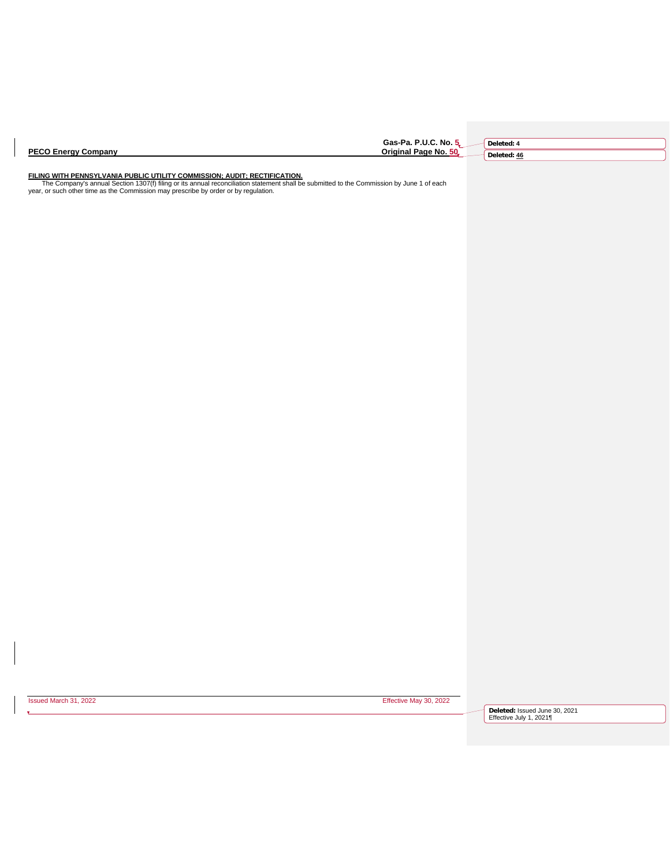|                                 | Gas-Pa. P.U.C. No.<br>Deleted: 4 |
|---------------------------------|----------------------------------|
| <b>PECO Energy</b><br>v Companv | Original Page No.<br>Deleted: 46 |
|                                 |                                  |

 $\mathbf l$ 

<u>FILING WITH PENNSYLVANIA PUBLIC UTILITY COMMISSION; AUDIT: RECTIFICATION.</u><br>The Company's annual Section 1307(f) filing or its annual reconciliation statement shall be submitted to the Commission by June 1 of each<br>year, or

Issued March 31, 2022 Effective May 30, 2022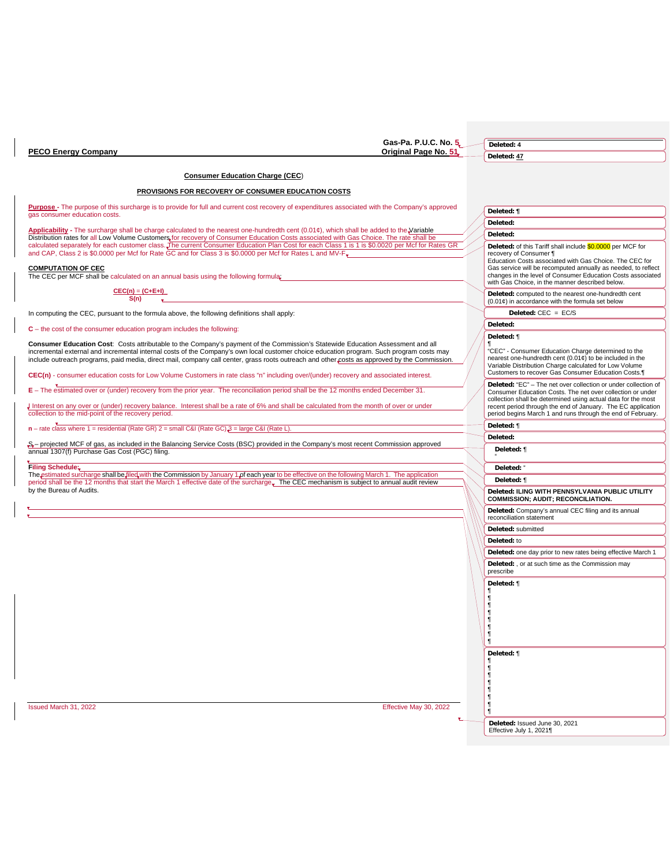|                                                                                                                                                                                                                                                                                                                                                                                                                             | Gas-Pa. P.U.C. No. 5.  | Deleted: 4                                                                                                                                                                                                                        |
|-----------------------------------------------------------------------------------------------------------------------------------------------------------------------------------------------------------------------------------------------------------------------------------------------------------------------------------------------------------------------------------------------------------------------------|------------------------|-----------------------------------------------------------------------------------------------------------------------------------------------------------------------------------------------------------------------------------|
| <b>PECO Energy Company</b>                                                                                                                                                                                                                                                                                                                                                                                                  | Original Page No. 51,  |                                                                                                                                                                                                                                   |
|                                                                                                                                                                                                                                                                                                                                                                                                                             |                        | Deleted: 47                                                                                                                                                                                                                       |
| <b>Consumer Education Charge (CEC)</b>                                                                                                                                                                                                                                                                                                                                                                                      |                        |                                                                                                                                                                                                                                   |
| PROVISIONS FOR RECOVERY OF CONSUMER EDUCATION COSTS                                                                                                                                                                                                                                                                                                                                                                         |                        |                                                                                                                                                                                                                                   |
| Purpose - The purpose of this surcharge is to provide for full and current cost recovery of expenditures associated with the Company's approved<br>gas consumer education costs.                                                                                                                                                                                                                                            |                        | Deleted: ¶                                                                                                                                                                                                                        |
|                                                                                                                                                                                                                                                                                                                                                                                                                             |                        | Deleted:                                                                                                                                                                                                                          |
| Applicability - The surcharge shall be charge calculated to the nearest one-hundredth cent (0.01¢), which shall be added to the Variable<br>Distribution rates for all Low Volume Customers for recovery of Consumer Education Costs associated with Gas Choice. The rate shall be                                                                                                                                          |                        | Deleted:                                                                                                                                                                                                                          |
| calculated separately for each customer class. The current Consumer Education Plan Cost for each Class 1 is 1 is \$0.0020 per Mcf for Rates GR<br>and CAP, Class 2 is \$0.0000 per Mcf for Rate GC and for Class 3 is \$0.0000 per Mcf for Rates L and MV-F                                                                                                                                                                 |                        | Deleted: of this Tariff shall include \$0.0000 per MCF for<br>recovery of Consumer ¶<br>Education Costs associated with Gas Choice. The CEC for                                                                                   |
| <b>COMPUTATION OF CEC</b><br>The CEC per MCF shall be calculated on an annual basis using the following formula:                                                                                                                                                                                                                                                                                                            |                        | Gas service will be recomputed annually as needed, to reflect<br>changes in the level of Consumer Education Costs associated<br>with Gas Choice, in the manner described below.                                                   |
| $CEC(n) = (C+E+1)$<br>S(n)                                                                                                                                                                                                                                                                                                                                                                                                  |                        | Deleted: computed to the nearest one-hundredth cent<br>$(0.01¢)$ in accordance with the formula set below                                                                                                                         |
| In computing the CEC, pursuant to the formula above, the following definitions shall apply:                                                                                                                                                                                                                                                                                                                                 |                        | Deleted: $CEC = EC/S$                                                                                                                                                                                                             |
|                                                                                                                                                                                                                                                                                                                                                                                                                             |                        | Deleted:                                                                                                                                                                                                                          |
| $C$ – the cost of the consumer education program includes the following:                                                                                                                                                                                                                                                                                                                                                    |                        | Deleted: ¶                                                                                                                                                                                                                        |
| Consumer Education Cost: Costs attributable to the Company's payment of the Commission's Statewide Education Assessment and all<br>incremental external and incremental internal costs of the Company's own local customer choice education program. Such program costs may<br>include outreach programs, paid media, direct mail, company call center, grass roots outreach and other costs as approved by the Commission. |                        | "CEC" - Consumer Education Charge determined to the<br>nearest one-hundredth cent $(0.01¢)$ to be included in the<br>Variable Distribution Charge calculated for Low Volume<br>Customers to recover Gas Consumer Education Costs. |
| CEC(n) - consumer education costs for Low Volume Customers in rate class "n" including over/(under) recovery and associated interest.                                                                                                                                                                                                                                                                                       |                        | Deleted: "EC" - The net over collection or under collection of                                                                                                                                                                    |
| E – The estimated over or (under) recovery from the prior year. The reconciliation period shall be the 12 months ended December 31.                                                                                                                                                                                                                                                                                         |                        | Consumer Education Costs. The net over collection or under<br>collection shall be determined using actual data for the most                                                                                                       |
| Interest on any over or (under) recovery balance. Interest shall be a rate of 6% and shall be calculated from the month of over or under<br>collection to the mid-point of the recovery period.                                                                                                                                                                                                                             |                        | recent period through the end of January. The EC application<br>period begins March 1 and runs through the end of February.                                                                                                       |
| $n$ – rate class where 1 = residential (Rate GR) 2 = small C&I (Rate GC) 3 = large C&I (Rate L).                                                                                                                                                                                                                                                                                                                            |                        | Deleted: ¶                                                                                                                                                                                                                        |
| \$- projected MCF of gas, as included in the Balancing Service Costs (BSC) provided in the Company's most recent Commission approved                                                                                                                                                                                                                                                                                        |                        | Deleted:                                                                                                                                                                                                                          |
| annual 1307(f) Purchase Gas Cost (PGC) filing.                                                                                                                                                                                                                                                                                                                                                                              |                        | Deleted: ¶                                                                                                                                                                                                                        |
| <b>Filing Schedule:</b>                                                                                                                                                                                                                                                                                                                                                                                                     |                        | Deleted:"                                                                                                                                                                                                                         |
| The estimated surcharge shall be filed with the Commission by January 1 of each year to be effective on the following March 1. The application<br>period shall be the 12 months that start the March 1 effective date of the surcharge. The CEC mechanism is subject to annual audit review                                                                                                                                 |                        | Deleted: ¶                                                                                                                                                                                                                        |
| by the Bureau of Audits.                                                                                                                                                                                                                                                                                                                                                                                                    |                        | Deleted: ILING WITH PENNSYLVANIA PUBLIC UTILITY<br><b>COMMISSION; AUDIT; RECONCILIATION.</b>                                                                                                                                      |
|                                                                                                                                                                                                                                                                                                                                                                                                                             |                        | Deleted: Company's annual CEC filing and its annual<br>reconciliation statement                                                                                                                                                   |
|                                                                                                                                                                                                                                                                                                                                                                                                                             |                        | Deleted: submitted                                                                                                                                                                                                                |
|                                                                                                                                                                                                                                                                                                                                                                                                                             |                        | Deleted: to                                                                                                                                                                                                                       |
|                                                                                                                                                                                                                                                                                                                                                                                                                             |                        | Deleted: one day prior to new rates being effective March 1                                                                                                                                                                       |
|                                                                                                                                                                                                                                                                                                                                                                                                                             |                        | Deleted: , or at such time as the Commission may<br>prescribe                                                                                                                                                                     |
|                                                                                                                                                                                                                                                                                                                                                                                                                             |                        | Deleted: ¶<br>T<br>ſ                                                                                                                                                                                                              |
|                                                                                                                                                                                                                                                                                                                                                                                                                             |                        | Deleted: ¶                                                                                                                                                                                                                        |
| Issued March 31, 2022                                                                                                                                                                                                                                                                                                                                                                                                       | Effective May 30, 2022 | Deleted: Issued June 30, 2021                                                                                                                                                                                                     |
|                                                                                                                                                                                                                                                                                                                                                                                                                             |                        | Effective July 1, 2021¶                                                                                                                                                                                                           |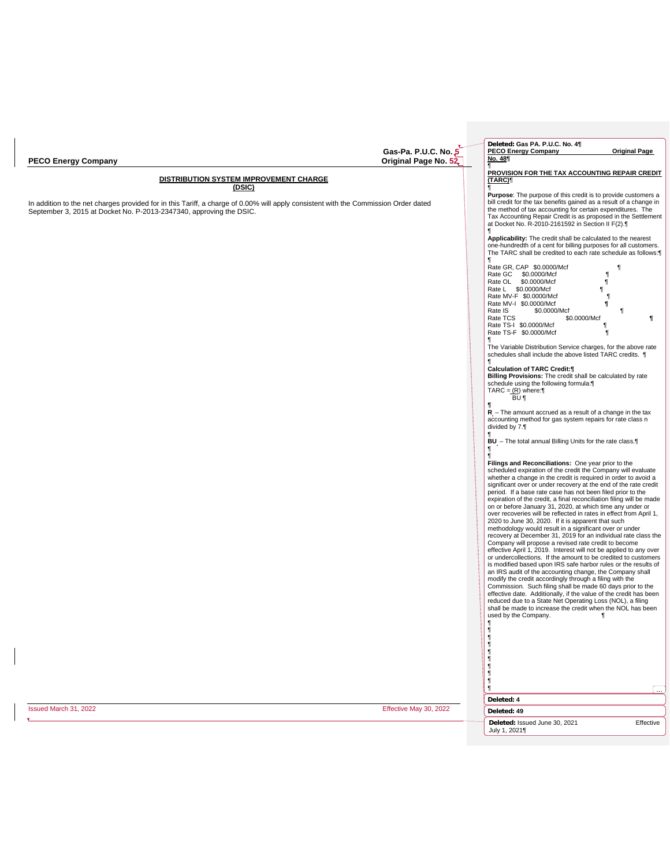|                                                                                                                                                                                                            | Gas-Pa. P.U.C. No. 5   | Deleted: Gas PA. P.U.C. No. 4¶<br>PECO Energy Company<br><b>Original Page</b>                                                                                                                                                                                                                                                                                                                                                                                                                                                                                                                                                                                                                                                                                                                                                                                                                                                                                                                                                                                                                                                                                                                                                                                                                                                                                                                            |
|------------------------------------------------------------------------------------------------------------------------------------------------------------------------------------------------------------|------------------------|----------------------------------------------------------------------------------------------------------------------------------------------------------------------------------------------------------------------------------------------------------------------------------------------------------------------------------------------------------------------------------------------------------------------------------------------------------------------------------------------------------------------------------------------------------------------------------------------------------------------------------------------------------------------------------------------------------------------------------------------------------------------------------------------------------------------------------------------------------------------------------------------------------------------------------------------------------------------------------------------------------------------------------------------------------------------------------------------------------------------------------------------------------------------------------------------------------------------------------------------------------------------------------------------------------------------------------------------------------------------------------------------------------|
| <b>PECO Energy Company</b>                                                                                                                                                                                 | Original Page No. 52,  | No. 48                                                                                                                                                                                                                                                                                                                                                                                                                                                                                                                                                                                                                                                                                                                                                                                                                                                                                                                                                                                                                                                                                                                                                                                                                                                                                                                                                                                                   |
| DISTRIBUTION SYSTEM IMPROVEMENT CHARGE<br>(DSIC)                                                                                                                                                           |                        | PROVISION FOR THE TAX ACCOUNTING REPAIR CREDIT<br>(TARC)                                                                                                                                                                                                                                                                                                                                                                                                                                                                                                                                                                                                                                                                                                                                                                                                                                                                                                                                                                                                                                                                                                                                                                                                                                                                                                                                                 |
| In addition to the net charges provided for in this Tariff, a charge of 0.00% will apply consistent with the Commission Order dated<br>September 3, 2015 at Docket No. P-2013-2347340, approving the DSIC. |                        | Purpose: The purpose of this credit is to provide customers a<br>bill credit for the tax benefits gained as a result of a change in<br>the method of tax accounting for certain expenditures. The<br>Tax Accounting Repair Credit is as proposed in the Settlement<br>at Docket No. R-2010-2161592 in Section II F(2).                                                                                                                                                                                                                                                                                                                                                                                                                                                                                                                                                                                                                                                                                                                                                                                                                                                                                                                                                                                                                                                                                   |
|                                                                                                                                                                                                            |                        | Applicability: The credit shall be calculated to the nearest<br>one-hundredth of a cent for billing purposes for all customers.<br>The TARC shall be credited to each rate schedule as follows:<br>¶                                                                                                                                                                                                                                                                                                                                                                                                                                                                                                                                                                                                                                                                                                                                                                                                                                                                                                                                                                                                                                                                                                                                                                                                     |
|                                                                                                                                                                                                            |                        | Rate GR, CAP \$0.0000/Mcf<br>Rate GC \$0.0000/Mcf<br>Rate OL \$0.0000/Mcf<br>Ч<br>Rate L \$0.0000/Mcf<br>ſ<br>Rate MV-F \$0.0000/Mcf<br>¶<br>Rate MV-I \$0.0000/Mcf<br>Π<br>Rate IS<br>\$0.0000/Mcf<br>Π<br>Rate TCS<br>\$0.0000/Mcf<br>ſ<br>Rate TS-I \$0.0000/Mcf<br>¶<br>Rate TS-F \$0.0000/Mcf<br>The Variable Distribution Service charges, for the above rate<br>schedules shall include the above listed TARC credits. ¶<br><b>Calculation of TARC Credit:</b><br>Billing Provisions: The credit shall be calculated by rate<br>schedule using the following formula:<br>TARC = $(R)$ where:<br>BU ¶                                                                                                                                                                                                                                                                                                                                                                                                                                                                                                                                                                                                                                                                                                                                                                                              |
|                                                                                                                                                                                                            |                        | ¶<br>$R$ – The amount accrued as a result of a change in the tax<br>accounting method for gas system repairs for rate class n<br>divided by 7.<br>BU - The total annual Billing Units for the rate class.                                                                                                                                                                                                                                                                                                                                                                                                                                                                                                                                                                                                                                                                                                                                                                                                                                                                                                                                                                                                                                                                                                                                                                                                |
|                                                                                                                                                                                                            |                        | Filings and Reconciliations: One year prior to the<br>scheduled expiration of the credit the Company will evaluate<br>whether a change in the credit is required in order to avoid a<br>significant over or under recovery at the end of the rate credit<br>period. If a base rate case has not been filed prior to the<br>expiration of the credit, a final reconciliation filing will be made<br>on or before January 31, 2020, at which time any under or<br>over recoveries will be reflected in rates in effect from April 1,<br>2020 to June 30, 2020. If it is apparent that such<br>methodology would result in a significant over or under<br>recovery at December 31, 2019 for an individual rate class the<br>Company will propose a revised rate credit to become<br>effective April 1, 2019. Interest will not be applied to any over<br>or undercollections. If the amount to be credited to customers<br>is modified based upon IRS safe harbor rules or the results of<br>an IRS audit of the accounting change, the Company shall<br>modify the credit accordingly through a filing with the<br>Commission. Such filing shall be made 60 days prior to the<br>effective date. Additionally, if the value of the credit has been<br>reduced due to a State Net Operating Loss (NOL), a filing<br>shall be made to increase the credit when the NOL has been<br>used by the Company.<br>ſ |
|                                                                                                                                                                                                            |                        | Deleted: 4                                                                                                                                                                                                                                                                                                                                                                                                                                                                                                                                                                                                                                                                                                                                                                                                                                                                                                                                                                                                                                                                                                                                                                                                                                                                                                                                                                                               |
| Issued March 31, 2022                                                                                                                                                                                      | Effective May 30, 2022 | Deleted: 49                                                                                                                                                                                                                                                                                                                                                                                                                                                                                                                                                                                                                                                                                                                                                                                                                                                                                                                                                                                                                                                                                                                                                                                                                                                                                                                                                                                              |
|                                                                                                                                                                                                            |                        | Deleted: Issued June 30, 2021<br>Effective<br>July 1, 2021¶                                                                                                                                                                                                                                                                                                                                                                                                                                                                                                                                                                                                                                                                                                                                                                                                                                                                                                                                                                                                                                                                                                                                                                                                                                                                                                                                              |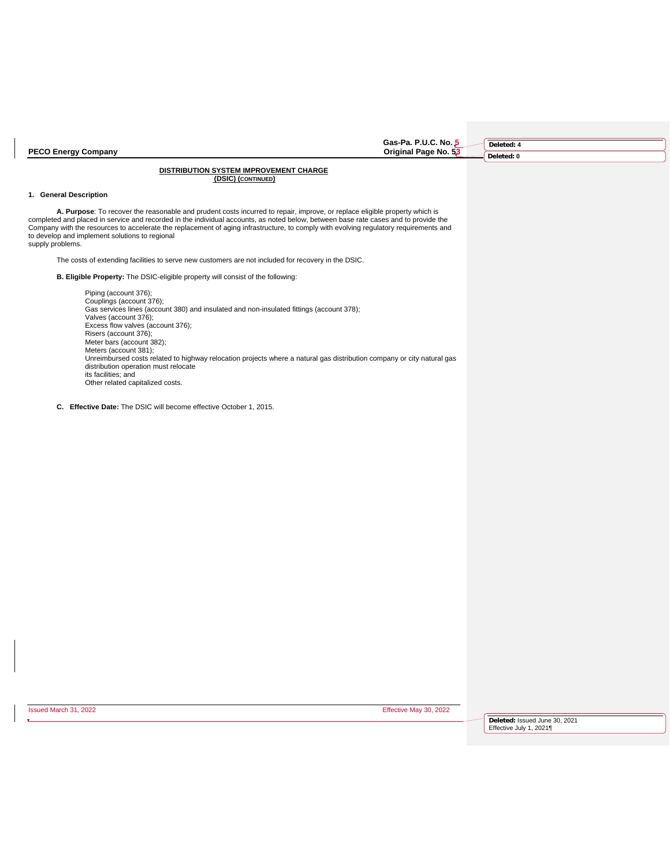| <b>PECO Energy Company</b>                                                                                                                                                                                                                                                                                                                                                                                                                                                                                              | Gas-Pa. P.U.C. No. 5<br>Original Page No. 53 | Deleted: 4<br>Deleted: 0 |
|-------------------------------------------------------------------------------------------------------------------------------------------------------------------------------------------------------------------------------------------------------------------------------------------------------------------------------------------------------------------------------------------------------------------------------------------------------------------------------------------------------------------------|----------------------------------------------|--------------------------|
| DISTRIBUTION SYSTEM IMPROVEMENT CHARGE<br>(DSIC) (CONTINUED)                                                                                                                                                                                                                                                                                                                                                                                                                                                            |                                              |                          |
| 1. General Description                                                                                                                                                                                                                                                                                                                                                                                                                                                                                                  |                                              |                          |
| A. Purpose: To recover the reasonable and prudent costs incurred to repair, improve, or replace eligible property which is<br>completed and placed in service and recorded in the individual accounts, as noted below, between base rate cases and to provide the<br>Company with the resources to accelerate the replacement of aging infrastructure, to comply with evolving regulatory requirements and<br>to develop and implement solutions to regional<br>supply problems.                                        |                                              |                          |
| The costs of extending facilities to serve new customers are not included for recovery in the DSIC.                                                                                                                                                                                                                                                                                                                                                                                                                     |                                              |                          |
| <b>B. Eligible Property:</b> The DSIC-eligible property will consist of the following:                                                                                                                                                                                                                                                                                                                                                                                                                                  |                                              |                          |
| Piping (account 376);<br>Couplings (account 376);<br>Gas services lines (account 380) and insulated and non-insulated fittings (account 378);<br>Valves (account 376);<br>Excess flow valves (account 376);<br>Risers (account 376);<br>Meter bars (account 382);<br>Meters (account 381);<br>Unreimbursed costs related to highway relocation projects where a natural gas distribution company or city natural gas<br>distribution operation must relocate<br>its facilities; and<br>Other related capitalized costs. |                                              |                          |
| <b>Effective Date:</b> The DSIC will become effective October 1, 2015.<br>C.                                                                                                                                                                                                                                                                                                                                                                                                                                            |                                              |                          |

Issued March 31, 2022 Effective May 30, 2022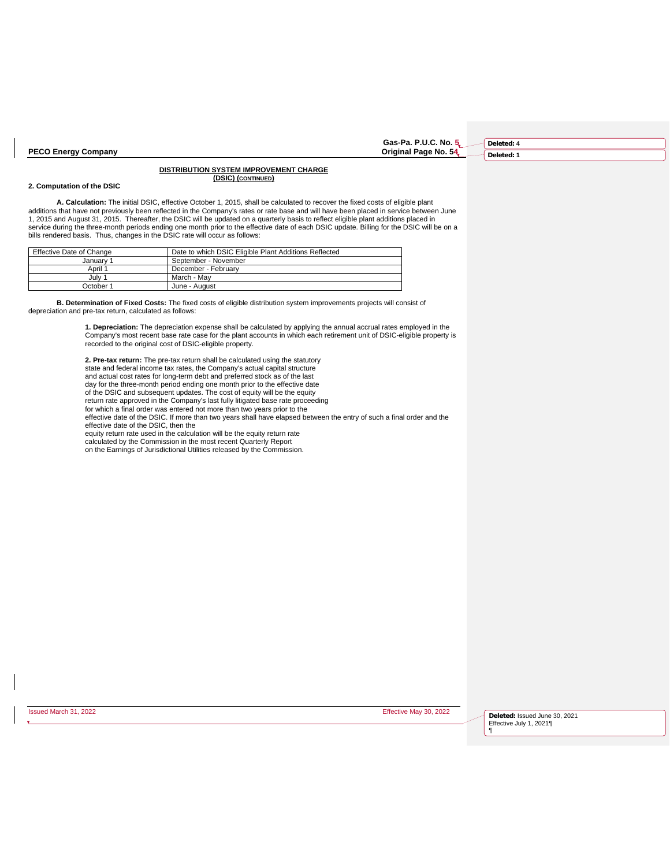**Gas-Pa. P.U.C. No. 5**

**Deleted: 1**

# **DISTRIBUTION SYSTEM IMPROVEMENT CHARGE (DSIC) (CONTINUED)**

# **2. Computation of the DSIC**

**A. Calculation:** The initial DSIC, effective October 1, 2015, shall be calculated to recover the fixed costs of eligible plant additions that have not previously been reflected in the Company's rates or rate base and will have been placed in service between June 1, 2015 and August 31, 2015. Thereafter, the DSIC will be updated on a quarterly basis to reflect eligible plant additions placed in service during the three-month periods ending one month prior to the effective date of each DSIC update. Billing for the DSIC will be on a bills rendered basis. Thus, changes in the DSIC rate will occur as follows:

| Effective Date of Change | Date to which DSIC Eligible Plant Additions Reflected |
|--------------------------|-------------------------------------------------------|
| January 1                | September - November                                  |
| April 1                  | December - February                                   |
| July 1                   | March - Mav                                           |
| October 1                | June - August                                         |

**B. Determination of Fixed Costs:** The fixed costs of eligible distribution system improvements projects will consist of depreciation and pre-tax return, calculated as follows:

> **1. Depreciation:** The depreciation expense shall be calculated by applying the annual accrual rates employed in the Company's most recent base rate case for the plant accounts in which each retirement unit of DSIC-eligible property is recorded to the original cost of DSIC-eligible property.

**2. Pre-tax return:** The pre-tax return shall be calculated using the statutory state and federal income tax rates, the Company's actual capital structure and actual cost rates for long-term debt and preferred stock as of the last day for the three-month period ending one month prior to the effective date of the DSIC and subsequent updates. The cost of equity will be the equity return rate approved in the Company's last fully litigated base rate proceeding for which a final order was entered not more than two years prior to the effective date of the DSIC. If more than two years shall have elapsed between the entry of such a final order and the effective date of the DSIC, then the equity return rate used in the calculation will be the equity return rate calculated by the Commission in the most recent Quarterly Report on the Earnings of Jurisdictional Utilities released by the Commission.

**Deleted: 4**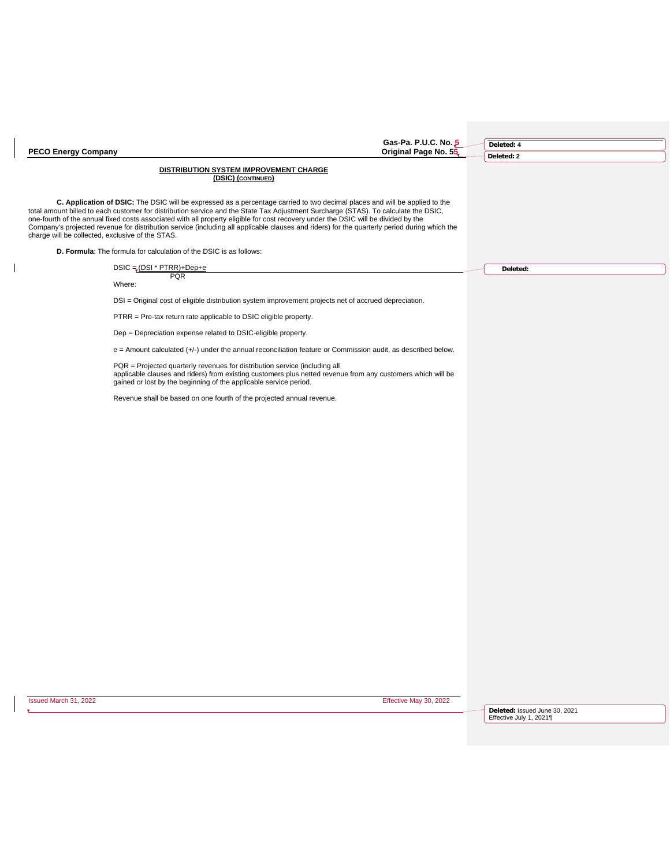|                                                  | Gas-Pa. P.U.C. No. 5                                                                                                                                                                                                                                                                                                                                                                                                                                                                                                                                     | Deleted: 4                    |
|--------------------------------------------------|----------------------------------------------------------------------------------------------------------------------------------------------------------------------------------------------------------------------------------------------------------------------------------------------------------------------------------------------------------------------------------------------------------------------------------------------------------------------------------------------------------------------------------------------------------|-------------------------------|
| <b>PECO Energy Company</b>                       | Original Page No. 55,                                                                                                                                                                                                                                                                                                                                                                                                                                                                                                                                    | Deleted: 2                    |
|                                                  | DISTRIBUTION SYSTEM IMPROVEMENT CHARGE<br>(DSIC) (CONTINUED)                                                                                                                                                                                                                                                                                                                                                                                                                                                                                             |                               |
| charge will be collected, exclusive of the STAS. | C. Application of DSIC: The DSIC will be expressed as a percentage carried to two decimal places and will be applied to the<br>total amount billed to each customer for distribution service and the State Tax Adjustment Surcharge (STAS). To calculate the DSIC,<br>one-fourth of the annual fixed costs associated with all property eligible for cost recovery under the DSIC will be divided by the<br>Company's projected revenue for distribution service (including all applicable clauses and riders) for the quarterly period during which the |                               |
|                                                  | D. Formula: The formula for calculation of the DSIC is as follows:                                                                                                                                                                                                                                                                                                                                                                                                                                                                                       |                               |
|                                                  | DSIC = $(DSI * PTRR) + Dep + e$<br><b>PQR</b>                                                                                                                                                                                                                                                                                                                                                                                                                                                                                                            | Deleted:                      |
|                                                  | Where:                                                                                                                                                                                                                                                                                                                                                                                                                                                                                                                                                   |                               |
|                                                  | DSI = Original cost of eligible distribution system improvement projects net of accrued depreciation.                                                                                                                                                                                                                                                                                                                                                                                                                                                    |                               |
|                                                  | PTRR = Pre-tax return rate applicable to DSIC eligible property.                                                                                                                                                                                                                                                                                                                                                                                                                                                                                         |                               |
|                                                  | Dep = Depreciation expense related to DSIC-eligible property.                                                                                                                                                                                                                                                                                                                                                                                                                                                                                            |                               |
|                                                  | $e =$ Amount calculated $(+/-)$ under the annual reconciliation feature or Commission audit, as described below.                                                                                                                                                                                                                                                                                                                                                                                                                                         |                               |
|                                                  | PQR = Projected quarterly revenues for distribution service (including all<br>applicable clauses and riders) from existing customers plus netted revenue from any customers which will be<br>gained or lost by the beginning of the applicable service period.                                                                                                                                                                                                                                                                                           |                               |
|                                                  | Revenue shall be based on one fourth of the projected annual revenue.                                                                                                                                                                                                                                                                                                                                                                                                                                                                                    |                               |
|                                                  |                                                                                                                                                                                                                                                                                                                                                                                                                                                                                                                                                          |                               |
|                                                  |                                                                                                                                                                                                                                                                                                                                                                                                                                                                                                                                                          |                               |
|                                                  |                                                                                                                                                                                                                                                                                                                                                                                                                                                                                                                                                          |                               |
|                                                  |                                                                                                                                                                                                                                                                                                                                                                                                                                                                                                                                                          |                               |
|                                                  |                                                                                                                                                                                                                                                                                                                                                                                                                                                                                                                                                          |                               |
|                                                  |                                                                                                                                                                                                                                                                                                                                                                                                                                                                                                                                                          |                               |
|                                                  |                                                                                                                                                                                                                                                                                                                                                                                                                                                                                                                                                          |                               |
|                                                  |                                                                                                                                                                                                                                                                                                                                                                                                                                                                                                                                                          |                               |
|                                                  |                                                                                                                                                                                                                                                                                                                                                                                                                                                                                                                                                          |                               |
|                                                  |                                                                                                                                                                                                                                                                                                                                                                                                                                                                                                                                                          |                               |
|                                                  |                                                                                                                                                                                                                                                                                                                                                                                                                                                                                                                                                          |                               |
|                                                  |                                                                                                                                                                                                                                                                                                                                                                                                                                                                                                                                                          |                               |
|                                                  |                                                                                                                                                                                                                                                                                                                                                                                                                                                                                                                                                          |                               |
|                                                  |                                                                                                                                                                                                                                                                                                                                                                                                                                                                                                                                                          |                               |
|                                                  |                                                                                                                                                                                                                                                                                                                                                                                                                                                                                                                                                          |                               |
|                                                  |                                                                                                                                                                                                                                                                                                                                                                                                                                                                                                                                                          |                               |
|                                                  |                                                                                                                                                                                                                                                                                                                                                                                                                                                                                                                                                          |                               |
| Issued March 31, 2022                            | Effective May 30, 2022                                                                                                                                                                                                                                                                                                                                                                                                                                                                                                                                   |                               |
|                                                  |                                                                                                                                                                                                                                                                                                                                                                                                                                                                                                                                                          | Deleted: Issued June 30, 2021 |
|                                                  |                                                                                                                                                                                                                                                                                                                                                                                                                                                                                                                                                          | Effective July 1, 2021¶       |
|                                                  |                                                                                                                                                                                                                                                                                                                                                                                                                                                                                                                                                          |                               |
|                                                  |                                                                                                                                                                                                                                                                                                                                                                                                                                                                                                                                                          |                               |

 $\begin{array}{c} \rule{0pt}{2ex} \rule{0pt}{2ex} \rule{0pt}{2ex} \rule{0pt}{2ex} \rule{0pt}{2ex} \rule{0pt}{2ex} \rule{0pt}{2ex} \rule{0pt}{2ex} \rule{0pt}{2ex} \rule{0pt}{2ex} \rule{0pt}{2ex} \rule{0pt}{2ex} \rule{0pt}{2ex} \rule{0pt}{2ex} \rule{0pt}{2ex} \rule{0pt}{2ex} \rule{0pt}{2ex} \rule{0pt}{2ex} \rule{0pt}{2ex} \rule{0pt}{2ex} \rule{0pt}{2ex} \rule{0pt}{2ex} \rule{0pt}{2ex} \rule{0pt}{$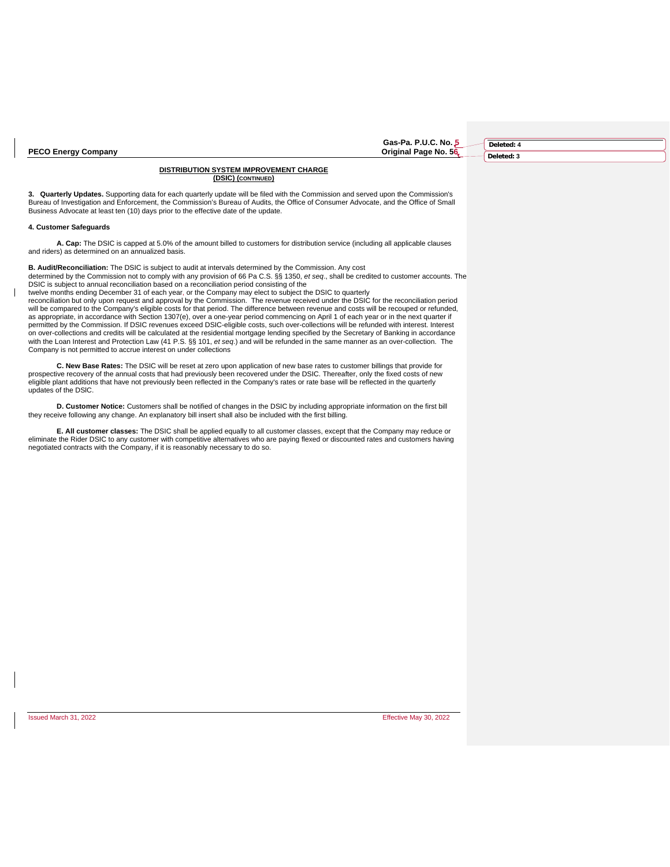**Gas-Pa. P.U.C. No. 5**

**Deleted: 4 Deleted: 3**

# **DISTRIBUTION SYSTEM IMPROVEMENT CHARGE (DSIC) (CONTINUED)**

**3. Quarterly Updates.** Supporting data for each quarterly update will be filed with the Commission and served upon the Commission's Bureau of Investigation and Enforcement, the Commission's Bureau of Audits, the Office of Consumer Advocate, and the Office of Small Business Advocate at least ten (10) days prior to the effective date of the update.

## **4. Customer Safeguards**

**A. Cap:** The DSIC is capped at 5.0% of the amount billed to customers for distribution service (including all applicable clauses and riders) as determined on an annualized basis.

**B. Audit/Reconciliation:** The DSIC is subject to audit at intervals determined by the Commission. Any cost determined by the Commission not to comply with any provision of 66 Pa C.S. §§ 1350, *et seq*., shall be credited to customer accounts. The<br>DSIC is subject to annual reconciliation based on a reconciliation period consisti

twelve months ending December 31 of each year, or the Company may elect to subject the DSIC to quarterly<br>reconciliation but only upon request and approval by the Commission. The revenue received under the DSIC for the reco will be compared to the Company's eligible costs for that period. The difference between revenue and costs will be recouped or refunded, as appropriate, in accordance with Section 1307(e), over a one-year period commencing on April 1 of each year or in the next quarter if permitted by the Commission. If DSIC revenues exceed DSIC-eligible costs, such over-collections will be refunded with interest. Interest<br>on over-collections and credits will be calculated at the residential mortgage lendin Company is not permitted to accrue interest on under collections

**C. New Base Rates:** The DSIC will be reset at zero upon application of new base rates to customer billings that provide for prospective recovery of the annual costs that had previously been recovered under the DSIC. Thereafter, only the fixed costs of new eligible plant additions that have not previously been reflected in the Company's rates or rate base will be reflected in the quarterly updates of the DSlC.

**D. Customer Notice:** Customers shall be notified of changes in the DSIC by including appropriate information on the first bill they receive following any change. An explanatory bill insert shall also be included with the first billing.

**E. All customer classes:** The DSIC shall be applied equally to all customer classes, except that the Company may reduce or eliminate the Rider DSIC to any customer with competitive alternatives who are paying flexed or discounted rates and customers having negotiated contracts with the Company, if it is reasonably necessary to do so.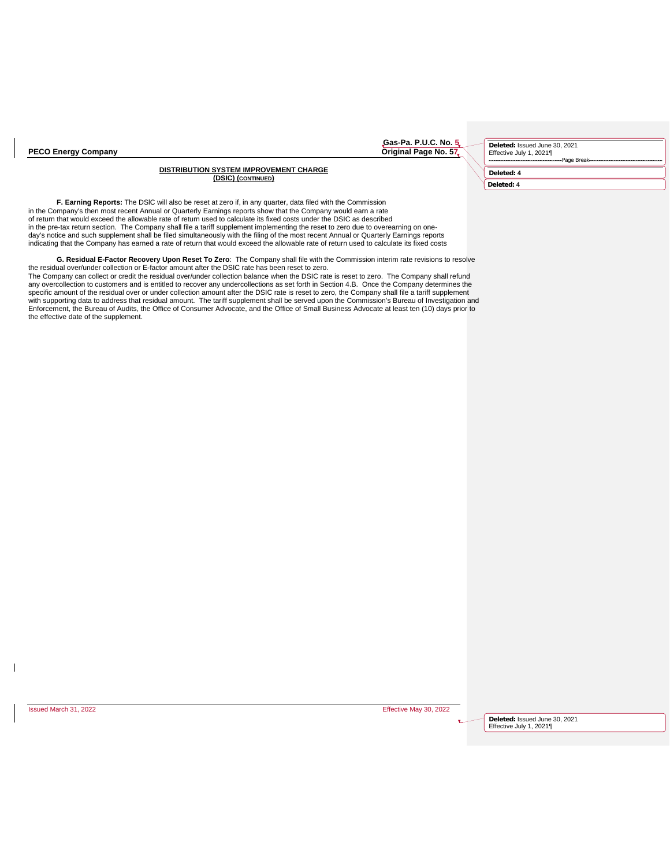# **DISTRIBUTION SYSTEM IMPROVEMENT CHARGE (DSIC) (CONTINUED)**

**F. Earning Reports:** The DSlC will also be reset at zero if, in any quarter, data filed with the Commission in the Company's then most recent Annual or Quarterly Earnings reports show that the Company would earn a rate of return that would exceed the allowable rate of return used to calculate its fixed costs under the DSIC as described in the pre-tax return section. The Company shall file a tariff supplement implementing the reset to zero due to overearning on oneday's notice and such supplement shall be filed simultaneously with the filing of the most recent Annual or Quarterly Eamings reports<br>indicating that the Company has earned a rate of return that would exceed the allowable

G. Residual E-Factor Recovery Upon Reset To Zero: The Company shall file with the Commission interim rate revisions to resolve<br>the residual over/under collection or E-factor amount after the DSIC rate has been reset to zer

The Company can collect or credit the residual over/under collection balance when the DSIC rate is reset to zero. The Company shall refund any overcollection to customers and is entitled to recover any undercollections as set forth in Section 4.B. Once the Company determines the specific amount of the residual over or under collection amount after the DSIC rate is reset to zero, the Company shall file a tariff supplement with supporting data to address that residual amount. The tariff supplement shall be served upon the Commission's Bureau of Investigation and Enforcement, the Bureau of Audits, the Office of Consumer Advocate, and the Office of Small Business Advocate at least ten (10) days prior to the effective date of the supplement.

**Gas-Pa. P.U.C. No. 5**

| Deleted: Issued June 30, 2021<br>Effective July 1, 2021¶<br>-Page Break- |  |
|--------------------------------------------------------------------------|--|
| Deleted: 4                                                               |  |
| Deleted: 4                                                               |  |

Issued March 31, 2022 Effective May 30, 2022

 $\mathsf{l}$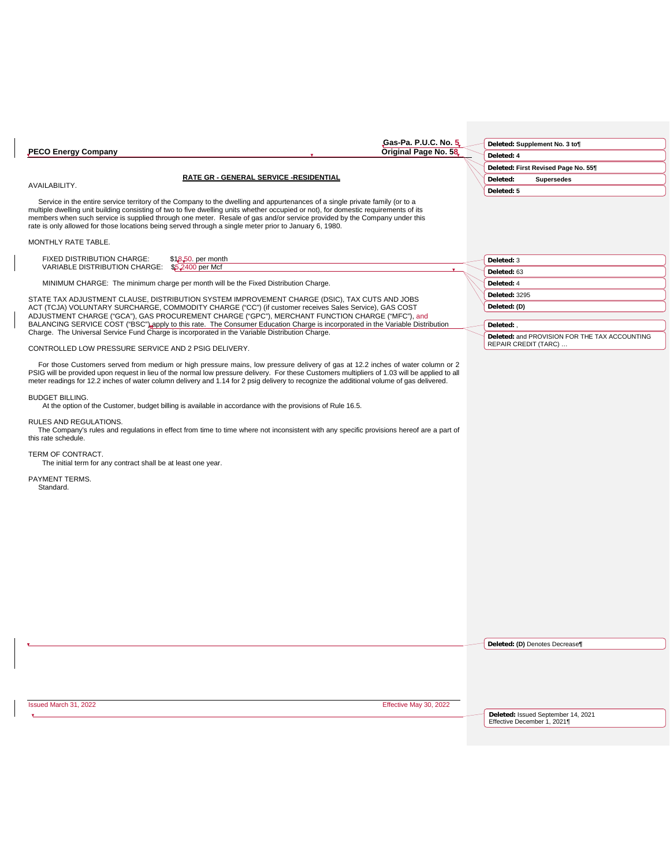| Gas-Pa. P.U.C. No. 5                                                                                                                                                                                                                                                                                                                                                                                                                                                                                      | Deleted: Supplement No. 3 to¶                                     |
|-----------------------------------------------------------------------------------------------------------------------------------------------------------------------------------------------------------------------------------------------------------------------------------------------------------------------------------------------------------------------------------------------------------------------------------------------------------------------------------------------------------|-------------------------------------------------------------------|
| Original Page No. 58,<br><b>PECO Energy Company</b>                                                                                                                                                                                                                                                                                                                                                                                                                                                       | Deleted: 4                                                        |
|                                                                                                                                                                                                                                                                                                                                                                                                                                                                                                           | Deleted: First Revised Page No. 55                                |
| RATE GR - GENERAL SERVICE -RESIDENTIAL                                                                                                                                                                                                                                                                                                                                                                                                                                                                    | <b>Supersedes</b><br>Deleted:                                     |
| AVAILABILITY.                                                                                                                                                                                                                                                                                                                                                                                                                                                                                             | Deleted: 5                                                        |
| Service in the entire service territory of the Company to the dwelling and appurtenances of a single private family (or to a<br>multiple dwelling unit building consisting of two to five dwelling units whether occupied or not), for domestic requirements of its<br>members when such service is supplied through one meter. Resale of gas and/or service provided by the Company under this<br>rate is only allowed for those locations being served through a single meter prior to January 6, 1980. |                                                                   |
| MONTHLY RATE TABLE.                                                                                                                                                                                                                                                                                                                                                                                                                                                                                       |                                                                   |
| FIXED DISTRIBUTION CHARGE:<br>\$18,50 per month                                                                                                                                                                                                                                                                                                                                                                                                                                                           | Deleted: 3                                                        |
| VARIABLE DISTRIBUTION CHARGE: \$5,2400 per Mcf                                                                                                                                                                                                                                                                                                                                                                                                                                                            | Deleted: 63                                                       |
| MINIMUM CHARGE: The minimum charge per month will be the Fixed Distribution Charge.                                                                                                                                                                                                                                                                                                                                                                                                                       | Deleted: 4                                                        |
|                                                                                                                                                                                                                                                                                                                                                                                                                                                                                                           | Deleted: 3295                                                     |
| STATE TAX ADJUSTMENT CLAUSE, DISTRIBUTION SYSTEM IMPROVEMENT CHARGE (DSIC), TAX CUTS AND JOBS<br>ACT (TCJA) VOLUNTARY SURCHARGE, COMMODITY CHARGE ("CC") (if customer receives Sales Service), GAS COST<br>ADJUSTMENT CHARGE ("GCA"), GAS PROCUREMENT CHARGE ("GPC"), MERCHANT FUNCTION CHARGE ("MFC"), and                                                                                                                                                                                               | Deleted: (D)                                                      |
| BALANCING SERVICE COST ("BSC") apply to this rate. The Consumer Education Charge is incorporated in the Variable Distribution                                                                                                                                                                                                                                                                                                                                                                             | Deleted:,                                                         |
| Charge. The Universal Service Fund Charge is incorporated in the Variable Distribution Charge.                                                                                                                                                                                                                                                                                                                                                                                                            | Deleted: and PROVISION FOR THE TAX ACCOUNTING                     |
| CONTROLLED LOW PRESSURE SERVICE AND 2 PSIG DELIVERY.                                                                                                                                                                                                                                                                                                                                                                                                                                                      | REPAIR CREDIT (TARC)                                              |
| For those Customers served from medium or high pressure mains, low pressure delivery of gas at 12.2 inches of water column or 2<br>PSIG will be provided upon request in lieu of the normal low pressure delivery. For these Customers multipliers of 1.03 will be applied to all<br>meter readings for 12.2 inches of water column delivery and 1.14 for 2 psig delivery to recognize the additional volume of gas delivered.                                                                            |                                                                   |
| <b>BUDGET BILLING.</b><br>At the option of the Customer, budget billing is available in accordance with the provisions of Rule 16.5.                                                                                                                                                                                                                                                                                                                                                                      |                                                                   |
| RULES AND REGULATIONS.<br>The Company's rules and regulations in effect from time to time where not inconsistent with any specific provisions hereof are a part of<br>this rate schedule.                                                                                                                                                                                                                                                                                                                 |                                                                   |
| TERM OF CONTRACT.<br>The initial term for any contract shall be at least one year.                                                                                                                                                                                                                                                                                                                                                                                                                        |                                                                   |
| PAYMENT TERMS.<br>Standard.                                                                                                                                                                                                                                                                                                                                                                                                                                                                               |                                                                   |
|                                                                                                                                                                                                                                                                                                                                                                                                                                                                                                           |                                                                   |
|                                                                                                                                                                                                                                                                                                                                                                                                                                                                                                           |                                                                   |
|                                                                                                                                                                                                                                                                                                                                                                                                                                                                                                           |                                                                   |
|                                                                                                                                                                                                                                                                                                                                                                                                                                                                                                           |                                                                   |
|                                                                                                                                                                                                                                                                                                                                                                                                                                                                                                           |                                                                   |
|                                                                                                                                                                                                                                                                                                                                                                                                                                                                                                           |                                                                   |
|                                                                                                                                                                                                                                                                                                                                                                                                                                                                                                           |                                                                   |
|                                                                                                                                                                                                                                                                                                                                                                                                                                                                                                           | Deleted: (D) Denotes Decrease¶                                    |
|                                                                                                                                                                                                                                                                                                                                                                                                                                                                                                           |                                                                   |
|                                                                                                                                                                                                                                                                                                                                                                                                                                                                                                           |                                                                   |
|                                                                                                                                                                                                                                                                                                                                                                                                                                                                                                           |                                                                   |
| Effective May 30, 2022<br>Issued March 31, 2022                                                                                                                                                                                                                                                                                                                                                                                                                                                           |                                                                   |
|                                                                                                                                                                                                                                                                                                                                                                                                                                                                                                           | Deleted: Issued September 14, 2021<br>Effective December 1, 2021¶ |
|                                                                                                                                                                                                                                                                                                                                                                                                                                                                                                           |                                                                   |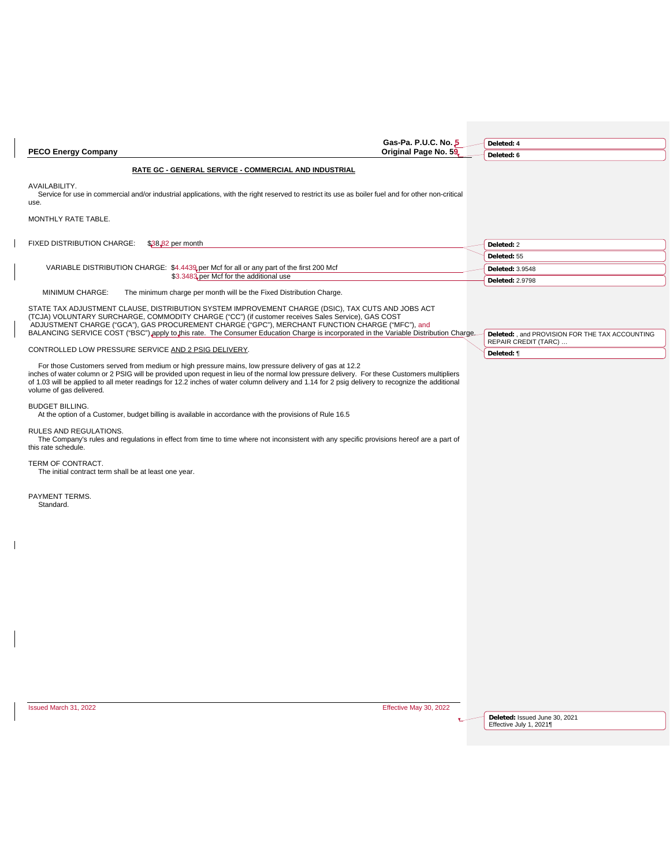| <b>PECO Energy Company</b>                                                                                                                                                                                                                                                                                                                                                                                                                           | Gas-Pa. P.U.C. No. 5<br>Original Page No. 59 | Deleted: 4                                                              |
|------------------------------------------------------------------------------------------------------------------------------------------------------------------------------------------------------------------------------------------------------------------------------------------------------------------------------------------------------------------------------------------------------------------------------------------------------|----------------------------------------------|-------------------------------------------------------------------------|
|                                                                                                                                                                                                                                                                                                                                                                                                                                                      |                                              | Deleted: 6                                                              |
| <b>RATE GC - GENERAL SERVICE - COMMERCIAL AND INDUSTRIAL</b>                                                                                                                                                                                                                                                                                                                                                                                         |                                              |                                                                         |
| AVAILABILITY.<br>Service for use in commercial and/or industrial applications, with the right reserved to restrict its use as boiler fuel and for other non-critical<br>use.                                                                                                                                                                                                                                                                         |                                              |                                                                         |
| MONTHLY RATE TABLE.                                                                                                                                                                                                                                                                                                                                                                                                                                  |                                              |                                                                         |
|                                                                                                                                                                                                                                                                                                                                                                                                                                                      |                                              |                                                                         |
| FIXED DISTRIBUTION CHARGE:<br>\$38,82 per month                                                                                                                                                                                                                                                                                                                                                                                                      |                                              | Deleted: 2                                                              |
|                                                                                                                                                                                                                                                                                                                                                                                                                                                      |                                              | Deleted: 55                                                             |
| VARIABLE DISTRIBUTION CHARGE: \$4.4439 per Mcf for all or any part of the first 200 Mcf                                                                                                                                                                                                                                                                                                                                                              |                                              | Deleted: 3.9548                                                         |
| \$3.3483 per Mcf for the additional use                                                                                                                                                                                                                                                                                                                                                                                                              |                                              | Deleted: 2.9798                                                         |
| MINIMUM CHARGE:<br>The minimum charge per month will be the Fixed Distribution Charge.                                                                                                                                                                                                                                                                                                                                                               |                                              |                                                                         |
| STATE TAX ADJUSTMENT CLAUSE, DISTRIBUTION SYSTEM IMPROVEMENT CHARGE (DSIC), TAX CUTS AND JOBS ACT<br>(TCJA) VOLUNTARY SURCHARGE, COMMODITY CHARGE ("CC") (if customer receives Sales Service), GAS COST<br>ADJUSTMENT CHARGE ("GCA"), GAS PROCUREMENT CHARGE ("GPC"), MERCHANT FUNCTION CHARGE ("MFC"), and<br>BALANCING SERVICE COST ("BSC") apply to this rate. The Consumer Education Charge is incorporated in the Variable Distribution Charge. |                                              | Deleted: , and PROVISION FOR THE TAX ACCOUNTING<br>REPAIR CREDIT (TARC) |
| CONTROLLED LOW PRESSURE SERVICE AND 2 PSIG DELIVERY.                                                                                                                                                                                                                                                                                                                                                                                                 |                                              | Deleted: ¶                                                              |
| For those Customers served from medium or high pressure mains, low pressure delivery of gas at 12.2                                                                                                                                                                                                                                                                                                                                                  |                                              |                                                                         |
| inches of water column or 2 PSIG will be provided upon request in lieu of the normal low pressure delivery. For these Customers multipliers<br>of 1.03 will be applied to all meter readings for 12.2 inches of water column delivery and 1.14 for 2 psig delivery to recognize the additional<br>volume of gas delivered.                                                                                                                           |                                              |                                                                         |
| <b>BUDGET BILLING.</b><br>At the option of a Customer, budget billing is available in accordance with the provisions of Rule 16.5                                                                                                                                                                                                                                                                                                                    |                                              |                                                                         |
| RULES AND REGULATIONS.<br>The Company's rules and regulations in effect from time to time where not inconsistent with any specific provisions hereof are a part of<br>this rate schedule.                                                                                                                                                                                                                                                            |                                              |                                                                         |
| TERM OF CONTRACT.<br>The initial contract term shall be at least one year.                                                                                                                                                                                                                                                                                                                                                                           |                                              |                                                                         |
| PAYMENT TERMS.<br>Standard.                                                                                                                                                                                                                                                                                                                                                                                                                          |                                              |                                                                         |
|                                                                                                                                                                                                                                                                                                                                                                                                                                                      |                                              |                                                                         |
|                                                                                                                                                                                                                                                                                                                                                                                                                                                      |                                              |                                                                         |
|                                                                                                                                                                                                                                                                                                                                                                                                                                                      |                                              |                                                                         |
|                                                                                                                                                                                                                                                                                                                                                                                                                                                      |                                              |                                                                         |
|                                                                                                                                                                                                                                                                                                                                                                                                                                                      |                                              |                                                                         |
|                                                                                                                                                                                                                                                                                                                                                                                                                                                      |                                              |                                                                         |
|                                                                                                                                                                                                                                                                                                                                                                                                                                                      |                                              |                                                                         |
| Issued March 31, 2022                                                                                                                                                                                                                                                                                                                                                                                                                                | Effective May 30, 2022                       |                                                                         |

 $\mathbf I$ 

 $\mathbf{I}$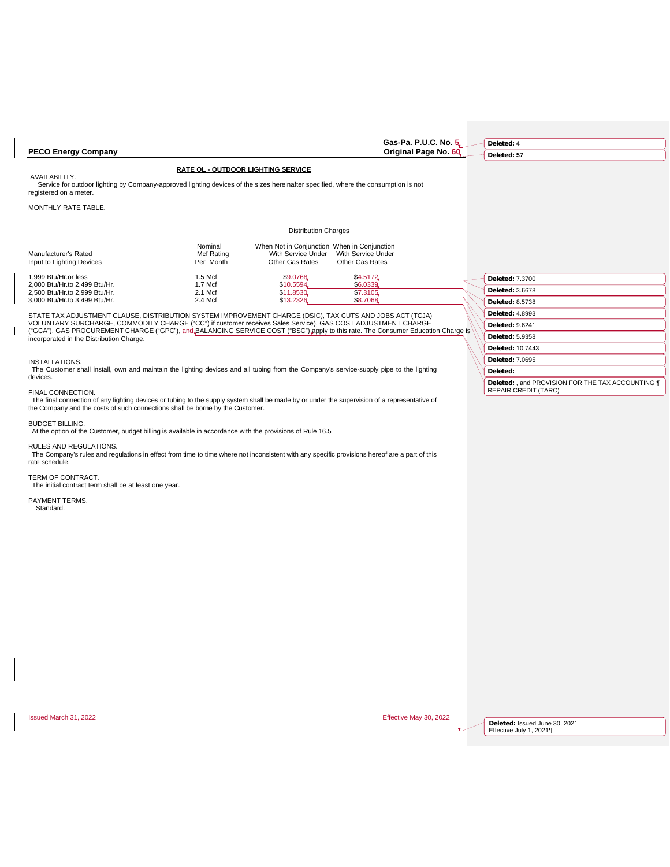|                                                                                                                                                                               |                                           |                                                                                      | Gas-Pa. P.U.C. No. 5                  | Deleted: 4                                                                       |
|-------------------------------------------------------------------------------------------------------------------------------------------------------------------------------|-------------------------------------------|--------------------------------------------------------------------------------------|---------------------------------------|----------------------------------------------------------------------------------|
| <b>PECO Energy Company</b>                                                                                                                                                    |                                           |                                                                                      | Original Page No. 60                  | Deleted: 57                                                                      |
|                                                                                                                                                                               | <b>RATE OL - OUTDOOR LIGHTING SERVICE</b> |                                                                                      |                                       |                                                                                  |
| AVAILABILITY.<br>Service for outdoor lighting by Company-approved lighting devices of the sizes hereinafter specified, where the consumption is not<br>registered on a meter. |                                           |                                                                                      |                                       |                                                                                  |
| MONTHLY RATE TABLE.                                                                                                                                                           |                                           |                                                                                      |                                       |                                                                                  |
|                                                                                                                                                                               |                                           | <b>Distribution Charges</b>                                                          |                                       |                                                                                  |
| Manufacturer's Rated<br>Input to Lighting Devices                                                                                                                             | Nominal<br>Mcf Rating<br>Per Month        | When Not in Conjunction When in Conjunction<br>With Service Under<br>Other Gas Rates | With Service Under<br>Other Gas Rates |                                                                                  |
| 1.999 Btu/Hr.or less                                                                                                                                                          | $1.5$ Mcf                                 | \$9.0768                                                                             | \$4.5172                              | <b>Deleted: 7.3700</b>                                                           |
| 2,000 Btu/Hr.to 2,499 Btu/Hr.<br>2,500 Btu/Hr.to 2,999 Btu/Hr.                                                                                                                | $1.7$ Mcf<br>2.1 Mcf                      | \$10,5594<br>\$11,8530                                                               | \$6,0339<br>\$7.3105                  | <b>Deleted: 3.6678</b>                                                           |
| 3.000 Btu/Hr.to 3.499 Btu/Hr.                                                                                                                                                 | 2.4 Mcf                                   | \$13.2326                                                                            | \$8,7068                              | <b>Deleted: 8.5738</b>                                                           |
| STATE TAX ADJUSTMENT CLAUSE, DISTRIBUTION SYSTEM IMPROVEMENT CHARGE (DSIC), TAX CUTS AND JOBS ACT (TCJA)                                                                      |                                           |                                                                                      |                                       | <b>Deleted: 4.8993</b>                                                           |
| VOLUNTARY SURCHARGE, COMMODITY CHARGE ("CC") if customer receives Sales Service), GAS COST ADJUSTMENT CHARGE                                                                  |                                           |                                                                                      |                                       | <b>Deleted: 9.6241</b>                                                           |
| ("GCA"), GAS PROCUREMENT CHARGE ("GPC"), and BALANCING SERVICE COST ("BSC") apply to this rate. The Consumer Education Charge is<br>incorporated in the Distribution Charge.  |                                           |                                                                                      |                                       | <b>Deleted: 5.9358</b>                                                           |
|                                                                                                                                                                               |                                           |                                                                                      |                                       | <b>Deleted: 10.7443</b>                                                          |
| INSTALLATIONS.                                                                                                                                                                |                                           |                                                                                      |                                       | <b>Deleted: 7.0695</b>                                                           |
| The Customer shall install, own and maintain the lighting devices and all tubing from the Company's service-supply pipe to the lighting                                       |                                           |                                                                                      |                                       | Deleted:                                                                         |
| devices.<br>FINAL CONNECTION.                                                                                                                                                 |                                           |                                                                                      |                                       | Deleted: , and PROVISION FOR THE TAX ACCOUNTING 1<br><b>REPAIR CREDIT (TARC)</b> |

The final connection of any lighting devices or tubing to the supply system shall be made by or under the supervision of a representative of the Company and the costs of such connections shall be borne by the Customer.

RULES AND REGULATIONS. The Company's rules and regulations in effect from time to time where not inconsistent with any specific provisions hereof are a part of this

BUDGET BILLING. At the option of the Customer, budget billing is available in accordance with the provisions of Rule 16.5

rate schedule.

 $\mathbf{I}$ 

 PAYMENT TERMS. Standard.

TERM OF CONTRACT. The initial contract term shall be at least one year.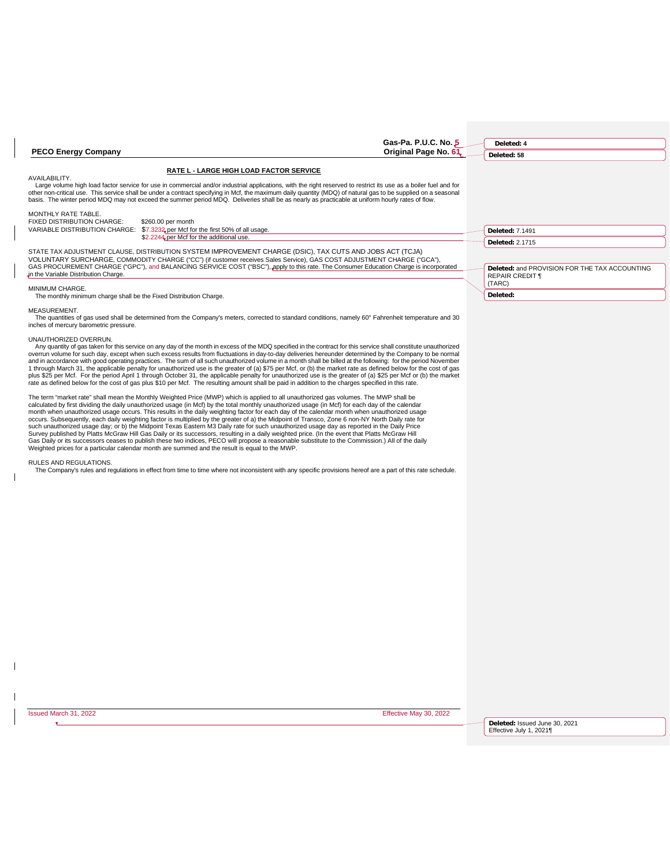|                                                                                       |                                                                                                                                                                                                                                                                                                                                                                                                                                                                                                                                                                                                                                                                                                                                                                                                                                                                                                                                                                                          | Gas-Pa. P.U.C. No. 5 | Deleted: 4                                                              |
|---------------------------------------------------------------------------------------|------------------------------------------------------------------------------------------------------------------------------------------------------------------------------------------------------------------------------------------------------------------------------------------------------------------------------------------------------------------------------------------------------------------------------------------------------------------------------------------------------------------------------------------------------------------------------------------------------------------------------------------------------------------------------------------------------------------------------------------------------------------------------------------------------------------------------------------------------------------------------------------------------------------------------------------------------------------------------------------|----------------------|-------------------------------------------------------------------------|
| <b>PECO Energy Company</b>                                                            |                                                                                                                                                                                                                                                                                                                                                                                                                                                                                                                                                                                                                                                                                                                                                                                                                                                                                                                                                                                          | Original Page No. 61 | Deleted: 58                                                             |
| AVAILABILITY.                                                                         | <b>RATE L - LARGE HIGH LOAD FACTOR SERVICE</b><br>Large volume high load factor service for use in commercial and/or industrial applications, with the right reserved to restrict its use as a boiler fuel and for<br>other non-critical use. This service shall be under a contract specifying in Mcf, the maximum daily quantity (MDQ) of natural gas to be supplied on a seasonal<br>basis. The winter period MDQ may not exceed the summer period MDQ. Deliveries shall be as nearly as practicable at uniform hourly rates of flow.                                                                                                                                                                                                                                                                                                                                                                                                                                                 |                      |                                                                         |
| MONTHLY RATE TABLE.<br>FIXED DISTRIBUTION CHARGE:                                     | \$260.00 per month<br>VARIABLE DISTRIBUTION CHARGE: \$7.3232 per Mcf for the first 50% of all usage.<br>\$2.2244 per Mcf for the additional use.                                                                                                                                                                                                                                                                                                                                                                                                                                                                                                                                                                                                                                                                                                                                                                                                                                         |                      | <b>Deleted: 7.1491</b><br><b>Deleted: 2.1715</b>                        |
| in the Variable Distribution Charge.                                                  | STATE TAX ADJUSTMENT CLAUSE, DISTRIBUTION SYSTEM IMPROVEMENT CHARGE (DSIC), TAX CUTS AND JOBS ACT (TCJA)<br>VOLUNTARY SURCHARGE, COMMODITY CHARGE ("CC") (if customer receives Sales Service), GAS COST ADJUSTMENT CHARGE ("GCA"),<br>GAS PROCUREMENT CHARGE ("GPC"), and BALANCING SERVICE COST ("BSC"), apply to this rate. The Consumer Education Charge is incorporated                                                                                                                                                                                                                                                                                                                                                                                                                                                                                                                                                                                                              |                      | Deleted: and PROVISION FOR THE TAX ACCOUNTING<br><b>REPAIR CREDIT 1</b> |
| MINIMUM CHARGE.<br>The monthly minimum charge shall be the Fixed Distribution Charge. |                                                                                                                                                                                                                                                                                                                                                                                                                                                                                                                                                                                                                                                                                                                                                                                                                                                                                                                                                                                          |                      | (TARC)<br>Deleted:                                                      |
| MEASUREMENT.<br>inches of mercury barometric pressure.                                | The quantities of gas used shall be determined from the Company's meters, corrected to standard conditions, namely 60° Fahrenheit temperature and 30                                                                                                                                                                                                                                                                                                                                                                                                                                                                                                                                                                                                                                                                                                                                                                                                                                     |                      |                                                                         |
| UNAUTHORIZED OVERRUN.                                                                 | Any quantity of gas taken for this service on any day of the month in excess of the MDQ specified in the contract for this service shall constitute unauthorized<br>overrun volume for such day, except when such excess results from fluctuations in day-to-day deliveries hereunder determined by the Company to be normal<br>and in accordance with good operating practices. The sum of all such unauthorized volume in a month shall be billed at the following: for the period November<br>1 through March 31, the applicable penalty for unauthorized use is the greater of (a) \$75 per Mcf, or (b) the market rate as defined below for the cost of gas<br>plus \$25 per Mcf. For the period April 1 through October 31, the applicable penalty for unauthorized use is the greater of (a) \$25 per Mcf or (b) the market<br>rate as defined below for the cost of gas plus \$10 per Mcf. The resulting amount shall be paid in addition to the charges specified in this rate. |                      |                                                                         |

The term "market rate" shall mean the Monthly Weighted Price (MWP) which is applied to all unauthorized gas volumes. The MWP shall be<br>calculated by first dividing the daily unauthorized usage (in Mcf) by the total monthly month when unauthorized usage occurs. This results in the daily weighting factor for each day of the calendar month when unauthorized usage<br>occurs. Subsequently, each daily weighting factor is multiplied by the greater of Gas Daily or its successors ceases to publish these two indices, PECO will propose a reasonable substitute to the Commission.) All of the daily<br>Weighted prices for a particular calendar month are summed and the result is e

RULES AND REGULATIONS.

 $\overline{1}$ 

 $\overline{\phantom{a}}$ 

The Company's rules and regulations in effect from time to time where not inconsistent with any specific provisions hereof are a part of this rate schedule.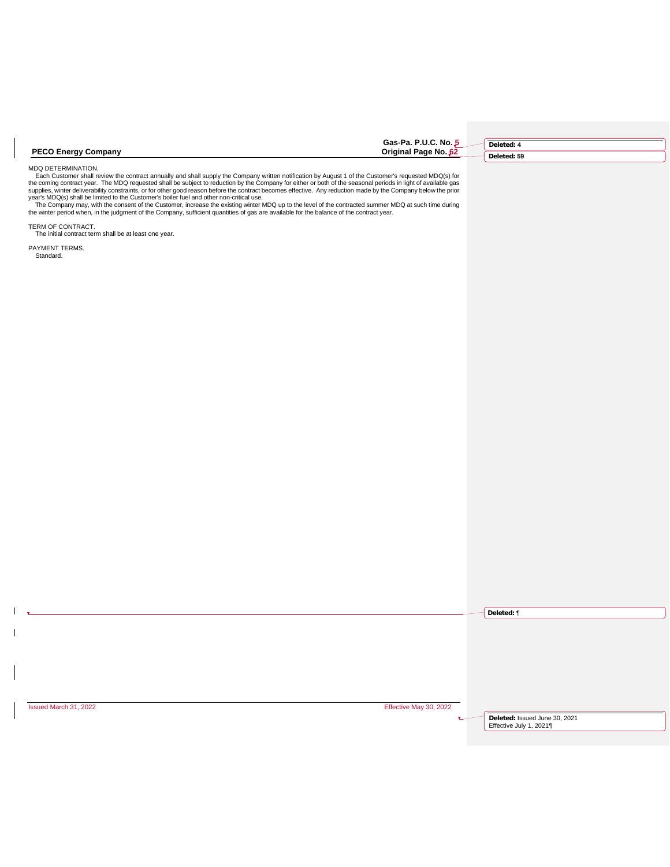**Gas-Pa. P.U.C. No. 5**

**Deleted: 4 Deleted: 59**

MDQ DETERMINATION.

Each Customer shall review the contract annually and shall supply the Company written notification by August 1 of the Customer's requested MDQ(s) for<br>the coming contract year. The MDQ requested shall be subject to reductio

year's MDQ(s) shall be limited to the Customer's boiler fuel and other non-critical use.<br>The Company may, with the consent of the Customer, increase the existing winter MDQ up to the level of the contracted summer MDQ at s

TERM OF CONTRACT. The initial contract term shall be at least one year.

PAYMENT TERMS. Standard.

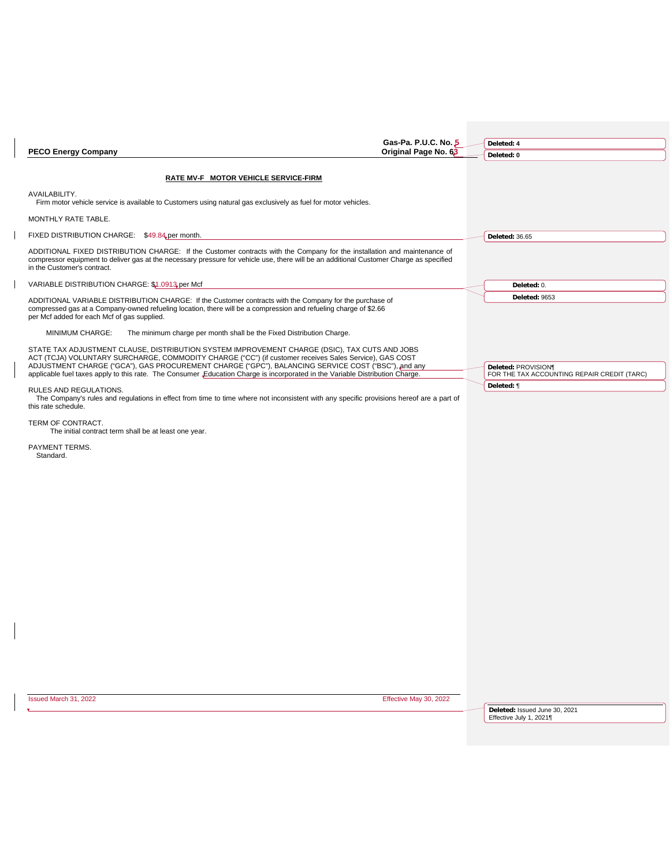|                                                                                                                                                                                                                                                                                                               | Gas-Pa. P.U.C. No. 5   | Deleted: 4                                                |
|---------------------------------------------------------------------------------------------------------------------------------------------------------------------------------------------------------------------------------------------------------------------------------------------------------------|------------------------|-----------------------------------------------------------|
| <b>PECO Energy Company</b>                                                                                                                                                                                                                                                                                    | Original Page No. 63   | Deleted: 0                                                |
| RATE MV-F MOTOR VEHICLE SERVICE-FIRM                                                                                                                                                                                                                                                                          |                        |                                                           |
| AVAILABILITY.<br>Firm motor vehicle service is available to Customers using natural gas exclusively as fuel for motor vehicles.                                                                                                                                                                               |                        |                                                           |
| MONTHLY RATE TABLE.                                                                                                                                                                                                                                                                                           |                        |                                                           |
| FIXED DISTRIBUTION CHARGE: \$49.84 per month.                                                                                                                                                                                                                                                                 |                        | Deleted: 36.65                                            |
| ADDITIONAL FIXED DISTRIBUTION CHARGE: If the Customer contracts with the Company for the installation and maintenance of<br>compressor equipment to deliver gas at the necessary pressure for vehicle use, there will be an additional Customer Charge as specified<br>in the Customer's contract.            |                        |                                                           |
| VARIABLE DISTRIBUTION CHARGE: \$1.0913 per Mcf                                                                                                                                                                                                                                                                |                        | Deleted: 0.                                               |
| ADDITIONAL VARIABLE DISTRIBUTION CHARGE: If the Customer contracts with the Company for the purchase of<br>compressed gas at a Company-owned refueling location, there will be a compression and refueling charge of \$2.66<br>per Mcf added for each Mcf of gas supplied.                                    |                        | Deleted: 9653                                             |
| MINIMUM CHARGE:<br>The minimum charge per month shall be the Fixed Distribution Charge.                                                                                                                                                                                                                       |                        |                                                           |
| STATE TAX ADJUSTMENT CLAUSE, DISTRIBUTION SYSTEM IMPROVEMENT CHARGE (DSIC), TAX CUTS AND JOBS<br>ACT (TCJA) VOLUNTARY SURCHARGE, COMMODITY CHARGE ("CC") (if customer receives Sales Service), GAS COST<br>ADJUSTMENT CHARGE ("GCA"), GAS PROCUREMENT CHARGE ("GPC"), BALANCING SERVICE COST ("BSC"), and any |                        | Deleted: PROVISION¶                                       |
| applicable fuel taxes apply to this rate. The Consumer Education Charge is incorporated in the Variable Distribution Charge.                                                                                                                                                                                  |                        | FOR THE TAX ACCOUNTING REPAIR CREDIT (TARC)<br>Deleted: ¶ |
| RULES AND REGULATIONS.<br>The Company's rules and regulations in effect from time to time where not inconsistent with any specific provisions hereof are a part of<br>this rate schedule.                                                                                                                     |                        |                                                           |
| TERM OF CONTRACT.<br>The initial contract term shall be at least one year.                                                                                                                                                                                                                                    |                        |                                                           |
| PAYMENT TERMS.<br>Standard.                                                                                                                                                                                                                                                                                   |                        |                                                           |
|                                                                                                                                                                                                                                                                                                               |                        |                                                           |
|                                                                                                                                                                                                                                                                                                               |                        |                                                           |
|                                                                                                                                                                                                                                                                                                               |                        |                                                           |
|                                                                                                                                                                                                                                                                                                               |                        |                                                           |
|                                                                                                                                                                                                                                                                                                               |                        |                                                           |
|                                                                                                                                                                                                                                                                                                               |                        |                                                           |
|                                                                                                                                                                                                                                                                                                               |                        |                                                           |
|                                                                                                                                                                                                                                                                                                               |                        |                                                           |
|                                                                                                                                                                                                                                                                                                               |                        |                                                           |
| Issued March 31, 2022                                                                                                                                                                                                                                                                                         | Effective May 30, 2022 |                                                           |
|                                                                                                                                                                                                                                                                                                               |                        | Deleted: Issued June 30, 2021<br>Effective July 1, 2021¶  |
|                                                                                                                                                                                                                                                                                                               |                        |                                                           |
|                                                                                                                                                                                                                                                                                                               |                        |                                                           |

 $\begin{array}{c} \hline \end{array}$ 

 $\mathbf I$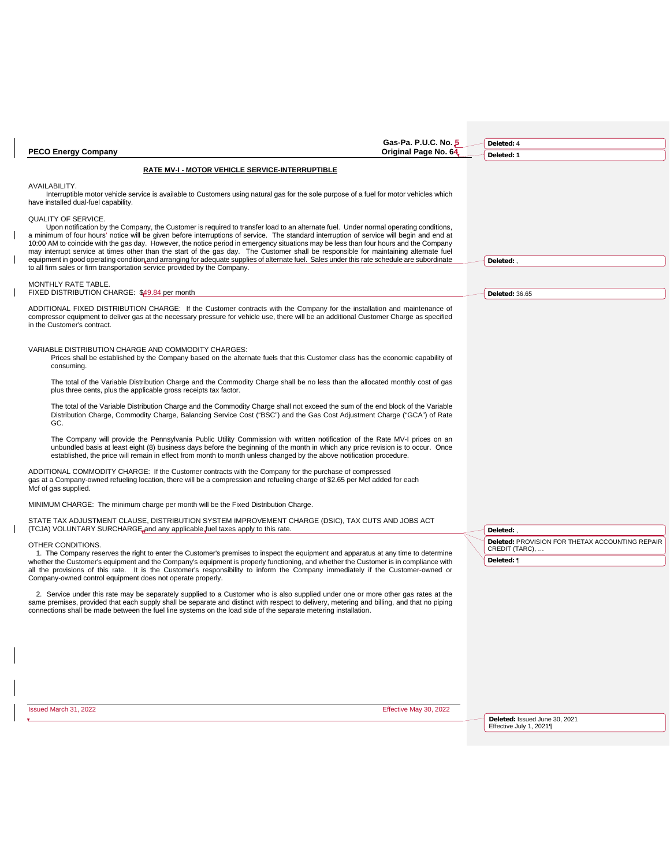|                                                                                                                                                                                                                                                                                                                                                                                                                                                                                                                                                                                                                                                                                                                                                                                                                        | Gas-Pa. P.U.C. No. 5   | Deleted: 4                                                                      |
|------------------------------------------------------------------------------------------------------------------------------------------------------------------------------------------------------------------------------------------------------------------------------------------------------------------------------------------------------------------------------------------------------------------------------------------------------------------------------------------------------------------------------------------------------------------------------------------------------------------------------------------------------------------------------------------------------------------------------------------------------------------------------------------------------------------------|------------------------|---------------------------------------------------------------------------------|
| <b>PECO Energy Company</b>                                                                                                                                                                                                                                                                                                                                                                                                                                                                                                                                                                                                                                                                                                                                                                                             | Original Page No. 64   | Deleted: 1                                                                      |
| RATE MV-I - MOTOR VEHICLE SERVICE-INTERRUPTIBLE                                                                                                                                                                                                                                                                                                                                                                                                                                                                                                                                                                                                                                                                                                                                                                        |                        |                                                                                 |
| AVAILABILITY.<br>Interruptible motor vehicle service is available to Customers using natural gas for the sole purpose of a fuel for motor vehicles which<br>have installed dual-fuel capability.                                                                                                                                                                                                                                                                                                                                                                                                                                                                                                                                                                                                                       |                        |                                                                                 |
| QUALITY OF SERVICE.<br>Upon notification by the Company, the Customer is required to transfer load to an alternate fuel. Under normal operating conditions,<br>a minimum of four hours' notice will be given before interruptions of service. The standard interruption of service will begin and end at<br>10:00 AM to coincide with the gas day. However, the notice period in emergency situations may be less than four hours and the Company<br>may interrupt service at times other than the start of the gas day. The Customer shall be responsible for maintaining alternate fuel<br>equipment in good operating condition, and arranging for adequate supplies of alternate fuel. Sales under this rate schedule are subordinate<br>to all firm sales or firm transportation service provided by the Company. |                        | Deleted:                                                                        |
| MONTHLY RATE TABLE.<br>FIXED DISTRIBUTION CHARGE: \$49.84 per month                                                                                                                                                                                                                                                                                                                                                                                                                                                                                                                                                                                                                                                                                                                                                    |                        | Deleted: 36.65                                                                  |
| ADDITIONAL FIXED DISTRIBUTION CHARGE: If the Customer contracts with the Company for the installation and maintenance of<br>compressor equipment to deliver gas at the necessary pressure for vehicle use, there will be an additional Customer Charge as specified<br>in the Customer's contract.                                                                                                                                                                                                                                                                                                                                                                                                                                                                                                                     |                        |                                                                                 |
| VARIABLE DISTRIBUTION CHARGE AND COMMODITY CHARGES:<br>Prices shall be established by the Company based on the alternate fuels that this Customer class has the economic capability of<br>consuming.                                                                                                                                                                                                                                                                                                                                                                                                                                                                                                                                                                                                                   |                        |                                                                                 |
| The total of the Variable Distribution Charge and the Commodity Charge shall be no less than the allocated monthly cost of gas<br>plus three cents, plus the applicable gross receipts tax factor.                                                                                                                                                                                                                                                                                                                                                                                                                                                                                                                                                                                                                     |                        |                                                                                 |
| The total of the Variable Distribution Charge and the Commodity Charge shall not exceed the sum of the end block of the Variable<br>Distribution Charge, Commodity Charge, Balancing Service Cost ("BSC") and the Gas Cost Adjustment Charge ("GCA") of Rate<br>GC.                                                                                                                                                                                                                                                                                                                                                                                                                                                                                                                                                    |                        |                                                                                 |
| The Company will provide the Pennsylvania Public Utility Commission with written notification of the Rate MV-I prices on an<br>unbundled basis at least eight (8) business days before the beginning of the month in which any price revision is to occur. Once<br>established, the price will remain in effect from month to month unless changed by the above notification procedure.                                                                                                                                                                                                                                                                                                                                                                                                                                |                        |                                                                                 |
| ADDITIONAL COMMODITY CHARGE: If the Customer contracts with the Company for the purchase of compressed<br>gas at a Company-owned refueling location, there will be a compression and refueling charge of \$2.65 per Mcf added for each<br>Mcf of gas supplied.                                                                                                                                                                                                                                                                                                                                                                                                                                                                                                                                                         |                        |                                                                                 |
| MINIMUM CHARGE: The minimum charge per month will be the Fixed Distribution Charge.                                                                                                                                                                                                                                                                                                                                                                                                                                                                                                                                                                                                                                                                                                                                    |                        |                                                                                 |
| STATE TAX ADJUSTMENT CLAUSE, DISTRIBUTION SYSTEM IMPROVEMENT CHARGE (DSIC), TAX CUTS AND JOBS ACT<br>(TCJA) VOLUNTARY SURCHARGE and any applicable fuel taxes apply to this rate.                                                                                                                                                                                                                                                                                                                                                                                                                                                                                                                                                                                                                                      |                        | Deleted:,                                                                       |
| OTHER CONDITIONS.<br>1. The Company reserves the right to enter the Customer's premises to inspect the equipment and apparatus at any time to determine<br>whether the Customer's equipment and the Company's equipment is properly functioning, and whether the Customer is in compliance with<br>all the provisions of this rate. It is the Customer's responsibility to inform the Company immediately if the Customer-owned or<br>Company-owned control equipment does not operate properly.                                                                                                                                                                                                                                                                                                                       |                        | Deleted: PROVISION FOR THETAX ACCOUNTING REPAIR<br>CREDIT (TARC),<br>Deleted: ¶ |
| 2. Service under this rate may be separately supplied to a Customer who is also supplied under one or more other gas rates at the<br>same premises, provided that each supply shall be separate and distinct with respect to delivery, metering and billing, and that no piping<br>connections shall be made between the fuel line systems on the load side of the separate metering installation.                                                                                                                                                                                                                                                                                                                                                                                                                     |                        |                                                                                 |
|                                                                                                                                                                                                                                                                                                                                                                                                                                                                                                                                                                                                                                                                                                                                                                                                                        |                        |                                                                                 |
|                                                                                                                                                                                                                                                                                                                                                                                                                                                                                                                                                                                                                                                                                                                                                                                                                        |                        |                                                                                 |
|                                                                                                                                                                                                                                                                                                                                                                                                                                                                                                                                                                                                                                                                                                                                                                                                                        |                        |                                                                                 |
| Issued March 31, 2022                                                                                                                                                                                                                                                                                                                                                                                                                                                                                                                                                                                                                                                                                                                                                                                                  | Effective May 30, 2022 |                                                                                 |
|                                                                                                                                                                                                                                                                                                                                                                                                                                                                                                                                                                                                                                                                                                                                                                                                                        |                        | Deleted: Issued June 30, 2021<br>Effective July 1, 2021¶                        |

 $\overline{\phantom{a}}$ 

 $\mathbf{I}$ 

 $\mathbf I$ 

 $\mathbf{l}$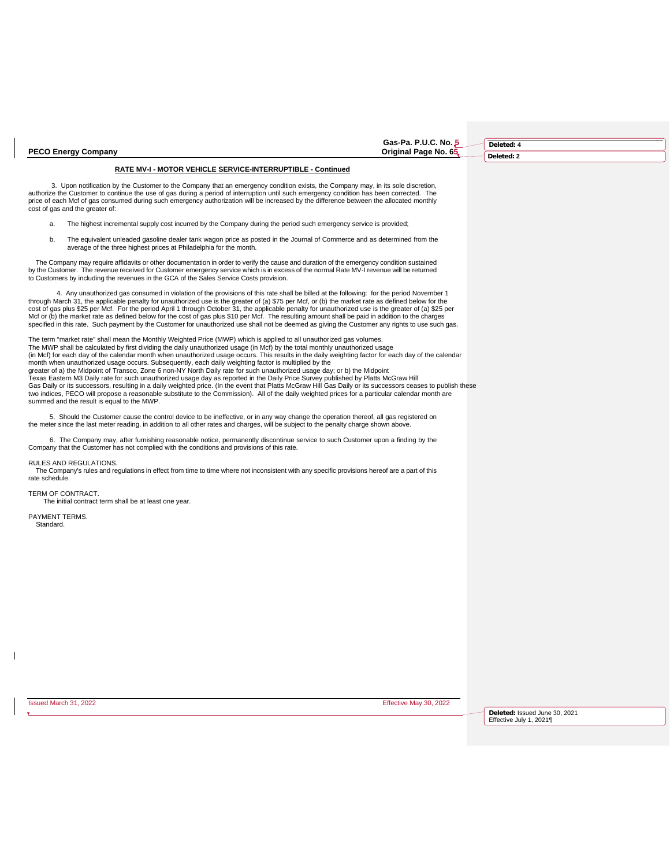# **Gas-Pa. P.U.C. No. 5 Page No. 65**

**Deleted: 4 Deleted: 2**

# **RATE MV-I - MOTOR VEHICLE SERVICE-INTERRUPTIBLE - Continued**

3. Upon notification by the Customer to the Company that an emergency condition exists, the Company may, in its sole discretion, authorize the Customer to continue the use of gas during a period of interruption until such emergency condition has been corrected. The price of each Mcf of gas consumed during such emergency authorization will be increased by the difference between the allocated monthly cost of gas and the greater of:

- a. The highest incremental supply cost incurred by the Company during the period such emergency service is provided;
- b. The equivalent unleaded gasoline dealer tank wagon price as posted in the Journal of Commerce and as determined from the average of the three highest prices at Philadelphia for the month.

 The Company may require affidavits or other documentation in order to verify the cause and duration of the emergency condition sustained by the Customer. The revenue received for Customer emergency service which is in excess of the normal Rate MV-I revenue will be returned<br>to Customers by including the revenues in the GCA of the Sales Service Costs provisio

4. Any unauthorized gas consumed in violation of the provisions of this rate shall be billed at the following: for the period November 1 through March 31, the applicable penalty for unauthorized use is the greater of (a) \$75 per Mcf, or (b) the market rate as defined below for the<br>cost of gas plus \$25 per Mcf. For the period April 1 through October 31, the Mcf or (b) the market rate as defined below for the cost of gas plus \$10 per Mcf. The resulting amount shall be paid in addition to the charges<br>specified in this rate. Such payment by the Customer for unauthorized use sha

The term "market rate" shall mean the Monthly Weighted Price (MWP) which is applied to all unauthorized gas volumes.<br>The MWP shall be calculated by first dividing the daily unauthorized usage (in Mcf) by the total monthly (in Mcf) for each day of the calendar month when unauthorized usage occurs. This results in the daily weighting factor for each day of the calendar month when unauthorized usage occurs. Subsequently, each daily weighting factor is multiplied by the greater of a) the Midpoint of Transco, Zone 6 non-NY North Daily rate for such unauthorized usage day; or b) the Midpoint Texas Eastern M3 Daily rate for such unauthorized usage day as reported in the Daily Price Survey published by Platts McGraw Hill<br>Gas Daily or its successors, resulting in a daily weighted price. (In the event that Platts summed and the result is equal to the MWP.

5. Should the Customer cause the control device to be ineffective, or in any way change the operation thereof, all gas registered on the meter since the last meter reading, in addition to all other rates and charges, will be subject to the penalty charge shown above.

6. The Company may, after furnishing reasonable notice, permanently discontinue service to such Customer upon a finding by the Company that the Customer has not complied with the conditions and provisions of this rate.

RULES AND REGULATIONS.

 The Company's rules and regulations in effect from time to time where not inconsistent with any specific provisions hereof are a part of this rate schedule.

TERM OF CONTRACT. The initial contract term shall be at least one year.

PAYMENT TERMS.

Standard.

 $\mathsf{l}$ 

Issued March 31, 2022 Effective May 30, 2022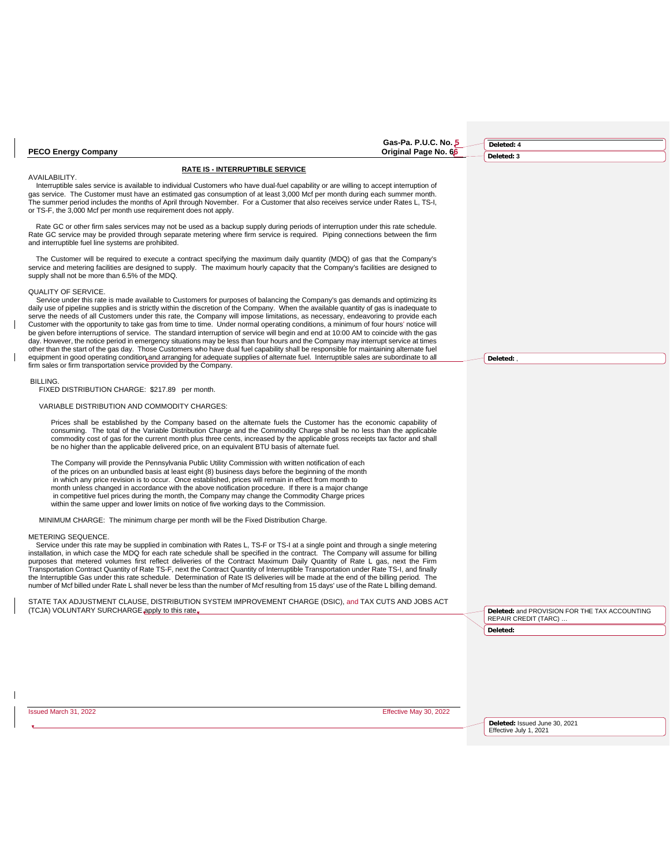|                                                                                                                                                                                                                                                                                                                                                                                                                                                                                                                                                                                                                                                                                                                                                                                                                                                                                                                                                                                                                                                                                                                                                                                                                          | Gas-Pa. P.U.C. No. 5   | Deleted: 4                                              |
|--------------------------------------------------------------------------------------------------------------------------------------------------------------------------------------------------------------------------------------------------------------------------------------------------------------------------------------------------------------------------------------------------------------------------------------------------------------------------------------------------------------------------------------------------------------------------------------------------------------------------------------------------------------------------------------------------------------------------------------------------------------------------------------------------------------------------------------------------------------------------------------------------------------------------------------------------------------------------------------------------------------------------------------------------------------------------------------------------------------------------------------------------------------------------------------------------------------------------|------------------------|---------------------------------------------------------|
| <b>PECO Energy Company</b>                                                                                                                                                                                                                                                                                                                                                                                                                                                                                                                                                                                                                                                                                                                                                                                                                                                                                                                                                                                                                                                                                                                                                                                               | Original Page No. 66   | Deleted: 3                                              |
| <b>RATE IS - INTERRUPTIBLE SERVICE</b><br>AVAILABILITY.<br>Interruptible sales service is available to individual Customers who have dual-fuel capability or are willing to accept interruption of<br>gas service. The Customer must have an estimated gas consumption of at least 3,000 Mcf per month during each summer month.<br>The summer period includes the months of April through November. For a Customer that also receives service under Rates L, TS-I,<br>or TS-F, the 3,000 Mcf per month use requirement does not apply.                                                                                                                                                                                                                                                                                                                                                                                                                                                                                                                                                                                                                                                                                  |                        |                                                         |
| Rate GC or other firm sales services may not be used as a backup supply during periods of interruption under this rate schedule.<br>Rate GC service may be provided through separate metering where firm service is required. Piping connections between the firm<br>and interruptible fuel line systems are prohibited.                                                                                                                                                                                                                                                                                                                                                                                                                                                                                                                                                                                                                                                                                                                                                                                                                                                                                                 |                        |                                                         |
| The Customer will be required to execute a contract specifying the maximum daily quantity (MDQ) of gas that the Company's<br>service and metering facilities are designed to supply. The maximum hourly capacity that the Company's facilities are designed to<br>supply shall not be more than 6.5% of the MDQ.                                                                                                                                                                                                                                                                                                                                                                                                                                                                                                                                                                                                                                                                                                                                                                                                                                                                                                         |                        |                                                         |
| QUALITY OF SERVICE.<br>Service under this rate is made available to Customers for purposes of balancing the Company's gas demands and optimizing its<br>daily use of pipeline supplies and is strictly within the discretion of the Company. When the available quantity of gas is inadequate to<br>serve the needs of all Customers under this rate, the Company will impose limitations, as necessary, endeavoring to provide each<br>Customer with the opportunity to take gas from time to time. Under normal operating conditions, a minimum of four hours' notice will<br>be given before interruptions of service. The standard interruption of service will begin and end at 10:00 AM to coincide with the gas<br>day. However, the notice period in emergency situations may be less than four hours and the Company may interrupt service at times<br>other than the start of the gas day. Those Customers who have dual fuel capability shall be responsible for maintaining alternate fuel<br>equipment in good operating condition, and arranging for adequate supplies of alternate fuel. Interruptible sales are subordinate to all<br>firm sales or firm transportation service provided by the Company. |                        | Deleted:                                                |
| <b>BILLING.</b><br>FIXED DISTRIBUTION CHARGE: \$217.89 per month.                                                                                                                                                                                                                                                                                                                                                                                                                                                                                                                                                                                                                                                                                                                                                                                                                                                                                                                                                                                                                                                                                                                                                        |                        |                                                         |
| VARIABLE DISTRIBUTION AND COMMODITY CHARGES:                                                                                                                                                                                                                                                                                                                                                                                                                                                                                                                                                                                                                                                                                                                                                                                                                                                                                                                                                                                                                                                                                                                                                                             |                        |                                                         |
| Prices shall be established by the Company based on the alternate fuels the Customer has the economic capability of<br>consuming. The total of the Variable Distribution Charge and the Commodity Charge shall be no less than the applicable<br>commodity cost of gas for the current month plus three cents, increased by the applicable gross receipts tax factor and shall<br>be no higher than the applicable delivered price, on an equivalent BTU basis of alternate fuel.                                                                                                                                                                                                                                                                                                                                                                                                                                                                                                                                                                                                                                                                                                                                        |                        |                                                         |
| The Company will provide the Pennsylvania Public Utility Commission with written notification of each<br>of the prices on an unbundled basis at least eight (8) business days before the beginning of the month<br>in which any price revision is to occur. Once established, prices will remain in effect from month to<br>month unless changed in accordance with the above notification procedure. If there is a major change<br>in competitive fuel prices during the month, the Company may change the Commodity Charge prices<br>within the same upper and lower limits on notice of five working days to the Commission.                                                                                                                                                                                                                                                                                                                                                                                                                                                                                                                                                                                          |                        |                                                         |
| MINIMUM CHARGE: The minimum charge per month will be the Fixed Distribution Charge.                                                                                                                                                                                                                                                                                                                                                                                                                                                                                                                                                                                                                                                                                                                                                                                                                                                                                                                                                                                                                                                                                                                                      |                        |                                                         |
| METERING SEQUENCE.<br>Service under this rate may be supplied in combination with Rates L, TS-F or TS-I at a single point and through a single metering<br>installation, in which case the MDQ for each rate schedule shall be specified in the contract. The Company will assume for billing<br>purposes that metered volumes first reflect deliveries of the Contract Maximum Daily Quantity of Rate L gas, next the Firm<br>Transportation Contract Quantity of Rate TS-F, next the Contract Quantity of Interruptible Transportation under Rate TS-I, and finally<br>the Interruptible Gas under this rate schedule. Determination of Rate IS deliveries will be made at the end of the billing period. The<br>number of Mcf billed under Rate L shall never be less than the number of Mcf resulting from 15 days' use of the Rate L billing demand.                                                                                                                                                                                                                                                                                                                                                                |                        |                                                         |
| STATE TAX ADJUSTMENT CLAUSE, DISTRIBUTION SYSTEM IMPROVEMENT CHARGE (DSIC), and TAX CUTS AND JOBS ACT<br>(TCJA) VOLUNTARY SURCHARGE apply to this rate.                                                                                                                                                                                                                                                                                                                                                                                                                                                                                                                                                                                                                                                                                                                                                                                                                                                                                                                                                                                                                                                                  |                        | Deleted: and PROVISION FOR THE TAX ACCOUNTING           |
|                                                                                                                                                                                                                                                                                                                                                                                                                                                                                                                                                                                                                                                                                                                                                                                                                                                                                                                                                                                                                                                                                                                                                                                                                          |                        | REPAIR CREDIT (TARC)<br>Deleted:                        |
|                                                                                                                                                                                                                                                                                                                                                                                                                                                                                                                                                                                                                                                                                                                                                                                                                                                                                                                                                                                                                                                                                                                                                                                                                          |                        |                                                         |
| Issued March 31, 2022                                                                                                                                                                                                                                                                                                                                                                                                                                                                                                                                                                                                                                                                                                                                                                                                                                                                                                                                                                                                                                                                                                                                                                                                    | Effective May 30, 2022 |                                                         |
|                                                                                                                                                                                                                                                                                                                                                                                                                                                                                                                                                                                                                                                                                                                                                                                                                                                                                                                                                                                                                                                                                                                                                                                                                          |                        | Deleted: Issued June 30, 2021<br>Effective July 1, 2021 |

 $\overline{\phantom{a}}$ 

 $\overline{\phantom{a}}$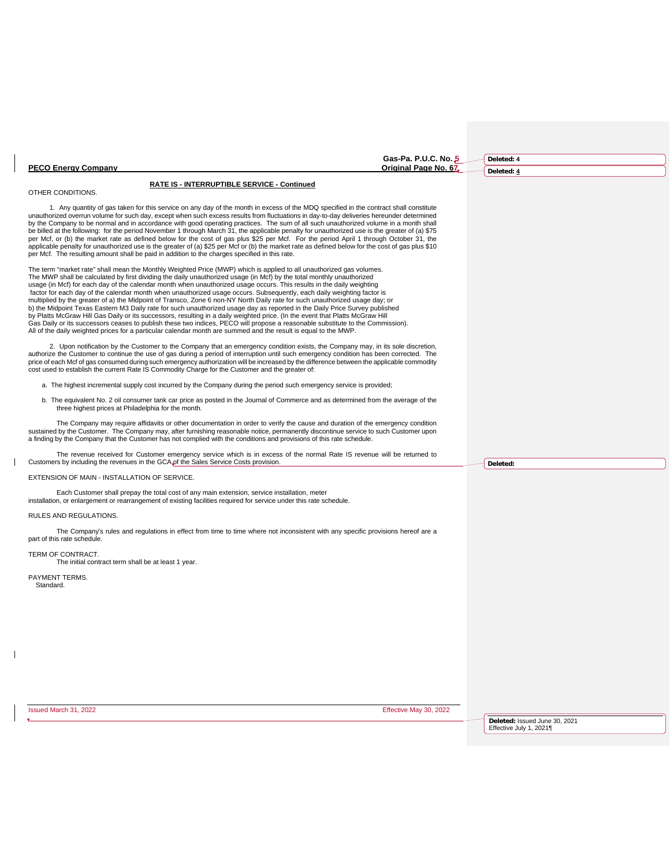| Gas-Pa. P.U.C. No. 5                                                                                                                                                                                                                                                                                                                                                                                                                                                                                                                                                                                                                                                                                                                                                                                                                                                                                                                                                                                                                                                                                                                                 | Deleted: 4                      |
|------------------------------------------------------------------------------------------------------------------------------------------------------------------------------------------------------------------------------------------------------------------------------------------------------------------------------------------------------------------------------------------------------------------------------------------------------------------------------------------------------------------------------------------------------------------------------------------------------------------------------------------------------------------------------------------------------------------------------------------------------------------------------------------------------------------------------------------------------------------------------------------------------------------------------------------------------------------------------------------------------------------------------------------------------------------------------------------------------------------------------------------------------|---------------------------------|
| Original Page No. 67<br><b>PECO Energy Company</b>                                                                                                                                                                                                                                                                                                                                                                                                                                                                                                                                                                                                                                                                                                                                                                                                                                                                                                                                                                                                                                                                                                   | Deleted: 4                      |
| RATE IS - INTERRUPTIBLE SERVICE - Continued<br>OTHER CONDITIONS.                                                                                                                                                                                                                                                                                                                                                                                                                                                                                                                                                                                                                                                                                                                                                                                                                                                                                                                                                                                                                                                                                     |                                 |
| 1. Any quantity of gas taken for this service on any day of the month in excess of the MDQ specified in the contract shall constitute<br>unauthorized overrun volume for such day, except when such excess results from fluctuations in day-to-day deliveries hereunder determined<br>by the Company to be normal and in accordance with good operating practices. The sum of all such unauthorized volume in a month shall<br>be billed at the following: for the period November 1 through March 31, the applicable penalty for unauthorized use is the greater of (a) \$75<br>per Mcf, or (b) the market rate as defined below for the cost of gas plus \$25 per Mcf. For the period April 1 through October 31, the<br>applicable penalty for unauthorized use is the greater of (a) \$25 per Mcf or (b) the market rate as defined below for the cost of gas plus \$10<br>per Mcf. The resulting amount shall be paid in addition to the charges specified in this rate.                                                                                                                                                                        |                                 |
| The term "market rate" shall mean the Monthly Weighted Price (MWP) which is applied to all unauthorized gas volumes.<br>The MWP shall be calculated by first dividing the daily unauthorized usage (in Mcf) by the total monthly unauthorized<br>usage (in Mcf) for each day of the calendar month when unauthorized usage occurs. This results in the daily weighting<br>factor for each day of the calendar month when unauthorized usage occurs. Subsequently, each daily weighting factor is<br>multiplied by the greater of a) the Midpoint of Transco, Zone 6 non-NY North Daily rate for such unauthorized usage day; or<br>b) the Midpoint Texas Eastern M3 Daily rate for such unauthorized usage day as reported in the Daily Price Survey published<br>by Platts McGraw Hill Gas Daily or its successors, resulting in a daily weighted price. (In the event that Platts McGraw Hill<br>Gas Daily or its successors ceases to publish these two indices, PECO will propose a reasonable substitute to the Commission).<br>All of the daily weighted prices for a particular calendar month are summed and the result is equal to the MWP. |                                 |
| 2. Upon notification by the Customer to the Company that an emergency condition exists, the Company may, in its sole discretion,<br>authorize the Customer to continue the use of gas during a period of interruption until such emergency condition has been corrected. The<br>price of each Mcf of gas consumed during such emergency authorization will be increased by the difference between the applicable commodity<br>cost used to establish the current Rate IS Commodity Charge for the Customer and the greater of:                                                                                                                                                                                                                                                                                                                                                                                                                                                                                                                                                                                                                       |                                 |
| a. The highest incremental supply cost incurred by the Company during the period such emergency service is provided;                                                                                                                                                                                                                                                                                                                                                                                                                                                                                                                                                                                                                                                                                                                                                                                                                                                                                                                                                                                                                                 |                                 |
| b. The equivalent No. 2 oil consumer tank car price as posted in the Journal of Commerce and as determined from the average of the<br>three highest prices at Philadelphia for the month.                                                                                                                                                                                                                                                                                                                                                                                                                                                                                                                                                                                                                                                                                                                                                                                                                                                                                                                                                            |                                 |
| The Company may require affidavits or other documentation in order to verify the cause and duration of the emergency condition<br>sustained by the Customer. The Company may, after furnishing reasonable notice, permanently discontinue service to such Customer upon<br>a finding by the Company that the Customer has not complied with the conditions and provisions of this rate schedule.                                                                                                                                                                                                                                                                                                                                                                                                                                                                                                                                                                                                                                                                                                                                                     |                                 |
| The revenue received for Customer emergency service which is in excess of the normal Rate IS revenue will be returned to<br>Customers by including the revenues in the GCA of the Sales Service Costs provision.                                                                                                                                                                                                                                                                                                                                                                                                                                                                                                                                                                                                                                                                                                                                                                                                                                                                                                                                     | Deleted:                        |
| EXTENSION OF MAIN - INSTALLATION OF SERVICE.                                                                                                                                                                                                                                                                                                                                                                                                                                                                                                                                                                                                                                                                                                                                                                                                                                                                                                                                                                                                                                                                                                         |                                 |
| Each Customer shall prepay the total cost of any main extension, service installation, meter<br>installation, or enlargement or rearrangement of existing facilities required for service under this rate schedule.                                                                                                                                                                                                                                                                                                                                                                                                                                                                                                                                                                                                                                                                                                                                                                                                                                                                                                                                  |                                 |
| <b>RULES AND REGULATIONS.</b>                                                                                                                                                                                                                                                                                                                                                                                                                                                                                                                                                                                                                                                                                                                                                                                                                                                                                                                                                                                                                                                                                                                        |                                 |
| The Company's rules and regulations in effect from time to time where not inconsistent with any specific provisions hereof are a<br>part of this rate schedule.                                                                                                                                                                                                                                                                                                                                                                                                                                                                                                                                                                                                                                                                                                                                                                                                                                                                                                                                                                                      |                                 |
| TERM OF CONTRACT.<br>The initial contract term shall be at least 1 year.                                                                                                                                                                                                                                                                                                                                                                                                                                                                                                                                                                                                                                                                                                                                                                                                                                                                                                                                                                                                                                                                             |                                 |
| PAYMENT TERMS.<br>Standard.                                                                                                                                                                                                                                                                                                                                                                                                                                                                                                                                                                                                                                                                                                                                                                                                                                                                                                                                                                                                                                                                                                                          |                                 |
|                                                                                                                                                                                                                                                                                                                                                                                                                                                                                                                                                                                                                                                                                                                                                                                                                                                                                                                                                                                                                                                                                                                                                      |                                 |
|                                                                                                                                                                                                                                                                                                                                                                                                                                                                                                                                                                                                                                                                                                                                                                                                                                                                                                                                                                                                                                                                                                                                                      |                                 |
|                                                                                                                                                                                                                                                                                                                                                                                                                                                                                                                                                                                                                                                                                                                                                                                                                                                                                                                                                                                                                                                                                                                                                      |                                 |
|                                                                                                                                                                                                                                                                                                                                                                                                                                                                                                                                                                                                                                                                                                                                                                                                                                                                                                                                                                                                                                                                                                                                                      |                                 |
|                                                                                                                                                                                                                                                                                                                                                                                                                                                                                                                                                                                                                                                                                                                                                                                                                                                                                                                                                                                                                                                                                                                                                      |                                 |
|                                                                                                                                                                                                                                                                                                                                                                                                                                                                                                                                                                                                                                                                                                                                                                                                                                                                                                                                                                                                                                                                                                                                                      |                                 |
|                                                                                                                                                                                                                                                                                                                                                                                                                                                                                                                                                                                                                                                                                                                                                                                                                                                                                                                                                                                                                                                                                                                                                      |                                 |
| Issued March 31, 2022<br>Effective May 30, 2022                                                                                                                                                                                                                                                                                                                                                                                                                                                                                                                                                                                                                                                                                                                                                                                                                                                                                                                                                                                                                                                                                                      | Deleted: Issued June 30<br>2021 |

 $\mathbf I$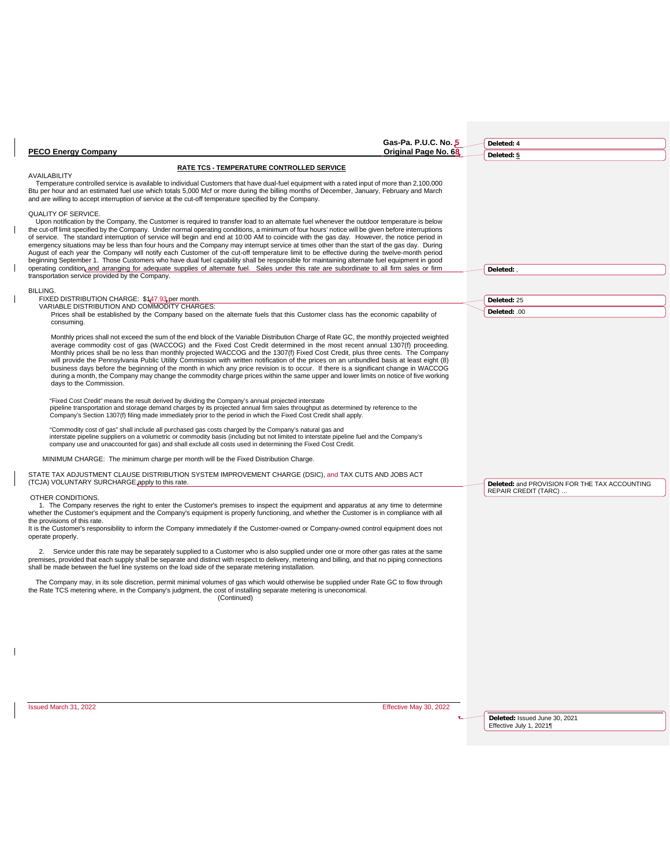| Gas-Pa. P.U.C. No. 5<br>Deleted: 4<br>Original Page No. 68<br><b>PECO Energy Company</b><br>Deleted: 5<br>RATE TCS - TEMPERATURE CONTROLLED SERVICE<br>AVAILABILITY<br>Temperature controlled service is available to individual Customers that have dual-fuel equipment with a rated input of more than 2,100,000<br>Btu per hour and an estimated fuel use which totals 5,000 Mcf or more during the billing months of December, January, February and March<br>and are willing to accept interruption of service at the cut-off temperature specified by the Company.<br>QUALITY OF SERVICE.<br>Upon notification by the Company, the Customer is required to transfer load to an alternate fuel whenever the outdoor temperature is below<br>the cut-off limit specified by the Company. Under normal operating conditions, a minimum of four hours' notice will be given before interruptions<br>of service. The standard interruption of service will begin and end at 10:00 AM to coincide with the gas day. However, the notice period in<br>emergency situations may be less than four hours and the Company may interrupt service at times other than the start of the gas day. During<br>August of each year the Company will notify each Customer of the cut-off temperature limit to be effective during the twelve-month period<br>beginning September 1. Those Customers who have dual fuel capability shall be responsible for maintaining alternate fuel equipment in good<br>operating condition, and arranging for adequate supplies of alternate fuel. Sales under this rate are subordinate to all firm sales or firm<br>Deleted:<br>transportation service provided by the Company.<br><b>BILLING.</b><br>FIXED DISTRIBUTION CHARGE: \$147.93 per month.<br>Deleted: 25<br>VARIABLE DISTRIBUTION AND COMMODITY CHARGES:<br>Deleted: .00<br>Prices shall be established by the Company based on the alternate fuels that this Customer class has the economic capability of<br>consuming.<br>Monthly prices shall not exceed the sum of the end block of the Variable Distribution Charge of Rate GC, the monthly projected weighted<br>average commodity cost of gas (WACCOG) and the Fixed Cost Credit determined in the most recent annual 1307(f) proceeding.<br>Monthly prices shall be no less than monthly projected WACCOG and the 1307(f) Fixed Cost Credit, plus three cents. The Company<br>will provide the Pennsylvania Public Utility Commission with written notification of the prices on an unbundled basis at least eight (8)<br>business days before the beginning of the month in which any price revision is to occur. If there is a significant change in WACCOG<br>during a month, the Company may change the commodity charge prices within the same upper and lower limits on notice of five working<br>days to the Commission.<br>"Fixed Cost Credit" means the result derived by dividing the Company's annual projected interstate<br>pipeline transportation and storage demand charges by its projected annual firm sales throughput as determined by reference to the<br>Company's Section 1307(f) filing made immediately prior to the period in which the Fixed Cost Credit shall apply.<br>"Commodity cost of gas" shall include all purchased gas costs charged by the Company's natural gas and<br>interstate pipeline suppliers on a volumetric or commodity basis (including but not limited to interstate pipeline fuel and the Company's<br>company use and unaccounted for gas) and shall exclude all costs used in determining the Fixed Cost Credit.<br>MINIMUM CHARGE: The minimum charge per month will be the Fixed Distribution Charge.<br>STATE TAX ADJUSTMENT CLAUSE DISTRIBUTION SYSTEM IMPROVEMENT CHARGE (DSIC), and TAX CUTS AND JOBS ACT<br>(TCJA) VOLUNTARY SURCHARGE apply to this rate.<br>Deleted: and PROVISION FOR THE TAX ACCOUNTING<br>REPAIR CREDIT (TARC)<br>OTHER CONDITIONS.<br>1. The Company reserves the right to enter the Customer's premises to inspect the equipment and apparatus at any time to determine<br>whether the Customer's equipment and the Company's equipment is properly functioning, and whether the Customer is in compliance with all<br>the provisions of this rate.<br>It is the Customer's responsibility to inform the Company immediately if the Customer-owned or Company-owned control equipment does not<br>operate properly.<br>2. Service under this rate may be separately supplied to a Customer who is also supplied under one or more other gas rates at the same<br>premises, provided that each supply shall be separate and distinct with respect to delivery, metering and billing, and that no piping connections<br>shall be made between the fuel line systems on the load side of the separate metering installation.<br>The Company may, in its sole discretion, permit minimal volumes of gas which would otherwise be supplied under Rate GC to flow through<br>the Rate TCS metering where, in the Company's judgment, the cost of installing separate metering is uneconomical.<br>(Continued)<br>Effective May 30, 2022<br>Issued March 31, 2022<br>Deleted: Issued June 30, 2021<br>Effective July 1, 2021¶ |  |  |
|----------------------------------------------------------------------------------------------------------------------------------------------------------------------------------------------------------------------------------------------------------------------------------------------------------------------------------------------------------------------------------------------------------------------------------------------------------------------------------------------------------------------------------------------------------------------------------------------------------------------------------------------------------------------------------------------------------------------------------------------------------------------------------------------------------------------------------------------------------------------------------------------------------------------------------------------------------------------------------------------------------------------------------------------------------------------------------------------------------------------------------------------------------------------------------------------------------------------------------------------------------------------------------------------------------------------------------------------------------------------------------------------------------------------------------------------------------------------------------------------------------------------------------------------------------------------------------------------------------------------------------------------------------------------------------------------------------------------------------------------------------------------------------------------------------------------------------------------------------------------------------------------------------------------------------------------------------------------------------------------------------------------------------------------------------------------------------------------------------------------------------------------------------------------------------------------------------------------------------------------------------------------------------------------------------------------------------------------------------------------------------------------------------------------------------------------------------------------------------------------------------------------------------------------------------------------------------------------------------------------------------------------------------------------------------------------------------------------------------------------------------------------------------------------------------------------------------------------------------------------------------------------------------------------------------------------------------------------------------------------------------------------------------------------------------------------------------------------------------------------------------------------------------------------------------------------------------------------------------------------------------------------------------------------------------------------------------------------------------------------------------------------------------------------------------------------------------------------------------------------------------------------------------------------------------------------------------------------------------------------------------------------------------------------------------------------------------------------------------------------------------------------------------------------------------------------------------------------------------------------------------------------------------------------------------------------------------------------------------------------------------------------------------------------------------------------------------------------------------------------------------------------------------------------------------------------------------------------------------------------------------------------------------------------------------------------------------------------------------------------------------------------------------------------------------------------------------------------------------------------------------------------------------------------------------------------------------------------------------------------------------------------------------------------------------------------------------------------------------------------------------------------------------------------------------------------------------------------------------------------------------------------------------------------------------------------------------------------------------------------------------------------------------------------------------------------------------------------------------------------------------------------------------------------------------------------------------------------------------------------------------|--|--|
|                                                                                                                                                                                                                                                                                                                                                                                                                                                                                                                                                                                                                                                                                                                                                                                                                                                                                                                                                                                                                                                                                                                                                                                                                                                                                                                                                                                                                                                                                                                                                                                                                                                                                                                                                                                                                                                                                                                                                                                                                                                                                                                                                                                                                                                                                                                                                                                                                                                                                                                                                                                                                                                                                                                                                                                                                                                                                                                                                                                                                                                                                                                                                                                                                                                                                                                                                                                                                                                                                                                                                                                                                                                                                                                                                                                                                                                                                                                                                                                                                                                                                                                                                                                                                                                                                                                                                                                                                                                                                                                                                                                                                                                                                                                                                                                                                                                                                                                                                                                                                                                                                                                                                                                                                                                          |  |  |
|                                                                                                                                                                                                                                                                                                                                                                                                                                                                                                                                                                                                                                                                                                                                                                                                                                                                                                                                                                                                                                                                                                                                                                                                                                                                                                                                                                                                                                                                                                                                                                                                                                                                                                                                                                                                                                                                                                                                                                                                                                                                                                                                                                                                                                                                                                                                                                                                                                                                                                                                                                                                                                                                                                                                                                                                                                                                                                                                                                                                                                                                                                                                                                                                                                                                                                                                                                                                                                                                                                                                                                                                                                                                                                                                                                                                                                                                                                                                                                                                                                                                                                                                                                                                                                                                                                                                                                                                                                                                                                                                                                                                                                                                                                                                                                                                                                                                                                                                                                                                                                                                                                                                                                                                                                                          |  |  |
|                                                                                                                                                                                                                                                                                                                                                                                                                                                                                                                                                                                                                                                                                                                                                                                                                                                                                                                                                                                                                                                                                                                                                                                                                                                                                                                                                                                                                                                                                                                                                                                                                                                                                                                                                                                                                                                                                                                                                                                                                                                                                                                                                                                                                                                                                                                                                                                                                                                                                                                                                                                                                                                                                                                                                                                                                                                                                                                                                                                                                                                                                                                                                                                                                                                                                                                                                                                                                                                                                                                                                                                                                                                                                                                                                                                                                                                                                                                                                                                                                                                                                                                                                                                                                                                                                                                                                                                                                                                                                                                                                                                                                                                                                                                                                                                                                                                                                                                                                                                                                                                                                                                                                                                                                                                          |  |  |
|                                                                                                                                                                                                                                                                                                                                                                                                                                                                                                                                                                                                                                                                                                                                                                                                                                                                                                                                                                                                                                                                                                                                                                                                                                                                                                                                                                                                                                                                                                                                                                                                                                                                                                                                                                                                                                                                                                                                                                                                                                                                                                                                                                                                                                                                                                                                                                                                                                                                                                                                                                                                                                                                                                                                                                                                                                                                                                                                                                                                                                                                                                                                                                                                                                                                                                                                                                                                                                                                                                                                                                                                                                                                                                                                                                                                                                                                                                                                                                                                                                                                                                                                                                                                                                                                                                                                                                                                                                                                                                                                                                                                                                                                                                                                                                                                                                                                                                                                                                                                                                                                                                                                                                                                                                                          |  |  |
|                                                                                                                                                                                                                                                                                                                                                                                                                                                                                                                                                                                                                                                                                                                                                                                                                                                                                                                                                                                                                                                                                                                                                                                                                                                                                                                                                                                                                                                                                                                                                                                                                                                                                                                                                                                                                                                                                                                                                                                                                                                                                                                                                                                                                                                                                                                                                                                                                                                                                                                                                                                                                                                                                                                                                                                                                                                                                                                                                                                                                                                                                                                                                                                                                                                                                                                                                                                                                                                                                                                                                                                                                                                                                                                                                                                                                                                                                                                                                                                                                                                                                                                                                                                                                                                                                                                                                                                                                                                                                                                                                                                                                                                                                                                                                                                                                                                                                                                                                                                                                                                                                                                                                                                                                                                          |  |  |
|                                                                                                                                                                                                                                                                                                                                                                                                                                                                                                                                                                                                                                                                                                                                                                                                                                                                                                                                                                                                                                                                                                                                                                                                                                                                                                                                                                                                                                                                                                                                                                                                                                                                                                                                                                                                                                                                                                                                                                                                                                                                                                                                                                                                                                                                                                                                                                                                                                                                                                                                                                                                                                                                                                                                                                                                                                                                                                                                                                                                                                                                                                                                                                                                                                                                                                                                                                                                                                                                                                                                                                                                                                                                                                                                                                                                                                                                                                                                                                                                                                                                                                                                                                                                                                                                                                                                                                                                                                                                                                                                                                                                                                                                                                                                                                                                                                                                                                                                                                                                                                                                                                                                                                                                                                                          |  |  |
|                                                                                                                                                                                                                                                                                                                                                                                                                                                                                                                                                                                                                                                                                                                                                                                                                                                                                                                                                                                                                                                                                                                                                                                                                                                                                                                                                                                                                                                                                                                                                                                                                                                                                                                                                                                                                                                                                                                                                                                                                                                                                                                                                                                                                                                                                                                                                                                                                                                                                                                                                                                                                                                                                                                                                                                                                                                                                                                                                                                                                                                                                                                                                                                                                                                                                                                                                                                                                                                                                                                                                                                                                                                                                                                                                                                                                                                                                                                                                                                                                                                                                                                                                                                                                                                                                                                                                                                                                                                                                                                                                                                                                                                                                                                                                                                                                                                                                                                                                                                                                                                                                                                                                                                                                                                          |  |  |
|                                                                                                                                                                                                                                                                                                                                                                                                                                                                                                                                                                                                                                                                                                                                                                                                                                                                                                                                                                                                                                                                                                                                                                                                                                                                                                                                                                                                                                                                                                                                                                                                                                                                                                                                                                                                                                                                                                                                                                                                                                                                                                                                                                                                                                                                                                                                                                                                                                                                                                                                                                                                                                                                                                                                                                                                                                                                                                                                                                                                                                                                                                                                                                                                                                                                                                                                                                                                                                                                                                                                                                                                                                                                                                                                                                                                                                                                                                                                                                                                                                                                                                                                                                                                                                                                                                                                                                                                                                                                                                                                                                                                                                                                                                                                                                                                                                                                                                                                                                                                                                                                                                                                                                                                                                                          |  |  |
|                                                                                                                                                                                                                                                                                                                                                                                                                                                                                                                                                                                                                                                                                                                                                                                                                                                                                                                                                                                                                                                                                                                                                                                                                                                                                                                                                                                                                                                                                                                                                                                                                                                                                                                                                                                                                                                                                                                                                                                                                                                                                                                                                                                                                                                                                                                                                                                                                                                                                                                                                                                                                                                                                                                                                                                                                                                                                                                                                                                                                                                                                                                                                                                                                                                                                                                                                                                                                                                                                                                                                                                                                                                                                                                                                                                                                                                                                                                                                                                                                                                                                                                                                                                                                                                                                                                                                                                                                                                                                                                                                                                                                                                                                                                                                                                                                                                                                                                                                                                                                                                                                                                                                                                                                                                          |  |  |
|                                                                                                                                                                                                                                                                                                                                                                                                                                                                                                                                                                                                                                                                                                                                                                                                                                                                                                                                                                                                                                                                                                                                                                                                                                                                                                                                                                                                                                                                                                                                                                                                                                                                                                                                                                                                                                                                                                                                                                                                                                                                                                                                                                                                                                                                                                                                                                                                                                                                                                                                                                                                                                                                                                                                                                                                                                                                                                                                                                                                                                                                                                                                                                                                                                                                                                                                                                                                                                                                                                                                                                                                                                                                                                                                                                                                                                                                                                                                                                                                                                                                                                                                                                                                                                                                                                                                                                                                                                                                                                                                                                                                                                                                                                                                                                                                                                                                                                                                                                                                                                                                                                                                                                                                                                                          |  |  |
|                                                                                                                                                                                                                                                                                                                                                                                                                                                                                                                                                                                                                                                                                                                                                                                                                                                                                                                                                                                                                                                                                                                                                                                                                                                                                                                                                                                                                                                                                                                                                                                                                                                                                                                                                                                                                                                                                                                                                                                                                                                                                                                                                                                                                                                                                                                                                                                                                                                                                                                                                                                                                                                                                                                                                                                                                                                                                                                                                                                                                                                                                                                                                                                                                                                                                                                                                                                                                                                                                                                                                                                                                                                                                                                                                                                                                                                                                                                                                                                                                                                                                                                                                                                                                                                                                                                                                                                                                                                                                                                                                                                                                                                                                                                                                                                                                                                                                                                                                                                                                                                                                                                                                                                                                                                          |  |  |
|                                                                                                                                                                                                                                                                                                                                                                                                                                                                                                                                                                                                                                                                                                                                                                                                                                                                                                                                                                                                                                                                                                                                                                                                                                                                                                                                                                                                                                                                                                                                                                                                                                                                                                                                                                                                                                                                                                                                                                                                                                                                                                                                                                                                                                                                                                                                                                                                                                                                                                                                                                                                                                                                                                                                                                                                                                                                                                                                                                                                                                                                                                                                                                                                                                                                                                                                                                                                                                                                                                                                                                                                                                                                                                                                                                                                                                                                                                                                                                                                                                                                                                                                                                                                                                                                                                                                                                                                                                                                                                                                                                                                                                                                                                                                                                                                                                                                                                                                                                                                                                                                                                                                                                                                                                                          |  |  |
|                                                                                                                                                                                                                                                                                                                                                                                                                                                                                                                                                                                                                                                                                                                                                                                                                                                                                                                                                                                                                                                                                                                                                                                                                                                                                                                                                                                                                                                                                                                                                                                                                                                                                                                                                                                                                                                                                                                                                                                                                                                                                                                                                                                                                                                                                                                                                                                                                                                                                                                                                                                                                                                                                                                                                                                                                                                                                                                                                                                                                                                                                                                                                                                                                                                                                                                                                                                                                                                                                                                                                                                                                                                                                                                                                                                                                                                                                                                                                                                                                                                                                                                                                                                                                                                                                                                                                                                                                                                                                                                                                                                                                                                                                                                                                                                                                                                                                                                                                                                                                                                                                                                                                                                                                                                          |  |  |
|                                                                                                                                                                                                                                                                                                                                                                                                                                                                                                                                                                                                                                                                                                                                                                                                                                                                                                                                                                                                                                                                                                                                                                                                                                                                                                                                                                                                                                                                                                                                                                                                                                                                                                                                                                                                                                                                                                                                                                                                                                                                                                                                                                                                                                                                                                                                                                                                                                                                                                                                                                                                                                                                                                                                                                                                                                                                                                                                                                                                                                                                                                                                                                                                                                                                                                                                                                                                                                                                                                                                                                                                                                                                                                                                                                                                                                                                                                                                                                                                                                                                                                                                                                                                                                                                                                                                                                                                                                                                                                                                                                                                                                                                                                                                                                                                                                                                                                                                                                                                                                                                                                                                                                                                                                                          |  |  |
|                                                                                                                                                                                                                                                                                                                                                                                                                                                                                                                                                                                                                                                                                                                                                                                                                                                                                                                                                                                                                                                                                                                                                                                                                                                                                                                                                                                                                                                                                                                                                                                                                                                                                                                                                                                                                                                                                                                                                                                                                                                                                                                                                                                                                                                                                                                                                                                                                                                                                                                                                                                                                                                                                                                                                                                                                                                                                                                                                                                                                                                                                                                                                                                                                                                                                                                                                                                                                                                                                                                                                                                                                                                                                                                                                                                                                                                                                                                                                                                                                                                                                                                                                                                                                                                                                                                                                                                                                                                                                                                                                                                                                                                                                                                                                                                                                                                                                                                                                                                                                                                                                                                                                                                                                                                          |  |  |
|                                                                                                                                                                                                                                                                                                                                                                                                                                                                                                                                                                                                                                                                                                                                                                                                                                                                                                                                                                                                                                                                                                                                                                                                                                                                                                                                                                                                                                                                                                                                                                                                                                                                                                                                                                                                                                                                                                                                                                                                                                                                                                                                                                                                                                                                                                                                                                                                                                                                                                                                                                                                                                                                                                                                                                                                                                                                                                                                                                                                                                                                                                                                                                                                                                                                                                                                                                                                                                                                                                                                                                                                                                                                                                                                                                                                                                                                                                                                                                                                                                                                                                                                                                                                                                                                                                                                                                                                                                                                                                                                                                                                                                                                                                                                                                                                                                                                                                                                                                                                                                                                                                                                                                                                                                                          |  |  |
|                                                                                                                                                                                                                                                                                                                                                                                                                                                                                                                                                                                                                                                                                                                                                                                                                                                                                                                                                                                                                                                                                                                                                                                                                                                                                                                                                                                                                                                                                                                                                                                                                                                                                                                                                                                                                                                                                                                                                                                                                                                                                                                                                                                                                                                                                                                                                                                                                                                                                                                                                                                                                                                                                                                                                                                                                                                                                                                                                                                                                                                                                                                                                                                                                                                                                                                                                                                                                                                                                                                                                                                                                                                                                                                                                                                                                                                                                                                                                                                                                                                                                                                                                                                                                                                                                                                                                                                                                                                                                                                                                                                                                                                                                                                                                                                                                                                                                                                                                                                                                                                                                                                                                                                                                                                          |  |  |
|                                                                                                                                                                                                                                                                                                                                                                                                                                                                                                                                                                                                                                                                                                                                                                                                                                                                                                                                                                                                                                                                                                                                                                                                                                                                                                                                                                                                                                                                                                                                                                                                                                                                                                                                                                                                                                                                                                                                                                                                                                                                                                                                                                                                                                                                                                                                                                                                                                                                                                                                                                                                                                                                                                                                                                                                                                                                                                                                                                                                                                                                                                                                                                                                                                                                                                                                                                                                                                                                                                                                                                                                                                                                                                                                                                                                                                                                                                                                                                                                                                                                                                                                                                                                                                                                                                                                                                                                                                                                                                                                                                                                                                                                                                                                                                                                                                                                                                                                                                                                                                                                                                                                                                                                                                                          |  |  |
|                                                                                                                                                                                                                                                                                                                                                                                                                                                                                                                                                                                                                                                                                                                                                                                                                                                                                                                                                                                                                                                                                                                                                                                                                                                                                                                                                                                                                                                                                                                                                                                                                                                                                                                                                                                                                                                                                                                                                                                                                                                                                                                                                                                                                                                                                                                                                                                                                                                                                                                                                                                                                                                                                                                                                                                                                                                                                                                                                                                                                                                                                                                                                                                                                                                                                                                                                                                                                                                                                                                                                                                                                                                                                                                                                                                                                                                                                                                                                                                                                                                                                                                                                                                                                                                                                                                                                                                                                                                                                                                                                                                                                                                                                                                                                                                                                                                                                                                                                                                                                                                                                                                                                                                                                                                          |  |  |
|                                                                                                                                                                                                                                                                                                                                                                                                                                                                                                                                                                                                                                                                                                                                                                                                                                                                                                                                                                                                                                                                                                                                                                                                                                                                                                                                                                                                                                                                                                                                                                                                                                                                                                                                                                                                                                                                                                                                                                                                                                                                                                                                                                                                                                                                                                                                                                                                                                                                                                                                                                                                                                                                                                                                                                                                                                                                                                                                                                                                                                                                                                                                                                                                                                                                                                                                                                                                                                                                                                                                                                                                                                                                                                                                                                                                                                                                                                                                                                                                                                                                                                                                                                                                                                                                                                                                                                                                                                                                                                                                                                                                                                                                                                                                                                                                                                                                                                                                                                                                                                                                                                                                                                                                                                                          |  |  |
|                                                                                                                                                                                                                                                                                                                                                                                                                                                                                                                                                                                                                                                                                                                                                                                                                                                                                                                                                                                                                                                                                                                                                                                                                                                                                                                                                                                                                                                                                                                                                                                                                                                                                                                                                                                                                                                                                                                                                                                                                                                                                                                                                                                                                                                                                                                                                                                                                                                                                                                                                                                                                                                                                                                                                                                                                                                                                                                                                                                                                                                                                                                                                                                                                                                                                                                                                                                                                                                                                                                                                                                                                                                                                                                                                                                                                                                                                                                                                                                                                                                                                                                                                                                                                                                                                                                                                                                                                                                                                                                                                                                                                                                                                                                                                                                                                                                                                                                                                                                                                                                                                                                                                                                                                                                          |  |  |

 $\mathbf{l}$ 

 $\mathbf{l}$ 

 $\bar{\mathbf{I}}$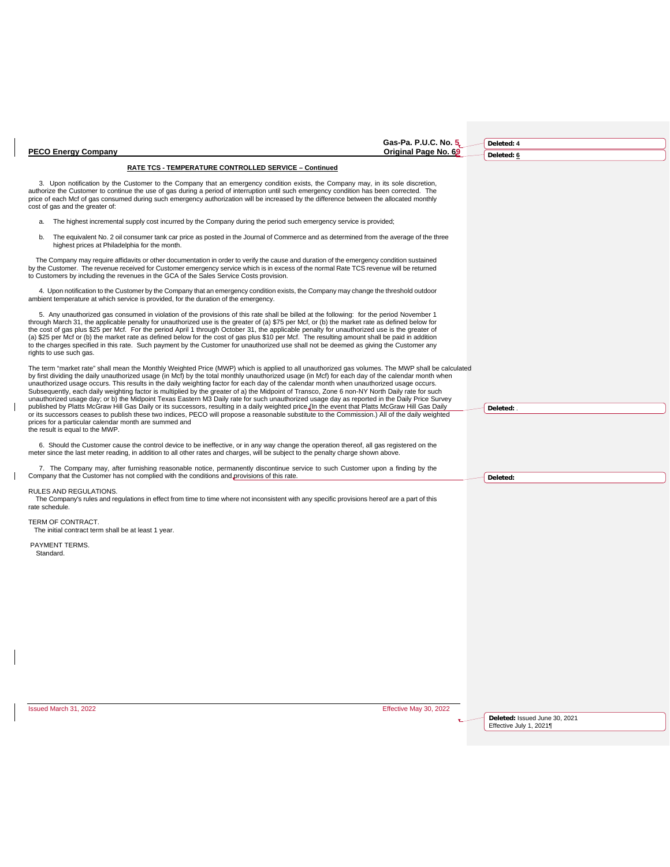| <b>PECO Energy Company</b>                                                                                                                                                                                                                                                                                                                                                                                                                                                                                                                                                                                                                                                                                                                                                                                                                                                                            | Gas-Pa. P.U.C. No. 5<br>Original Page No. 69 | Deleted: 4<br>Deleted: 6                                 |
|-------------------------------------------------------------------------------------------------------------------------------------------------------------------------------------------------------------------------------------------------------------------------------------------------------------------------------------------------------------------------------------------------------------------------------------------------------------------------------------------------------------------------------------------------------------------------------------------------------------------------------------------------------------------------------------------------------------------------------------------------------------------------------------------------------------------------------------------------------------------------------------------------------|----------------------------------------------|----------------------------------------------------------|
| <b>RATE TCS - TEMPERATURE CONTROLLED SERVICE - Continued</b>                                                                                                                                                                                                                                                                                                                                                                                                                                                                                                                                                                                                                                                                                                                                                                                                                                          |                                              |                                                          |
| 3. Upon notification by the Customer to the Company that an emergency condition exists, the Company may, in its sole discretion,<br>authorize the Customer to continue the use of gas during a period of interruption until such emergency condition has been corrected. The<br>price of each Mcf of gas consumed during such emergency authorization will be increased by the difference between the allocated monthly<br>cost of gas and the greater of:                                                                                                                                                                                                                                                                                                                                                                                                                                            |                                              |                                                          |
| The highest incremental supply cost incurred by the Company during the period such emergency service is provided;<br>a.                                                                                                                                                                                                                                                                                                                                                                                                                                                                                                                                                                                                                                                                                                                                                                               |                                              |                                                          |
| The equivalent No. 2 oil consumer tank car price as posted in the Journal of Commerce and as determined from the average of the three<br>b.<br>highest prices at Philadelphia for the month.                                                                                                                                                                                                                                                                                                                                                                                                                                                                                                                                                                                                                                                                                                          |                                              |                                                          |
| The Company may require affidavits or other documentation in order to verify the cause and duration of the emergency condition sustained<br>by the Customer. The revenue received for Customer emergency service which is in excess of the normal Rate TCS revenue will be returned<br>to Customers by including the revenues in the GCA of the Sales Service Costs provision.                                                                                                                                                                                                                                                                                                                                                                                                                                                                                                                        |                                              |                                                          |
| 4. Upon notification to the Customer by the Company that an emergency condition exists, the Company may change the threshold outdoor<br>ambient temperature at which service is provided, for the duration of the emergency.                                                                                                                                                                                                                                                                                                                                                                                                                                                                                                                                                                                                                                                                          |                                              |                                                          |
| 5. Any unauthorized gas consumed in violation of the provisions of this rate shall be billed at the following: for the period November 1<br>through March 31, the applicable penalty for unauthorized use is the greater of (a) \$75 per Mcf, or (b) the market rate as defined below for<br>the cost of gas plus \$25 per Mcf. For the period April 1 through October 31, the applicable penalty for unauthorized use is the greater of<br>(a) \$25 per Mcf or (b) the market rate as defined below for the cost of gas plus \$10 per Mcf. The resulting amount shall be paid in addition<br>to the charges specified in this rate. Such payment by the Customer for unauthorized use shall not be deemed as giving the Customer any<br>rights to use such gas.                                                                                                                                      |                                              |                                                          |
| The term "market rate" shall mean the Monthly Weighted Price (MWP) which is applied to all unauthorized gas volumes. The MWP shall be calculated<br>by first dividing the daily unauthorized usage (in Mcf) by the total monthly unauthorized usage (in Mcf) for each day of the calendar month when<br>unauthorized usage occurs. This results in the daily weighting factor for each day of the calendar month when unauthorized usage occurs.<br>Subsequently, each daily weighting factor is multiplied by the greater of a) the Midpoint of Transco, Zone 6 non-NY North Daily rate for such<br>unauthorized usage day; or b) the Midpoint Texas Eastern M3 Daily rate for such unauthorized usage day as reported in the Daily Price Survey<br>published by Platts McGraw Hill Gas Daily or its successors, resulting in a daily weighted price. In the event that Platts McGraw Hill Gas Daily |                                              | Deleted:                                                 |
| or its successors ceases to publish these two indices, PECO will propose a reasonable substitute to the Commission.) All of the daily weighted<br>prices for a particular calendar month are summed and<br>the result is equal to the MWP.                                                                                                                                                                                                                                                                                                                                                                                                                                                                                                                                                                                                                                                            |                                              |                                                          |
| 6. Should the Customer cause the control device to be ineffective, or in any way change the operation thereof, all gas registered on the<br>meter since the last meter reading, in addition to all other rates and charges, will be subject to the penalty charge shown above.                                                                                                                                                                                                                                                                                                                                                                                                                                                                                                                                                                                                                        |                                              |                                                          |
| 7. The Company may, after furnishing reasonable notice, permanently discontinue service to such Customer upon a finding by the<br>Company that the Customer has not complied with the conditions and provisions of this rate.                                                                                                                                                                                                                                                                                                                                                                                                                                                                                                                                                                                                                                                                         |                                              | Deleted:                                                 |
| RULES AND REGULATIONS.<br>The Company's rules and regulations in effect from time to time where not inconsistent with any specific provisions hereof are a part of this<br>rate schedule.                                                                                                                                                                                                                                                                                                                                                                                                                                                                                                                                                                                                                                                                                                             |                                              |                                                          |
| TERM OF CONTRACT.<br>The initial contract term shall be at least 1 year.                                                                                                                                                                                                                                                                                                                                                                                                                                                                                                                                                                                                                                                                                                                                                                                                                              |                                              |                                                          |
| PAYMENT TERMS.<br>Standard.                                                                                                                                                                                                                                                                                                                                                                                                                                                                                                                                                                                                                                                                                                                                                                                                                                                                           |                                              |                                                          |
|                                                                                                                                                                                                                                                                                                                                                                                                                                                                                                                                                                                                                                                                                                                                                                                                                                                                                                       |                                              |                                                          |
|                                                                                                                                                                                                                                                                                                                                                                                                                                                                                                                                                                                                                                                                                                                                                                                                                                                                                                       |                                              |                                                          |
|                                                                                                                                                                                                                                                                                                                                                                                                                                                                                                                                                                                                                                                                                                                                                                                                                                                                                                       |                                              |                                                          |
|                                                                                                                                                                                                                                                                                                                                                                                                                                                                                                                                                                                                                                                                                                                                                                                                                                                                                                       |                                              |                                                          |
|                                                                                                                                                                                                                                                                                                                                                                                                                                                                                                                                                                                                                                                                                                                                                                                                                                                                                                       |                                              |                                                          |
|                                                                                                                                                                                                                                                                                                                                                                                                                                                                                                                                                                                                                                                                                                                                                                                                                                                                                                       |                                              |                                                          |
|                                                                                                                                                                                                                                                                                                                                                                                                                                                                                                                                                                                                                                                                                                                                                                                                                                                                                                       |                                              |                                                          |
| Issued March 31, 2022                                                                                                                                                                                                                                                                                                                                                                                                                                                                                                                                                                                                                                                                                                                                                                                                                                                                                 | Effective May 30, 2022                       | Deleted: Issued June 30, 2021<br>Effective July 1, 2021¶ |

 $\mathbf{l}$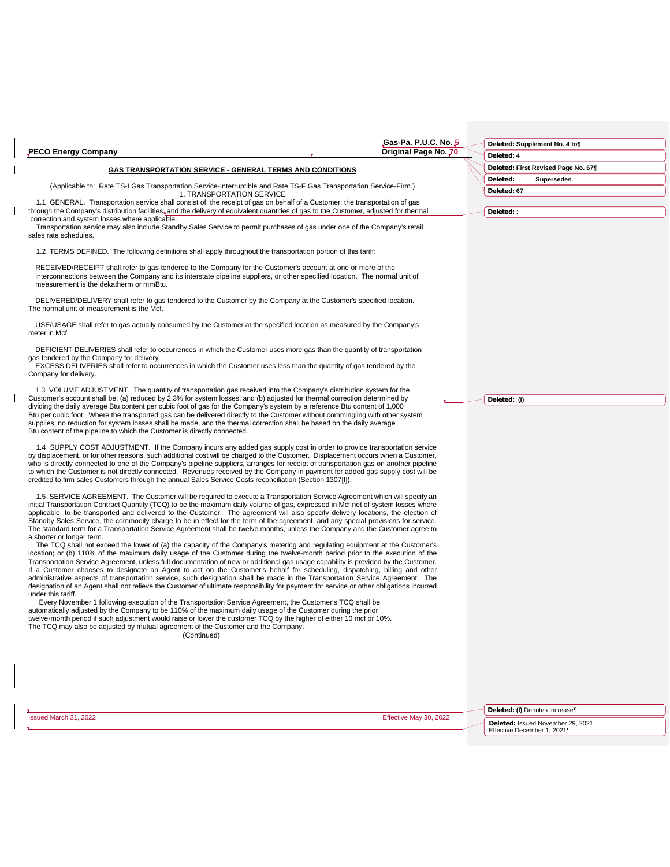| <b>PECO Energy Company</b>                                                                                                                                                                                                                                                                                                                                                                                                                                                                                                                                                                                                                                                                                                                                                                                                           | Gas-Pa. P.U.C. No. 5<br>Original Page No. 70 | Deleted: Supplement No. 4 to                                     |
|--------------------------------------------------------------------------------------------------------------------------------------------------------------------------------------------------------------------------------------------------------------------------------------------------------------------------------------------------------------------------------------------------------------------------------------------------------------------------------------------------------------------------------------------------------------------------------------------------------------------------------------------------------------------------------------------------------------------------------------------------------------------------------------------------------------------------------------|----------------------------------------------|------------------------------------------------------------------|
|                                                                                                                                                                                                                                                                                                                                                                                                                                                                                                                                                                                                                                                                                                                                                                                                                                      |                                              | Deleted: 4<br>Deleted: First Revised Page No. 671                |
| <b>GAS TRANSPORTATION SERVICE - GENERAL TERMS AND CONDITIONS</b>                                                                                                                                                                                                                                                                                                                                                                                                                                                                                                                                                                                                                                                                                                                                                                     |                                              | Deleted:<br><b>Supersedes</b>                                    |
| (Applicable to: Rate TS-I Gas Transportation Service-Interruptible and Rate TS-F Gas Transportation Service-Firm.)<br>1. TRANSPORTATION SERVICE                                                                                                                                                                                                                                                                                                                                                                                                                                                                                                                                                                                                                                                                                      |                                              | Deleted: 67                                                      |
| 1.1 GENERAL. Transportation service shall consist of: the receipt of gas on behalf of a Customer; the transportation of gas                                                                                                                                                                                                                                                                                                                                                                                                                                                                                                                                                                                                                                                                                                          |                                              |                                                                  |
| through the Company's distribution facilities, and the delivery of equivalent quantities of gas to the Customer, adjusted for thermal<br>correction and system losses where applicable.                                                                                                                                                                                                                                                                                                                                                                                                                                                                                                                                                                                                                                              |                                              | Deleted:;                                                        |
| Transportation service may also include Standby Sales Service to permit purchases of gas under one of the Company's retail<br>sales rate schedules.                                                                                                                                                                                                                                                                                                                                                                                                                                                                                                                                                                                                                                                                                  |                                              |                                                                  |
| 1.2 TERMS DEFINED. The following definitions shall apply throughout the transportation portion of this tariff:                                                                                                                                                                                                                                                                                                                                                                                                                                                                                                                                                                                                                                                                                                                       |                                              |                                                                  |
|                                                                                                                                                                                                                                                                                                                                                                                                                                                                                                                                                                                                                                                                                                                                                                                                                                      |                                              |                                                                  |
| RECEIVED/RECEIPT shall refer to gas tendered to the Company for the Customer's account at one or more of the<br>interconnections between the Company and its interstate pipeline suppliers, or other specified location. The normal unit of<br>measurement is the dekatherm or mmBtu.                                                                                                                                                                                                                                                                                                                                                                                                                                                                                                                                                |                                              |                                                                  |
| DELIVERED/DELIVERY shall refer to gas tendered to the Customer by the Company at the Customer's specified location.<br>The normal unit of measurement is the Mcf.                                                                                                                                                                                                                                                                                                                                                                                                                                                                                                                                                                                                                                                                    |                                              |                                                                  |
| USE/USAGE shall refer to gas actually consumed by the Customer at the specified location as measured by the Company's<br>meter in Mcf.                                                                                                                                                                                                                                                                                                                                                                                                                                                                                                                                                                                                                                                                                               |                                              |                                                                  |
| DEFICIENT DELIVERIES shall refer to occurrences in which the Customer uses more gas than the quantity of transportation                                                                                                                                                                                                                                                                                                                                                                                                                                                                                                                                                                                                                                                                                                              |                                              |                                                                  |
| gas tendered by the Company for delivery.<br>EXCESS DELIVERIES shall refer to occurrences in which the Customer uses less than the quantity of gas tendered by the<br>Company for delivery.                                                                                                                                                                                                                                                                                                                                                                                                                                                                                                                                                                                                                                          |                                              |                                                                  |
| 1.3 VOLUME ADJUSTMENT. The quantity of transportation gas received into the Company's distribution system for the<br>Customer's account shall be: (a) reduced by 2.3% for system losses; and (b) adjusted for thermal correction determined by<br>dividing the daily average Btu content per cubic foot of gas for the Company's system by a reference Btu content of 1,000<br>Btu per cubic foot. Where the transported gas can be delivered directly to the Customer without commingling with other system<br>supplies, no reduction for system losses shall be made, and the thermal correction shall be based on the daily average<br>Btu content of the pipeline to which the Customer is directly connected.                                                                                                                   |                                              | Deleted: (I)                                                     |
| 1.4 SUPPLY COST ADJUSTMENT. If the Company incurs any added gas supply cost in order to provide transportation service<br>by displacement, or for other reasons, such additional cost will be charged to the Customer. Displacement occurs when a Customer,<br>who is directly connected to one of the Company's pipeline suppliers, arranges for receipt of transportation gas on another pipeline<br>to which the Customer is not directly connected. Revenues received by the Company in payment for added gas supply cost will be<br>credited to firm sales Customers through the annual Sales Service Costs reconciliation (Section 1307[f]).                                                                                                                                                                                   |                                              |                                                                  |
| 1.5 SERVICE AGREEMENT. The Customer will be required to execute a Transportation Service Agreement which will specify an<br>initial Transportation Contract Quantity (TCQ) to be the maximum daily volume of gas, expressed in Mcf net of system losses where<br>applicable, to be transported and delivered to the Customer. The agreement will also specify delivery locations, the election of<br>Standby Sales Service, the commodity charge to be in effect for the term of the agreement, and any special provisions for service.<br>The standard term for a Transportation Service Agreement shall be twelve months, unless the Company and the Customer agree to<br>a shorter or longer term.<br>The TCQ shall not exceed the lower of (a) the capacity of the Company's metering and regulating equipment at the Customer's |                                              |                                                                  |
| location; or (b) 110% of the maximum daily usage of the Customer during the twelve-month period prior to the execution of the<br>Transportation Service Agreement, unless full documentation of new or additional gas usage capability is provided by the Customer.<br>If a Customer chooses to designate an Agent to act on the Customer's behalf for scheduling, dispatching, billing and other<br>administrative aspects of transportation service, such designation shall be made in the Transportation Service Agreement. The<br>designation of an Agent shall not relieve the Customer of ultimate responsibility for payment for service or other obligations incurred<br>under this tariff.<br>Every November 1 following execution of the Transportation Service Agreement, the Customer's TCQ shall be                     |                                              |                                                                  |
| automatically adjusted by the Company to be 110% of the maximum daily usage of the Customer during the prior<br>twelve-month period if such adjustment would raise or lower the customer TCQ by the higher of either 10 mcf or 10%.<br>The TCQ may also be adjusted by mutual agreement of the Customer and the Company.<br>(Continued)                                                                                                                                                                                                                                                                                                                                                                                                                                                                                              |                                              |                                                                  |
|                                                                                                                                                                                                                                                                                                                                                                                                                                                                                                                                                                                                                                                                                                                                                                                                                                      |                                              |                                                                  |
| Issued March 31, 2022                                                                                                                                                                                                                                                                                                                                                                                                                                                                                                                                                                                                                                                                                                                                                                                                                | Effective May 30, 2022                       | Deleted: (I) Denotes Increase¶                                   |
|                                                                                                                                                                                                                                                                                                                                                                                                                                                                                                                                                                                                                                                                                                                                                                                                                                      |                                              | Deleted: Issued November 29, 2021<br>Effective December 1, 2021¶ |
|                                                                                                                                                                                                                                                                                                                                                                                                                                                                                                                                                                                                                                                                                                                                                                                                                                      |                                              |                                                                  |

 $\mathbf{l}$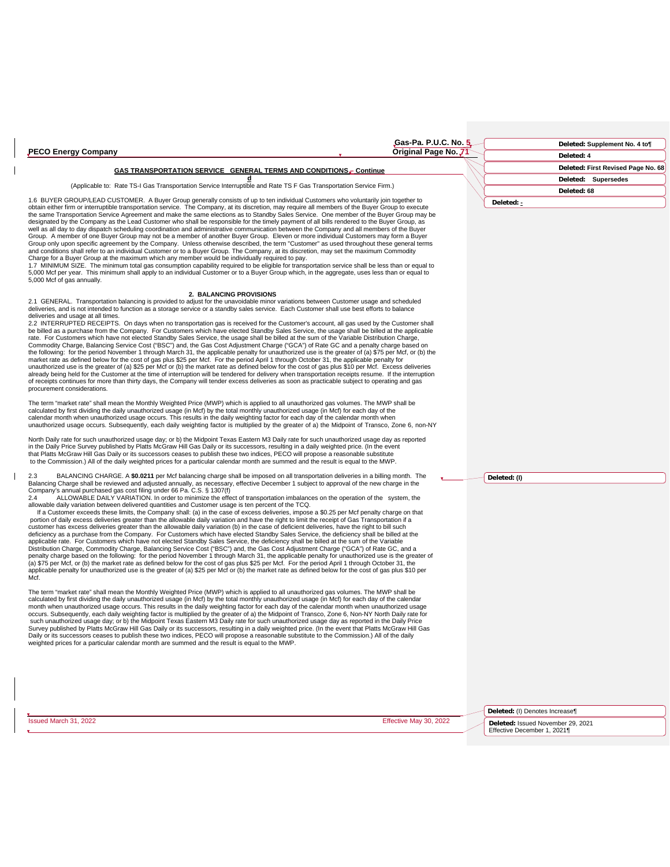| Gas-Pa. P.U.C. No. 5                                                                                                                                                                                                                                                                                                                                                                                                                                                                                                                                                                                                                                                                                                                                                                                                                                                                                                                                                                                                                                                                                                                                                                                                                                                                                                                                                                                                                                                                                                                                                                                                                                                                                                                                                         | Deleted: Supplement No. 4 to                                                                                                                                            |
|------------------------------------------------------------------------------------------------------------------------------------------------------------------------------------------------------------------------------------------------------------------------------------------------------------------------------------------------------------------------------------------------------------------------------------------------------------------------------------------------------------------------------------------------------------------------------------------------------------------------------------------------------------------------------------------------------------------------------------------------------------------------------------------------------------------------------------------------------------------------------------------------------------------------------------------------------------------------------------------------------------------------------------------------------------------------------------------------------------------------------------------------------------------------------------------------------------------------------------------------------------------------------------------------------------------------------------------------------------------------------------------------------------------------------------------------------------------------------------------------------------------------------------------------------------------------------------------------------------------------------------------------------------------------------------------------------------------------------------------------------------------------------|-------------------------------------------------------------------------------------------------------------------------------------------------------------------------|
|                                                                                                                                                                                                                                                                                                                                                                                                                                                                                                                                                                                                                                                                                                                                                                                                                                                                                                                                                                                                                                                                                                                                                                                                                                                                                                                                                                                                                                                                                                                                                                                                                                                                                                                                                                              | Deleted: 4                                                                                                                                                              |
| GAS TRANSPORTATION SERVICE GENERAL TERMS AND CONDITIONS Continue                                                                                                                                                                                                                                                                                                                                                                                                                                                                                                                                                                                                                                                                                                                                                                                                                                                                                                                                                                                                                                                                                                                                                                                                                                                                                                                                                                                                                                                                                                                                                                                                                                                                                                             | Deleted: First Revised Page No. 68                                                                                                                                      |
| (Applicable to: Rate TS-I Gas Transportation Service Interruptible and Rate TS F Gas Transportation Service Firm.)                                                                                                                                                                                                                                                                                                                                                                                                                                                                                                                                                                                                                                                                                                                                                                                                                                                                                                                                                                                                                                                                                                                                                                                                                                                                                                                                                                                                                                                                                                                                                                                                                                                           | Deleted: Supersedes                                                                                                                                                     |
|                                                                                                                                                                                                                                                                                                                                                                                                                                                                                                                                                                                                                                                                                                                                                                                                                                                                                                                                                                                                                                                                                                                                                                                                                                                                                                                                                                                                                                                                                                                                                                                                                                                                                                                                                                              | Deleted: 68                                                                                                                                                             |
| obtain either firm or interruptible transportation service. The Company, at its discretion, may require all members of the Buyer Group to execute<br>the same Transportation Service Agreement and make the same elections as to Standby Sales Service. One member of the Buyer Group may be<br>designated by the Company as the Lead Customer who shall be responsible for the timely payment of all bills rendered to the Buyer Group, as<br>well as all day to day dispatch scheduling coordination and administrative communication between the Company and all members of the Buyer<br>Group. A member of one Buyer Group may not be a member of another Buyer Group. Eleven or more individual Customers may form a Buyer<br>Group only upon specific agreement by the Company. Unless otherwise described, the term "Customer" as used throughout these general terms<br>and conditions shall refer to an individual Customer or to a Buyer Group. The Company, at its discretion, may set the maximum Commodity<br>1.7 MINIMUM SIZE. The minimum total gas consumption capability required to be eligible for transportation service shall be less than or equal to<br>5,000 Mcf per year. This minimum shall apply to an individual Customer or to a Buyer Group which, in the aggregate, uses less than or equal to                                                                                                                                                                                                                                                                                                                                                                                                                                                |                                                                                                                                                                         |
| 2.1 GENERAL. Transportation balancing is provided to adjust for the unavoidable minor variations between Customer usage and scheduled<br>deliveries, and is not intended to function as a storage service or a standby sales service. Each Customer shall use best efforts to balance<br>2.2 INTERRUPTED RECEIPTS. On days when no transportation gas is received for the Customer's account, all gas used by the Customer shall<br>be billed as a purchase from the Company. For Customers which have elected Standby Sales Service, the usage shall be billed at the applicable<br>rate. For Customers which have not elected Standby Sales Service, the usage shall be billed at the sum of the Variable Distribution Charge,<br>Commodity Charge, Balancing Service Cost ("BSC") and, the Gas Cost Adjustment Charge ("GCA") of Rate GC and a penalty charge based on<br>the following: for the period November 1 through March 31, the applicable penalty for unauthorized use is the greater of (a) \$75 per Mcf, or (b) the<br>market rate as defined below for the cost of gas plus \$25 per Mcf. For the period April 1 through October 31, the applicable penalty for<br>unauthorized use is the greater of (a) \$25 per Mcf or (b) the market rate as defined below for the cost of gas plus \$10 per Mcf. Excess deliveries<br>already being held for the Customer at the time of interruption will be tendered for delivery when transportation receipts resume. If the interruption<br>of receipts continues for more than thirty days, the Company will tender excess deliveries as soon as practicable subject to operating and gas                                                                                                                          |                                                                                                                                                                         |
| The term "market rate" shall mean the Monthly Weighted Price (MWP) which is applied to all unauthorized gas volumes. The MWP shall be<br>calculated by first dividing the daily unauthorized usage (in Mcf) by the total monthly unauthorized usage (in Mcf) for each day of the<br>calendar month when unauthorized usage occurs. This results in the daily weighting factor for each day of the calendar month when<br>unauthorized usage occurs. Subsequently, each daily weighting factor is multiplied by the greater of a) the Midpoint of Transco, Zone 6, non-NY                                                                                                                                                                                                                                                                                                                                                                                                                                                                                                                                                                                                                                                                                                                                                                                                                                                                                                                                                                                                                                                                                                                                                                                                     |                                                                                                                                                                         |
| North Daily rate for such unauthorized usage day; or b) the Midpoint Texas Eastern M3 Daily rate for such unauthorized usage day as reported<br>in the Daily Price Survey published by Platts McGraw Hill Gas Daily or its successors, resulting in a daily weighted price. (In the event<br>that Platts McGraw Hill Gas Daily or its successors ceases to publish these two indices, PECO will propose a reasonable substitute<br>to the Commission.) All of the daily weighted prices for a particular calendar month are summed and the result is equal to the MWP.                                                                                                                                                                                                                                                                                                                                                                                                                                                                                                                                                                                                                                                                                                                                                                                                                                                                                                                                                                                                                                                                                                                                                                                                       |                                                                                                                                                                         |
| BALANCING CHARGE. A \$0.0211 per Mcf balancing charge shall be imposed on all transportation deliveries in a billing month. The<br>Deleted: (I)<br>Balancing Charge shall be reviewed and adjusted annually, as necessary, effective December 1 subject to approval of the new charge in the<br>ALLOWABLE DAILY VARIATION. In order to minimize the effect of transportation imbalances on the operation of the system, the<br>If a Customer exceeds these limits, the Company shall: (a) in the case of excess deliveries, impose a \$0.25 per Mcf penalty charge on that<br>portion of daily excess deliveries greater than the allowable daily variation and have the right to limit the receipt of Gas Transportation if a<br>customer has excess deliveries greater than the allowable daily variation (b) in the case of deficient deliveries, have the right to bill such<br>deficiency as a purchase from the Company. For Customers which have elected Standby Sales Service, the deficiency shall be billed at the<br>applicable rate. For Customers which have not elected Standby Sales Service, the deficiency shall be billed at the sum of the Variable<br>Distribution Charge, Commodity Charge, Balancing Service Cost ("BSC") and, the Gas Cost Adjustment Charge ("GCA") of Rate GC, and a<br>penalty charge based on the following: for the period November 1 through March 31, the applicable penalty for unauthorized use is the greater of<br>(a) \$75 per Mcf, or (b) the market rate as defined below for the cost of gas plus \$25 per Mcf. For the period April 1 through October 31, the<br>applicable penalty for unauthorized use is the greater of (a) \$25 per Mcf or (b) the market rate as defined below for the cost of gas plus \$10 per |                                                                                                                                                                         |
|                                                                                                                                                                                                                                                                                                                                                                                                                                                                                                                                                                                                                                                                                                                                                                                                                                                                                                                                                                                                                                                                                                                                                                                                                                                                                                                                                                                                                                                                                                                                                                                                                                                                                                                                                                              | Original Page No. 7<br>1.6 BUYER GROUP/LEAD CUSTOMER. A Buyer Group generally consists of up to ten individual Customers who voluntarily join together to<br>Deleted: - |

The term "market rate" shall mean the Monthly Weighted Price (MWP) which is applied to all unauthorized usage (in Mcf) by the calendar calculated by first dividing the daily unauthorized usage (in Mcf) by the total monthly

 $\mathbf{I}$ 

 $\begin{array}{c} \begin{array}{c} \hline \end{array} \end{array}$ 

Issued March 31, 2022 Effective May 30, 2022

**Deleted:** (I) Denotes Increase¶

**Deleted:** Issued November 29, 2021 Effective December 1, 2021¶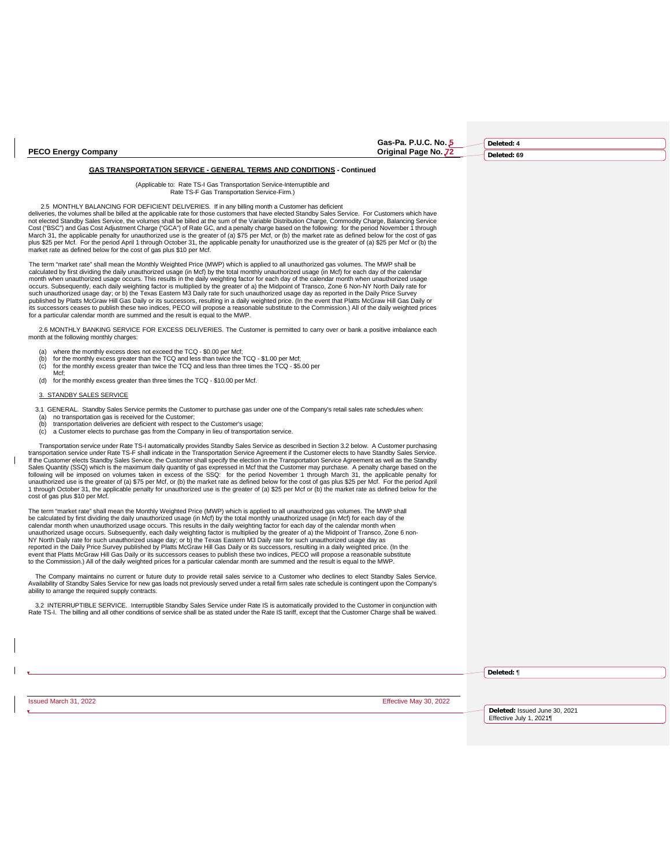**PECO Energy Company** 

Gas-Pa. P.U.C. No. 5<br>Original Page No. 72

**Deleted: 4 Deleted: 69**

#### **GAS TRANSPORTATION SERVICE - GENERAL TERMS AND CONDITIONS - Continued**

(Applicable to: Rate TS-I Gas Transportation Service-Interruptible and Rate TS-F Gas Transportation Service-Firm.)

2.5 MONTHLY BALANCING FOR DEFICIENT DELIVERIES. If in any billing month a Customer has deficient deliveries, the volumes shall be billed at the applicable rate for those customers that have elected Standby Sales Service. For Customers which have not elected Standby Sales Service, the volumes shall be billed at the sum of the Variable Distribution Charge, Commodity Charge, Balancing Service Cost ("BSC") and Gas Cost Adjustment Charge ("GCA") of Rate GC, and a penalty charge based on the following: for the period November 1 through March 31, the applicable penalty for unauthorized use is the greater of (a) \$75 per Mcf, or (b) the market rate as defined below for the cost of gas<br>plus \$25 per Mcf. For the period April 1 through October 31, the applicab

The term "market rate" shall mean the Monthly Weighted Price (MWP) which is applied to all unauthorized gas volumes. The MWP shall be calculated by first dividing the daily unauthorized usage (in Mcf) by the total monthly unauthorized usage (in Mcf) for each day of the calendar month when unauthorized usage occurs. This results in the daily weighting factor for each day of the calendar month when unauthorized usage<br>occurs. Subsequently, each daily weighting factor is multiplied by the greater of such unauthorized usage day; or b) the Texas Eastern M3 Daily rate for such unauthorized usage day as reported in the Daily Price Survey<br>published by Platts McGraw Hill Gas Daily or its successors, resulting in a daily wei its successors ceases to publish these two indices, PECO will propose a reasonable substitute to the Commission.) All of the daily weighted prices for a particular calendar month are summed and the result is equal to the MWP.

2.6 MONTHLY BANKING SERVICE FOR EXCESS DELIVERIES. The Customer is permitted to carry over or bank a positive imbalance each month at the following monthly charges:

market rate as defined below for the cost of gas plus \$10 per Mcf.

- (a) where the monthly excess does not exceed the TCQ \$0.00 per Mcf; (b) for the monthly excess greater than the TCQ and less than twice the TCQ \$1.00 per Mcf;
- (c) for the monthly excess greater than twice the TCQ and less than three times the TCQ \$5.00 per Mcf;

(d) for the monthly excess greater than three times the TCQ - \$10.00 per Mcf.

#### 3. STANDBY SALES SERVICE

- 3.1 GENERAL. Standby Sales Service permits the Customer to purchase gas under one of the Company's retail sales rate schedules when: (a) no transportation gas is received for the Customer;
- 
- $\begin{pmatrix} b \\ c \end{pmatrix}$  transportation deliveries are deficient with respect to the Customer's usage<br>(c) a Customer elects to purchase gas from the Company in lieu of transportat a Customer elects to purchase gas from the Company in lieu of transportation service.

Transportation service under Rate TS-I automatically provides Standby Sales Service as described in Section 3.2 below. A Customer purchasing transportation service under Rate TS-F shall indicate in the Transportation Service Agreement if the Customer elects to have Standby Sales Service.<br>If the Customer elects Standby Sales Service, the Customer shall specify t Sales Quantity (SSQ) which is the maximum daily quantity of gas expressed in Mcf that the Customer may purchase. A penalty charge based on the<br>following will be imposed on volumes taken in excess of the SSQ: for the period 1 through October 31, the applicable penalty for unauthorized use is the greater of (a) \$25 per Mcf or (b) the market rate as defined below for the cost of gas plus \$10 per Mcf.

The term "market rate" shall mean the Monthly Weighted Price (MWP) which is applied to all unauthorized gas volumes. The MWP shall<br>be calculated by first dividing the daily unauthorized usage (in Mcf) by the total monthly calendar month when unauthorized usage occurs. This results in the daily weighting factor for each day of the calendar month when unauthorized usage occurs. Subsequently, each daily weighting factor is multiplied by the greater of a) the Midpoint of Transco, Zone 6 non-<br>NY North Daily rate for such unauthorized usage day; or b) the Texas Eastern M3 D event that Platts McGraw Hill Gas Daily or its successors ceases to publish these two indices, PECO will propose a reasonable substitute to the Commission.) All of the daily weighted prices for a particular calendar month are summed and the result is equal to the MWP.

The Company maintains no current or future duty to provide retail sales service to a Customer who declines to elect Standby Sales Service.<br>Availability of Standby Sales Service for new gas loads not previously served under ability to arrange the required supply contracts.

 3.2 INTERRUPTIBLE SERVICE. Interruptible Standby Sales Service under Rate IS is automatically provided to the Customer in conjunction with Rate TS-I. The billing and all other conditions of service shall be as stated under the Rate IS tariff, except that the Customer Charge shall be waived.

|                       |                        | Deleted: ¶                                               |
|-----------------------|------------------------|----------------------------------------------------------|
|                       |                        |                                                          |
| Issued March 31, 2022 | Effective May 30, 2022 |                                                          |
|                       |                        | Deleted: Issued June 30, 2021<br>Effective July 1, 2021¶ |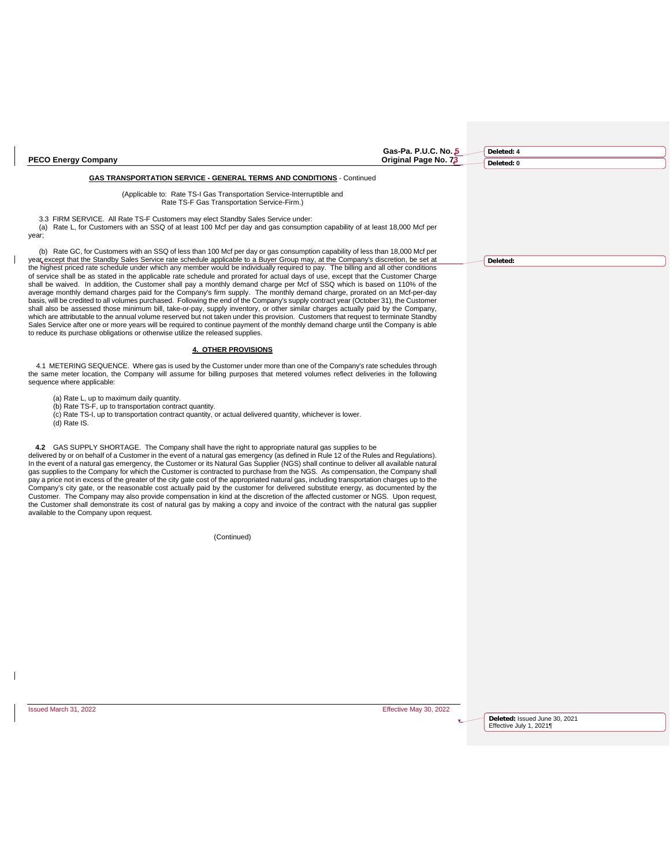| Gas-Pa. P.U.C. No. 5<br>Original Page No. 73<br><b>PECO Energy Company</b>                                                                                                                                                                                                                                                                                                                                                                                                                                                                                                                                                                                                                                                                                                                                                                                                                                                                                                                                                                                                                                                                                                                                                                                                                                                                                                                                                                         | Deleted: 4                                               |  |
|----------------------------------------------------------------------------------------------------------------------------------------------------------------------------------------------------------------------------------------------------------------------------------------------------------------------------------------------------------------------------------------------------------------------------------------------------------------------------------------------------------------------------------------------------------------------------------------------------------------------------------------------------------------------------------------------------------------------------------------------------------------------------------------------------------------------------------------------------------------------------------------------------------------------------------------------------------------------------------------------------------------------------------------------------------------------------------------------------------------------------------------------------------------------------------------------------------------------------------------------------------------------------------------------------------------------------------------------------------------------------------------------------------------------------------------------------|----------------------------------------------------------|--|
|                                                                                                                                                                                                                                                                                                                                                                                                                                                                                                                                                                                                                                                                                                                                                                                                                                                                                                                                                                                                                                                                                                                                                                                                                                                                                                                                                                                                                                                    | Deleted: 0                                               |  |
| <b>GAS TRANSPORTATION SERVICE - GENERAL TERMS AND CONDITIONS - Continued</b>                                                                                                                                                                                                                                                                                                                                                                                                                                                                                                                                                                                                                                                                                                                                                                                                                                                                                                                                                                                                                                                                                                                                                                                                                                                                                                                                                                       |                                                          |  |
| (Applicable to: Rate TS-I Gas Transportation Service-Interruptible and<br>Rate TS-F Gas Transportation Service-Firm.)                                                                                                                                                                                                                                                                                                                                                                                                                                                                                                                                                                                                                                                                                                                                                                                                                                                                                                                                                                                                                                                                                                                                                                                                                                                                                                                              |                                                          |  |
| 3.3 FIRM SERVICE. All Rate TS-F Customers may elect Standby Sales Service under:<br>(a) Rate L, for Customers with an SSQ of at least 100 Mcf per day and gas consumption capability of at least 18,000 Mcf per<br>year;                                                                                                                                                                                                                                                                                                                                                                                                                                                                                                                                                                                                                                                                                                                                                                                                                                                                                                                                                                                                                                                                                                                                                                                                                           |                                                          |  |
| (b) Rate GC, for Customers with an SSQ of less than 100 Mcf per day or gas consumption capability of less than 18,000 Mcf per<br>year except that the Standby Sales Service rate schedule applicable to a Buyer Group may, at the Company's discretion, be set at<br>the highest priced rate schedule under which any member would be individually required to pay. The billing and all other conditions<br>of service shall be as stated in the applicable rate schedule and prorated for actual days of use, except that the Customer Charge<br>shall be waived. In addition, the Customer shall pay a monthly demand charge per Mcf of SSQ which is based on 110% of the<br>average monthly demand charges paid for the Company's firm supply. The monthly demand charge, prorated on an Mcf-per-day<br>basis, will be credited to all volumes purchased. Following the end of the Company's supply contract year (October 31), the Customer<br>shall also be assessed those minimum bill, take-or-pay, supply inventory, or other similar charges actually paid by the Company,<br>which are attributable to the annual volume reserved but not taken under this provision. Customers that request to terminate Standby<br>Sales Service after one or more years will be required to continue payment of the monthly demand charge until the Company is able<br>to reduce its purchase obligations or otherwise utilize the released supplies. | Deleted:                                                 |  |
| <b>4. OTHER PROVISIONS</b>                                                                                                                                                                                                                                                                                                                                                                                                                                                                                                                                                                                                                                                                                                                                                                                                                                                                                                                                                                                                                                                                                                                                                                                                                                                                                                                                                                                                                         |                                                          |  |
| 4.1 METERING SEQUENCE. Where gas is used by the Customer under more than one of the Company's rate schedules through<br>the same meter location, the Company will assume for billing purposes that metered volumes reflect deliveries in the following<br>sequence where applicable:                                                                                                                                                                                                                                                                                                                                                                                                                                                                                                                                                                                                                                                                                                                                                                                                                                                                                                                                                                                                                                                                                                                                                               |                                                          |  |
| (a) Rate L, up to maximum daily quantity.<br>(b) Rate TS-F, up to transportation contract quantity.<br>(c) Rate TS-I, up to transportation contract quantity, or actual delivered quantity, whichever is lower.<br>$(d)$ Rate $IS$ .                                                                                                                                                                                                                                                                                                                                                                                                                                                                                                                                                                                                                                                                                                                                                                                                                                                                                                                                                                                                                                                                                                                                                                                                               |                                                          |  |
| 4.2 GAS SUPPLY SHORTAGE. The Company shall have the right to appropriate natural gas supplies to be<br>delivered by or on behalf of a Customer in the event of a natural gas emergency (as defined in Rule 12 of the Rules and Regulations).<br>In the event of a natural gas emergency, the Customer or its Natural Gas Supplier (NGS) shall continue to deliver all available natural<br>gas supplies to the Company for which the Customer is contracted to purchase from the NGS. As compensation, the Company shall<br>pay a price not in excess of the greater of the city gate cost of the appropriated natural gas, including transportation charges up to the<br>Company's city gate, or the reasonable cost actually paid by the customer for delivered substitute energy, as documented by the<br>Customer. The Company may also provide compensation in kind at the discretion of the affected customer or NGS. Upon request,<br>the Customer shall demonstrate its cost of natural gas by making a copy and invoice of the contract with the natural gas supplier<br>available to the Company upon request.                                                                                                                                                                                                                                                                                                                           |                                                          |  |
| (Continued)                                                                                                                                                                                                                                                                                                                                                                                                                                                                                                                                                                                                                                                                                                                                                                                                                                                                                                                                                                                                                                                                                                                                                                                                                                                                                                                                                                                                                                        |                                                          |  |
|                                                                                                                                                                                                                                                                                                                                                                                                                                                                                                                                                                                                                                                                                                                                                                                                                                                                                                                                                                                                                                                                                                                                                                                                                                                                                                                                                                                                                                                    |                                                          |  |
|                                                                                                                                                                                                                                                                                                                                                                                                                                                                                                                                                                                                                                                                                                                                                                                                                                                                                                                                                                                                                                                                                                                                                                                                                                                                                                                                                                                                                                                    |                                                          |  |
|                                                                                                                                                                                                                                                                                                                                                                                                                                                                                                                                                                                                                                                                                                                                                                                                                                                                                                                                                                                                                                                                                                                                                                                                                                                                                                                                                                                                                                                    |                                                          |  |
|                                                                                                                                                                                                                                                                                                                                                                                                                                                                                                                                                                                                                                                                                                                                                                                                                                                                                                                                                                                                                                                                                                                                                                                                                                                                                                                                                                                                                                                    |                                                          |  |
|                                                                                                                                                                                                                                                                                                                                                                                                                                                                                                                                                                                                                                                                                                                                                                                                                                                                                                                                                                                                                                                                                                                                                                                                                                                                                                                                                                                                                                                    |                                                          |  |
|                                                                                                                                                                                                                                                                                                                                                                                                                                                                                                                                                                                                                                                                                                                                                                                                                                                                                                                                                                                                                                                                                                                                                                                                                                                                                                                                                                                                                                                    |                                                          |  |
|                                                                                                                                                                                                                                                                                                                                                                                                                                                                                                                                                                                                                                                                                                                                                                                                                                                                                                                                                                                                                                                                                                                                                                                                                                                                                                                                                                                                                                                    |                                                          |  |
|                                                                                                                                                                                                                                                                                                                                                                                                                                                                                                                                                                                                                                                                                                                                                                                                                                                                                                                                                                                                                                                                                                                                                                                                                                                                                                                                                                                                                                                    |                                                          |  |
|                                                                                                                                                                                                                                                                                                                                                                                                                                                                                                                                                                                                                                                                                                                                                                                                                                                                                                                                                                                                                                                                                                                                                                                                                                                                                                                                                                                                                                                    |                                                          |  |
| Issued March 31, 2022<br>Effective May 30, 2022                                                                                                                                                                                                                                                                                                                                                                                                                                                                                                                                                                                                                                                                                                                                                                                                                                                                                                                                                                                                                                                                                                                                                                                                                                                                                                                                                                                                    |                                                          |  |
|                                                                                                                                                                                                                                                                                                                                                                                                                                                                                                                                                                                                                                                                                                                                                                                                                                                                                                                                                                                                                                                                                                                                                                                                                                                                                                                                                                                                                                                    | Deleted: Issued June 30, 2021<br>Effective July 1, 2021¶ |  |
|                                                                                                                                                                                                                                                                                                                                                                                                                                                                                                                                                                                                                                                                                                                                                                                                                                                                                                                                                                                                                                                                                                                                                                                                                                                                                                                                                                                                                                                    |                                                          |  |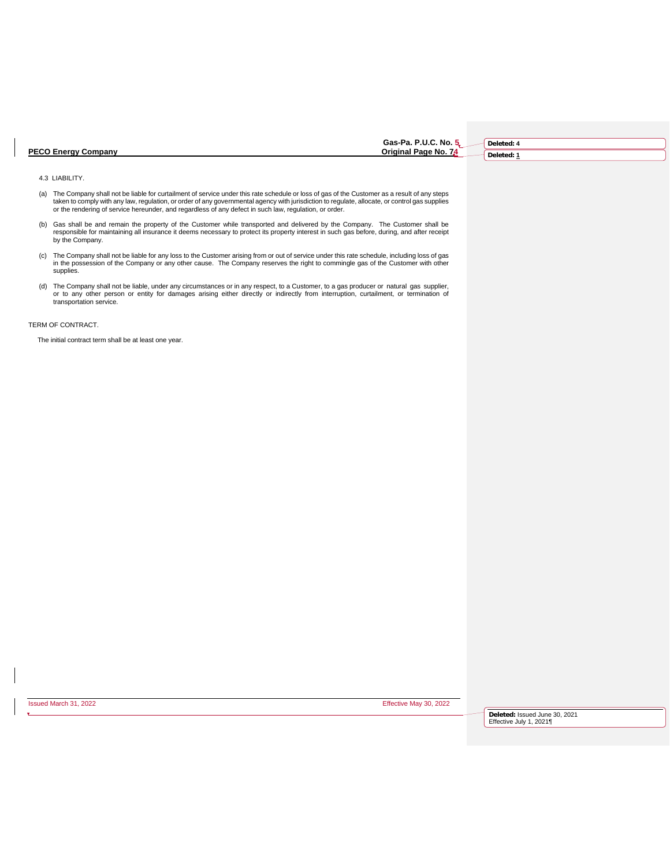|                                 | . ⁄a. P.U.C. No. 5<br>Gas-Pa<br>Deleted: |
|---------------------------------|------------------------------------------|
| <b>PECO Energy</b><br>/ Company | ' Page No.<br>Original<br>Deleted:<br>.  |

4.3 LIABILITY.

- (a) The Company shall not be liable for curtailment of service under this rate schedule or loss of gas of the Customer as a result of any steps taken to comply with any law, regulation, or order of any governmental agency with jurisdiction to regulate, allocate, or control gas supplies<br>or the rendering of service hereunder, and regardless of any defect in such law
- (b) Gas shall be and remain the property of the Customer while transported and delivered by the Company. The Customer shall be<br>responsible for maintaining all insurance it deems necessary to protect its property interest i by the Company.
- (c) The Company shall not be liable for any loss to the Customer arising from or out of service under this rate schedule, including loss of gas<br>in the possession of the Company or any other cause. The Company reserves the supplies.
- (d) The Company shall not be liable, under any circumstances or in any respect, to a Customer, to a gas producer or natural gas supplier,<br>or to any other person or entity for damages arising either directly or indirectly f

TERM OF CONTRACT.

The initial contract term shall be at least one year.

Issued March 31, 2022 Effective May 30, 2022

**Deleted:** Issued June 30, 2021 Effective July 1, 2021¶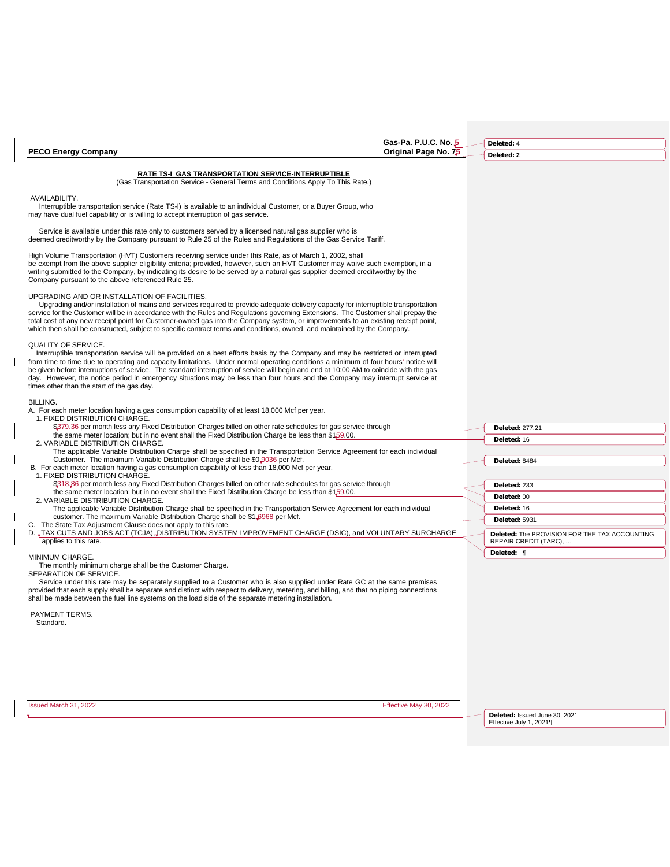|                                                                                                                                                                                                                                                                                                                                                                                                                                                                                                                                                                                                                         | Gas-Pa. P.U.C. No. 5   | Deleted: 4                                               |
|-------------------------------------------------------------------------------------------------------------------------------------------------------------------------------------------------------------------------------------------------------------------------------------------------------------------------------------------------------------------------------------------------------------------------------------------------------------------------------------------------------------------------------------------------------------------------------------------------------------------------|------------------------|----------------------------------------------------------|
| <b>PECO Energy Company</b>                                                                                                                                                                                                                                                                                                                                                                                                                                                                                                                                                                                              | Original Page No. 75   | Deleted: 2                                               |
| RATE TS-I GAS TRANSPORTATION SERVICE-INTERRUPTIBLE<br>(Gas Transportation Service - General Terms and Conditions Apply To This Rate.)                                                                                                                                                                                                                                                                                                                                                                                                                                                                                   |                        |                                                          |
| AVAILABILITY.<br>Interruptible transportation service (Rate TS-I) is available to an individual Customer, or a Buyer Group, who<br>may have dual fuel capability or is willing to accept interruption of gas service.                                                                                                                                                                                                                                                                                                                                                                                                   |                        |                                                          |
| Service is available under this rate only to customers served by a licensed natural gas supplier who is<br>deemed creditworthy by the Company pursuant to Rule 25 of the Rules and Regulations of the Gas Service Tariff.                                                                                                                                                                                                                                                                                                                                                                                               |                        |                                                          |
| High Volume Transportation (HVT) Customers receiving service under this Rate, as of March 1, 2002, shall<br>be exempt from the above supplier eligibility criteria; provided, however, such an HVT Customer may waive such exemption, in a<br>writing submitted to the Company, by indicating its desire to be served by a natural gas supplier deemed creditworthy by the<br>Company pursuant to the above referenced Rule 25.                                                                                                                                                                                         |                        |                                                          |
| UPGRADING AND OR INSTALLATION OF FACILITIES.<br>Upgrading and/or installation of mains and services required to provide adequate delivery capacity for interruptible transportation<br>service for the Customer will be in accordance with the Rules and Regulations governing Extensions. The Customer shall prepay the<br>total cost of any new receipt point for Customer-owned gas into the Company system, or improvements to an existing receipt point,<br>which then shall be constructed, subject to specific contract terms and conditions, owned, and maintained by the Company.                              |                        |                                                          |
| QUALITY OF SERVICE.<br>Interruptible transportation service will be provided on a best efforts basis by the Company and may be restricted or interrupted<br>from time to time due to operating and capacity limitations. Under normal operating conditions a minimum of four hours' notice will<br>be given before interruptions of service. The standard interruption of service will begin and end at 10:00 AM to coincide with the gas<br>day. However, the notice period in emergency situations may be less than four hours and the Company may interrupt service at<br>times other than the start of the gas day. |                        |                                                          |
| <b>BILLING.</b><br>A. For each meter location having a gas consumption capability of at least 18,000 Mcf per year.<br>1. FIXED DISTRIBUTION CHARGE.                                                                                                                                                                                                                                                                                                                                                                                                                                                                     |                        |                                                          |
| \$379.36 per month less any Fixed Distribution Charges billed on other rate schedules for gas service through<br>the same meter location; but in no event shall the Fixed Distribution Charge be less than \$159.00.                                                                                                                                                                                                                                                                                                                                                                                                    |                        | Deleted: 277.21                                          |
| 2. VARIABLE DISTRIBUTION CHARGE.                                                                                                                                                                                                                                                                                                                                                                                                                                                                                                                                                                                        |                        | Deleted: 16                                              |
| The applicable Variable Distribution Charge shall be specified in the Transportation Service Agreement for each individual<br>Customer. The maximum Variable Distribution Charge shall be \$0,9036 per Mcf.                                                                                                                                                                                                                                                                                                                                                                                                             |                        | Deleted: 8484                                            |
| B. For each meter location having a gas consumption capability of less than 18,000 Mcf per year.                                                                                                                                                                                                                                                                                                                                                                                                                                                                                                                        |                        |                                                          |
| 1. FIXED DISTRIBUTION CHARGE.<br>\$318.86 per month less any Fixed Distribution Charges billed on other rate schedules for gas service through                                                                                                                                                                                                                                                                                                                                                                                                                                                                          |                        | Deleted: 233                                             |
| the same meter location; but in no event shall the Fixed Distribution Charge be less than \$159.00.                                                                                                                                                                                                                                                                                                                                                                                                                                                                                                                     |                        | Deleted: 00                                              |
| 2. VARIABLE DISTRIBUTION CHARGE.<br>The applicable Variable Distribution Charge shall be specified in the Transportation Service Agreement for each individual                                                                                                                                                                                                                                                                                                                                                                                                                                                          |                        | Deleted: 16                                              |
| customer. The maximum Variable Distribution Charge shall be \$1,6968 per Mcf.                                                                                                                                                                                                                                                                                                                                                                                                                                                                                                                                           |                        | Deleted: 5931                                            |
| C. The State Tax Adjustment Clause does not apply to this rate.<br>D. <sub>▼</sub> TAX CUTS AND JOBS ACT (TCJA), DISTRIBUTION SYSTEM IMPROVEMENT CHARGE (DSIC), and VOLUNTARY SURCHARGE                                                                                                                                                                                                                                                                                                                                                                                                                                 |                        | Deleted: The PROVISION FOR THE TAX ACCOUNTING            |
| applies to this rate.                                                                                                                                                                                                                                                                                                                                                                                                                                                                                                                                                                                                   |                        | REPAIR CREDIT (TARC),                                    |
| MINIMUM CHARGE.                                                                                                                                                                                                                                                                                                                                                                                                                                                                                                                                                                                                         |                        | Deleted: ¶                                               |
| The monthly minimum charge shall be the Customer Charge.                                                                                                                                                                                                                                                                                                                                                                                                                                                                                                                                                                |                        |                                                          |
| SEPARATION OF SERVICE.<br>Service under this rate may be separately supplied to a Customer who is also supplied under Rate GC at the same premises                                                                                                                                                                                                                                                                                                                                                                                                                                                                      |                        |                                                          |
| provided that each supply shall be separate and distinct with respect to delivery, metering, and billing, and that no piping connections<br>shall be made between the fuel line systems on the load side of the separate metering installation.                                                                                                                                                                                                                                                                                                                                                                         |                        |                                                          |
| PAYMENT TERMS.<br>Standard.                                                                                                                                                                                                                                                                                                                                                                                                                                                                                                                                                                                             |                        |                                                          |
|                                                                                                                                                                                                                                                                                                                                                                                                                                                                                                                                                                                                                         |                        |                                                          |
|                                                                                                                                                                                                                                                                                                                                                                                                                                                                                                                                                                                                                         |                        |                                                          |
|                                                                                                                                                                                                                                                                                                                                                                                                                                                                                                                                                                                                                         |                        |                                                          |
|                                                                                                                                                                                                                                                                                                                                                                                                                                                                                                                                                                                                                         |                        |                                                          |
|                                                                                                                                                                                                                                                                                                                                                                                                                                                                                                                                                                                                                         |                        |                                                          |
|                                                                                                                                                                                                                                                                                                                                                                                                                                                                                                                                                                                                                         |                        |                                                          |
| Issued March 31, 2022                                                                                                                                                                                                                                                                                                                                                                                                                                                                                                                                                                                                   | Effective May 30, 2022 |                                                          |
|                                                                                                                                                                                                                                                                                                                                                                                                                                                                                                                                                                                                                         |                        | Deleted: Issued June 30, 2021<br>Effective July 1, 2021¶ |
|                                                                                                                                                                                                                                                                                                                                                                                                                                                                                                                                                                                                                         |                        |                                                          |

 $\bar{\mathbf{I}}$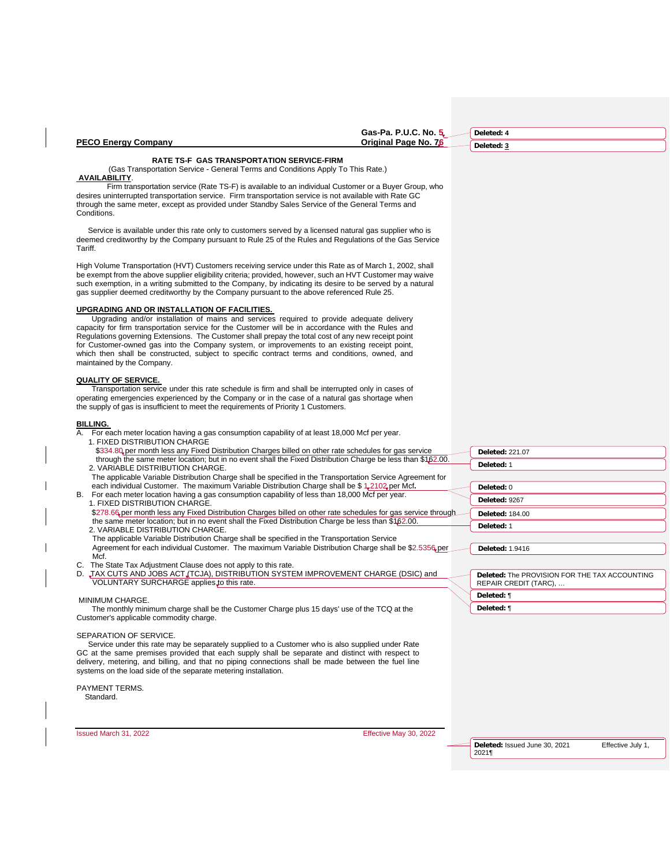| Gas-Pa. P.U.C. No. 5                                                                                                                                                                                                                                                                                                                                                                                                                                                                                                                                                                    | Deleted: 4                                                             |  |
|-----------------------------------------------------------------------------------------------------------------------------------------------------------------------------------------------------------------------------------------------------------------------------------------------------------------------------------------------------------------------------------------------------------------------------------------------------------------------------------------------------------------------------------------------------------------------------------------|------------------------------------------------------------------------|--|
| <b>PECO Energy Company</b><br>Original Page No. 76                                                                                                                                                                                                                                                                                                                                                                                                                                                                                                                                      | Deleted: 3                                                             |  |
| <b>RATE TS-F GAS TRANSPORTATION SERVICE-FIRM</b><br>(Gas Transportation Service - General Terms and Conditions Apply To This Rate.)<br><b>AVAILABILITY.</b><br>Firm transportation service (Rate TS-F) is available to an individual Customer or a Buyer Group, who<br>desires uninterrupted transportation service. Firm transportation service is not available with Rate GC<br>through the same meter, except as provided under Standby Sales Service of the General Terms and                                                                                                       |                                                                        |  |
| Conditions.<br>Service is available under this rate only to customers served by a licensed natural gas supplier who is<br>deemed creditworthy by the Company pursuant to Rule 25 of the Rules and Regulations of the Gas Service<br>Tariff.                                                                                                                                                                                                                                                                                                                                             |                                                                        |  |
| High Volume Transportation (HVT) Customers receiving service under this Rate as of March 1, 2002, shall<br>be exempt from the above supplier eligibility criteria; provided, however, such an HVT Customer may waive<br>such exemption, in a writing submitted to the Company, by indicating its desire to be served by a natural<br>gas supplier deemed creditworthy by the Company pursuant to the above referenced Rule 25.                                                                                                                                                          |                                                                        |  |
| UPGRADING AND OR INSTALLATION OF FACILITIES.<br>Upgrading and/or installation of mains and services required to provide adequate delivery<br>capacity for firm transportation service for the Customer will be in accordance with the Rules and<br>Regulations governing Extensions. The Customer shall prepay the total cost of any new receipt point<br>for Customer-owned gas into the Company system, or improvements to an existing receipt point,<br>which then shall be constructed, subject to specific contract terms and conditions, owned, and<br>maintained by the Company. |                                                                        |  |
| <b>QUALITY OF SERVICE.</b><br>Transportation service under this rate schedule is firm and shall be interrupted only in cases of<br>operating emergencies experienced by the Company or in the case of a natural gas shortage when<br>the supply of gas is insufficient to meet the requirements of Priority 1 Customers.                                                                                                                                                                                                                                                                |                                                                        |  |
| <b>BILLING.</b><br>A. For each meter location having a gas consumption capability of at least 18,000 Mcf per year.<br>1. FIXED DISTRIBUTION CHARGE<br>\$334.80 per month less any Fixed Distribution Charges billed on other rate schedules for gas service                                                                                                                                                                                                                                                                                                                             | Deleted: 221.07                                                        |  |
| through the same meter location; but in no event shall the Fixed Distribution Charge be less than \$1,62.00.<br>2. VARIABLE DISTRIBUTION CHARGE.                                                                                                                                                                                                                                                                                                                                                                                                                                        | Deleted: 1                                                             |  |
| The applicable Variable Distribution Charge shall be specified in the Transportation Service Agreement for<br>each individual Customer. The maximum Variable Distribution Charge shall be \$1,2102 per Mcf.                                                                                                                                                                                                                                                                                                                                                                             | Deleted: 0                                                             |  |
| B. For each meter location having a gas consumption capability of less than 18,000 Mcf per year.<br>1. FIXED DISTRIBUTION CHARGE.                                                                                                                                                                                                                                                                                                                                                                                                                                                       | Deleted: 9267                                                          |  |
| \$278.66 per month less any Fixed Distribution Charges billed on other rate schedules for gas service through                                                                                                                                                                                                                                                                                                                                                                                                                                                                           | <b>Deleted: 184.00</b>                                                 |  |
| the same meter location; but in no event shall the Fixed Distribution Charge be less than \$162.00.<br>2. VARIABLE DISTRIBUTION CHARGE.                                                                                                                                                                                                                                                                                                                                                                                                                                                 | Deleted: 1                                                             |  |
| The applicable Variable Distribution Charge shall be specified in the Transportation Service<br>Agreement for each individual Customer. The maximum Variable Distribution Charge shall be \$2.5356 per                                                                                                                                                                                                                                                                                                                                                                                  | <b>Deleted: 1.9416</b>                                                 |  |
| Mcf.<br>C. The State Tax Adjustment Clause does not apply to this rate.                                                                                                                                                                                                                                                                                                                                                                                                                                                                                                                 |                                                                        |  |
| D. TAX CUTS AND JOBS ACT TCJA), DISTRIBUTION SYSTEM IMPROVEMENT CHARGE (DSIC) and<br>VOLUNTARY SURCHARGE applies to this rate.                                                                                                                                                                                                                                                                                                                                                                                                                                                          | Deleted: The PROVISION FOR THE TAX ACCOUNTING<br>REPAIR CREDIT (TARC), |  |
| MINIMUM CHARGE.                                                                                                                                                                                                                                                                                                                                                                                                                                                                                                                                                                         | Deleted: 1                                                             |  |
| The monthly minimum charge shall be the Customer Charge plus 15 days' use of the TCQ at the                                                                                                                                                                                                                                                                                                                                                                                                                                                                                             | Deleted: ¶                                                             |  |
| Customer's applicable commodity charge.                                                                                                                                                                                                                                                                                                                                                                                                                                                                                                                                                 |                                                                        |  |
| SEPARATION OF SERVICE.<br>Service under this rate may be separately supplied to a Customer who is also supplied under Rate<br>GC at the same premises provided that each supply shall be separate and distinct with respect to<br>delivery, metering, and billing, and that no piping connections shall be made between the fuel line<br>systems on the load side of the separate metering installation.                                                                                                                                                                                |                                                                        |  |
| PAYMENT TERMS.<br>Standard.                                                                                                                                                                                                                                                                                                                                                                                                                                                                                                                                                             |                                                                        |  |
|                                                                                                                                                                                                                                                                                                                                                                                                                                                                                                                                                                                         |                                                                        |  |
| Issued March 31, 2022<br>Effective May 30, 2022                                                                                                                                                                                                                                                                                                                                                                                                                                                                                                                                         | Deleted: Issued June 30, 2021<br>Effective July 1,                     |  |
|                                                                                                                                                                                                                                                                                                                                                                                                                                                                                                                                                                                         | 2021¶                                                                  |  |
|                                                                                                                                                                                                                                                                                                                                                                                                                                                                                                                                                                                         |                                                                        |  |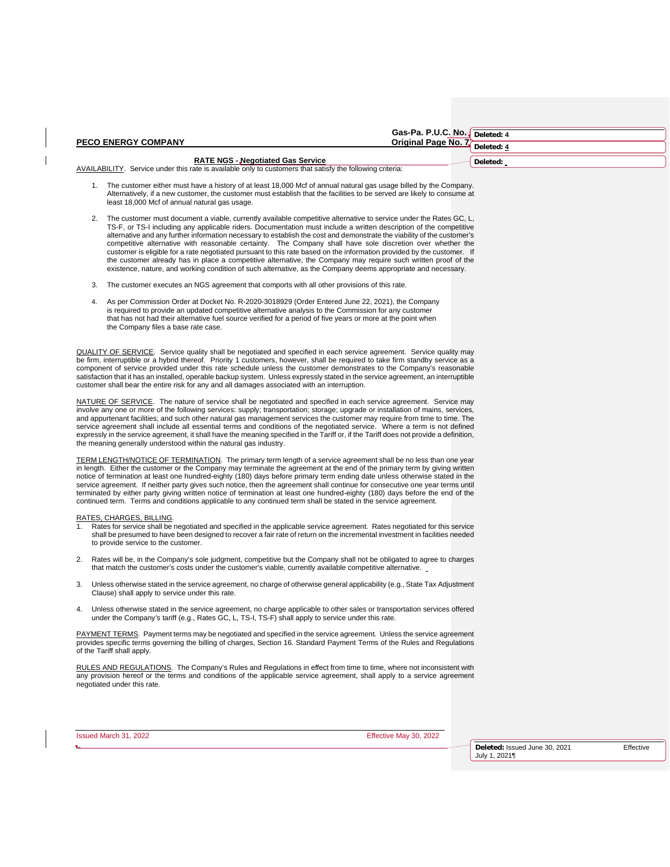|    | Gas-Pa. P.U.C. No. Deleted: 4<br>Original Page No. 77<br><b>PECO ENERGY COMPANY</b>                                                                                                                                                                                                                                                                                                                                                                                                                                                                                                                                                                                                                                                                                                                                                            |                               |           |
|----|------------------------------------------------------------------------------------------------------------------------------------------------------------------------------------------------------------------------------------------------------------------------------------------------------------------------------------------------------------------------------------------------------------------------------------------------------------------------------------------------------------------------------------------------------------------------------------------------------------------------------------------------------------------------------------------------------------------------------------------------------------------------------------------------------------------------------------------------|-------------------------------|-----------|
|    |                                                                                                                                                                                                                                                                                                                                                                                                                                                                                                                                                                                                                                                                                                                                                                                                                                                | Deleted: 4                    |           |
|    | <b>RATE NGS - Negotiated Gas Service</b><br>AVAILABILITY. Service under this rate is available only to customers that satisfy the following criteria:                                                                                                                                                                                                                                                                                                                                                                                                                                                                                                                                                                                                                                                                                          | Deleted:                      |           |
|    | 1. The customer either must have a history of at least 18,000 Mcf of annual natural gas usage billed by the Company.<br>Alternatively, if a new customer, the customer must establish that the facilities to be served are likely to consume at<br>least 18,000 Mcf of annual natural gas usage.                                                                                                                                                                                                                                                                                                                                                                                                                                                                                                                                               |                               |           |
| 2. | The customer must document a viable, currently available competitive alternative to service under the Rates GC, L,<br>TS-F, or TS-I including any applicable riders. Documentation must include a written description of the competitive<br>alternative and any further information necessary to establish the cost and demonstrate the viability of the customer's<br>competitive alternative with reasonable certainty. The Company shall have sole discretion over whether the<br>customer is eligible for a rate negotiated pursuant to this rate based on the information provided by the customer. If<br>the customer already has in place a competitive alternative, the Company may require such written proof of the<br>existence, nature, and working condition of such alternative, as the Company deems appropriate and necessary. |                               |           |
| 3. | The customer executes an NGS agreement that comports with all other provisions of this rate.                                                                                                                                                                                                                                                                                                                                                                                                                                                                                                                                                                                                                                                                                                                                                   |                               |           |
| 4. | As per Commission Order at Docket No. R-2020-3018929 (Order Entered June 22, 2021), the Company<br>is required to provide an updated competitive alternative analysis to the Commission for any customer<br>that has not had their alternative fuel source verified for a period of five years or more at the point when<br>the Company files a base rate case.                                                                                                                                                                                                                                                                                                                                                                                                                                                                                |                               |           |
|    | QUALITY OF SERVICE. Service quality shall be negotiated and specified in each service agreement. Service quality may<br>be firm, interruptible or a hybrid thereof. Priority 1 customers, however, shall be required to take firm standby service as a<br>component of service provided under this rate schedule unless the customer demonstrates to the Company's reasonable<br>satisfaction that it has an installed, operable backup system. Unless expressly stated in the service agreement, an interruptible<br>customer shall bear the entire risk for any and all damages associated with an interruption.                                                                                                                                                                                                                             |                               |           |
|    | NATURE OF SERVICE. The nature of service shall be negotiated and specified in each service agreement. Service may<br>involve any one or more of the following services: supply; transportation; storage; upgrade or installation of mains, services,<br>and appurtenant facilities; and such other natural gas management services the customer may require from time to time. The<br>service agreement shall include all essential terms and conditions of the negotiated service. Where a term is not defined<br>expressly in the service agreement, it shall have the meaning specified in the Tariff or, if the Tariff does not provide a definition,<br>the meaning generally understood within the natural gas industry.                                                                                                                 |                               |           |
|    | TERM LENGTH/NOTICE OF TERMINATION. The primary term length of a service agreement shall be no less than one year<br>in length. Either the customer or the Company may terminate the agreement at the end of the primary term by giving written<br>notice of termination at least one hundred-eighty (180) days before primary term ending date unless otherwise stated in the<br>service agreement. If neither party gives such notice, then the agreement shall continue for consecutive one year terms until<br>terminated by either party giving written notice of termination at least one hundred-eighty (180) days before the end of the<br>continued term. Terms and conditions applicable to any continued term shall be stated in the service agreement.                                                                              |                               |           |
|    | RATES, CHARGES, BILLING.<br>Rates for service shall be negotiated and specified in the applicable service agreement. Rates negotiated for this service<br>shall be presumed to have been designed to recover a fair rate of return on the incremental investment in facilities needed<br>to provide service to the customer.                                                                                                                                                                                                                                                                                                                                                                                                                                                                                                                   |                               |           |
|    | 2. Rates will be, in the Company's sole judgment, competitive but the Company shall not be obligated to agree to charges<br>that match the customer's costs under the customer's viable, currently available competitive alternative.                                                                                                                                                                                                                                                                                                                                                                                                                                                                                                                                                                                                          |                               |           |
| 3. | Unless otherwise stated in the service agreement, no charge of otherwise general applicability (e.g., State Tax Adjustment<br>Clause) shall apply to service under this rate.                                                                                                                                                                                                                                                                                                                                                                                                                                                                                                                                                                                                                                                                  |                               |           |
| 4. | Unless otherwise stated in the service agreement, no charge applicable to other sales or transportation services offered<br>under the Company's tariff (e.g., Rates GC, L, TS-I, TS-F) shall apply to service under this rate.                                                                                                                                                                                                                                                                                                                                                                                                                                                                                                                                                                                                                 |                               |           |
|    | PAYMENT TERMS. Payment terms may be negotiated and specified in the service agreement. Unless the service agreement<br>provides specific terms governing the billing of charges, Section 16. Standard Payment Terms of the Rules and Regulations<br>of the Tariff shall apply.                                                                                                                                                                                                                                                                                                                                                                                                                                                                                                                                                                 |                               |           |
|    | RULES AND REGULATIONS. The Company's Rules and Regulations in effect from time to time, where not inconsistent with<br>any provision hereof or the terms and conditions of the applicable service agreement, shall apply to a service agreement<br>negotiated under this rate.                                                                                                                                                                                                                                                                                                                                                                                                                                                                                                                                                                 |                               |           |
|    | Issued March 31, 2022<br>Effective May 30, 2022                                                                                                                                                                                                                                                                                                                                                                                                                                                                                                                                                                                                                                                                                                                                                                                                |                               |           |
|    |                                                                                                                                                                                                                                                                                                                                                                                                                                                                                                                                                                                                                                                                                                                                                                                                                                                | Deleted: Issued June 30, 2021 | Effective |
|    |                                                                                                                                                                                                                                                                                                                                                                                                                                                                                                                                                                                                                                                                                                                                                                                                                                                |                               |           |

 $\mathbf{I}$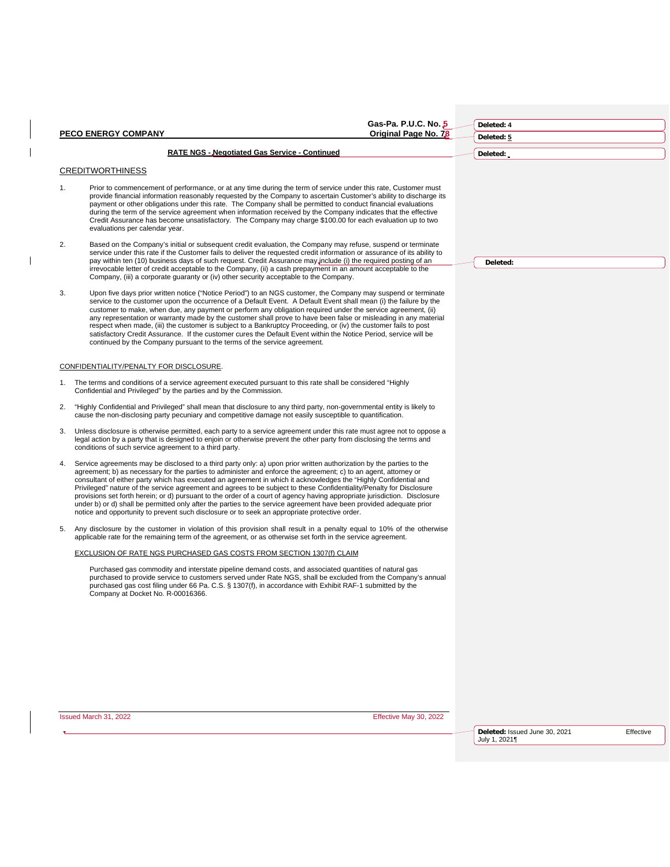|    | Gas-Pa. P.U.C. No. 5<br>Original Page No. 78<br><b>PECO ENERGY COMPANY</b>                                                                                                                                                                                                                                                                                                                                                                                                                                                                                                                                                                                                                                                                                                                                                               | Deleted: 4<br>Deleted: 5      |              |
|----|------------------------------------------------------------------------------------------------------------------------------------------------------------------------------------------------------------------------------------------------------------------------------------------------------------------------------------------------------------------------------------------------------------------------------------------------------------------------------------------------------------------------------------------------------------------------------------------------------------------------------------------------------------------------------------------------------------------------------------------------------------------------------------------------------------------------------------------|-------------------------------|--------------|
|    | <b>RATE NGS - Negotiated Gas Service - Continued</b>                                                                                                                                                                                                                                                                                                                                                                                                                                                                                                                                                                                                                                                                                                                                                                                     | Deleted:                      |              |
|    |                                                                                                                                                                                                                                                                                                                                                                                                                                                                                                                                                                                                                                                                                                                                                                                                                                          |                               |              |
|    | <b>CREDITWORTHINESS</b>                                                                                                                                                                                                                                                                                                                                                                                                                                                                                                                                                                                                                                                                                                                                                                                                                  |                               |              |
| 1. | Prior to commencement of performance, or at any time during the term of service under this rate, Customer must<br>provide financial information reasonably requested by the Company to ascertain Customer's ability to discharge its<br>payment or other obligations under this rate. The Company shall be permitted to conduct financial evaluations<br>during the term of the service agreement when information received by the Company indicates that the effective<br>Credit Assurance has become unsatisfactory. The Company may charge \$100.00 for each evaluation up to two<br>evaluations per calendar year.                                                                                                                                                                                                                   |                               |              |
| 2. | Based on the Company's initial or subsequent credit evaluation, the Company may refuse, suspend or terminate                                                                                                                                                                                                                                                                                                                                                                                                                                                                                                                                                                                                                                                                                                                             |                               |              |
|    | service under this rate if the Customer fails to deliver the requested credit information or assurance of its ability to<br>pay within ten (10) business days of such request. Credit Assurance may include (i) the required posting of an<br>irrevocable letter of credit acceptable to the Company, (ii) a cash prepayment in an amount acceptable to the<br>Company, (iii) a corporate guaranty or (iv) other security acceptable to the Company.                                                                                                                                                                                                                                                                                                                                                                                     | Deleted:                      |              |
| 3. | Upon five days prior written notice ("Notice Period") to an NGS customer, the Company may suspend or terminate<br>service to the customer upon the occurrence of a Default Event. A Default Event shall mean (i) the failure by the<br>customer to make, when due, any payment or perform any obligation required under the service agreement, (ii)<br>any representation or warranty made by the customer shall prove to have been false or misleading in any material<br>respect when made, (iii) the customer is subject to a Bankruptcy Proceeding, or (iv) the customer fails to post<br>satisfactory Credit Assurance. If the customer cures the Default Event within the Notice Period, service will be<br>continued by the Company pursuant to the terms of the service agreement.                                               |                               |              |
|    | CONFIDENTIALITY/PENALTY FOR DISCLOSURE.                                                                                                                                                                                                                                                                                                                                                                                                                                                                                                                                                                                                                                                                                                                                                                                                  |                               |              |
|    | 1. The terms and conditions of a service agreement executed pursuant to this rate shall be considered "Highly<br>Confidential and Privileged" by the parties and by the Commission.                                                                                                                                                                                                                                                                                                                                                                                                                                                                                                                                                                                                                                                      |                               |              |
| 2. | "Highly Confidential and Privileged" shall mean that disclosure to any third party, non-governmental entity is likely to<br>cause the non-disclosing party pecuniary and competitive damage not easily susceptible to quantification.                                                                                                                                                                                                                                                                                                                                                                                                                                                                                                                                                                                                    |                               |              |
| 3. | Unless disclosure is otherwise permitted, each party to a service agreement under this rate must agree not to oppose a<br>legal action by a party that is designed to enjoin or otherwise prevent the other party from disclosing the terms and<br>conditions of such service agreement to a third party.                                                                                                                                                                                                                                                                                                                                                                                                                                                                                                                                |                               |              |
| 4. | Service agreements may be disclosed to a third party only: a) upon prior written authorization by the parties to the<br>agreement; b) as necessary for the parties to administer and enforce the agreement; c) to an agent, attorney or<br>consultant of either party which has executed an agreement in which it acknowledges the "Highly Confidential and<br>Privileged" nature of the service agreement and agrees to be subject to these Confidentiality/Penalty for Disclosure<br>provisions set forth herein; or d) pursuant to the order of a court of agency having appropriate jurisdiction. Disclosure<br>under b) or d) shall be permitted only after the parties to the service agreement have been provided adequate prior<br>notice and opportunity to prevent such disclosure or to seek an appropriate protective order. |                               |              |
| 5. | Any disclosure by the customer in violation of this provision shall result in a penalty equal to 10% of the otherwise<br>applicable rate for the remaining term of the agreement, or as otherwise set forth in the service agreement.                                                                                                                                                                                                                                                                                                                                                                                                                                                                                                                                                                                                    |                               |              |
|    | EXCLUSION OF RATE NGS PURCHASED GAS COSTS FROM SECTION 1307(f) CLAIM                                                                                                                                                                                                                                                                                                                                                                                                                                                                                                                                                                                                                                                                                                                                                                     |                               |              |
|    | Purchased gas commodity and interstate pipeline demand costs, and associated quantities of natural gas<br>purchased to provide service to customers served under Rate NGS, shall be excluded from the Company's annual<br>purchased gas cost filing under 66 Pa. C.S. § 1307(f), in accordance with Exhibit RAF-1 submitted by the<br>Company at Docket No. R-00016366.                                                                                                                                                                                                                                                                                                                                                                                                                                                                  |                               |              |
|    |                                                                                                                                                                                                                                                                                                                                                                                                                                                                                                                                                                                                                                                                                                                                                                                                                                          |                               |              |
|    |                                                                                                                                                                                                                                                                                                                                                                                                                                                                                                                                                                                                                                                                                                                                                                                                                                          |                               |              |
|    |                                                                                                                                                                                                                                                                                                                                                                                                                                                                                                                                                                                                                                                                                                                                                                                                                                          |                               |              |
|    |                                                                                                                                                                                                                                                                                                                                                                                                                                                                                                                                                                                                                                                                                                                                                                                                                                          |                               |              |
|    |                                                                                                                                                                                                                                                                                                                                                                                                                                                                                                                                                                                                                                                                                                                                                                                                                                          |                               |              |
|    |                                                                                                                                                                                                                                                                                                                                                                                                                                                                                                                                                                                                                                                                                                                                                                                                                                          |                               |              |
|    | Effective May 30, 2022<br>Issued March 31, 2022                                                                                                                                                                                                                                                                                                                                                                                                                                                                                                                                                                                                                                                                                                                                                                                          |                               |              |
|    |                                                                                                                                                                                                                                                                                                                                                                                                                                                                                                                                                                                                                                                                                                                                                                                                                                          | Deleted: locued lune 20, 2021 | $Eff$ oothic |

 $\mathbf I$ 

**Deleted:** Issued June 30, 2021 Effective July 1, 2021¶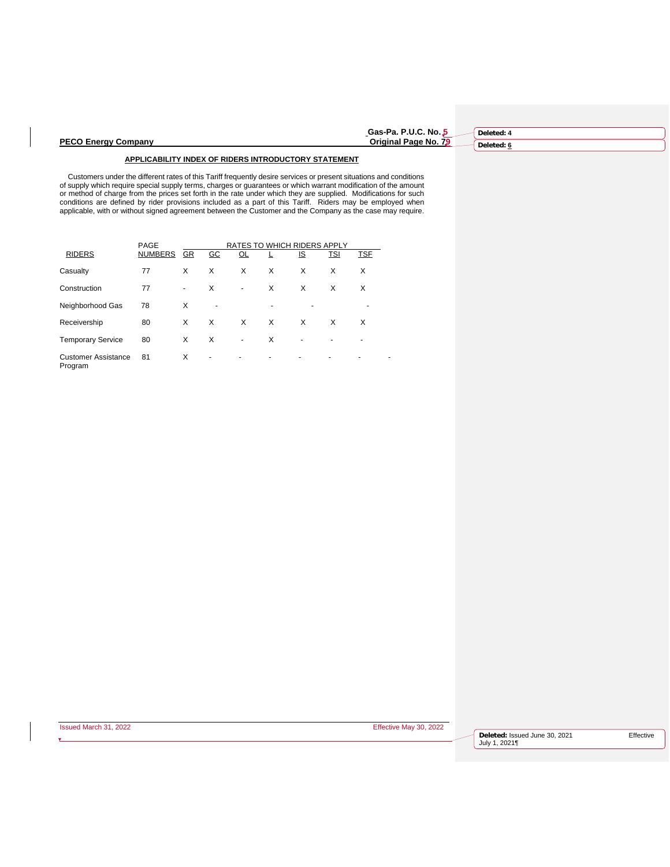## **Gas-Pa. P.U.C. No. 5**

**Deleted: 4 Deleted: 6**

#### **PECO Energy Company Original Page No. 79**

#### **APPLICABILITY INDEX OF RIDERS INTRODUCTORY STATEMENT**

 Customers under the different rates of this Tariff frequently desire services or present situations and conditions of supply which require special supply terms, charges or guarantees or which warrant modification of the amount<br>or method of charge from the prices set forth in the rate under which they are supplied. Modifications for suc

|                                       | <b>PAGE</b>    |                          |                  |                          | RATES TO WHICH RIDERS APPLY |           |            |            |  |
|---------------------------------------|----------------|--------------------------|------------------|--------------------------|-----------------------------|-----------|------------|------------|--|
| <b>RIDERS</b>                         | <b>NUMBERS</b> | GR                       | $\underline{GC}$ | OL                       |                             | <u>is</u> | <u>TSI</u> | <u>TSF</u> |  |
| Casualty                              | 77             | X                        | X                | X                        | X                           | X         | X          | X          |  |
| Construction                          | 77             | $\overline{\phantom{a}}$ | X                | $\overline{\phantom{m}}$ | X                           | X         | X          | X          |  |
| Neighborhood Gas                      | 78             | Х                        | ٠                |                          |                             |           |            |            |  |
| Receivership                          | 80             | X                        | X                | X                        | X                           | X         | X          | X          |  |
| <b>Temporary Service</b>              | 80             | X                        | X                | ۰                        | X                           |           |            |            |  |
| <b>Customer Assistance</b><br>Program | 81             | X                        |                  |                          |                             |           |            |            |  |

**Deleted:** Issued June 30, 2021 Effective July 1, 2021¶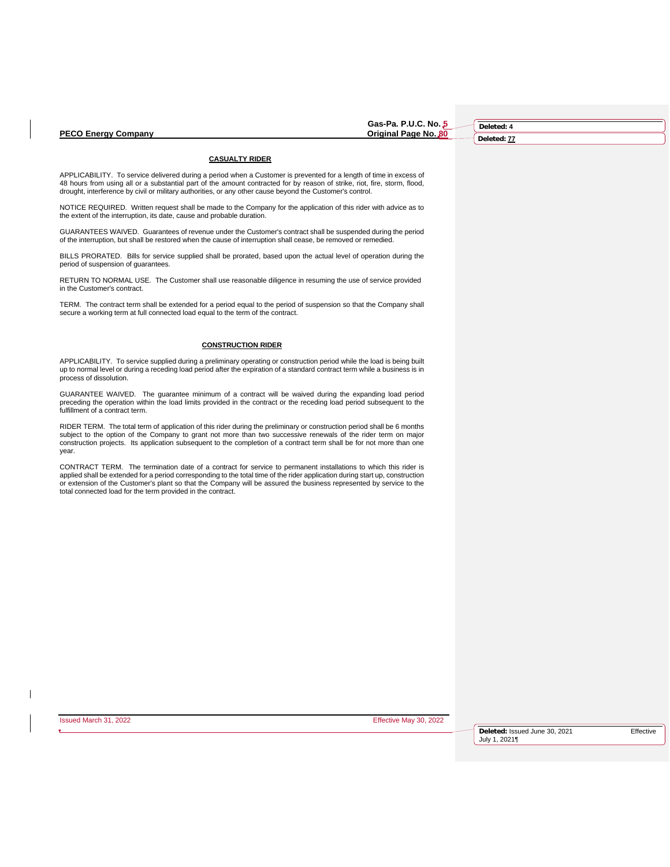**PECO Energy Company** 

**Gas-Pa. P.U.C. No. 5**

**Deleted: 4 Deleted: 77**

#### **CASUALTY RIDER**

APPLICABILITY. To service delivered during a period when a Customer is prevented for a length of time in excess of 48 hours from using all or a substantial part of the amount contracted for by reason of strike, riot, fire, storm, flood, drought, interference by civil or military authorities, or any other cause beyond the Customer's control.

NOTICE REQUIRED. Written request shall be made to the Company for the application of this rider with advice as to the extent of the interruption, its date, cause and probable duration.

GUARANTEES WAIVED. Guarantees of revenue under the Customer's contract shall be suspended during the period of the interruption, but shall be restored when the cause of interruption shall cease, be removed or remedied.

BILLS PRORATED. Bills for service supplied shall be prorated, based upon the actual level of operation during the period of suspension of guarantees.

RETURN TO NORMAL USE. The Customer shall use reasonable diligence in resuming the use of service provided in the Customer's contract.

TERM. The contract term shall be extended for a period equal to the period of suspension so that the Company shall secure a working term at full connected load equal to the term of the contract.

### **CONSTRUCTION RIDER**

APPLICABILITY. To service supplied during a preliminary operating or construction period while the load is being built up to normal level or during a receding load period after the expiration of a standard contract term while a business is in process of dissolution.

GUARANTEE WAIVED. The guarantee minimum of a contract will be waived during the expanding load period preceding the operation within the load limits provided in the contract or the receding load period subsequent to the fulfillment of a contract term.

RIDER TERM. The total term of application of this rider during the preliminary or construction period shall be 6 months subject to the option of the Company to grant not more than two successive renewals of the rider term on major construction projects. Its application subsequent to the completion of a contract term shall be for not more than one year.

CONTRACT TERM. The termination date of a contract for service to permanent installations to which this rider is applied shall be extended for a period corresponding to the total time of the rider application during start up, construction or extension of the Customer's plant so that the Company will be assured the business represented by service to the total connected load for the term provided in the contract.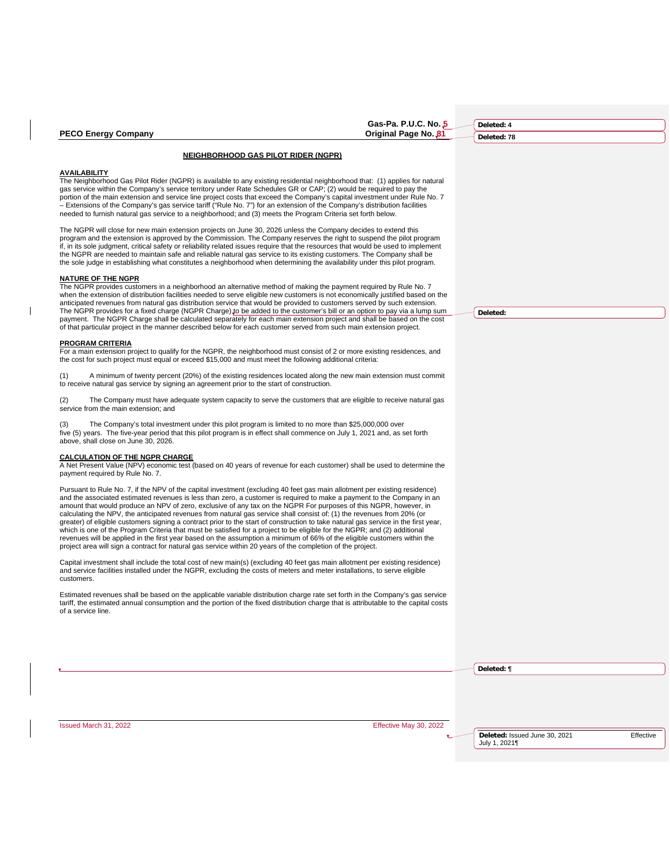|                                                                                                                                                                                                                                                                                                                                                                                                                                                                                                                                                                                                                                                                                                                                                                                                                                                                                                                                                                                                                    | Gas-Pa. P.U.C. No. 5   | Deleted: 4                                     |           |
|--------------------------------------------------------------------------------------------------------------------------------------------------------------------------------------------------------------------------------------------------------------------------------------------------------------------------------------------------------------------------------------------------------------------------------------------------------------------------------------------------------------------------------------------------------------------------------------------------------------------------------------------------------------------------------------------------------------------------------------------------------------------------------------------------------------------------------------------------------------------------------------------------------------------------------------------------------------------------------------------------------------------|------------------------|------------------------------------------------|-----------|
| <b>PECO Energy Company</b>                                                                                                                                                                                                                                                                                                                                                                                                                                                                                                                                                                                                                                                                                                                                                                                                                                                                                                                                                                                         | Original Page No. 81   | Deleted: 78                                    |           |
| <b>NEIGHBORHOOD GAS PILOT RIDER (NGPR)</b>                                                                                                                                                                                                                                                                                                                                                                                                                                                                                                                                                                                                                                                                                                                                                                                                                                                                                                                                                                         |                        |                                                |           |
| <b>AVAILABILITY</b><br>The Neighborhood Gas Pilot Rider (NGPR) is available to any existing residential neighborhood that: (1) applies for natural<br>gas service within the Company's service territory under Rate Schedules GR or CAP; (2) would be required to pay the<br>portion of the main extension and service line project costs that exceed the Company's capital investment under Rule No. 7<br>- Extensions of the Company's gas service tariff ("Rule No. 7") for an extension of the Company's distribution facilities<br>needed to furnish natural gas service to a neighborhood; and (3) meets the Program Criteria set forth below.                                                                                                                                                                                                                                                                                                                                                               |                        |                                                |           |
| The NGPR will close for new main extension projects on June 30, 2026 unless the Company decides to extend this<br>program and the extension is approved by the Commission. The Company reserves the right to suspend the pilot program<br>if, in its sole judgment, critical safety or reliability related issues require that the resources that would be used to implement<br>the NGPR are needed to maintain safe and reliable natural gas service to its existing customers. The Company shall be<br>the sole judge in establishing what constitutes a neighborhood when determining the availability under this pilot program.                                                                                                                                                                                                                                                                                                                                                                                |                        |                                                |           |
| <b>NATURE OF THE NGPR</b><br>The NGPR provides customers in a neighborhood an alternative method of making the payment required by Rule No. 7<br>when the extension of distribution facilities needed to serve eligible new customers is not economically justified based on the<br>anticipated revenues from natural gas distribution service that would be provided to customers served by such extension.<br>The NGPR provides for a fixed charge (NGPR Charge) to be added to the customer's bill or an option to pay via a lump sum<br>payment. The NGPR Charge shall be calculated separately for each main extension project and shall be based on the cost<br>of that particular project in the manner described below for each customer served from such main extension project.                                                                                                                                                                                                                          |                        | Deleted:                                       |           |
| <b>PROGRAM CRITERIA</b><br>For a main extension project to qualify for the NGPR, the neighborhood must consist of 2 or more existing residences, and<br>the cost for such project must equal or exceed \$15,000 and must meet the following additional criteria:                                                                                                                                                                                                                                                                                                                                                                                                                                                                                                                                                                                                                                                                                                                                                   |                        |                                                |           |
| A minimum of twenty percent (20%) of the existing residences located along the new main extension must commit<br>(1)<br>to receive natural gas service by signing an agreement prior to the start of construction.                                                                                                                                                                                                                                                                                                                                                                                                                                                                                                                                                                                                                                                                                                                                                                                                 |                        |                                                |           |
| The Company must have adequate system capacity to serve the customers that are eligible to receive natural gas<br>(2)<br>service from the main extension: and                                                                                                                                                                                                                                                                                                                                                                                                                                                                                                                                                                                                                                                                                                                                                                                                                                                      |                        |                                                |           |
| The Company's total investment under this pilot program is limited to no more than \$25,000,000 over<br>(3)<br>five (5) years. The five-year period that this pilot program is in effect shall commence on July 1, 2021 and, as set forth<br>above, shall close on June 30, 2026.                                                                                                                                                                                                                                                                                                                                                                                                                                                                                                                                                                                                                                                                                                                                  |                        |                                                |           |
| <b>CALCULATION OF THE NGPR CHARGE</b><br>A Net Present Value (NPV) economic test (based on 40 years of revenue for each customer) shall be used to determine the<br>payment required by Rule No. 7.                                                                                                                                                                                                                                                                                                                                                                                                                                                                                                                                                                                                                                                                                                                                                                                                                |                        |                                                |           |
| Pursuant to Rule No. 7, if the NPV of the capital investment (excluding 40 feet gas main allotment per existing residence)<br>and the associated estimated revenues is less than zero, a customer is required to make a payment to the Company in an<br>amount that would produce an NPV of zero, exclusive of any tax on the NGPR For purposes of this NGPR, however, in<br>calculating the NPV, the anticipated revenues from natural gas service shall consist of: (1) the revenues from 20% (or<br>greater) of eligible customers signing a contract prior to the start of construction to take natural gas service in the first year,<br>which is one of the Program Criteria that must be satisfied for a project to be eligible for the NGPR; and (2) additional<br>revenues will be applied in the first year based on the assumption a minimum of 66% of the eligible customers within the<br>project area will sign a contract for natural gas service within 20 years of the completion of the project. |                        |                                                |           |
| Capital investment shall include the total cost of new main(s) (excluding 40 feet gas main allotment per existing residence)<br>and service facilities installed under the NGPR, excluding the costs of meters and meter installations, to serve eligible<br>customers.                                                                                                                                                                                                                                                                                                                                                                                                                                                                                                                                                                                                                                                                                                                                            |                        |                                                |           |
| Estimated revenues shall be based on the applicable variable distribution charge rate set forth in the Company's gas service<br>tariff, the estimated annual consumption and the portion of the fixed distribution charge that is attributable to the capital costs<br>of a service line.                                                                                                                                                                                                                                                                                                                                                                                                                                                                                                                                                                                                                                                                                                                          |                        |                                                |           |
|                                                                                                                                                                                                                                                                                                                                                                                                                                                                                                                                                                                                                                                                                                                                                                                                                                                                                                                                                                                                                    |                        |                                                |           |
|                                                                                                                                                                                                                                                                                                                                                                                                                                                                                                                                                                                                                                                                                                                                                                                                                                                                                                                                                                                                                    |                        |                                                |           |
|                                                                                                                                                                                                                                                                                                                                                                                                                                                                                                                                                                                                                                                                                                                                                                                                                                                                                                                                                                                                                    |                        | Deleted: ¶                                     |           |
|                                                                                                                                                                                                                                                                                                                                                                                                                                                                                                                                                                                                                                                                                                                                                                                                                                                                                                                                                                                                                    |                        |                                                |           |
| Issued March 31, 2022                                                                                                                                                                                                                                                                                                                                                                                                                                                                                                                                                                                                                                                                                                                                                                                                                                                                                                                                                                                              | Effective May 30, 2022 |                                                |           |
|                                                                                                                                                                                                                                                                                                                                                                                                                                                                                                                                                                                                                                                                                                                                                                                                                                                                                                                                                                                                                    |                        | Deleted: Issued June 30, 2021<br>July 1, 2021¶ | Effective |

 $\mathbf{l}$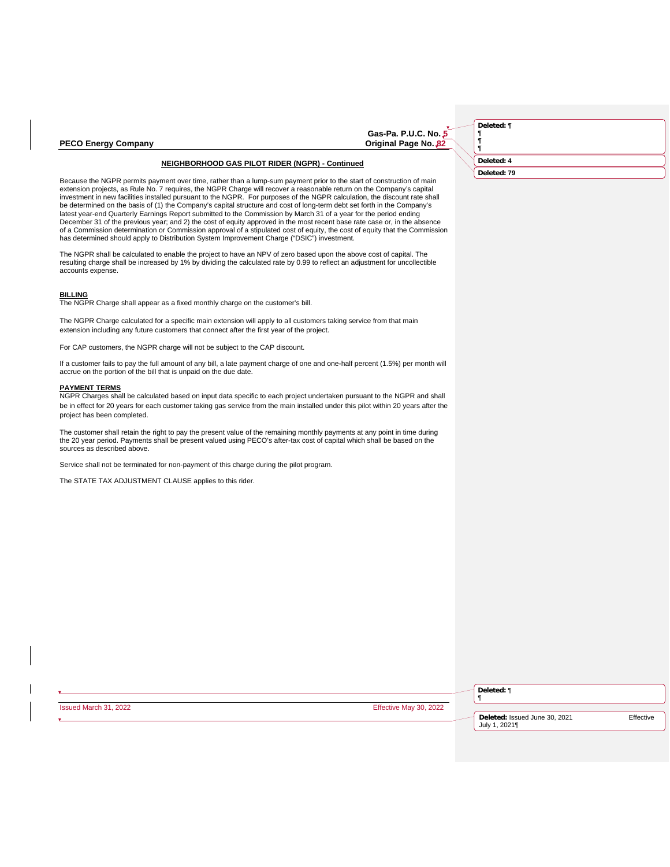#### **PECO Energy Company**

# **Gas-Pa. P.U.C. No.**<br>Original Page No. 82

#### **NEIGHBORHOOD GAS PILOT RIDER (NGPR) - Continued**

Because the NGPR permits payment over time, rather than a lump-sum payment prior to the start of construction of main extension projects, as Rule No. 7 requires, the NGPR Charge will recover a reasonable return on the Company's capital<br>investment in new facilities installed pursuant to the NGPR. For purposes of the NGPR calculation, the d latest year-end Quarterly Earnings Report submitted to the Commission by March 31 of a year for the period ending December 31 of the previous year; and 2) the cost of equity approved in the most recent base rate case or, in the absence of a Commission determination or Commission approval of a stipulated cost of equity, the cost of equity that the Commission has determined should apply to Distribution System Improvement Charge ("DSIC") investment.

The NGPR shall be calculated to enable the project to have an NPV of zero based upon the above cost of capital. The resulting charge shall be increased by 1% by dividing the calculated rate by 0.99 to reflect an adjustment for uncollectible accounts expense.

#### **BILLING**

The NGPR Charge shall appear as a fixed monthly charge on the customer's bill.

The NGPR Charge calculated for a specific main extension will apply to all customers taking service from that main extension including any future customers that connect after the first year of the project.

For CAP customers, the NGPR charge will not be subject to the CAP discount.

If a customer fails to pay the full amount of any bill, a late payment charge of one and one-half percent (1.5%) per month will accrue on the portion of the bill that is unpaid on the due date.

#### **PAYMENT TERMS**

NGPR Charges shall be calculated based on input data specific to each project undertaken pursuant to the NGPR and shall be in effect for 20 years for each customer taking gas service from the main installed under this pilot within 20 years after the project has been completed.

The customer shall retain the right to pay the present value of the remaining monthly payments at any point in time during the 20 year period. Payments shall be present valued using PECO's after-tax cost of capital which shall be based on the sources as described above.

Service shall not be terminated for non-payment of this charge during the pilot program.

The STATE TAX ADJUSTMENT CLAUSE applies to this rider.

|                       |                        | Deleted: 1                                     |           |
|-----------------------|------------------------|------------------------------------------------|-----------|
| Issued March 31, 2022 | Effective May 30, 2022 |                                                |           |
|                       |                        | Deleted: Issued June 30, 2021<br>July 1, 2021¶ | Effective |

**Deleted: ¶**

**Deleted: 4 Deleted: 79**

**¶ ¶ ¶**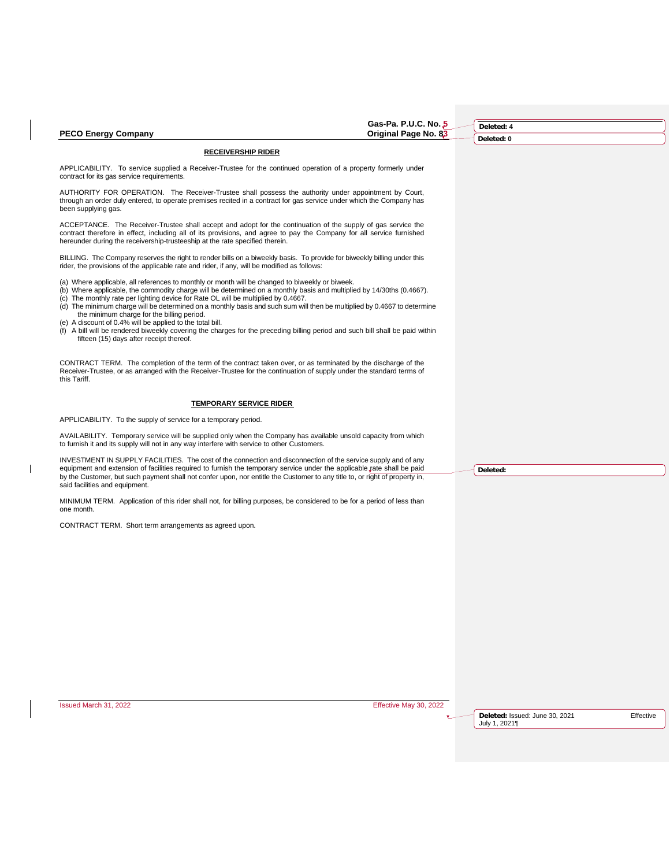|                                                                                                                                                                                                                                                                                                                                                                                                                                                                                                                                                                                                                                                                                                                                    | Gas-Pa. P.U.C. No. 5   | Deleted: 4                                      |           |
|------------------------------------------------------------------------------------------------------------------------------------------------------------------------------------------------------------------------------------------------------------------------------------------------------------------------------------------------------------------------------------------------------------------------------------------------------------------------------------------------------------------------------------------------------------------------------------------------------------------------------------------------------------------------------------------------------------------------------------|------------------------|-------------------------------------------------|-----------|
| <b>PECO Energy Company</b>                                                                                                                                                                                                                                                                                                                                                                                                                                                                                                                                                                                                                                                                                                         | Original Page No. 83   | Deleted: 0                                      |           |
| <b>RECEIVERSHIP RIDER</b>                                                                                                                                                                                                                                                                                                                                                                                                                                                                                                                                                                                                                                                                                                          |                        |                                                 |           |
| APPLICABILITY. To service supplied a Receiver-Trustee for the continued operation of a property formerly under<br>contract for its gas service requirements.                                                                                                                                                                                                                                                                                                                                                                                                                                                                                                                                                                       |                        |                                                 |           |
| AUTHORITY FOR OPERATION. The Receiver-Trustee shall possess the authority under appointment by Court,<br>through an order duly entered, to operate premises recited in a contract for gas service under which the Company has<br>been supplying gas.                                                                                                                                                                                                                                                                                                                                                                                                                                                                               |                        |                                                 |           |
| ACCEPTANCE. The Receiver-Trustee shall accept and adopt for the continuation of the supply of gas service the<br>contract therefore in effect, including all of its provisions, and agree to pay the Company for all service furnished<br>hereunder during the receivership-trusteeship at the rate specified therein.                                                                                                                                                                                                                                                                                                                                                                                                             |                        |                                                 |           |
| BILLING. The Company reserves the right to render bills on a biweekly basis. To provide for biweekly billing under this<br>rider, the provisions of the applicable rate and rider, if any, will be modified as follows:                                                                                                                                                                                                                                                                                                                                                                                                                                                                                                            |                        |                                                 |           |
| (a) Where applicable, all references to monthly or month will be changed to biweekly or biweek.<br>(b) Where applicable, the commodity charge will be determined on a monthly basis and multiplied by 14/30ths (0.4667).<br>(c) The monthly rate per lighting device for Rate OL will be multiplied by 0.4667.<br>(d) The minimum charge will be determined on a monthly basis and such sum will then be multiplied by 0.4667 to determine<br>the minimum charge for the billing period.<br>(e) A discount of 0.4% will be applied to the total bill.<br>(f) A bill will be rendered biweekly covering the charges for the preceding billing period and such bill shall be paid within<br>fifteen (15) days after receipt thereof. |                        |                                                 |           |
| CONTRACT TERM. The completion of the term of the contract taken over, or as terminated by the discharge of the<br>Receiver-Trustee, or as arranged with the Receiver-Trustee for the continuation of supply under the standard terms of<br>this Tariff.                                                                                                                                                                                                                                                                                                                                                                                                                                                                            |                        |                                                 |           |
| <b>TEMPORARY SERVICE RIDER</b>                                                                                                                                                                                                                                                                                                                                                                                                                                                                                                                                                                                                                                                                                                     |                        |                                                 |           |
| APPLICABILITY. To the supply of service for a temporary period.                                                                                                                                                                                                                                                                                                                                                                                                                                                                                                                                                                                                                                                                    |                        |                                                 |           |
| AVAILABILITY. Temporary service will be supplied only when the Company has available unsold capacity from which<br>to furnish it and its supply will not in any way interfere with service to other Customers.                                                                                                                                                                                                                                                                                                                                                                                                                                                                                                                     |                        |                                                 |           |
| INVESTMENT IN SUPPLY FACILITIES. The cost of the connection and disconnection of the service supply and of any<br>equipment and extension of facilities required to furnish the temporary service under the applicable rate shall be paid<br>by the Customer, but such payment shall not confer upon, nor entitle the Customer to any title to, or right of property in,<br>said facilities and equipment.                                                                                                                                                                                                                                                                                                                         |                        | Deleted:                                        |           |
| MINIMUM TERM. Application of this rider shall not, for billing purposes, be considered to be for a period of less than<br>one month.                                                                                                                                                                                                                                                                                                                                                                                                                                                                                                                                                                                               |                        |                                                 |           |
| CONTRACT TERM. Short term arrangements as agreed upon.                                                                                                                                                                                                                                                                                                                                                                                                                                                                                                                                                                                                                                                                             |                        |                                                 |           |
|                                                                                                                                                                                                                                                                                                                                                                                                                                                                                                                                                                                                                                                                                                                                    |                        |                                                 |           |
|                                                                                                                                                                                                                                                                                                                                                                                                                                                                                                                                                                                                                                                                                                                                    |                        |                                                 |           |
|                                                                                                                                                                                                                                                                                                                                                                                                                                                                                                                                                                                                                                                                                                                                    |                        |                                                 |           |
|                                                                                                                                                                                                                                                                                                                                                                                                                                                                                                                                                                                                                                                                                                                                    |                        |                                                 |           |
|                                                                                                                                                                                                                                                                                                                                                                                                                                                                                                                                                                                                                                                                                                                                    |                        |                                                 |           |
|                                                                                                                                                                                                                                                                                                                                                                                                                                                                                                                                                                                                                                                                                                                                    |                        |                                                 |           |
|                                                                                                                                                                                                                                                                                                                                                                                                                                                                                                                                                                                                                                                                                                                                    |                        |                                                 |           |
|                                                                                                                                                                                                                                                                                                                                                                                                                                                                                                                                                                                                                                                                                                                                    |                        |                                                 |           |
|                                                                                                                                                                                                                                                                                                                                                                                                                                                                                                                                                                                                                                                                                                                                    |                        |                                                 |           |
| Issued March 31, 2022                                                                                                                                                                                                                                                                                                                                                                                                                                                                                                                                                                                                                                                                                                              | Effective May 30, 2022 |                                                 |           |
|                                                                                                                                                                                                                                                                                                                                                                                                                                                                                                                                                                                                                                                                                                                                    |                        | Deleted: Issued: June 30, 2021<br>July 1, 2021¶ | Effective |
|                                                                                                                                                                                                                                                                                                                                                                                                                                                                                                                                                                                                                                                                                                                                    |                        |                                                 |           |
|                                                                                                                                                                                                                                                                                                                                                                                                                                                                                                                                                                                                                                                                                                                                    |                        |                                                 |           |

 $\mathbf I$